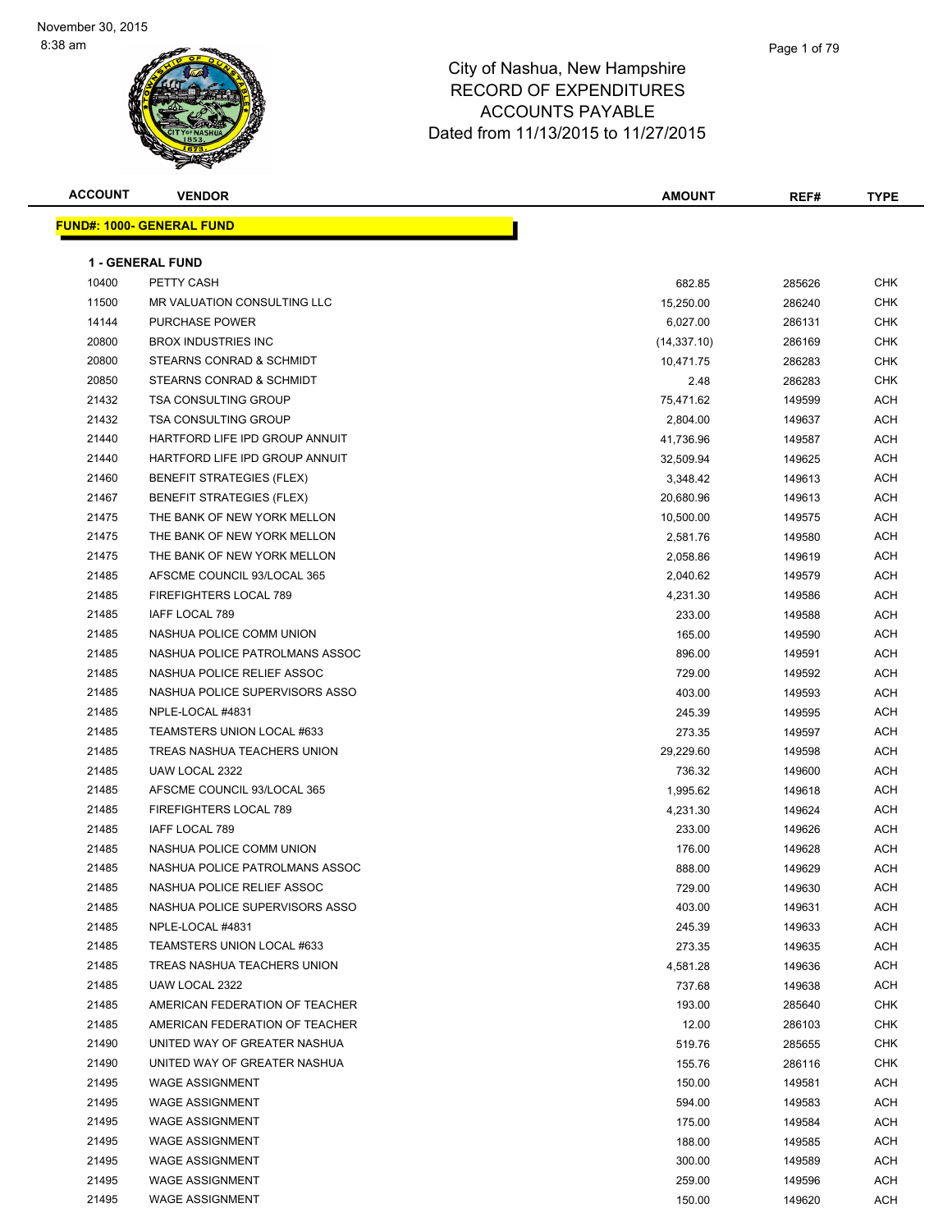| <b>ACCOUNT</b> | <b>VENDOR</b>                    | <b>AMOUNT</b> | REF#   | <b>TYPE</b> |
|----------------|----------------------------------|---------------|--------|-------------|
|                | <b>FUND#: 1000- GENERAL FUND</b> |               |        |             |
|                |                                  |               |        |             |
|                | <b>1 - GENERAL FUND</b>          |               |        |             |
| 10400          | PETTY CASH                       | 682.85        | 285626 | <b>CHK</b>  |
| 11500          | MR VALUATION CONSULTING LLC      | 15,250.00     | 286240 | <b>CHK</b>  |
| 14144          | <b>PURCHASE POWER</b>            | 6,027.00      | 286131 | <b>CHK</b>  |
| 20800          | <b>BROX INDUSTRIES INC</b>       | (14, 337.10)  | 286169 | <b>CHK</b>  |
| 20800          | STEARNS CONRAD & SCHMIDT         | 10,471.75     | 286283 | <b>CHK</b>  |
| 20850          | STEARNS CONRAD & SCHMIDT         | 2.48          | 286283 | <b>CHK</b>  |
| 21432          | <b>TSA CONSULTING GROUP</b>      | 75,471.62     | 149599 | ACH         |
| 21432          | <b>TSA CONSULTING GROUP</b>      | 2,804.00      | 149637 | ACH         |
| 21440          | HARTFORD LIFE IPD GROUP ANNUIT   | 41,736.96     | 149587 | ACH         |
| 21440          | HARTFORD LIFE IPD GROUP ANNUIT   | 32,509.94     | 149625 | ACH         |
| 21460          | <b>BENEFIT STRATEGIES (FLEX)</b> | 3,348.42      | 149613 | <b>ACH</b>  |
| 21467          | <b>BENEFIT STRATEGIES (FLEX)</b> | 20,680.96     | 149613 | ACH         |
| 21475          | THE BANK OF NEW YORK MELLON      | 10,500.00     | 149575 | ACH         |
| 21475          | THE BANK OF NEW YORK MELLON      | 2,581.76      | 149580 | <b>ACH</b>  |
| 21475          | THE BANK OF NEW YORK MELLON      | 2,058.86      | 149619 | ACH         |
| 21485          | AFSCME COUNCIL 93/LOCAL 365      | 2,040.62      | 149579 | ACH         |
| 21485          | FIREFIGHTERS LOCAL 789           | 4,231.30      | 149586 | <b>ACH</b>  |
| 21485          | IAFF LOCAL 789                   | 233.00        | 149588 | ACH         |
| 21485          | NASHUA POLICE COMM UNION         | 165.00        | 149590 | ACH         |
| 21485          | NASHUA POLICE PATROLMANS ASSOC   | 896.00        | 149591 | <b>ACH</b>  |
| 21485          | NASHUA POLICE RELIEF ASSOC       | 729.00        | 149592 | ACH         |
| 21485          | NASHUA POLICE SUPERVISORS ASSO   | 403.00        | 149593 | <b>ACH</b>  |
| 21485          | NPLE-LOCAL #4831                 | 245.39        | 149595 | ACH         |
| 21485          | TEAMSTERS UNION LOCAL #633       | 273.35        | 149597 | <b>ACH</b>  |
| 21485          | TREAS NASHUA TEACHERS UNION      | 29,229.60     | 149598 | <b>ACH</b>  |
| 21485          | UAW LOCAL 2322                   | 736.32        | 149600 | ACH         |
| 21485          | AFSCME COUNCIL 93/LOCAL 365      | 1,995.62      | 149618 | ACH         |
| 21485          | FIREFIGHTERS LOCAL 789           | 4,231.30      | 149624 | <b>ACH</b>  |
| 21485          | IAFF LOCAL 789                   | 233.00        | 149626 | ACH         |
| 21485          | NASHUA POLICE COMM UNION         | 176.00        | 149628 | ACH         |
| 21485          | NASHUA POLICE PATROLMANS ASSOC   | 888.00        | 149629 | ACH         |
| 21485          | NASHUA POLICE RELIEF ASSOC       | 729.00        | 149630 | ACH         |
| 21485          | NASHUA POLICE SUPERVISORS ASSO   | 403.00        | 149631 | <b>ACH</b>  |
| 21485          | NPLE-LOCAL #4831                 | 245.39        | 149633 | ACH         |
| 21485          | TEAMSTERS UNION LOCAL #633       | 273.35        | 149635 | ACH         |
| 21485          | TREAS NASHUA TEACHERS UNION      | 4,581.28      | 149636 | ACH         |
| 21485          | UAW LOCAL 2322                   | 737.68        | 149638 | ACH         |
| 21485          | AMERICAN FEDERATION OF TEACHER   | 193.00        | 285640 | <b>CHK</b>  |
| 21485          | AMERICAN FEDERATION OF TEACHER   | 12.00         | 286103 | <b>CHK</b>  |
| 21490          | UNITED WAY OF GREATER NASHUA     | 519.76        | 285655 | <b>CHK</b>  |
| 21490          | UNITED WAY OF GREATER NASHUA     | 155.76        | 286116 | <b>CHK</b>  |
| 21495          | <b>WAGE ASSIGNMENT</b>           | 150.00        | 149581 | <b>ACH</b>  |
| 21495          | <b>WAGE ASSIGNMENT</b>           | 594.00        | 149583 | ACH         |
| 21495          | <b>WAGE ASSIGNMENT</b>           | 175.00        | 149584 | <b>ACH</b>  |
| 21495          | <b>WAGE ASSIGNMENT</b>           | 188.00        | 149585 | ACH         |
| 21495          | <b>WAGE ASSIGNMENT</b>           | 300.00        | 149589 | ACH         |
| 21495          | <b>WAGE ASSIGNMENT</b>           | 259.00        | 149596 | ACH         |
| 21495          | <b>WAGE ASSIGNMENT</b>           | 150.00        | 149620 | ACH         |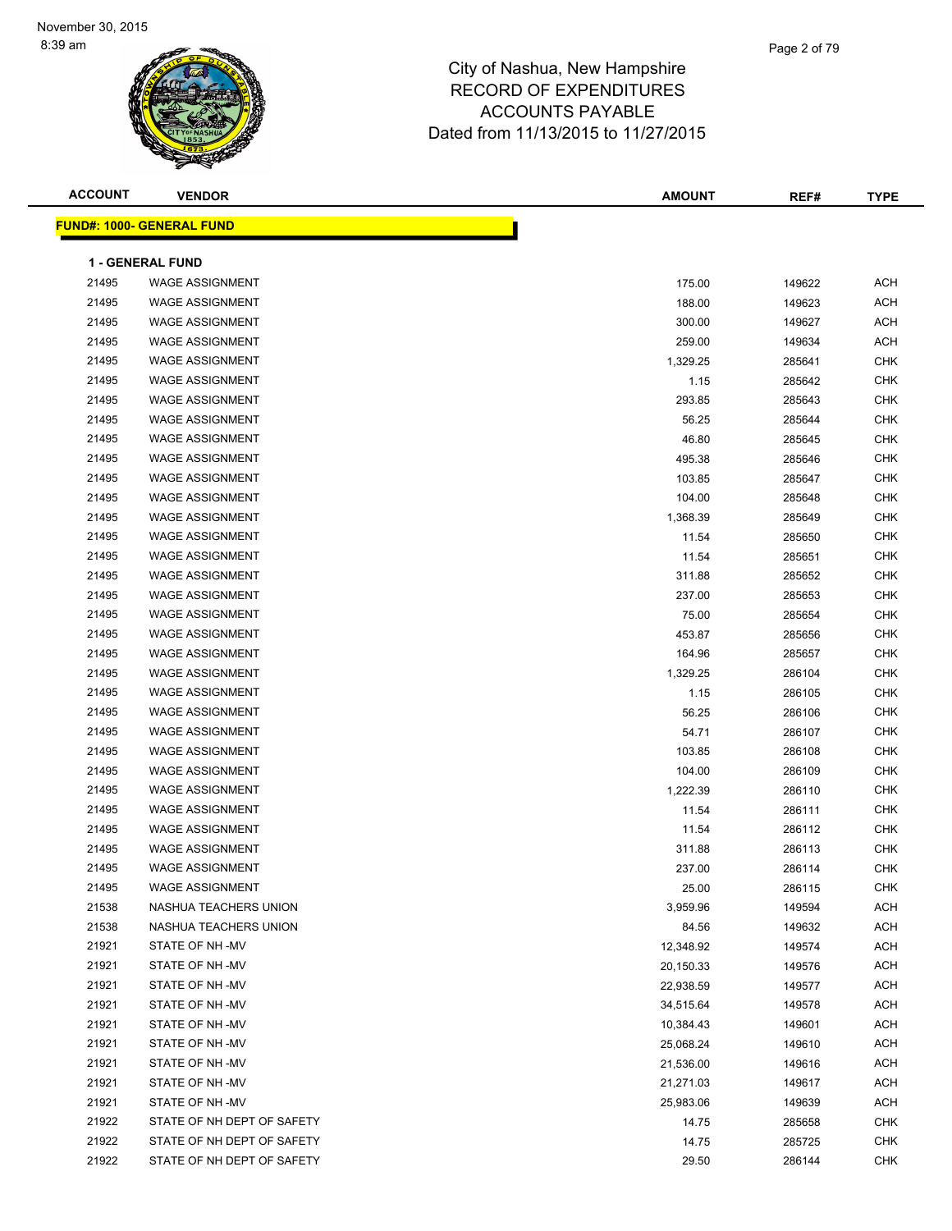| <b>ACCOUNT</b> | <b>VENDOR</b>                                    | <b>AMOUNT</b> | REF#   | <b>TYPE</b> |
|----------------|--------------------------------------------------|---------------|--------|-------------|
|                | <b>FUND#: 1000- GENERAL FUND</b>                 |               |        |             |
|                |                                                  |               |        |             |
|                | <b>1 - GENERAL FUND</b>                          |               |        |             |
| 21495          | <b>WAGE ASSIGNMENT</b>                           | 175.00        | 149622 | <b>ACH</b>  |
| 21495          | <b>WAGE ASSIGNMENT</b>                           | 188.00        | 149623 | <b>ACH</b>  |
| 21495          | <b>WAGE ASSIGNMENT</b><br><b>WAGE ASSIGNMENT</b> | 300.00        | 149627 | <b>ACH</b>  |
| 21495          |                                                  | 259.00        | 149634 | <b>ACH</b>  |
| 21495          | <b>WAGE ASSIGNMENT</b>                           | 1,329.25      | 285641 | <b>CHK</b>  |
| 21495          | <b>WAGE ASSIGNMENT</b>                           | 1.15          | 285642 | <b>CHK</b>  |
| 21495          | <b>WAGE ASSIGNMENT</b>                           | 293.85        | 285643 | <b>CHK</b>  |
| 21495          | <b>WAGE ASSIGNMENT</b>                           | 56.25         | 285644 | <b>CHK</b>  |
| 21495          | <b>WAGE ASSIGNMENT</b>                           | 46.80         | 285645 | <b>CHK</b>  |
| 21495          | <b>WAGE ASSIGNMENT</b>                           | 495.38        | 285646 | CHK         |
| 21495          | <b>WAGE ASSIGNMENT</b>                           | 103.85        | 285647 | CHK         |
| 21495          | <b>WAGE ASSIGNMENT</b>                           | 104.00        | 285648 | <b>CHK</b>  |
| 21495          | <b>WAGE ASSIGNMENT</b>                           | 1,368.39      | 285649 | <b>CHK</b>  |
| 21495          | <b>WAGE ASSIGNMENT</b>                           | 11.54         | 285650 | <b>CHK</b>  |
| 21495          | <b>WAGE ASSIGNMENT</b>                           | 11.54         | 285651 | <b>CHK</b>  |
| 21495          | <b>WAGE ASSIGNMENT</b>                           | 311.88        | 285652 | <b>CHK</b>  |
| 21495          | <b>WAGE ASSIGNMENT</b>                           | 237.00        | 285653 | <b>CHK</b>  |
| 21495          | <b>WAGE ASSIGNMENT</b>                           | 75.00         | 285654 | <b>CHK</b>  |
| 21495          | <b>WAGE ASSIGNMENT</b>                           | 453.87        | 285656 | <b>CHK</b>  |
| 21495          | <b>WAGE ASSIGNMENT</b>                           | 164.96        | 285657 | <b>CHK</b>  |
| 21495          | <b>WAGE ASSIGNMENT</b>                           | 1,329.25      | 286104 | CHK         |
| 21495          | <b>WAGE ASSIGNMENT</b>                           | 1.15          | 286105 | <b>CHK</b>  |
| 21495          | <b>WAGE ASSIGNMENT</b>                           | 56.25         | 286106 | <b>CHK</b>  |
| 21495          | <b>WAGE ASSIGNMENT</b>                           | 54.71         | 286107 | <b>CHK</b>  |
| 21495          | <b>WAGE ASSIGNMENT</b>                           | 103.85        | 286108 | <b>CHK</b>  |
| 21495          | <b>WAGE ASSIGNMENT</b>                           | 104.00        | 286109 | <b>CHK</b>  |
| 21495          | <b>WAGE ASSIGNMENT</b>                           | 1,222.39      | 286110 | <b>CHK</b>  |
| 21495          | <b>WAGE ASSIGNMENT</b>                           | 11.54         | 286111 | <b>CHK</b>  |
| 21495          | <b>WAGE ASSIGNMENT</b>                           | 11.54         | 286112 | <b>CHK</b>  |
| 21495          | <b>WAGE ASSIGNMENT</b>                           | 311.88        | 286113 | <b>CHK</b>  |
| 21495          | <b>WAGE ASSIGNMENT</b>                           | 237.00        | 286114 | <b>CHK</b>  |
| 21495          | <b>WAGE ASSIGNMENT</b>                           | 25.00         | 286115 | <b>CHK</b>  |
| 21538          | NASHUA TEACHERS UNION                            | 3,959.96      | 149594 | ACH         |
| 21538          | NASHUA TEACHERS UNION                            | 84.56         | 149632 | ACH         |
| 21921          | STATE OF NH-MV                                   | 12,348.92     | 149574 | ACH         |
| 21921          | STATE OF NH-MV                                   | 20,150.33     | 149576 | ACH         |
| 21921          | STATE OF NH -MV                                  | 22,938.59     | 149577 | ACH         |
| 21921          | STATE OF NH-MV                                   | 34,515.64     | 149578 | ACH         |
| 21921          | STATE OF NH-MV                                   | 10,384.43     | 149601 | ACH         |
| 21921          | STATE OF NH-MV                                   | 25,068.24     | 149610 | ACH         |
| 21921          | STATE OF NH-MV                                   | 21,536.00     | 149616 | ACH         |
| 21921          | STATE OF NH-MV                                   | 21,271.03     | 149617 | ACH         |
| 21921          | STATE OF NH-MV                                   | 25,983.06     | 149639 | ACH         |
| 21922          | STATE OF NH DEPT OF SAFETY                       | 14.75         | 285658 | CHK         |
| 21922          | STATE OF NH DEPT OF SAFETY                       | 14.75         | 285725 | CHK         |
| 21922          | STATE OF NH DEPT OF SAFETY                       | 29.50         | 286144 | CHK         |
|                |                                                  |               |        |             |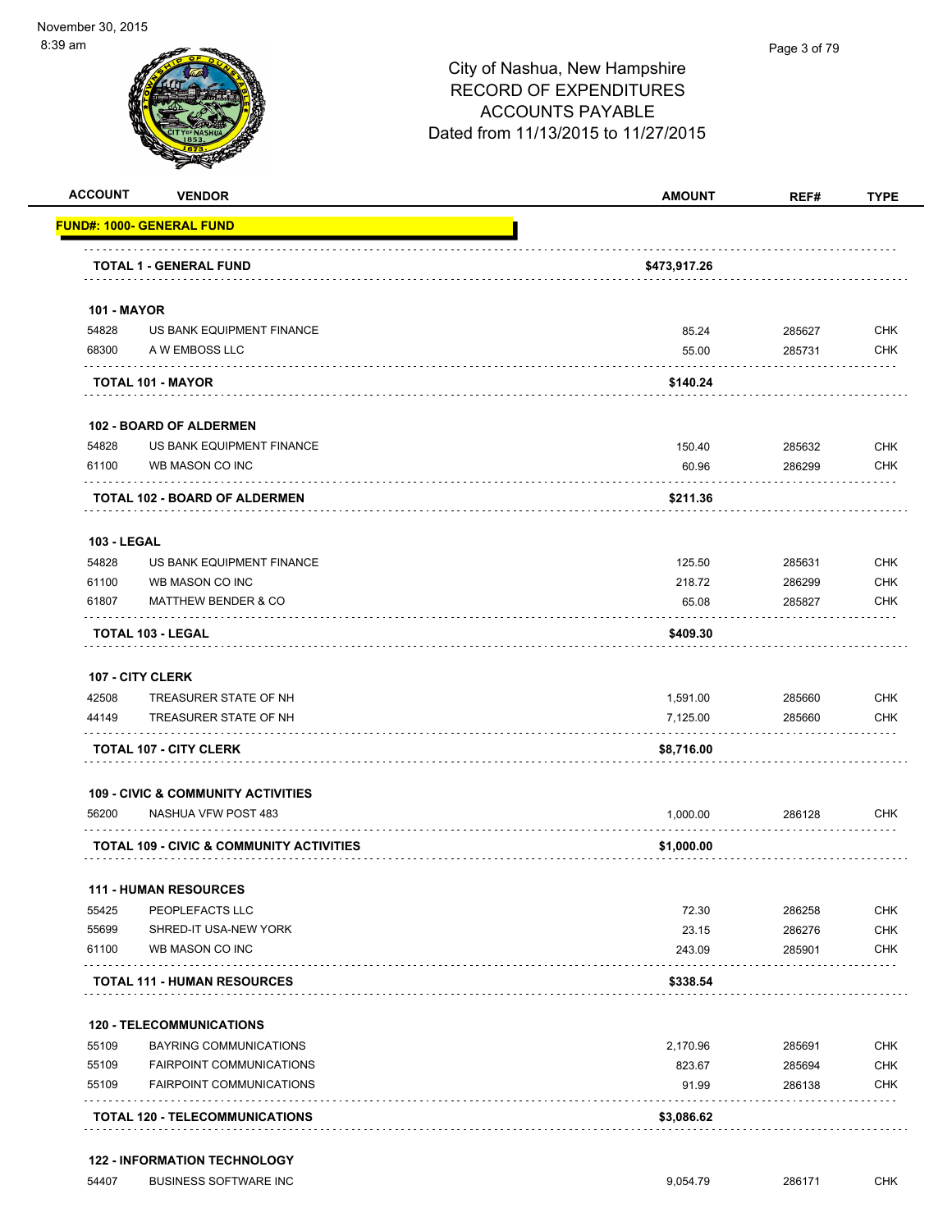| <b>ACCOUNT</b>     | <b>VENDOR</b>                                 | <b>AMOUNT</b> | REF#   | <b>TYPE</b> |
|--------------------|-----------------------------------------------|---------------|--------|-------------|
|                    | <b>FUND#: 1000- GENERAL FUND</b>              |               |        |             |
|                    | <b>TOTAL 1 - GENERAL FUND</b>                 | \$473,917.26  |        |             |
| <b>101 - MAYOR</b> |                                               |               |        |             |
| 54828              | US BANK EQUIPMENT FINANCE                     | 85.24         | 285627 | <b>CHK</b>  |
| 68300              | A W EMBOSS LLC                                | 55.00         | 285731 | <b>CHK</b>  |
|                    | <b>TOTAL 101 - MAYOR</b>                      | \$140.24      |        |             |
|                    | <b>102 - BOARD OF ALDERMEN</b>                |               |        |             |
| 54828              | US BANK EQUIPMENT FINANCE                     | 150.40        | 285632 | <b>CHK</b>  |
| 61100              | WB MASON CO INC                               | 60.96         | 286299 | <b>CHK</b>  |
|                    | <b>TOTAL 102 - BOARD OF ALDERMEN</b>          | \$211.36      |        |             |
| <b>103 - LEGAL</b> |                                               |               |        |             |
| 54828              | US BANK EQUIPMENT FINANCE                     | 125.50        | 285631 | <b>CHK</b>  |
| 61100              | WB MASON CO INC                               | 218.72        | 286299 | <b>CHK</b>  |
| 61807              | <b>MATTHEW BENDER &amp; CO</b>                | 65.08         | 285827 | <b>CHK</b>  |
|                    | <b>TOTAL 103 - LEGAL</b>                      | \$409.30      |        |             |
|                    | 107 - CITY CLERK                              |               |        |             |
| 42508              | TREASURER STATE OF NH                         | 1,591.00      | 285660 | <b>CHK</b>  |
| 44149              | TREASURER STATE OF NH                         | 7,125.00      | 285660 | <b>CHK</b>  |
|                    | <b>TOTAL 107 - CITY CLERK</b>                 | \$8,716.00    |        |             |
|                    | <b>109 - CIVIC &amp; COMMUNITY ACTIVITIES</b> |               |        |             |
| 56200              | NASHUA VFW POST 483                           | 1,000.00      | 286128 | <b>CHK</b>  |
|                    | TOTAL 109 - CIVIC & COMMUNITY ACTIVITIES      | \$1,000.00    |        |             |
|                    | <b>111 - HUMAN RESOURCES</b>                  |               |        |             |
| 55425              | PEOPLEFACTS LLC                               | 72.30         | 286258 | <b>CHK</b>  |
| 55699              | SHRED-IT USA-NEW YORK                         | 23.15         | 286276 | <b>CHK</b>  |
| 61100              | WB MASON CO INC                               | 243.09        | 285901 | <b>CHK</b>  |
|                    | <b>TOTAL 111 - HUMAN RESOURCES</b>            | \$338.54      |        |             |
|                    | <b>120 - TELECOMMUNICATIONS</b>               |               |        |             |
| 55109              | <b>BAYRING COMMUNICATIONS</b>                 | 2,170.96      | 285691 | <b>CHK</b>  |
| 55109              | <b>FAIRPOINT COMMUNICATIONS</b>               | 823.67        | 285694 | <b>CHK</b>  |
| 55109              | <b>FAIRPOINT COMMUNICATIONS</b>               | 91.99         | 286138 | <b>CHK</b>  |
|                    |                                               |               |        |             |

#### **122 - INFORMATION TECHNOLOGY**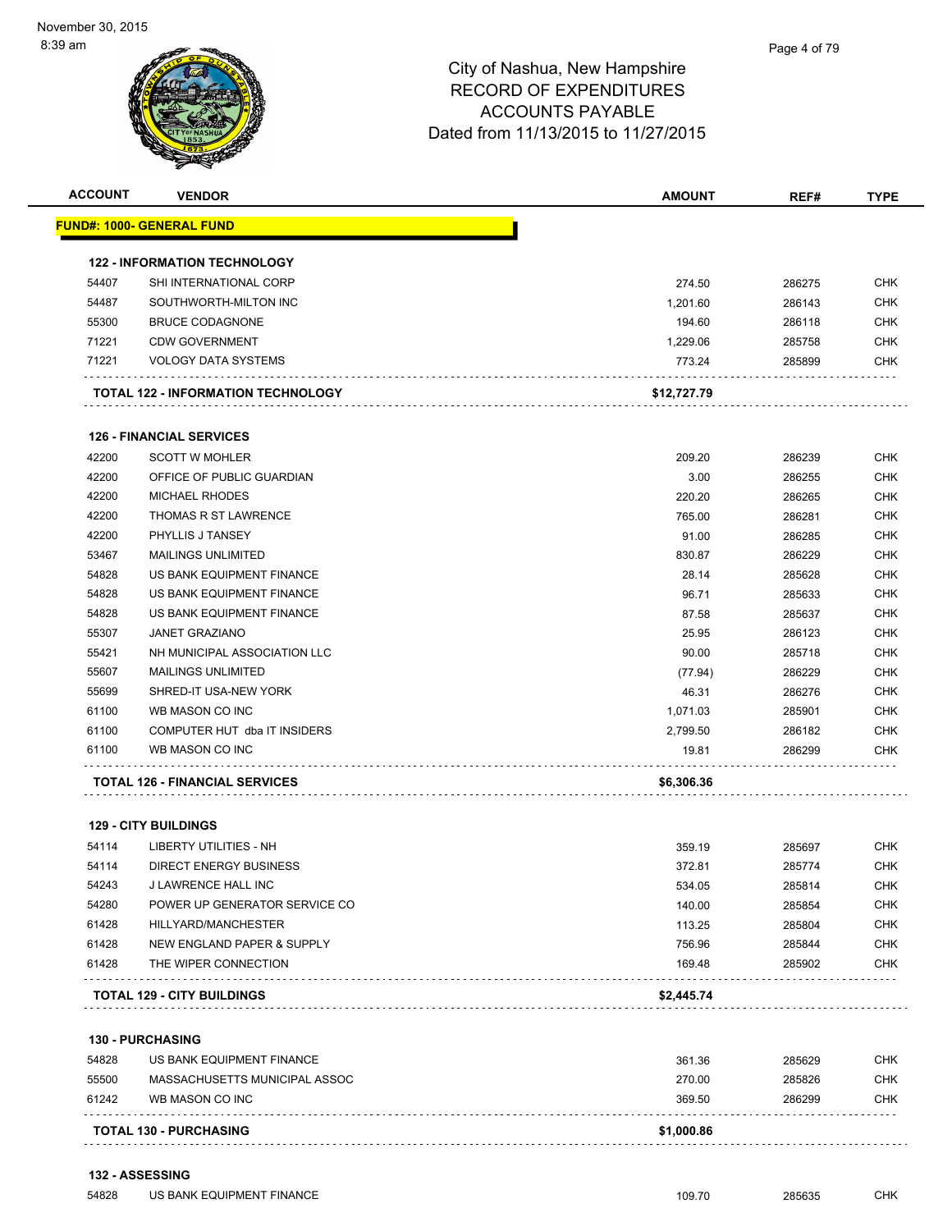

| <b>ACCOUNT</b> | <b>VENDOR</b>                         | AMOUNT      | REF#   | <b>TYPE</b> |
|----------------|---------------------------------------|-------------|--------|-------------|
|                | <u> FUND#: 1000- GENERAL FUND</u>     |             |        |             |
|                | <b>122 - INFORMATION TECHNOLOGY</b>   |             |        |             |
| 54407          | SHI INTERNATIONAL CORP                | 274.50      | 286275 | <b>CHK</b>  |
| 54487          | SOUTHWORTH-MILTON INC                 | 1,201.60    | 286143 | <b>CHK</b>  |
| 55300          | <b>BRUCE CODAGNONE</b>                | 194.60      | 286118 | <b>CHK</b>  |
| 71221          | <b>CDW GOVERNMENT</b>                 | 1,229.06    | 285758 | <b>CHK</b>  |
| 71221          | <b>VOLOGY DATA SYSTEMS</b>            | 773.24      | 285899 | <b>CHK</b>  |
|                | TOTAL 122 - INFORMATION TECHNOLOGY    | \$12,727.79 |        |             |
|                |                                       |             |        |             |
|                | <b>126 - FINANCIAL SERVICES</b>       |             |        |             |
| 42200          | <b>SCOTT W MOHLER</b>                 | 209.20      | 286239 | <b>CHK</b>  |
| 42200          | OFFICE OF PUBLIC GUARDIAN             | 3.00        | 286255 | <b>CHK</b>  |
| 42200          | <b>MICHAEL RHODES</b>                 | 220.20      | 286265 | <b>CHK</b>  |
| 42200          | THOMAS R ST LAWRENCE                  | 765.00      | 286281 | <b>CHK</b>  |
| 42200          | PHYLLIS J TANSEY                      | 91.00       | 286285 | <b>CHK</b>  |
| 53467          | <b>MAILINGS UNLIMITED</b>             | 830.87      | 286229 | <b>CHK</b>  |
| 54828          | US BANK EQUIPMENT FINANCE             | 28.14       | 285628 | <b>CHK</b>  |
| 54828          | US BANK EQUIPMENT FINANCE             | 96.71       | 285633 | <b>CHK</b>  |
| 54828          | US BANK EQUIPMENT FINANCE             | 87.58       | 285637 | <b>CHK</b>  |
| 55307          | <b>JANET GRAZIANO</b>                 | 25.95       | 286123 | <b>CHK</b>  |
| 55421          | NH MUNICIPAL ASSOCIATION LLC          | 90.00       | 285718 | <b>CHK</b>  |
| 55607          | <b>MAILINGS UNLIMITED</b>             | (77.94)     | 286229 | <b>CHK</b>  |
| 55699          | SHRED-IT USA-NEW YORK                 | 46.31       | 286276 | <b>CHK</b>  |
| 61100          | WB MASON CO INC                       | 1,071.03    | 285901 | <b>CHK</b>  |
| 61100          | COMPUTER HUT dba IT INSIDERS          | 2,799.50    | 286182 | <b>CHK</b>  |
| 61100          | WB MASON CO INC                       | 19.81       | 286299 | <b>CHK</b>  |
|                | <b>TOTAL 126 - FINANCIAL SERVICES</b> | \$6,306.36  |        |             |
|                |                                       |             |        |             |
|                | <b>129 - CITY BUILDINGS</b>           |             |        |             |
| 54114          | LIBERTY UTILITIES - NH                | 359.19      | 285697 | <b>CHK</b>  |
| 54114          | DIRECT ENERGY BUSINESS                | 372.81      | 285774 | <b>CHK</b>  |
| 54243          | J LAWRENCE HALL INC                   | 534.05      | 285814 | <b>CHK</b>  |
| 54280          | POWER UP GENERATOR SERVICE CO         | 140.00      | 285854 | <b>CHK</b>  |
| 61428          | HILLYARD/MANCHESTER                   | 113.25      | 285804 | <b>CHK</b>  |
| 61428          | NEW ENGLAND PAPER & SUPPLY            | 756.96      | 285844 | <b>CHK</b>  |
| 61428          | THE WIPER CONNECTION                  | 169.48      | 285902 | <b>CHK</b>  |
|                | <b>TOTAL 129 - CITY BUILDINGS</b>     | \$2,445.74  |        |             |
|                | <b>130 - PURCHASING</b>               |             |        |             |
| 54828          | US BANK EQUIPMENT FINANCE             | 361.36      | 285629 | <b>CHK</b>  |
| 55500          | MASSACHUSETTS MUNICIPAL ASSOC         | 270.00      | 285826 | <b>CHK</b>  |
| 61242          | WB MASON CO INC                       | 369.50      | 286299 | <b>CHK</b>  |
|                | <b>TOTAL 130 - PURCHASING</b>         | \$1,000.86  |        |             |
|                |                                       |             |        |             |

#### **132 - ASSESSING**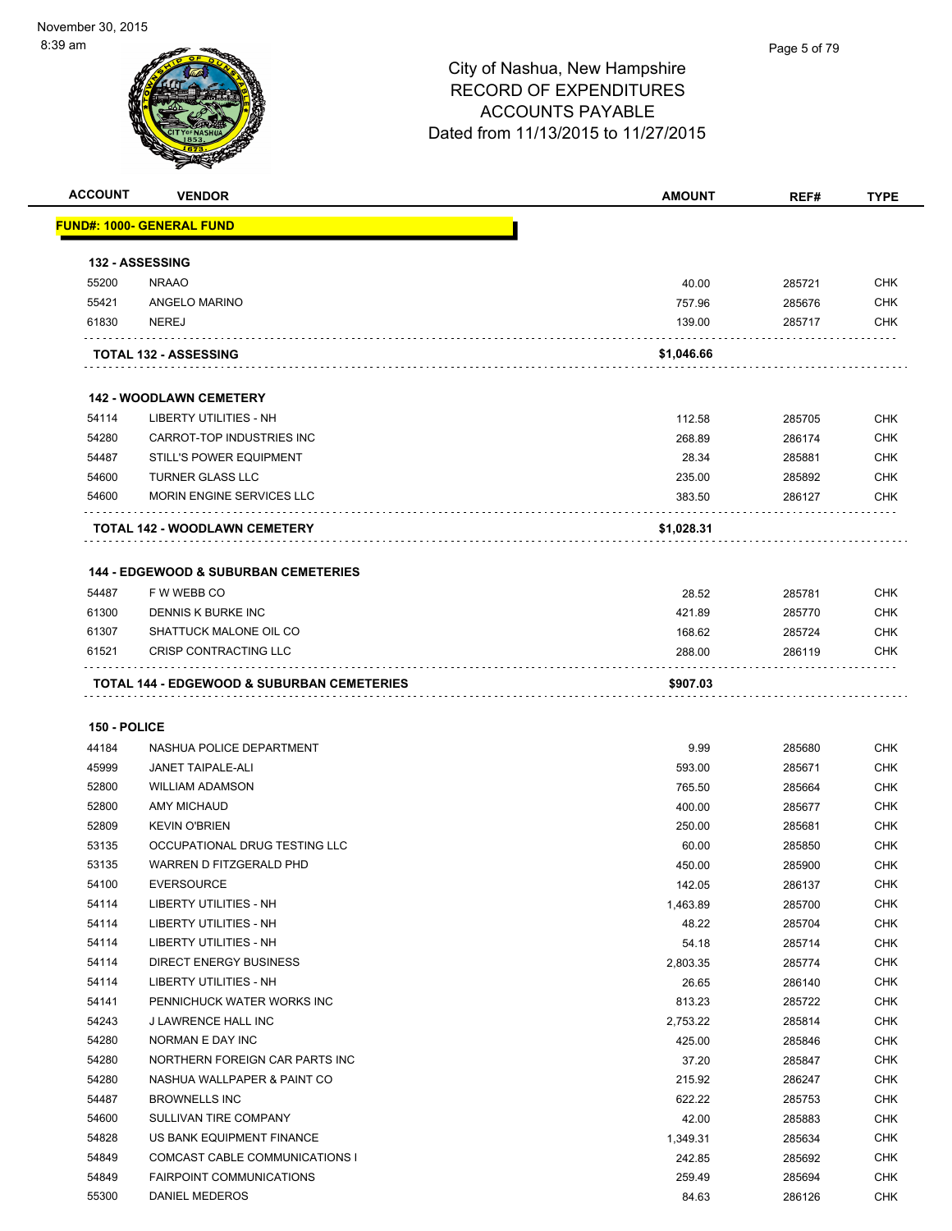|                | <b>VENDOR</b>                                                     | <b>AMOUNT</b>    | REF#             | <b>TYPE</b>              |
|----------------|-------------------------------------------------------------------|------------------|------------------|--------------------------|
|                | <u> FUND#: 1000- GENERAL FUND</u>                                 |                  |                  |                          |
|                | <b>132 - ASSESSING</b>                                            |                  |                  |                          |
| 55200          | <b>NRAAO</b>                                                      | 40.00            | 285721           | <b>CHK</b>               |
| 55421          | ANGELO MARINO                                                     | 757.96           | 285676           | <b>CHK</b>               |
| 61830          | <b>NEREJ</b>                                                      | 139.00           | 285717           | <b>CHK</b>               |
|                | <b>TOTAL 132 - ASSESSING</b>                                      | \$1,046.66       |                  |                          |
|                | <b>142 - WOODLAWN CEMETERY</b>                                    |                  |                  |                          |
| 54114          | <b>LIBERTY UTILITIES - NH</b>                                     | 112.58           | 285705           | <b>CHK</b>               |
| 54280          | CARROT-TOP INDUSTRIES INC                                         | 268.89           | 286174           | <b>CHK</b>               |
| 54487          | <b>STILL'S POWER EQUIPMENT</b>                                    | 28.34            | 285881           | <b>CHK</b>               |
| 54600          | TURNER GLASS LLC                                                  | 235.00           | 285892           | <b>CHK</b>               |
| 54600          | MORIN ENGINE SERVICES LLC                                         | 383.50           | 286127           | <b>CHK</b>               |
|                | TOTAL 142 - WOODLAWN CEMETERY                                     | \$1,028.31       |                  |                          |
|                |                                                                   |                  |                  |                          |
|                | <b>144 - EDGEWOOD &amp; SUBURBAN CEMETERIES</b>                   |                  |                  |                          |
| 54487          | F W WEBB CO                                                       | 28.52            | 285781           | <b>CHK</b>               |
| 61300          | DENNIS K BURKE INC                                                | 421.89           | 285770           | <b>CHK</b>               |
| 61307          | SHATTUCK MALONE OIL CO                                            | 168.62           | 285724           | <b>CHK</b>               |
|                | CRISP CONTRACTING LLC                                             | 288.00           | 286119           | <b>CHK</b>               |
| 61521          |                                                                   |                  |                  |                          |
|                | TOTAL 144 - EDGEWOOD & SUBURBAN CEMETERIES                        | \$907.03         |                  |                          |
| 150 - POLICE   |                                                                   |                  |                  |                          |
| 44184          | NASHUA POLICE DEPARTMENT                                          | 9.99             | 285680           | <b>CHK</b>               |
| 45999          | <b>JANET TAIPALE-ALI</b>                                          | 593.00           | 285671           | <b>CHK</b>               |
| 52800          | <b>WILLIAM ADAMSON</b>                                            | 765.50           |                  | <b>CHK</b>               |
| 52800          | <b>AMY MICHAUD</b>                                                | 400.00           | 285664<br>285677 | <b>CHK</b>               |
| 52809          | <b>KEVIN O'BRIEN</b>                                              |                  |                  | <b>CHK</b>               |
| 53135          | OCCUPATIONAL DRUG TESTING LLC                                     | 250.00<br>60.00  | 285681<br>285850 | <b>CHK</b>               |
| 53135          | WARREN D FITZGERALD PHD                                           |                  | 285900           | <b>CHK</b>               |
|                | <b>EVERSOURCE</b>                                                 | 450.00           |                  |                          |
| 54100<br>54114 | LIBERTY UTILITIES - NH                                            | 142.05           | 286137           | <b>CHK</b><br><b>CHK</b> |
| 54114          | LIBERTY UTILITIES - NH                                            | 1,463.89         | 285700           |                          |
|                | <b>LIBERTY UTILITIES - NH</b>                                     | 48.22            | 285704           | <b>CHK</b>               |
| 54114          |                                                                   | 54.18            | 285714           | CHK                      |
| 54114          | DIRECT ENERGY BUSINESS                                            | 2,803.35         | 285774           | <b>CHK</b>               |
| 54114          | LIBERTY UTILITIES - NH                                            | 26.65            | 286140           | <b>CHK</b>               |
| 54141          | PENNICHUCK WATER WORKS INC                                        | 813.23           | 285722           | <b>CHK</b>               |
| 54243          | J LAWRENCE HALL INC                                               | 2,753.22         | 285814           | <b>CHK</b>               |
| 54280          | NORMAN E DAY INC                                                  | 425.00           | 285846           | <b>CHK</b>               |
| 54280          | NORTHERN FOREIGN CAR PARTS INC                                    | 37.20            | 285847           | <b>CHK</b>               |
| 54280          | NASHUA WALLPAPER & PAINT CO                                       | 215.92           | 286247           | <b>CHK</b>               |
| 54487<br>54600 | <b>BROWNELLS INC</b><br>SULLIVAN TIRE COMPANY                     | 622.22           | 285753           | <b>CHK</b><br><b>CHK</b> |
| 54828          | US BANK EQUIPMENT FINANCE                                         | 42.00            | 285883           |                          |
|                |                                                                   | 1,349.31         | 285634           | <b>CHK</b>               |
| 54849<br>54849 | COMCAST CABLE COMMUNICATIONS I<br><b>FAIRPOINT COMMUNICATIONS</b> | 242.85<br>259.49 | 285692<br>285694 | <b>CHK</b><br><b>CHK</b> |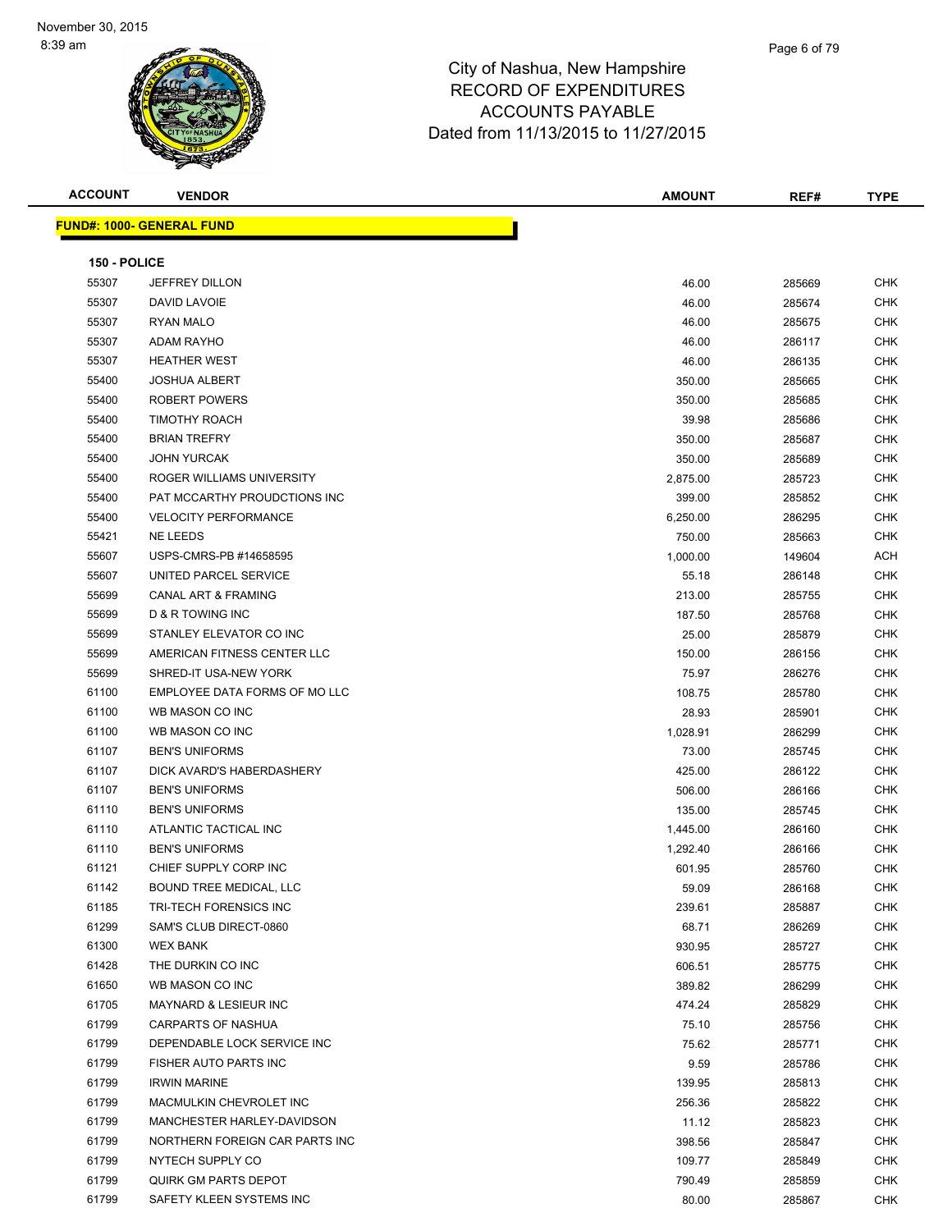| <b>ACCOUNT</b> | <b>VENDOR</b>                    | <b>AMOUNT</b> | REF#   | TYPE       |
|----------------|----------------------------------|---------------|--------|------------|
|                | <b>FUND#: 1000- GENERAL FUND</b> |               |        |            |
| 150 - POLICE   |                                  |               |        |            |
| 55307          | <b>JEFFREY DILLON</b>            | 46.00         | 285669 | <b>CHK</b> |
| 55307          | DAVID LAVOIE                     | 46.00         | 285674 | <b>CHK</b> |
| 55307          | <b>RYAN MALO</b>                 | 46.00         | 285675 | <b>CHK</b> |
| 55307          | <b>ADAM RAYHO</b>                | 46.00         | 286117 | <b>CHK</b> |
| 55307          | <b>HEATHER WEST</b>              | 46.00         | 286135 | <b>CHK</b> |
| 55400          | <b>JOSHUA ALBERT</b>             | 350.00        | 285665 | <b>CHK</b> |
| 55400          | <b>ROBERT POWERS</b>             | 350.00        | 285685 | <b>CHK</b> |
| 55400          | <b>TIMOTHY ROACH</b>             | 39.98         | 285686 | <b>CHK</b> |
| 55400          | <b>BRIAN TREFRY</b>              | 350.00        | 285687 | <b>CHK</b> |
| 55400          | <b>JOHN YURCAK</b>               | 350.00        | 285689 | <b>CHK</b> |
| 55400          | ROGER WILLIAMS UNIVERSITY        | 2,875.00      | 285723 | <b>CHK</b> |
| 55400          | PAT MCCARTHY PROUDCTIONS INC     | 399.00        | 285852 | <b>CHK</b> |
| 55400          | <b>VELOCITY PERFORMANCE</b>      | 6,250.00      | 286295 | <b>CHK</b> |
| 55421          | <b>NE LEEDS</b>                  | 750.00        | 285663 | <b>CHK</b> |
| 55607          | USPS-CMRS-PB #14658595           | 1,000.00      | 149604 | <b>ACH</b> |
| 55607          | UNITED PARCEL SERVICE            | 55.18         | 286148 | <b>CHK</b> |
| 55699          | <b>CANAL ART &amp; FRAMING</b>   | 213.00        | 285755 | <b>CHK</b> |
| 55699          | <b>D &amp; R TOWING INC</b>      | 187.50        | 285768 | CHK        |
| 55699          | STANLEY ELEVATOR CO INC          | 25.00         | 285879 | <b>CHK</b> |
| 55699          | AMERICAN FITNESS CENTER LLC      | 150.00        | 286156 | <b>CHK</b> |
| 55699          | SHRED-IT USA-NEW YORK            | 75.97         | 286276 | <b>CHK</b> |
| 61100          | EMPLOYEE DATA FORMS OF MO LLC    | 108.75        | 285780 | <b>CHK</b> |
| 61100          | WB MASON CO INC                  | 28.93         | 285901 | <b>CHK</b> |
| 61100          | WB MASON CO INC                  | 1,028.91      | 286299 | <b>CHK</b> |
| 61107          | <b>BEN'S UNIFORMS</b>            | 73.00         | 285745 | <b>CHK</b> |
| 61107          | DICK AVARD'S HABERDASHERY        | 425.00        | 286122 | <b>CHK</b> |
| 61107          | <b>BEN'S UNIFORMS</b>            | 506.00        | 286166 | <b>CHK</b> |
| 61110          | <b>BEN'S UNIFORMS</b>            | 135.00        | 285745 | <b>CHK</b> |
| 61110          | ATLANTIC TACTICAL INC            | 1,445.00      | 286160 | <b>CHK</b> |
| 61110          | <b>BEN'S UNIFORMS</b>            | 1,292.40      | 286166 | CHK        |
| 61121          | CHIEF SUPPLY CORP INC            | 601.95        | 285760 | <b>CHK</b> |
| 61142          | BOUND TREE MEDICAL, LLC          | 59.09         | 286168 | CHK        |
| 61185          | TRI-TECH FORENSICS INC           | 239.61        | 285887 | <b>CHK</b> |
| 61299          | SAM'S CLUB DIRECT-0860           | 68.71         | 286269 | <b>CHK</b> |
| 61300          | <b>WEX BANK</b>                  | 930.95        | 285727 | <b>CHK</b> |
| 61428          | THE DURKIN CO INC                | 606.51        | 285775 | <b>CHK</b> |
| 61650          | WB MASON CO INC                  | 389.82        | 286299 | <b>CHK</b> |
| 61705          | MAYNARD & LESIEUR INC            | 474.24        | 285829 | <b>CHK</b> |
| 61799          | <b>CARPARTS OF NASHUA</b>        | 75.10         | 285756 | <b>CHK</b> |

 MACMULKIN CHEVROLET INC 256.36 285822 CHK MANCHESTER HARLEY-DAVIDSON 11.12 285823 CHK NORTHERN FOREIGN CAR PARTS INC 398.56 285847 CHK et and the state of the state of the state of the state of the state of the state of the state of the state of the state of the state of the state of the state of the state of the state of the state of the state of the sta QUIRK GM PARTS DEPOT 790.49 285859 CHK SAFETY KLEEN SYSTEMS INC 80.00 285867 CHK

 DEPENDABLE LOCK SERVICE INC 75.62 285771 CHK FISHER AUTO PARTS INC 9.59 285786 CHK IRWIN MARINE 139.95 285813 CHK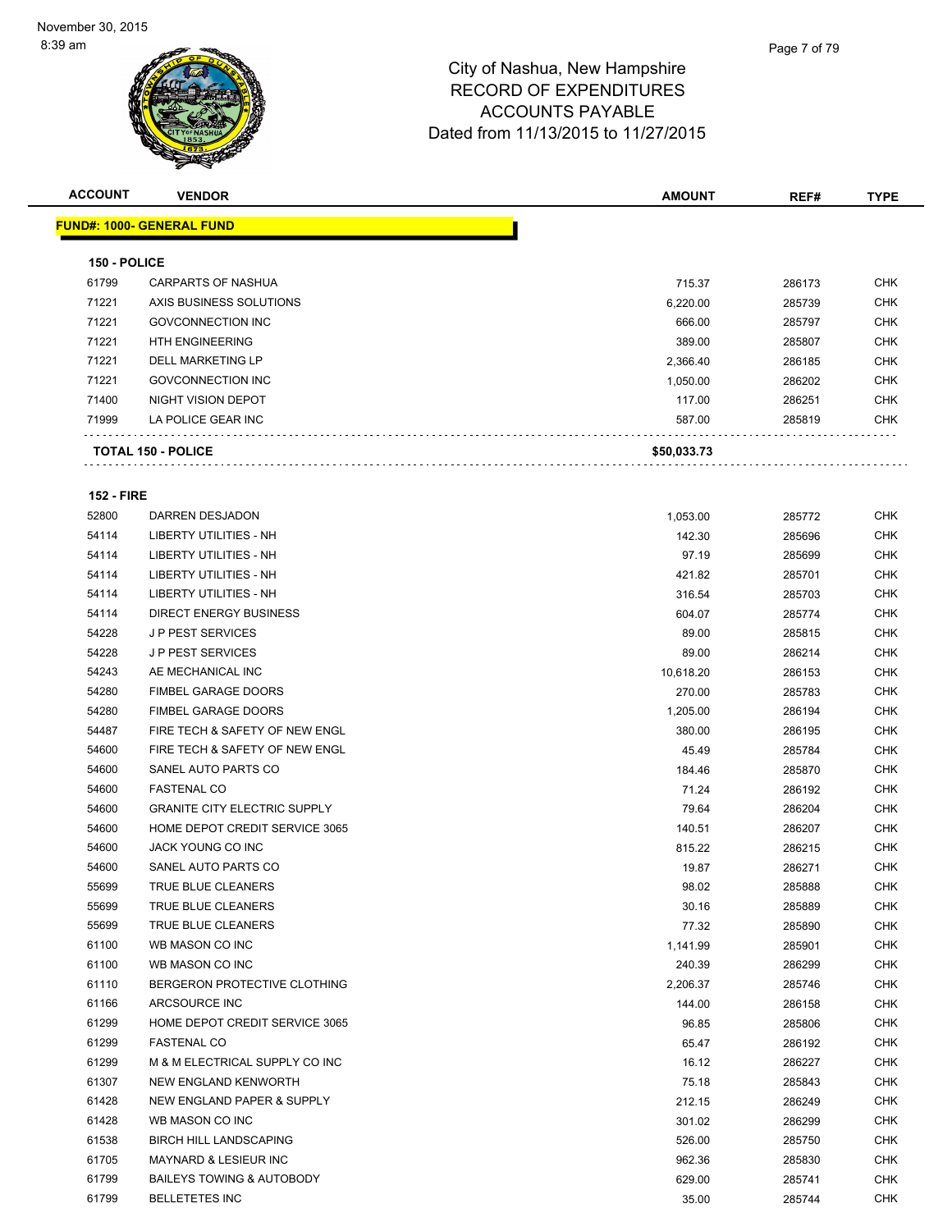| <b>ACCOUNT</b> | <b>VENDOR</b>                    | <b>AMOUNT</b> | REF#   | <b>TYPE</b> |
|----------------|----------------------------------|---------------|--------|-------------|
|                | <b>FUND#: 1000- GENERAL FUND</b> |               |        |             |
| 150 - POLICE   |                                  |               |        |             |
| 61799          | CARPARTS OF NASHUA               | 715.37        | 286173 | <b>CHK</b>  |
| 71221          | AXIS BUSINESS SOLUTIONS          | 6,220.00      | 285739 | <b>CHK</b>  |
| 71221          | <b>GOVCONNECTION INC</b>         | 666.00        | 285797 | <b>CHK</b>  |
| 71221          | <b>HTH ENGINEERING</b>           | 389.00        | 285807 | <b>CHK</b>  |
| 71221          | DELL MARKETING LP                | 2,366.40      | 286185 | <b>CHK</b>  |
| 71221          | <b>GOVCONNECTION INC</b>         | 1,050.00      | 286202 | <b>CHK</b>  |
| 71400          | NIGHT VISION DEPOT               | 117.00        | 286251 | <b>CHK</b>  |
| 71999          | LA POLICE GEAR INC               | 587.00        | 285819 | <b>CHK</b>  |
|                | <b>TOTAL 150 - POLICE</b>        | \$50,033.73   |        |             |

#### **152 - FIRE**

| 52800 | DARREN DESJADON                     | 1,053.00  | 285772 | <b>CHK</b> |
|-------|-------------------------------------|-----------|--------|------------|
| 54114 | <b>LIBERTY UTILITIES - NH</b>       | 142.30    | 285696 | <b>CHK</b> |
| 54114 | LIBERTY UTILITIES - NH              | 97.19     | 285699 | <b>CHK</b> |
| 54114 | <b>LIBERTY UTILITIES - NH</b>       | 421.82    | 285701 | <b>CHK</b> |
| 54114 | <b>LIBERTY UTILITIES - NH</b>       | 316.54    | 285703 | <b>CHK</b> |
| 54114 | <b>DIRECT ENERGY BUSINESS</b>       | 604.07    | 285774 | <b>CHK</b> |
| 54228 | J P PEST SERVICES                   | 89.00     | 285815 | <b>CHK</b> |
| 54228 | J P PEST SERVICES                   | 89.00     | 286214 | <b>CHK</b> |
| 54243 | AE MECHANICAL INC                   | 10,618.20 | 286153 | <b>CHK</b> |
| 54280 | <b>FIMBEL GARAGE DOORS</b>          | 270.00    | 285783 | <b>CHK</b> |
| 54280 | <b>FIMBEL GARAGE DOORS</b>          | 1,205.00  | 286194 | <b>CHK</b> |
| 54487 | FIRE TECH & SAFETY OF NEW ENGL      | 380.00    | 286195 | <b>CHK</b> |
| 54600 | FIRE TECH & SAFETY OF NEW ENGL      | 45.49     | 285784 | <b>CHK</b> |
| 54600 | SANEL AUTO PARTS CO                 | 184.46    | 285870 | <b>CHK</b> |
| 54600 | <b>FASTENAL CO</b>                  | 71.24     | 286192 | <b>CHK</b> |
| 54600 | <b>GRANITE CITY ELECTRIC SUPPLY</b> | 79.64     | 286204 | <b>CHK</b> |
| 54600 | HOME DEPOT CREDIT SERVICE 3065      | 140.51    | 286207 | <b>CHK</b> |
| 54600 | JACK YOUNG CO INC                   | 815.22    | 286215 | <b>CHK</b> |
| 54600 | SANEL AUTO PARTS CO                 | 19.87     | 286271 | <b>CHK</b> |
| 55699 | TRUE BLUE CLEANERS                  | 98.02     | 285888 | <b>CHK</b> |
| 55699 | TRUE BLUE CLEANERS                  | 30.16     | 285889 | <b>CHK</b> |
| 55699 | TRUE BLUE CLEANERS                  | 77.32     | 285890 | <b>CHK</b> |
| 61100 | WB MASON CO INC                     | 1,141.99  | 285901 | <b>CHK</b> |
| 61100 | WB MASON CO INC                     | 240.39    | 286299 | <b>CHK</b> |
| 61110 | BERGERON PROTECTIVE CLOTHING        | 2,206.37  | 285746 | <b>CHK</b> |
| 61166 | ARCSOURCE INC                       | 144.00    | 286158 | <b>CHK</b> |
| 61299 | HOME DEPOT CREDIT SERVICE 3065      | 96.85     | 285806 | <b>CHK</b> |
| 61299 | <b>FASTENAL CO</b>                  | 65.47     | 286192 | <b>CHK</b> |
| 61299 | M & M ELECTRICAL SUPPLY CO INC      | 16.12     | 286227 | <b>CHK</b> |
| 61307 | NEW ENGLAND KENWORTH                | 75.18     | 285843 | <b>CHK</b> |
| 61428 | NEW ENGLAND PAPER & SUPPLY          | 212.15    | 286249 | <b>CHK</b> |
| 61428 | WB MASON CO INC                     | 301.02    | 286299 | <b>CHK</b> |
| 61538 | <b>BIRCH HILL LANDSCAPING</b>       | 526.00    | 285750 | <b>CHK</b> |
| 61705 | <b>MAYNARD &amp; LESIEUR INC</b>    | 962.36    | 285830 | <b>CHK</b> |
| 61799 | BAILEYS TOWING & AUTOBODY           | 629.00    | 285741 | CHK        |
| 61799 | <b>BELLETETES INC</b>               | 35.00     | 285744 | CHK        |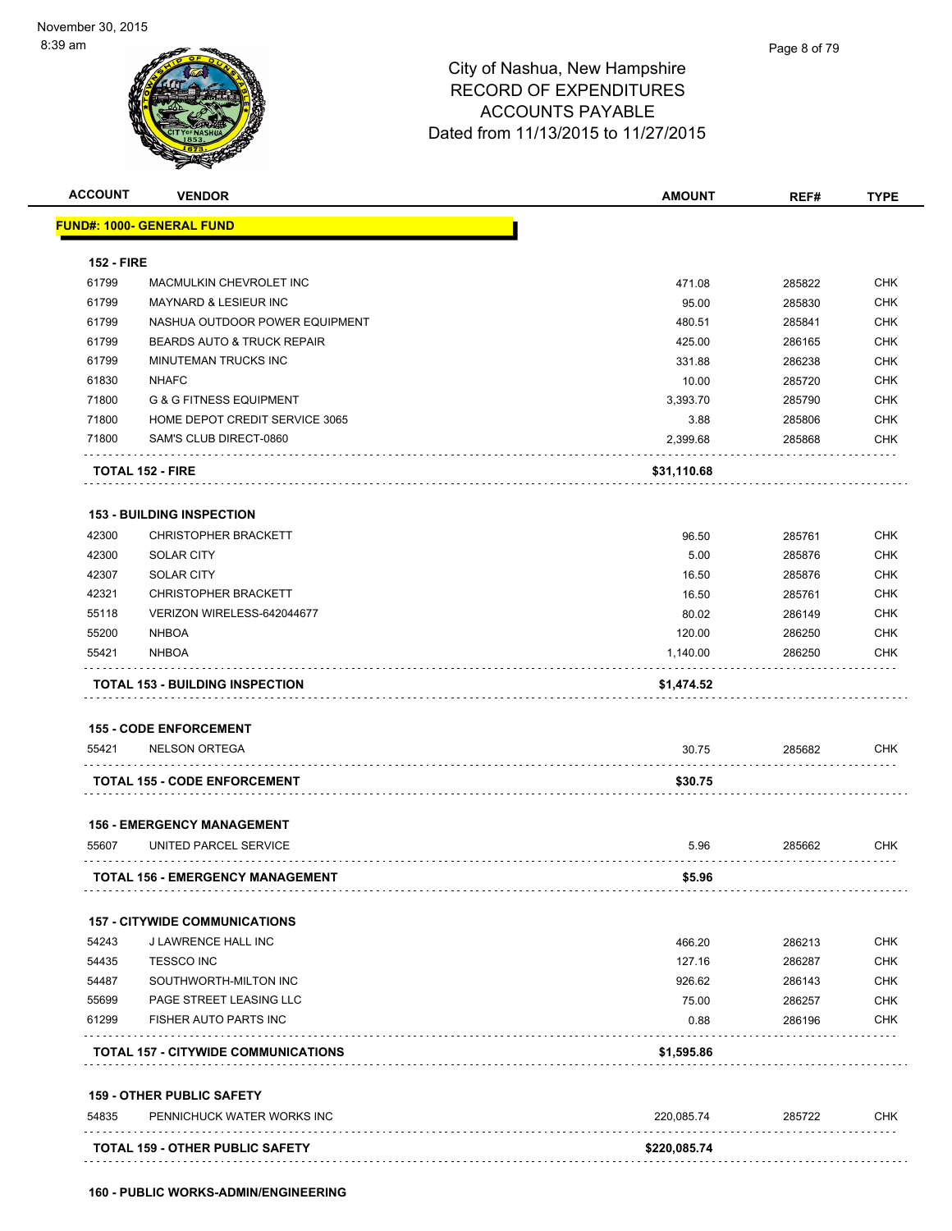

| <b>ACCOUNT</b>    | <b>VENDOR</b>                              | <b>AMOUNT</b> | REF#   | <b>TYPE</b> |
|-------------------|--------------------------------------------|---------------|--------|-------------|
|                   | <b>FUND#: 1000- GENERAL FUND</b>           |               |        |             |
|                   |                                            |               |        |             |
| <b>152 - FIRE</b> |                                            |               |        |             |
| 61799             | MACMULKIN CHEVROLET INC                    | 471.08        | 285822 | <b>CHK</b>  |
| 61799             | MAYNARD & LESIEUR INC                      | 95.00         | 285830 | <b>CHK</b>  |
| 61799             | NASHUA OUTDOOR POWER EQUIPMENT             | 480.51        | 285841 | <b>CHK</b>  |
| 61799             | BEARDS AUTO & TRUCK REPAIR                 | 425.00        | 286165 | <b>CHK</b>  |
| 61799             | <b>MINUTEMAN TRUCKS INC</b>                | 331.88        | 286238 | <b>CHK</b>  |
| 61830             | <b>NHAFC</b>                               | 10.00         | 285720 | <b>CHK</b>  |
| 71800             | <b>G &amp; G FITNESS EQUIPMENT</b>         | 3,393.70      | 285790 | <b>CHK</b>  |
| 71800             | HOME DEPOT CREDIT SERVICE 3065             | 3.88          | 285806 | <b>CHK</b>  |
| 71800             | SAM'S CLUB DIRECT-0860                     | 2,399.68      | 285868 | <b>CHK</b>  |
|                   | <b>TOTAL 152 - FIRE</b>                    | \$31,110.68   |        |             |
|                   | <b>153 - BUILDING INSPECTION</b>           |               |        |             |
| 42300             | <b>CHRISTOPHER BRACKETT</b>                | 96.50         | 285761 | <b>CHK</b>  |
| 42300             | <b>SOLAR CITY</b>                          | 5.00          | 285876 | <b>CHK</b>  |
| 42307             | <b>SOLAR CITY</b>                          | 16.50         | 285876 | <b>CHK</b>  |
| 42321             | <b>CHRISTOPHER BRACKETT</b>                | 16.50         | 285761 | <b>CHK</b>  |
| 55118             | VERIZON WIRELESS-642044677                 | 80.02         | 286149 | <b>CHK</b>  |
| 55200             | <b>NHBOA</b>                               | 120.00        | 286250 | <b>CHK</b>  |
| 55421             | <b>NHBOA</b>                               | 1,140.00      | 286250 | <b>CHK</b>  |
|                   | <b>TOTAL 153 - BUILDING INSPECTION</b>     | \$1,474.52    |        |             |
|                   | <b>155 - CODE ENFORCEMENT</b>              |               |        |             |
| 55421             | <b>NELSON ORTEGA</b>                       | 30.75         | 285682 | <b>CHK</b>  |
|                   | <b>TOTAL 155 - CODE ENFORCEMENT</b>        | \$30.75       |        |             |
|                   | <b>156 - EMERGENCY MANAGEMENT</b>          |               |        |             |
| 55607             | UNITED PARCEL SERVICE                      | 5.96          | 285662 | <b>CHK</b>  |
|                   | <b>TOTAL 156 - EMERGENCY MANAGEMENT</b>    | \$5.96        |        |             |
|                   | <b>157 - CITYWIDE COMMUNICATIONS</b>       |               |        |             |
| 54243             | J LAWRENCE HALL INC                        | 466.20        | 286213 | <b>CHK</b>  |
| 54435             | <b>TESSCO INC</b>                          | 127.16        | 286287 | <b>CHK</b>  |
| 54487             | SOUTHWORTH-MILTON INC                      | 926.62        | 286143 | <b>CHK</b>  |
| 55699             | PAGE STREET LEASING LLC                    | 75.00         | 286257 | <b>CHK</b>  |
| 61299             | FISHER AUTO PARTS INC                      | 0.88          | 286196 | <b>CHK</b>  |
|                   | <b>TOTAL 157 - CITYWIDE COMMUNICATIONS</b> | \$1,595.86    |        |             |
|                   | <b>159 - OTHER PUBLIC SAFETY</b>           |               |        |             |
| 54835             | PENNICHUCK WATER WORKS INC                 | 220,085.74    | 285722 | <b>CHK</b>  |
|                   | TOTAL 159 - OTHER PUBLIC SAFETY            |               |        |             |
|                   |                                            | \$220,085.74  |        |             |
|                   |                                            |               |        |             |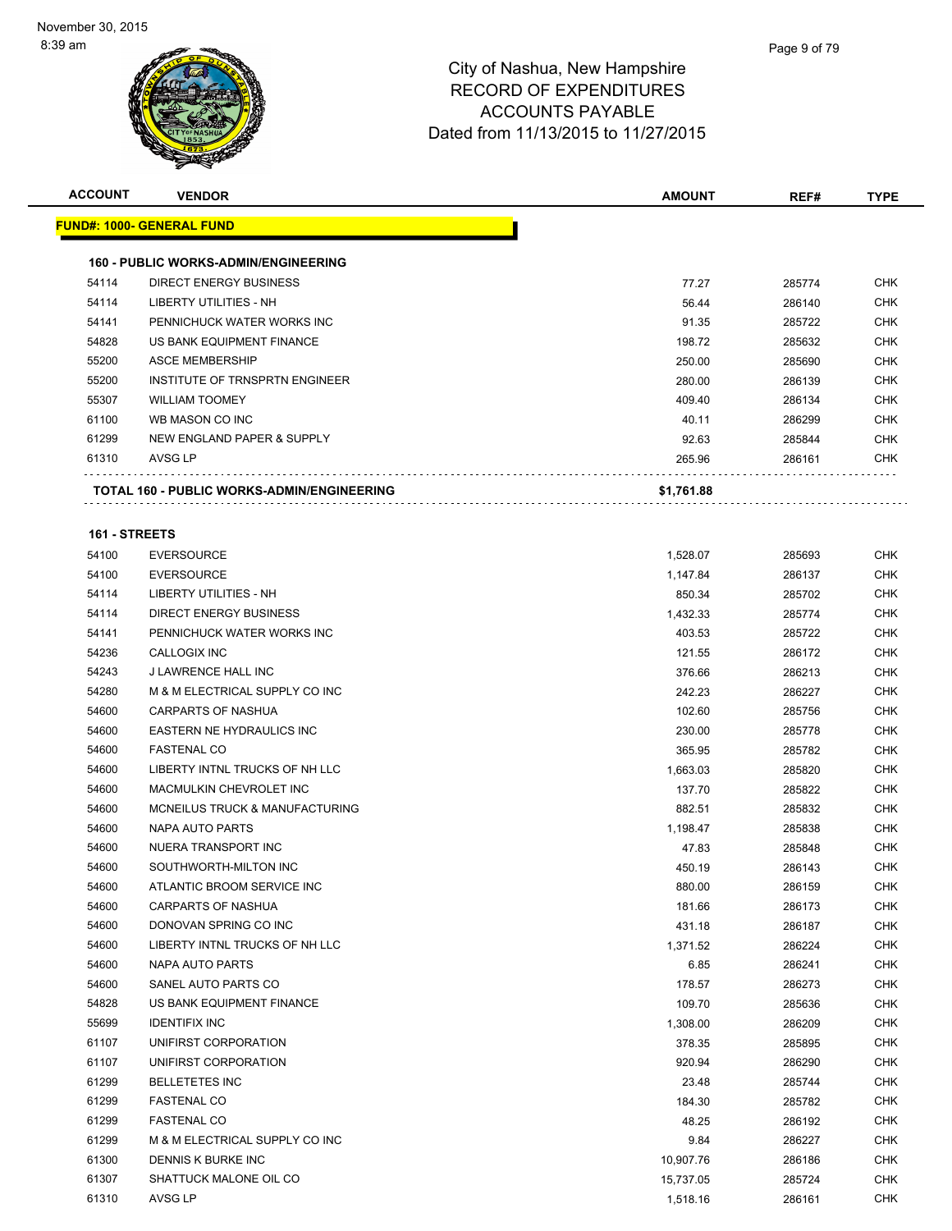| <b>ACCOUNT</b> | <b>VENDOR</b>                               | AMOUNT     | REF#   | <b>TYPE</b> |
|----------------|---------------------------------------------|------------|--------|-------------|
|                | <u> FUND#: 1000- GENERAL FUND</u>           |            |        |             |
|                |                                             |            |        |             |
|                | <b>160 - PUBLIC WORKS-ADMIN/ENGINEERING</b> |            |        |             |
| 54114          | <b>DIRECT ENERGY BUSINESS</b>               | 77.27      | 285774 | <b>CHK</b>  |
| 54114          | LIBERTY UTILITIES - NH                      | 56.44      | 286140 | <b>CHK</b>  |
| 54141          | PENNICHUCK WATER WORKS INC                  | 91.35      | 285722 | <b>CHK</b>  |
| 54828          | US BANK EQUIPMENT FINANCE                   | 198.72     | 285632 | <b>CHK</b>  |
| 55200          | <b>ASCE MEMBERSHIP</b>                      | 250.00     | 285690 | <b>CHK</b>  |
| 55200          | INSTITUTE OF TRNSPRTN ENGINEER              | 280.00     | 286139 | <b>CHK</b>  |
| 55307          | <b>WILLIAM TOOMEY</b>                       | 409.40     | 286134 | <b>CHK</b>  |
| 61100          | WB MASON CO INC                             | 40.11      | 286299 | <b>CHK</b>  |
| 61299          | NEW ENGLAND PAPER & SUPPLY                  | 92.63      | 285844 | <b>CHK</b>  |
| 61310          | AVSG LP                                     | 265.96     | 286161 | CHK         |
|                | TOTAL 160 - PUBLIC WORKS-ADMIN/ENGINEERING  | \$1,761.88 |        |             |
|                |                                             |            |        |             |
| 161 - STREETS  |                                             |            |        |             |
| 54100          | <b>EVERSOURCE</b>                           | 1,528.07   | 285693 | CHK         |
| 54100          | <b>EVERSOURCE</b>                           | 1,147.84   | 286137 | <b>CHK</b>  |
| 54114          | LIBERTY UTILITIES - NH                      | 850.34     | 285702 | <b>CHK</b>  |
| 54114          | <b>DIRECT ENERGY BUSINESS</b>               | 1,432.33   | 285774 | <b>CHK</b>  |
| 54141          | PENNICHUCK WATER WORKS INC                  | 403.53     | 285722 | <b>CHK</b>  |
| 54236          | CALLOGIX INC                                | 121.55     | 286172 | <b>CHK</b>  |
| 54243          | J LAWRENCE HALL INC                         | 376.66     | 286213 | <b>CHK</b>  |
| 54280          | M & M ELECTRICAL SUPPLY CO INC              | 242.23     | 286227 | <b>CHK</b>  |
| 54600          | CARPARTS OF NASHUA                          | 102.60     | 285756 | <b>CHK</b>  |
| 54600          | EASTERN NE HYDRAULICS INC                   | 230.00     | 285778 | <b>CHK</b>  |
| 54600          | <b>FASTENAL CO</b>                          | 365.95     | 285782 | <b>CHK</b>  |
| 54600          | LIBERTY INTNL TRUCKS OF NH LLC              | 1,663.03   | 285820 | <b>CHK</b>  |
| 54600          | MACMULKIN CHEVROLET INC                     | 137.70     | 285822 | <b>CHK</b>  |
| 54600          | MCNEILUS TRUCK & MANUFACTURING              | 882.51     | 285832 | <b>CHK</b>  |
| 54600          | NAPA AUTO PARTS                             | 1,198.47   | 285838 | <b>CHK</b>  |
| 54600          | NUERA TRANSPORT INC                         | 47.83      | 285848 | <b>CHK</b>  |
| 54600          | SOUTHWORTH-MILTON INC                       | 450.19     | 286143 | <b>CHK</b>  |
| 54600          | ATLANTIC BROOM SERVICE INC                  | 880.00     | 286159 | CHK         |
| 54600          | <b>CARPARTS OF NASHUA</b>                   | 181.66     | 286173 | <b>CHK</b>  |
| 54600          | DONOVAN SPRING CO INC                       | 431.18     | 286187 | <b>CHK</b>  |
| 54600          | LIBERTY INTNL TRUCKS OF NH LLC              | 1,371.52   | 286224 | <b>CHK</b>  |
| 54600          | NAPA AUTO PARTS                             | 6.85       | 286241 | <b>CHK</b>  |
| 54600          | SANEL AUTO PARTS CO                         | 178.57     | 286273 | <b>CHK</b>  |
| 54828          | US BANK EQUIPMENT FINANCE                   | 109.70     | 285636 | <b>CHK</b>  |
| 55699          | <b>IDENTIFIX INC</b>                        | 1,308.00   | 286209 | <b>CHK</b>  |
| 61107          | UNIFIRST CORPORATION                        | 378.35     | 285895 | CHK         |
| 61107          | UNIFIRST CORPORATION                        | 920.94     | 286290 | <b>CHK</b>  |
| 61299          | <b>BELLETETES INC</b>                       | 23.48      | 285744 | <b>CHK</b>  |
| 61299          | <b>FASTENAL CO</b>                          | 184.30     | 285782 | <b>CHK</b>  |
| 61299          | <b>FASTENAL CO</b>                          | 48.25      | 286192 | <b>CHK</b>  |
| 61299          | M & M ELECTRICAL SUPPLY CO INC              | 9.84       | 286227 | <b>CHK</b>  |
| 61300          | DENNIS K BURKE INC                          | 10,907.76  | 286186 | <b>CHK</b>  |
| 61307          | SHATTUCK MALONE OIL CO                      | 15,737.05  | 285724 | <b>CHK</b>  |
| 61310          | AVSG LP                                     | 1,518.16   | 286161 | <b>CHK</b>  |
|                |                                             |            |        |             |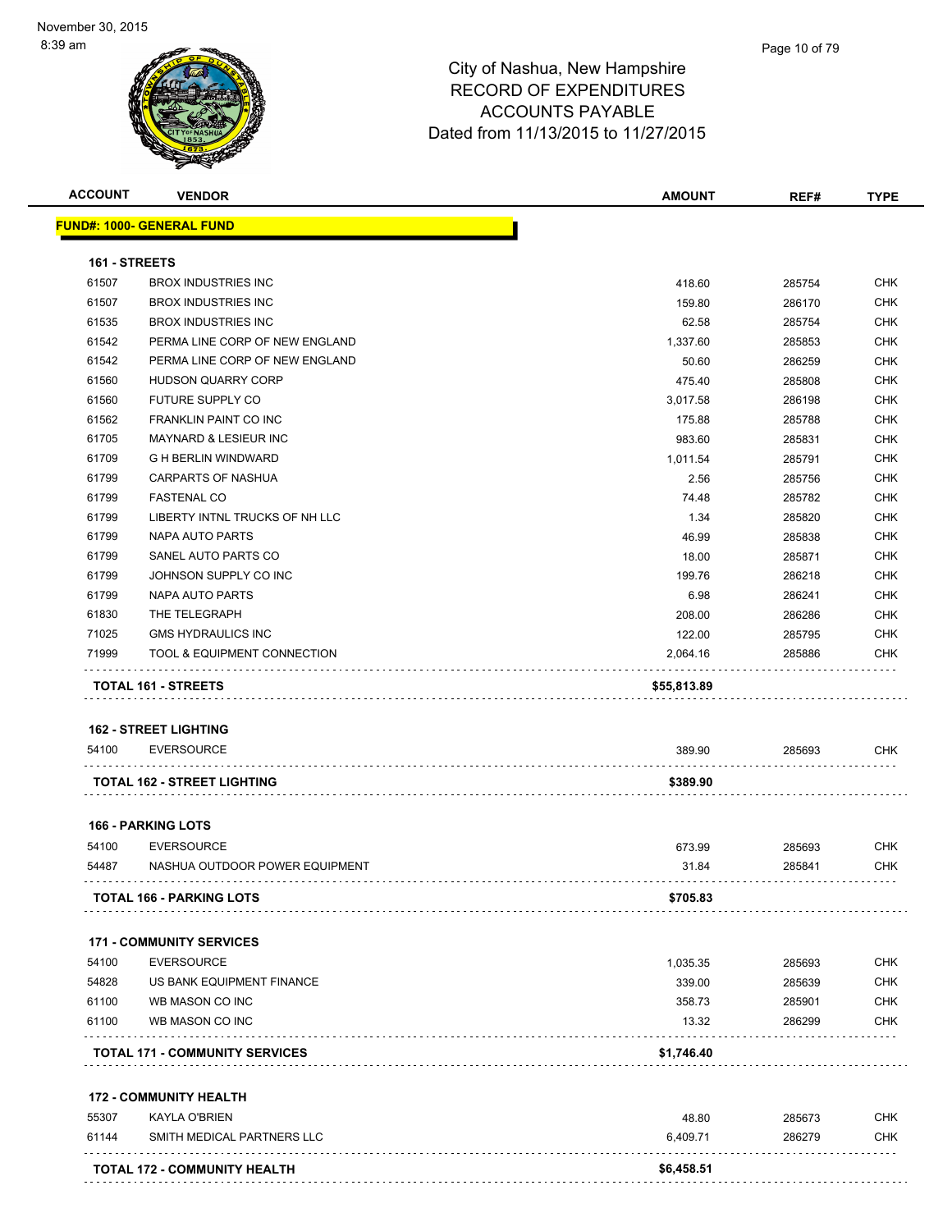|               | <b>VENDOR</b>                                      | <b>AMOUNT</b>           | REF#   | TYPE                                                                                                  |
|---------------|----------------------------------------------------|-------------------------|--------|-------------------------------------------------------------------------------------------------------|
|               | <u> FUND#: 1000- GENERAL FUND</u>                  |                         |        |                                                                                                       |
| 161 - STREETS |                                                    |                         |        |                                                                                                       |
| 61507         | <b>BROX INDUSTRIES INC</b>                         | 418.60                  | 285754 | <b>CHK</b>                                                                                            |
| 61507         | <b>BROX INDUSTRIES INC</b>                         | 159.80                  | 286170 | <b>CHK</b>                                                                                            |
| 61535         | <b>BROX INDUSTRIES INC</b>                         | 62.58                   | 285754 | CHK                                                                                                   |
| 61542         | PERMA LINE CORP OF NEW ENGLAND                     | 1,337.60                | 285853 | <b>CHK</b>                                                                                            |
| 61542         | PERMA LINE CORP OF NEW ENGLAND                     | 50.60                   | 286259 | <b>CHK</b>                                                                                            |
| 61560         | <b>HUDSON QUARRY CORP</b>                          | 475.40                  | 285808 | <b>CHK</b>                                                                                            |
| 61560         | FUTURE SUPPLY CO                                   | 3,017.58                | 286198 | <b>CHK</b>                                                                                            |
| 61562         | <b>FRANKLIN PAINT CO INC</b>                       | 175.88                  | 285788 | <b>CHK</b>                                                                                            |
| 61705         | <b>MAYNARD &amp; LESIEUR INC</b>                   | 983.60                  | 285831 | <b>CHK</b>                                                                                            |
| 61709         | <b>G H BERLIN WINDWARD</b>                         | 1,011.54                | 285791 | <b>CHK</b>                                                                                            |
| 61799         | <b>CARPARTS OF NASHUA</b>                          | 2.56                    | 285756 | <b>CHK</b>                                                                                            |
| 61799         | <b>FASTENAL CO</b>                                 | 74.48                   | 285782 | <b>CHK</b>                                                                                            |
| 61799         | LIBERTY INTNL TRUCKS OF NH LLC                     |                         |        | <b>CHK</b>                                                                                            |
|               |                                                    | 1.34                    | 285820 |                                                                                                       |
| 61799         | NAPA AUTO PARTS                                    | 46.99                   | 285838 | <b>CHK</b>                                                                                            |
| 61799         | SANEL AUTO PARTS CO                                | 18.00                   | 285871 | <b>CHK</b>                                                                                            |
| 61799         | JOHNSON SUPPLY CO INC                              | 199.76                  | 286218 | CHK                                                                                                   |
| 61799         | NAPA AUTO PARTS                                    | 6.98                    | 286241 | CHK                                                                                                   |
| 61830         | THE TELEGRAPH                                      | 208.00                  | 286286 | <b>CHK</b>                                                                                            |
| 71025         | <b>GMS HYDRAULICS INC</b>                          | 122.00                  | 285795 | CHK                                                                                                   |
|               |                                                    |                         |        |                                                                                                       |
| 71999         | TOOL & EQUIPMENT CONNECTION<br>TOTAL 161 - STREETS | 2,064.16<br>\$55,813.89 | 285886 |                                                                                                       |
| 54100         | <b>162 - STREET LIGHTING</b><br><b>EVERSOURCE</b>  | 389.90                  | 285693 |                                                                                                       |
|               |                                                    |                         |        |                                                                                                       |
|               | <b>TOTAL 162 - STREET LIGHTING</b>                 | \$389.90                |        |                                                                                                       |
|               | <b>166 - PARKING LOTS</b>                          |                         |        |                                                                                                       |
| 54100         | <b>EVERSOURCE</b>                                  | 673.99                  | 285693 |                                                                                                       |
| 54487         | NASHUA OUTDOOR POWER EQUIPMENT                     | 31.84                   | 285841 |                                                                                                       |
|               | <b>TOTAL 166 - PARKING LOTS</b>                    | \$705.83                |        |                                                                                                       |
|               |                                                    |                         |        |                                                                                                       |
|               | <b>171 - COMMUNITY SERVICES</b>                    |                         |        |                                                                                                       |
| 54100         | <b>EVERSOURCE</b>                                  | 1,035.35                | 285693 |                                                                                                       |
| 54828         | US BANK EQUIPMENT FINANCE                          | 339.00                  | 285639 |                                                                                                       |
| 61100         | WB MASON CO INC                                    | 358.73                  | 285901 |                                                                                                       |
| 61100         | WB MASON CO INC                                    | 13.32                   | 286299 |                                                                                                       |
|               | <b>TOTAL 171 - COMMUNITY SERVICES</b>              | \$1,746.40              |        |                                                                                                       |
|               | <b>172 - COMMUNITY HEALTH</b>                      |                         |        |                                                                                                       |
| 55307         | <b>KAYLA O'BRIEN</b>                               | 48.80                   | 285673 |                                                                                                       |
| 61144         | SMITH MEDICAL PARTNERS LLC                         | 6,409.71                | 286279 | CHK<br>CHK<br>CHK<br>CHK<br>CHK<br><b>CHK</b><br><b>CHK</b><br><b>CHK</b><br><b>CHK</b><br><b>CHK</b> |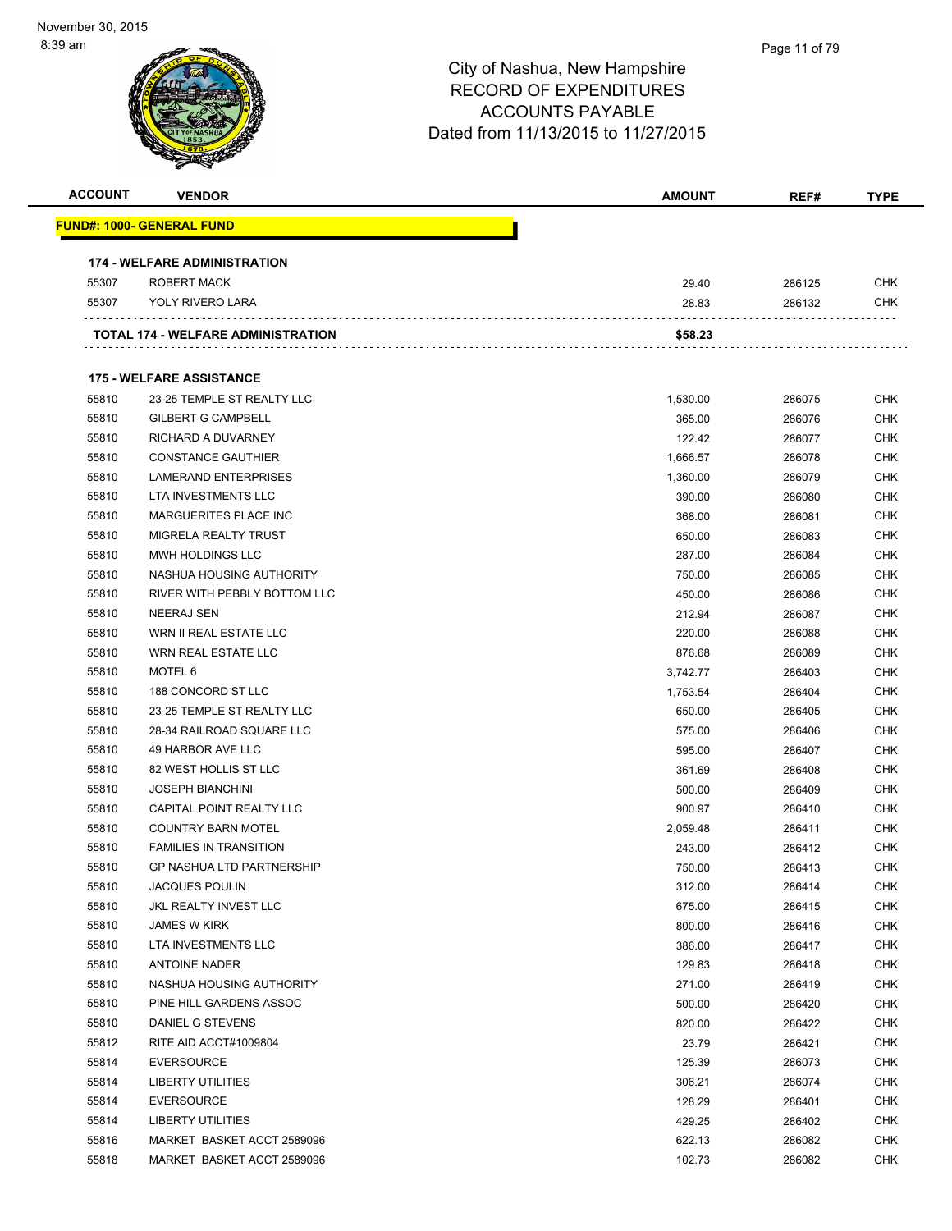| <b>ACCOUNT</b> | <b>VENDOR</b>                       | <b>AMOUNT</b> | REF#             | <b>TYPE</b>              |
|----------------|-------------------------------------|---------------|------------------|--------------------------|
|                | <u> FUND#: 1000- GENERAL FUND</u>   |               |                  |                          |
|                | <b>174 - WELFARE ADMINISTRATION</b> |               |                  |                          |
| 55307          | ROBERT MACK                         | 29.40         | 286125           | <b>CHK</b>               |
| 55307          | YOLY RIVERO LARA                    | 28.83         | 286132           | <b>CHK</b>               |
|                | TOTAL 174 - WELFARE ADMINISTRATION  | \$58.23       |                  |                          |
|                |                                     |               |                  |                          |
|                | <b>175 - WELFARE ASSISTANCE</b>     |               |                  |                          |
| 55810          | 23-25 TEMPLE ST REALTY LLC          | 1,530.00      | 286075           | <b>CHK</b>               |
| 55810          | <b>GILBERT G CAMPBELL</b>           | 365.00        | 286076           | <b>CHK</b>               |
| 55810          | RICHARD A DUVARNEY                  | 122.42        | 286077           | CHK                      |
| 55810          | <b>CONSTANCE GAUTHIER</b>           | 1,666.57      | 286078           | CHK                      |
| 55810          | <b>LAMERAND ENTERPRISES</b>         | 1,360.00      | 286079           | <b>CHK</b>               |
| 55810          | LTA INVESTMENTS LLC                 | 390.00        | 286080           | CHK                      |
| 55810          | MARGUERITES PLACE INC               | 368.00        | 286081           | <b>CHK</b>               |
| 55810          | MIGRELA REALTY TRUST                | 650.00        | 286083           | <b>CHK</b>               |
| 55810          | MWH HOLDINGS LLC                    | 287.00        | 286084           | <b>CHK</b>               |
| 55810          | NASHUA HOUSING AUTHORITY            | 750.00        | 286085           | <b>CHK</b>               |
| 55810          | RIVER WITH PEBBLY BOTTOM LLC        | 450.00        | 286086           | <b>CHK</b>               |
| 55810          | <b>NEERAJ SEN</b>                   | 212.94        | 286087           | <b>CHK</b>               |
| 55810          | WRN II REAL ESTATE LLC              | 220.00        | 286088           | <b>CHK</b>               |
| 55810          | WRN REAL ESTATE LLC                 | 876.68        | 286089           | <b>CHK</b>               |
| 55810          | MOTEL 6                             | 3,742.77      | 286403           | <b>CHK</b>               |
| 55810          | 188 CONCORD ST LLC                  | 1,753.54      | 286404           | <b>CHK</b>               |
| 55810          | 23-25 TEMPLE ST REALTY LLC          | 650.00        | 286405           | <b>CHK</b>               |
| 55810          | 28-34 RAILROAD SQUARE LLC           | 575.00        | 286406           | <b>CHK</b>               |
| 55810          | 49 HARBOR AVE LLC                   | 595.00        | 286407           | <b>CHK</b>               |
| 55810          | 82 WEST HOLLIS ST LLC               | 361.69        | 286408           | CHK                      |
| 55810          | <b>JOSEPH BIANCHINI</b>             | 500.00        | 286409           | <b>CHK</b>               |
| 55810          | <b>CAPITAL POINT REALTY LLC</b>     | 900.97        | 286410           | CHK                      |
| 55810          | <b>COUNTRY BARN MOTEL</b>           | 2,059.48      |                  | CHK                      |
| 55810          | <b>FAMILIES IN TRANSITION</b>       | 243.00        | 286411           | <b>CHK</b>               |
| 55810          | <b>GP NASHUA LTD PARTNERSHIP</b>    | 750.00        | 286412<br>286413 | <b>CHK</b>               |
| 55810          | <b>JACQUES POULIN</b>               |               |                  | <b>CHK</b>               |
|                |                                     | 312.00        | 286414           |                          |
| 55810          | JKL REALTY INVEST LLC               | 675.00        | 286415           | <b>CHK</b><br><b>CHK</b> |
| 55810          | <b>JAMES W KIRK</b>                 | 800.00        | 286416           |                          |
| 55810          | LTA INVESTMENTS LLC                 | 386.00        | 286417           | <b>CHK</b>               |
| 55810          | <b>ANTOINE NADER</b>                | 129.83        | 286418           | <b>CHK</b>               |
| 55810          | NASHUA HOUSING AUTHORITY            | 271.00        | 286419           | <b>CHK</b>               |
| 55810          | PINE HILL GARDENS ASSOC             | 500.00        | 286420           | <b>CHK</b>               |
| 55810          | DANIEL G STEVENS                    | 820.00        | 286422           | <b>CHK</b>               |
| 55812          | RITE AID ACCT#1009804               | 23.79         | 286421           | <b>CHK</b>               |
| 55814          | <b>EVERSOURCE</b>                   | 125.39        | 286073           | <b>CHK</b>               |
| 55814          | LIBERTY UTILITIES                   | 306.21        | 286074           | CHK                      |
| 55814          | <b>EVERSOURCE</b>                   | 128.29        | 286401           | <b>CHK</b>               |
| 55814          | <b>LIBERTY UTILITIES</b>            | 429.25        | 286402           | <b>CHK</b>               |
| 55816          | MARKET BASKET ACCT 2589096          | 622.13        | 286082           | <b>CHK</b>               |
| 55818          | MARKET BASKET ACCT 2589096          | 102.73        | 286082           | <b>CHK</b>               |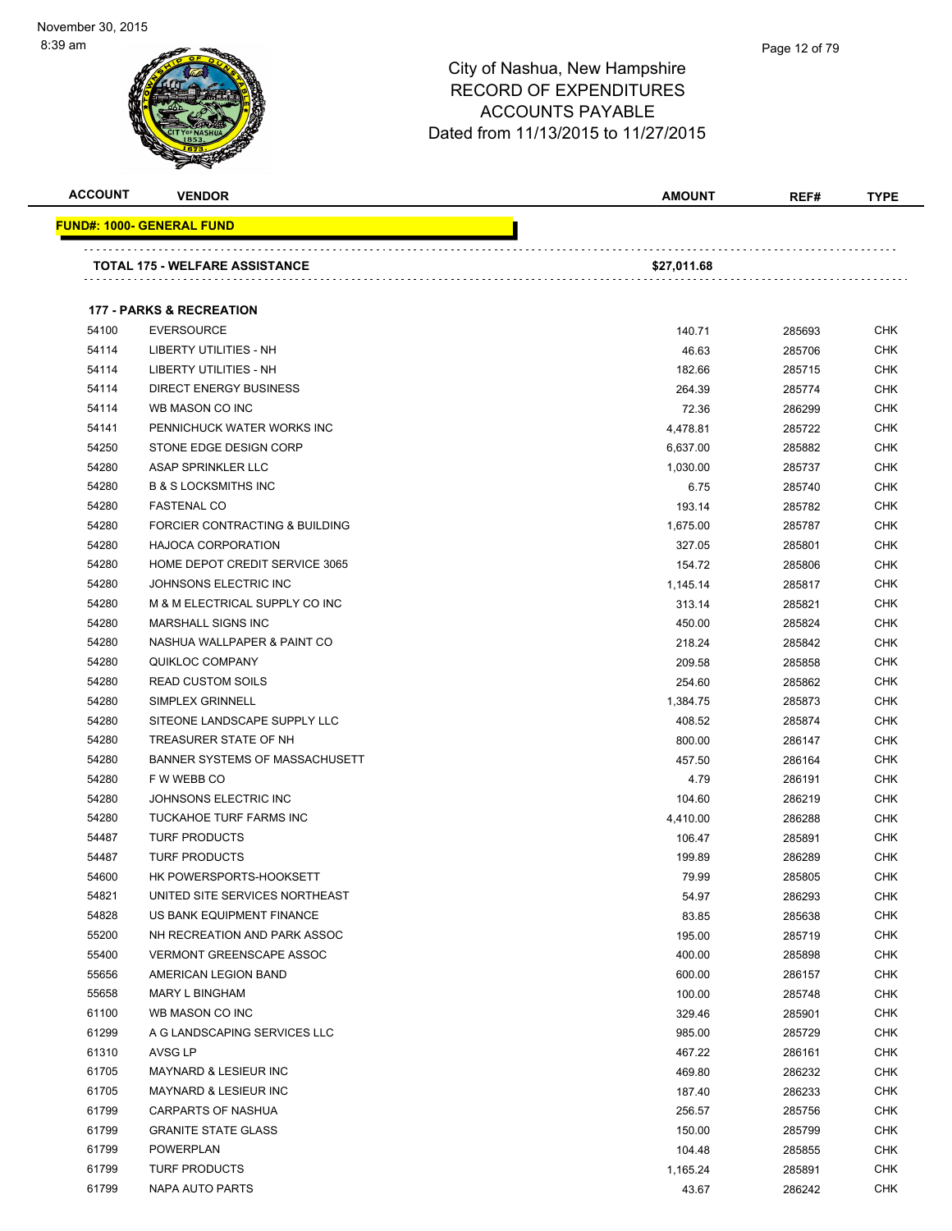

| <b>ACCOUNT</b> | <b>VENDOR</b>                         | AMOUNT      | REF#   | <b>TYPE</b> |
|----------------|---------------------------------------|-------------|--------|-------------|
|                | <u> FUND#: 1000- GENERAL FUND</u>     |             |        |             |
|                |                                       |             |        |             |
|                | <b>TOTAL 175 - WELFARE ASSISTANCE</b> | \$27,011.68 |        |             |
|                |                                       |             |        |             |
|                | <b>177 - PARKS &amp; RECREATION</b>   |             |        |             |
| 54100          | <b>EVERSOURCE</b>                     | 140.71      | 285693 | <b>CHK</b>  |
| 54114          | LIBERTY UTILITIES - NH                | 46.63       | 285706 | <b>CHK</b>  |
| 54114          | <b>LIBERTY UTILITIES - NH</b>         | 182.66      | 285715 | <b>CHK</b>  |
| 54114          | <b>DIRECT ENERGY BUSINESS</b>         | 264.39      | 285774 | <b>CHK</b>  |
| 54114          | WB MASON CO INC                       | 72.36       | 286299 | <b>CHK</b>  |
| 54141          | PENNICHUCK WATER WORKS INC            | 4,478.81    | 285722 | <b>CHK</b>  |
| 54250          | STONE EDGE DESIGN CORP                | 6,637.00    | 285882 | <b>CHK</b>  |
| 54280          | ASAP SPRINKLER LLC                    | 1,030.00    | 285737 | <b>CHK</b>  |
| 54280          | <b>B &amp; S LOCKSMITHS INC</b>       | 6.75        | 285740 | <b>CHK</b>  |
| 54280          | <b>FASTENAL CO</b>                    | 193.14      | 285782 | CHK         |
| 54280          | FORCIER CONTRACTING & BUILDING        | 1,675.00    | 285787 | <b>CHK</b>  |
| 54280          | <b>HAJOCA CORPORATION</b>             | 327.05      | 285801 | <b>CHK</b>  |
| 54280          | HOME DEPOT CREDIT SERVICE 3065        | 154.72      | 285806 | CHK         |
| 54280          | JOHNSONS ELECTRIC INC                 | 1,145.14    | 285817 | <b>CHK</b>  |
| 54280          | M & M ELECTRICAL SUPPLY CO INC        | 313.14      | 285821 | <b>CHK</b>  |
| 54280          | <b>MARSHALL SIGNS INC</b>             | 450.00      | 285824 | <b>CHK</b>  |
| 54280          | NASHUA WALLPAPER & PAINT CO           | 218.24      | 285842 | <b>CHK</b>  |
| 54280          | <b>QUIKLOC COMPANY</b>                | 209.58      | 285858 | <b>CHK</b>  |
| 54280          | <b>READ CUSTOM SOILS</b>              | 254.60      | 285862 | <b>CHK</b>  |
| 54280          | <b>SIMPLEX GRINNELL</b>               | 1,384.75    | 285873 | <b>CHK</b>  |
| 54280          | SITEONE LANDSCAPE SUPPLY LLC          | 408.52      | 285874 | <b>CHK</b>  |
| 54280          | TREASURER STATE OF NH                 | 800.00      | 286147 | <b>CHK</b>  |
| 54280          | BANNER SYSTEMS OF MASSACHUSETT        | 457.50      | 286164 | <b>CHK</b>  |
| 54280          | F W WEBB CO                           | 4.79        | 286191 | <b>CHK</b>  |
| 54280          | JOHNSONS ELECTRIC INC                 | 104.60      | 286219 | <b>CHK</b>  |
| 54280          | TUCKAHOE TURF FARMS INC               | 4,410.00    | 286288 | <b>CHK</b>  |
| 54487          | <b>TURF PRODUCTS</b>                  | 106.47      | 285891 | <b>CHK</b>  |
| 54487          | <b>TURF PRODUCTS</b>                  | 199.89      | 286289 | <b>CHK</b>  |
| 54600          | HK POWERSPORTS-HOOKSETT               | 79.99       | 285805 | <b>CHK</b>  |
| 54821          | UNITED SITE SERVICES NORTHEAST        | 54.97       | 286293 | <b>CHK</b>  |
| 54828          | US BANK EQUIPMENT FINANCE             | 83.85       | 285638 | <b>CHK</b>  |
| 55200          | NH RECREATION AND PARK ASSOC          | 195.00      | 285719 | <b>CHK</b>  |
| 55400          | <b>VERMONT GREENSCAPE ASSOC</b>       | 400.00      | 285898 | <b>CHK</b>  |
| 55656          | AMERICAN LEGION BAND                  | 600.00      | 286157 | <b>CHK</b>  |
| 55658          | MARY L BINGHAM                        | 100.00      | 285748 | <b>CHK</b>  |
| 61100          | WB MASON CO INC                       | 329.46      | 285901 | <b>CHK</b>  |
| 61299          | A G LANDSCAPING SERVICES LLC          | 985.00      | 285729 | CHK         |
| 61310          | AVSG LP                               | 467.22      | 286161 | <b>CHK</b>  |
| 61705          | MAYNARD & LESIEUR INC                 | 469.80      | 286232 | <b>CHK</b>  |
| 61705          | MAYNARD & LESIEUR INC                 | 187.40      | 286233 | CHK         |
| 61799          | <b>CARPARTS OF NASHUA</b>             | 256.57      | 285756 | CHK         |
| 61799          | <b>GRANITE STATE GLASS</b>            | 150.00      | 285799 | <b>CHK</b>  |
| 61799          | POWERPLAN                             | 104.48      | 285855 | <b>CHK</b>  |
| 61799          | <b>TURF PRODUCTS</b>                  | 1,165.24    | 285891 | <b>CHK</b>  |
| 61799          | NAPA AUTO PARTS                       | 43.67       | 286242 | <b>CHK</b>  |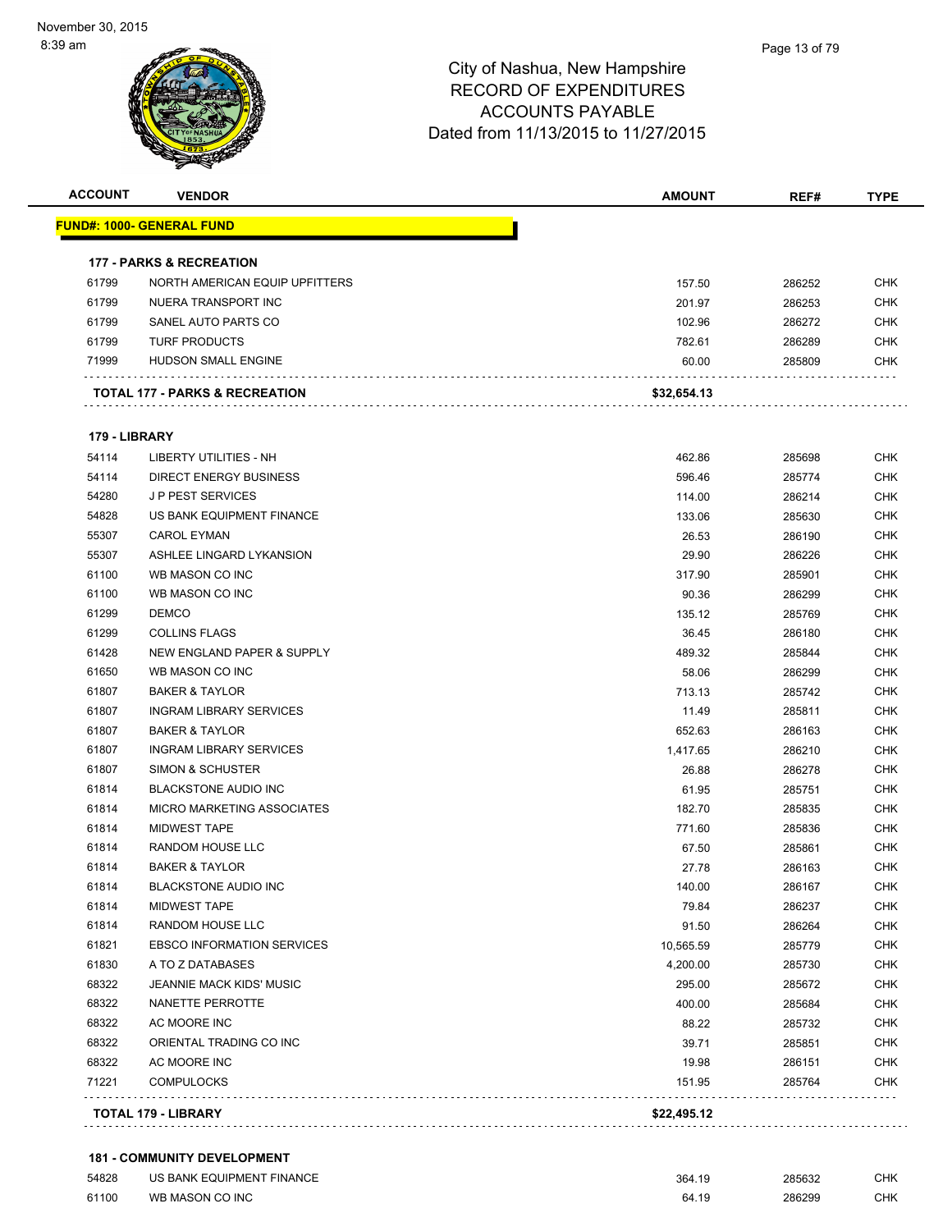

| <b>ACCOUNT</b> | <b>VENDOR</b>                         | <b>AMOUNT</b> | REF#   | <b>TYPE</b> |
|----------------|---------------------------------------|---------------|--------|-------------|
|                | <u> FUND#: 1000- GENERAL FUND</u>     |               |        |             |
|                | <b>177 - PARKS &amp; RECREATION</b>   |               |        |             |
| 61799          | <b>NORTH AMERICAN EQUIP UPFITTERS</b> | 157.50        | 286252 | <b>CHK</b>  |
| 61799          | NUERA TRANSPORT INC                   | 201.97        | 286253 | <b>CHK</b>  |
| 61799          | SANEL AUTO PARTS CO                   | 102.96        | 286272 | <b>CHK</b>  |
| 61799          | <b>TURF PRODUCTS</b>                  | 782.61        | 286289 | <b>CHK</b>  |
| 71999          | HUDSON SMALL ENGINE                   | 60.00         | 285809 | CHK         |
|                | TOTAL 177 - PARKS & RECREATION        | \$32,654.13   |        |             |
| 179 - LIBRARY  |                                       |               |        |             |
| 54114          | LIBERTY UTILITIES - NH                | 462.86        | 285698 | <b>CHK</b>  |
| 54114          | <b>DIRECT ENERGY BUSINESS</b>         | 596.46        | 285774 | <b>CHK</b>  |
| 54280          | <b>JP PEST SERVICES</b>               | 114.00        | 286214 | CHK         |
| 54828          | US BANK EQUIPMENT FINANCE             | 133.06        | 285630 | <b>CHK</b>  |
| 55307          | <b>CAROL EYMAN</b>                    | 26.53         | 286190 | CHK         |
| 55307          | ASHLEE LINGARD LYKANSION              | 29.90         | 286226 | CHK         |
| 61100          | WB MASON CO INC                       | 317.90        | 285901 | <b>CHK</b>  |
| 61100          | WB MASON CO INC                       | 90.36         | 286299 | <b>CHK</b>  |
| 61299          | <b>DEMCO</b>                          | 135.12        | 285769 | <b>CHK</b>  |
| 61299          | <b>COLLINS FLAGS</b>                  | 36.45         | 286180 | <b>CHK</b>  |
| 61428          | NEW ENGLAND PAPER & SUPPLY            | 489.32        | 285844 | <b>CHK</b>  |
| 61650          | WB MASON CO INC                       | 58.06         | 286299 | <b>CHK</b>  |
| 61807          | <b>BAKER &amp; TAYLOR</b>             | 713.13        | 285742 | <b>CHK</b>  |
| 61807          | <b>INGRAM LIBRARY SERVICES</b>        | 11.49         | 285811 | CHK         |
| 61807          | <b>BAKER &amp; TAYLOR</b>             | 652.63        | 286163 | <b>CHK</b>  |
| 61807          | <b>INGRAM LIBRARY SERVICES</b>        | 1,417.65      | 286210 | <b>CHK</b>  |
| 61807          | SIMON & SCHUSTER                      | 26.88         | 286278 | <b>CHK</b>  |
| 61814          | <b>BLACKSTONE AUDIO INC</b>           | 61.95         | 285751 | <b>CHK</b>  |
| 61814          | MICRO MARKETING ASSOCIATES            | 182.70        | 285835 | CHK         |
| 61814          | <b>MIDWEST TAPE</b>                   | 771.60        | 285836 | CHK         |
| 61814          | <b>RANDOM HOUSE LLC</b>               | 67.50         | 285861 | <b>CHK</b>  |
| 61814          | <b>BAKER &amp; TAYLOR</b>             | 27.78         | 286163 | <b>CHK</b>  |
| 61814          | <b>BLACKSTONE AUDIO INC</b>           | 140.00        | 286167 | <b>CHK</b>  |
| 61814          | <b>MIDWEST TAPE</b>                   | 79.84         | 286237 | <b>CHK</b>  |
| 61814          | RANDOM HOUSE LLC                      | 91.50         | 286264 | <b>CHK</b>  |
| 61821          | <b>EBSCO INFORMATION SERVICES</b>     | 10,565.59     | 285779 | <b>CHK</b>  |
| 61830          | A TO Z DATABASES                      | 4,200.00      | 285730 | <b>CHK</b>  |
| 68322          | <b>JEANNIE MACK KIDS' MUSIC</b>       | 295.00        | 285672 | <b>CHK</b>  |
| 68322          | NANETTE PERROTTE                      | 400.00        | 285684 | <b>CHK</b>  |
| 68322          | AC MOORE INC                          | 88.22         | 285732 | CHK         |
| 68322          | ORIENTAL TRADING CO INC               | 39.71         | 285851 | <b>CHK</b>  |
| 68322          | AC MOORE INC                          | 19.98         | 286151 | <b>CHK</b>  |
| 71221          | <b>COMPULOCKS</b>                     | 151.95        | 285764 | CHK         |
|                |                                       |               |        |             |
|                | TOTAL 179 - LIBRARY                   | \$22,495.12   |        |             |

# **181 - COMMUNITY DEVELOPMENT**

| 54828 | US BANK EQUIPMENT FINANCE | 364.19 | 285632 | СНК |
|-------|---------------------------|--------|--------|-----|
| 61100 | WB MASON CO INC           | 64.19  | 286299 | снк |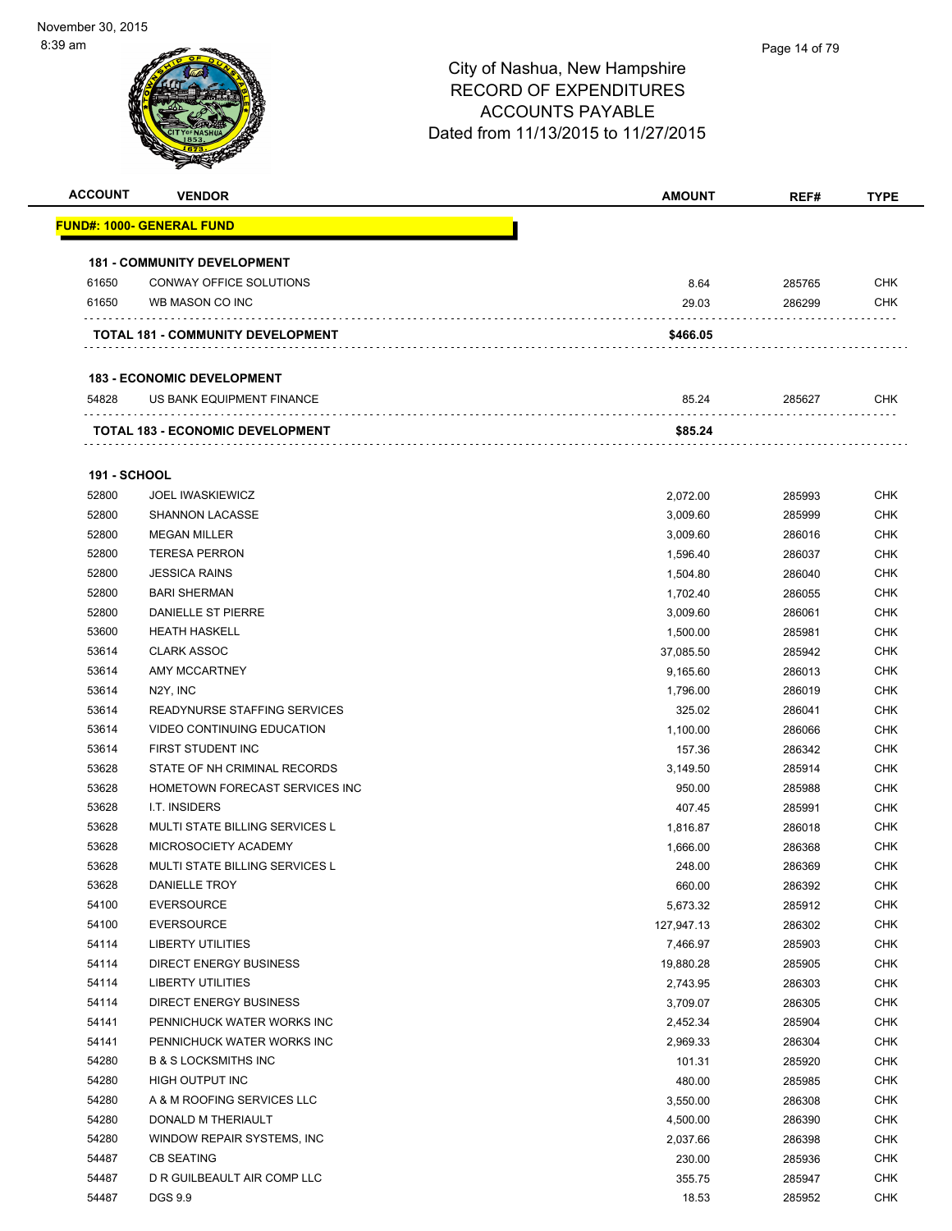| <b>ACCOUNT</b>      | <b>VENDOR</b>                           | <b>AMOUNT</b> | REF#   | <b>TYPE</b> |
|---------------------|-----------------------------------------|---------------|--------|-------------|
|                     | <u> FUND#: 1000- GENERAL FUND</u>       |               |        |             |
|                     | <b>181 - COMMUNITY DEVELOPMENT</b>      |               |        |             |
| 61650               | CONWAY OFFICE SOLUTIONS                 | 8.64          | 285765 | <b>CHK</b>  |
| 61650               | WB MASON CO INC                         | 29.03         | 286299 | <b>CHK</b>  |
|                     | TOTAL 181 - COMMUNITY DEVELOPMENT       | \$466.05      |        |             |
|                     |                                         |               |        |             |
|                     | <b>183 - ECONOMIC DEVELOPMENT</b>       |               |        |             |
| 54828               | US BANK EQUIPMENT FINANCE               | 85.24         | 285627 | CHK         |
|                     | <b>TOTAL 183 - ECONOMIC DEVELOPMENT</b> | \$85.24       |        |             |
| <b>191 - SCHOOL</b> |                                         |               |        |             |
| 52800               | <b>JOEL IWASKIEWICZ</b>                 | 2,072.00      | 285993 | <b>CHK</b>  |
| 52800               | <b>SHANNON LACASSE</b>                  | 3,009.60      | 285999 | <b>CHK</b>  |
| 52800               | <b>MEGAN MILLER</b>                     | 3,009.60      | 286016 | <b>CHK</b>  |
| 52800               | <b>TERESA PERRON</b>                    | 1,596.40      | 286037 | <b>CHK</b>  |
| 52800               | <b>JESSICA RAINS</b>                    | 1,504.80      | 286040 | <b>CHK</b>  |
| 52800               | <b>BARI SHERMAN</b>                     | 1,702.40      | 286055 | <b>CHK</b>  |
| 52800               | DANIELLE ST PIERRE                      | 3,009.60      | 286061 | <b>CHK</b>  |
| 53600               | <b>HEATH HASKELL</b>                    | 1,500.00      | 285981 | <b>CHK</b>  |
| 53614               | <b>CLARK ASSOC</b>                      | 37,085.50     | 285942 | <b>CHK</b>  |
| 53614               | AMY MCCARTNEY                           | 9,165.60      | 286013 | <b>CHK</b>  |
| 53614               | N <sub>2</sub> Y, INC                   | 1,796.00      | 286019 | CHK         |
| 53614               | READYNURSE STAFFING SERVICES            | 325.02        | 286041 | <b>CHK</b>  |
| 53614               | VIDEO CONTINUING EDUCATION              | 1,100.00      | 286066 | <b>CHK</b>  |
| 53614               | FIRST STUDENT INC                       | 157.36        | 286342 | <b>CHK</b>  |
| 53628               | STATE OF NH CRIMINAL RECORDS            | 3,149.50      | 285914 | <b>CHK</b>  |
| 53628               | HOMETOWN FORECAST SERVICES INC          | 950.00        | 285988 | <b>CHK</b>  |
| 53628               | <b>I.T. INSIDERS</b>                    | 407.45        | 285991 | <b>CHK</b>  |
| 53628               | <b>MULTI STATE BILLING SERVICES L</b>   | 1,816.87      | 286018 | <b>CHK</b>  |
| 53628               | MICROSOCIETY ACADEMY                    | 1,666.00      | 286368 | CHK         |
| 53628               | MULTI STATE BILLING SERVICES L          | 248.00        | 286369 | <b>CHK</b>  |
| 53628               | DANIELLE TROY                           | 660.00        | 286392 | <b>CHK</b>  |
| 54100               | <b>EVERSOURCE</b>                       | 5,673.32      | 285912 | <b>CHK</b>  |
| 54100               | <b>EVERSOURCE</b>                       | 127,947.13    | 286302 | <b>CHK</b>  |
| 54114               | <b>LIBERTY UTILITIES</b>                | 7,466.97      | 285903 | <b>CHK</b>  |
| 54114               | DIRECT ENERGY BUSINESS                  | 19,880.28     | 285905 | <b>CHK</b>  |
| 54114               | LIBERTY UTILITIES                       | 2,743.95      | 286303 | <b>CHK</b>  |
| 54114               | DIRECT ENERGY BUSINESS                  | 3,709.07      | 286305 | <b>CHK</b>  |
| 54141               | PENNICHUCK WATER WORKS INC              | 2,452.34      | 285904 | <b>CHK</b>  |
| 54141               | PENNICHUCK WATER WORKS INC              | 2,969.33      | 286304 | <b>CHK</b>  |
| 54280               | <b>B &amp; S LOCKSMITHS INC</b>         | 101.31        | 285920 | <b>CHK</b>  |
| 54280               | HIGH OUTPUT INC                         | 480.00        | 285985 | <b>CHK</b>  |
| 54280               | A & M ROOFING SERVICES LLC              | 3,550.00      | 286308 | <b>CHK</b>  |
| 54280               | DONALD M THERIAULT                      | 4,500.00      | 286390 | <b>CHK</b>  |
| 54280               | WINDOW REPAIR SYSTEMS, INC              | 2,037.66      | 286398 | <b>CHK</b>  |
| 54487               | <b>CB SEATING</b>                       | 230.00        | 285936 | CHK         |
| 54487               | D R GUILBEAULT AIR COMP LLC             | 355.75        | 285947 | <b>CHK</b>  |
| 54487               | DGS 9.9                                 | 18.53         | 285952 | <b>CHK</b>  |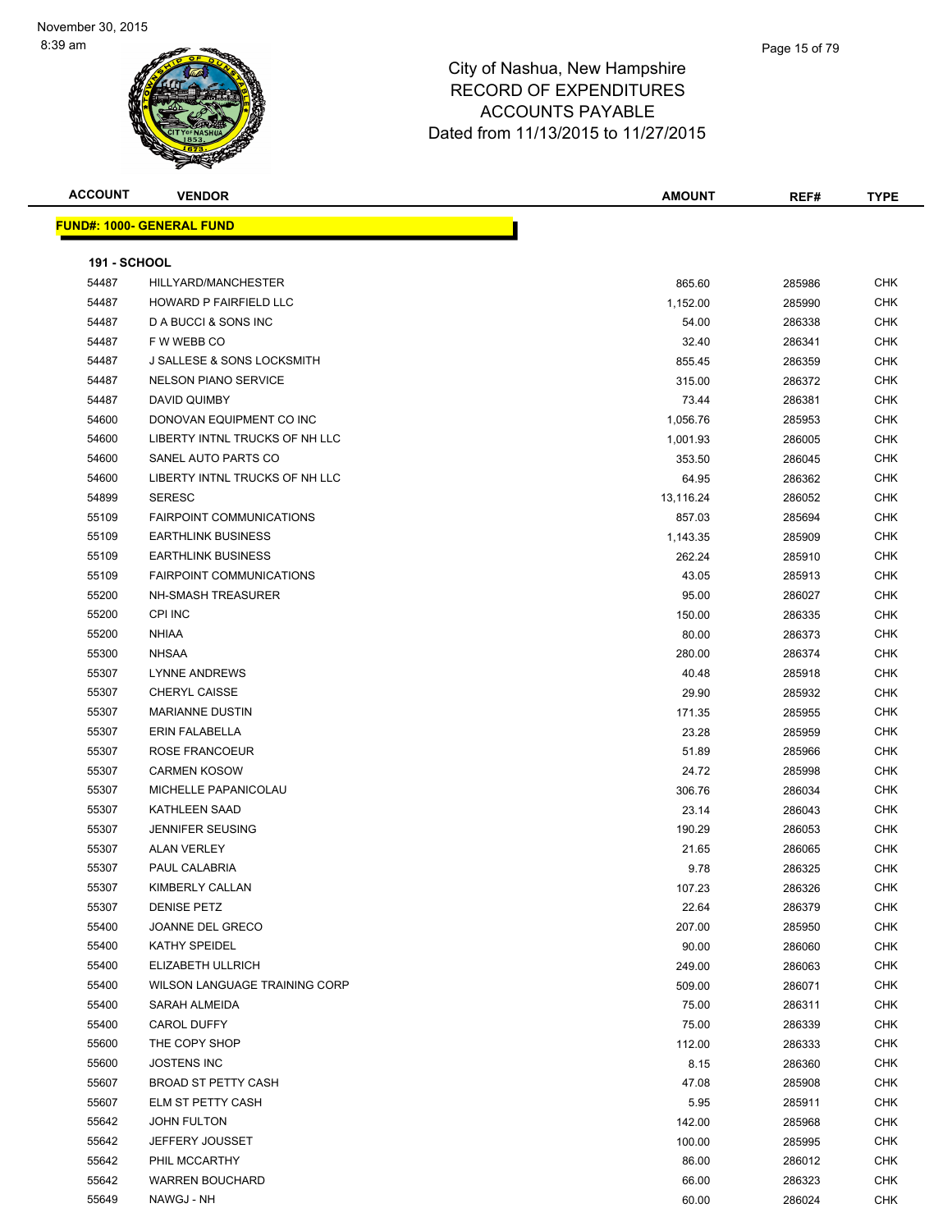| <b>ACCOUNT</b> | <b>VENDOR</b>                    | <b>AMOUNT</b> | REF#   | <b>TYPE</b> |
|----------------|----------------------------------|---------------|--------|-------------|
|                | <b>FUND#: 1000- GENERAL FUND</b> |               |        |             |
|                |                                  |               |        |             |
| 191 - SCHOOL   |                                  |               |        |             |
| 54487          | HILLYARD/MANCHESTER              | 865.60        | 285986 | CHK         |
| 54487          | HOWARD P FAIRFIELD LLC           | 1,152.00      | 285990 | CHK         |
| 54487          | D A BUCCI & SONS INC             | 54.00         | 286338 | <b>CHK</b>  |
| 54487          | F W WEBB CO                      | 32.40         | 286341 | <b>CHK</b>  |
| 54487          | J SALLESE & SONS LOCKSMITH       | 855.45        | 286359 | CHK         |
| 54487          | <b>NELSON PIANO SERVICE</b>      | 315.00        | 286372 | CHK         |
| 54487          | DAVID QUIMBY                     | 73.44         | 286381 | <b>CHK</b>  |
| 54600          | DONOVAN EQUIPMENT CO INC         | 1,056.76      | 285953 | <b>CHK</b>  |
| 54600          | LIBERTY INTNL TRUCKS OF NH LLC   | 1,001.93      | 286005 | <b>CHK</b>  |
| 54600          | SANEL AUTO PARTS CO              | 353.50        | 286045 | <b>CHK</b>  |
| 54600          | LIBERTY INTNL TRUCKS OF NH LLC   | 64.95         | 286362 | CHK         |
| 54899          | <b>SERESC</b>                    | 13,116.24     | 286052 | <b>CHK</b>  |
| 55109          | <b>FAIRPOINT COMMUNICATIONS</b>  | 857.03        | 285694 | <b>CHK</b>  |
| 55109          | <b>EARTHLINK BUSINESS</b>        | 1,143.35      | 285909 | <b>CHK</b>  |
| 55109          | <b>EARTHLINK BUSINESS</b>        | 262.24        | 285910 | <b>CHK</b>  |
| 55109          | <b>FAIRPOINT COMMUNICATIONS</b>  | 43.05         | 285913 | CHK         |
| 55200          | <b>NH-SMASH TREASURER</b>        | 95.00         | 286027 | <b>CHK</b>  |
| 55200          | CPI INC                          | 150.00        | 286335 | <b>CHK</b>  |
| 55200          | <b>NHIAA</b>                     | 80.00         | 286373 | <b>CHK</b>  |
| 55300          | <b>NHSAA</b>                     | 280.00        | 286374 | <b>CHK</b>  |
| 55307          | LYNNE ANDREWS                    | 40.48         | 285918 | <b>CHK</b>  |
| 55307          | <b>CHERYL CAISSE</b>             | 29.90         | 285932 | <b>CHK</b>  |
| 55307          | <b>MARIANNE DUSTIN</b>           | 171.35        | 285955 | CHK         |
| 55307          | ERIN FALABELLA                   | 23.28         | 285959 | <b>CHK</b>  |
| 55307          | ROSE FRANCOEUR                   | 51.89         | 285966 | <b>CHK</b>  |
| 55307          | <b>CARMEN KOSOW</b>              | 24.72         | 285998 | <b>CHK</b>  |
| 55307          | MICHELLE PAPANICOLAU             | 306.76        | 286034 | CHK         |
| 55307          | <b>KATHLEEN SAAD</b>             | 23.14         | 286043 | <b>CHK</b>  |
| 55307          | <b>JENNIFER SEUSING</b>          | 190.29        | 286053 | <b>CHK</b>  |
| 55307          | <b>ALAN VERLEY</b>               | 21.65         | 286065 | CHK         |
| 55307          | PAUL CALABRIA                    | 9.78          | 286325 | CHK         |
| 55307          | KIMBERLY CALLAN                  | 107.23        | 286326 | CHK         |
| 55307          | <b>DENISE PETZ</b>               | 22.64         | 286379 | <b>CHK</b>  |
| 55400          | JOANNE DEL GRECO                 | 207.00        | 285950 | CHK         |
| 55400          | KATHY SPEIDEL                    | 90.00         | 286060 | <b>CHK</b>  |
| 55400          | ELIZABETH ULLRICH                | 249.00        | 286063 | <b>CHK</b>  |
| 55400          | WILSON LANGUAGE TRAINING CORP    | 509.00        | 286071 | CHK         |
| 55400          | SARAH ALMEIDA                    | 75.00         | 286311 | CHK         |
| 55400          | <b>CAROL DUFFY</b>               | 75.00         | 286339 | CHK         |
| 55600          | THE COPY SHOP                    | 112.00        | 286333 | <b>CHK</b>  |
| 55600          | <b>JOSTENS INC</b>               | 8.15          | 286360 | CHK         |
| 55607          | <b>BROAD ST PETTY CASH</b>       | 47.08         | 285908 | CHK         |
| 55607          | ELM ST PETTY CASH                | 5.95          | 285911 | <b>CHK</b>  |
| 55642          | JOHN FULTON                      | 142.00        | 285968 | <b>CHK</b>  |
| 55642          | JEFFERY JOUSSET                  | 100.00        | 285995 | CHK         |
| 55642          | PHIL MCCARTHY                    | 86.00         | 286012 | CHK         |
| 55642          | <b>WARREN BOUCHARD</b>           | 66.00         | 286323 | <b>CHK</b>  |
| 55649          | NAWGJ - NH                       | 60.00         | 286024 | <b>CHK</b>  |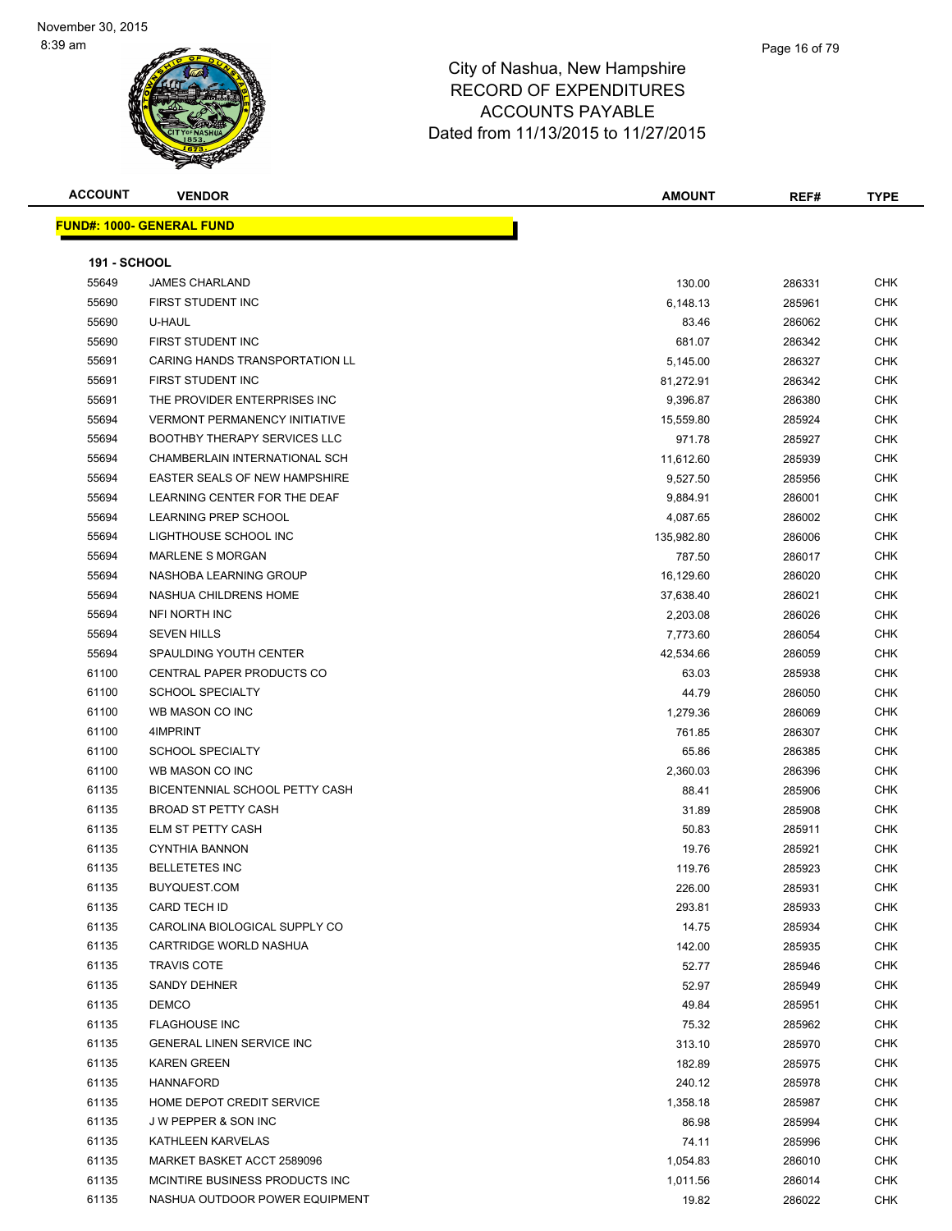| <b>ACCOUNT</b>      | <b>VENDOR</b>                         | <b>AMOUNT</b> | REF#   | <b>TYPE</b> |
|---------------------|---------------------------------------|---------------|--------|-------------|
|                     | <b>FUND#: 1000- GENERAL FUND</b>      |               |        |             |
|                     |                                       |               |        |             |
| <b>191 - SCHOOL</b> |                                       |               |        |             |
| 55649               | <b>JAMES CHARLAND</b>                 | 130.00        | 286331 | CHK         |
| 55690               | FIRST STUDENT INC                     | 6,148.13      | 285961 | <b>CHK</b>  |
| 55690               | U-HAUL                                | 83.46         | 286062 | CHK         |
| 55690               | <b>FIRST STUDENT INC</b>              | 681.07        | 286342 | CHK         |
| 55691               | <b>CARING HANDS TRANSPORTATION LL</b> | 5,145.00      | 286327 | <b>CHK</b>  |
| 55691               | FIRST STUDENT INC                     | 81,272.91     | 286342 | CHK         |
| 55691               | THE PROVIDER ENTERPRISES INC          | 9,396.87      | 286380 | CHK         |
| 55694               | <b>VERMONT PERMANENCY INITIATIVE</b>  | 15,559.80     | 285924 | CHK         |
| 55694               | <b>BOOTHBY THERAPY SERVICES LLC</b>   | 971.78        | 285927 | CHK         |
| 55694               | CHAMBERLAIN INTERNATIONAL SCH         | 11,612.60     | 285939 | <b>CHK</b>  |
| 55694               | EASTER SEALS OF NEW HAMPSHIRE         | 9,527.50      | 285956 | <b>CHK</b>  |
| 55694               | LEARNING CENTER FOR THE DEAF          | 9,884.91      | 286001 | CHK         |
| 55694               | LEARNING PREP SCHOOL                  | 4,087.65      | 286002 | <b>CHK</b>  |
| 55694               | LIGHTHOUSE SCHOOL INC                 | 135,982.80    | 286006 | CHK         |
| 55694               | <b>MARLENE S MORGAN</b>               | 787.50        | 286017 | CHK         |
| 55694               | NASHOBA LEARNING GROUP                | 16,129.60     | 286020 | CHK         |
| 55694               | NASHUA CHILDRENS HOME                 | 37,638.40     | 286021 | CHK         |
| 55694               | NFI NORTH INC                         | 2,203.08      | 286026 | CHK         |
| 55694               | <b>SEVEN HILLS</b>                    | 7,773.60      | 286054 | CHK         |
| 55694               | SPAULDING YOUTH CENTER                | 42,534.66     | 286059 | CHK         |
| 61100               | CENTRAL PAPER PRODUCTS CO             | 63.03         | 285938 | <b>CHK</b>  |
| 61100               | <b>SCHOOL SPECIALTY</b>               | 44.79         | 286050 | CHK         |
| 61100               | WB MASON CO INC                       | 1,279.36      | 286069 | CHK         |
| 61100               | 4IMPRINT                              | 761.85        | 286307 | <b>CHK</b>  |
| 61100               | <b>SCHOOL SPECIALTY</b>               | 65.86         | 286385 | CHK         |
| 61100               | WB MASON CO INC                       | 2,360.03      | 286396 | CHK         |
| 61135               | BICENTENNIAL SCHOOL PETTY CASH        | 88.41         | 285906 | <b>CHK</b>  |
| 61135               | <b>BROAD ST PETTY CASH</b>            | 31.89         | 285908 | CHK         |
| 61135               | <b>ELM ST PETTY CASH</b>              | 50.83         | 285911 | CHK         |
| 61135               | <b>CYNTHIA BANNON</b>                 | 19.76         | 285921 | CHK         |
| 61135               | <b>BELLETETES INC</b>                 | 119.76        | 285923 | CHK         |
| 61135               | BUYQUEST.COM                          | 226.00        | 285931 | CHK         |
| 61135               | CARD TECH ID                          | 293.81        | 285933 | CHK         |
| 61135               | CAROLINA BIOLOGICAL SUPPLY CO         | 14.75         | 285934 | <b>CHK</b>  |
| 61135               | CARTRIDGE WORLD NASHUA                | 142.00        | 285935 | <b>CHK</b>  |
| 61135               | <b>TRAVIS COTE</b>                    | 52.77         | 285946 | CHK         |
| 61135               | SANDY DEHNER                          | 52.97         | 285949 | CHK         |
| 61135               | <b>DEMCO</b>                          | 49.84         | 285951 | <b>CHK</b>  |
| 61135               | <b>FLAGHOUSE INC</b>                  | 75.32         | 285962 | CHK         |
| 61135               | <b>GENERAL LINEN SERVICE INC</b>      | 313.10        | 285970 | CHK         |
| 61135               | <b>KAREN GREEN</b>                    | 182.89        | 285975 | CHK         |
| 61135               | <b>HANNAFORD</b>                      | 240.12        | 285978 | CHK         |
| 61135               | HOME DEPOT CREDIT SERVICE             | 1,358.18      | 285987 | <b>CHK</b>  |
| 61135               | J W PEPPER & SON INC                  | 86.98         | 285994 | CHK         |
| 61135               | KATHLEEN KARVELAS                     | 74.11         | 285996 | CHK         |
| 61135               | MARKET BASKET ACCT 2589096            | 1,054.83      | 286010 | <b>CHK</b>  |
| 61135               | MCINTIRE BUSINESS PRODUCTS INC        | 1,011.56      | 286014 | CHK         |
| 61135               | NASHUA OUTDOOR POWER EQUIPMENT        | 19.82         | 286022 | CHK         |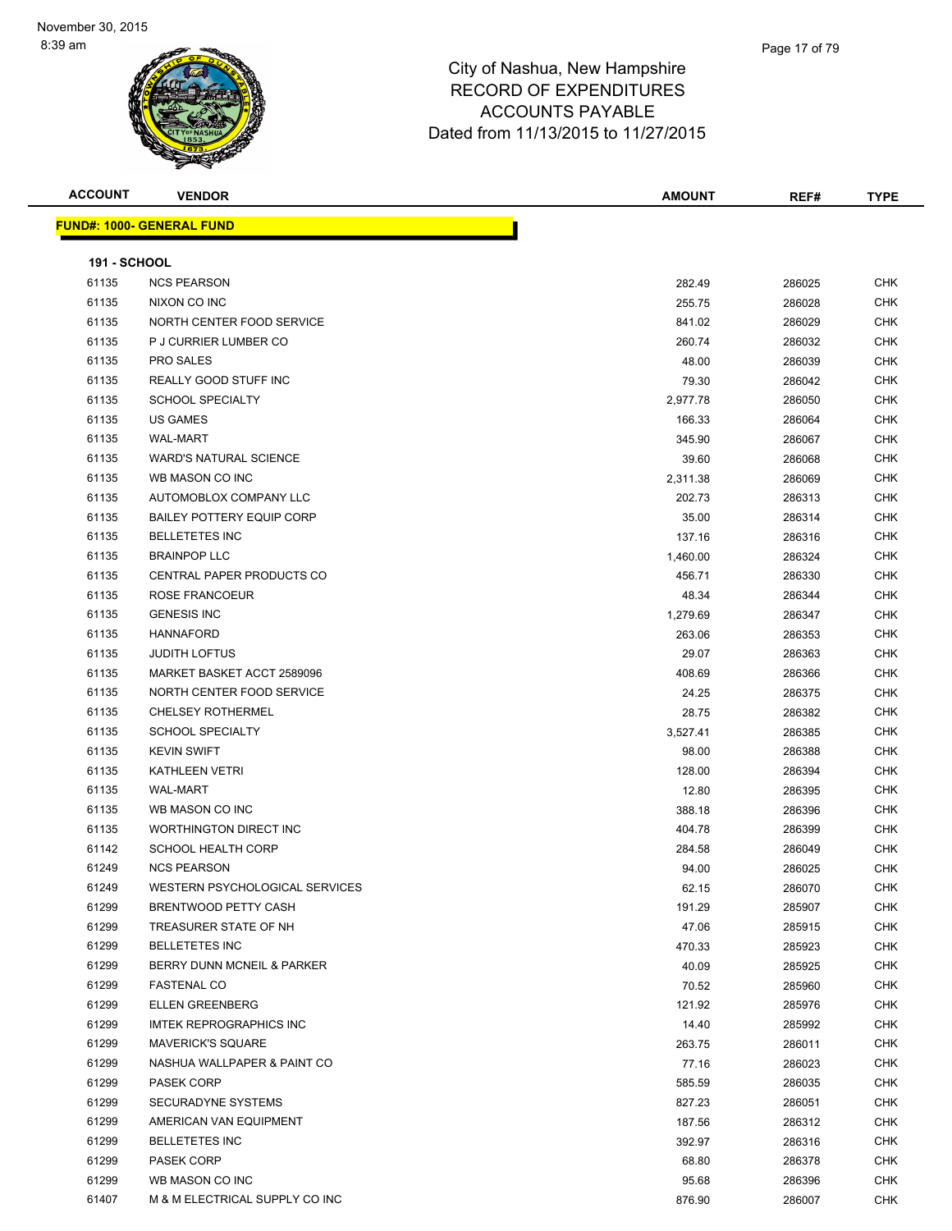| <b>ACCOUNT</b>      | <b>VENDOR</b>                    | <b>AMOUNT</b> | REF#   | <b>TYPE</b> |
|---------------------|----------------------------------|---------------|--------|-------------|
|                     | <b>FUND#: 1000- GENERAL FUND</b> |               |        |             |
|                     |                                  |               |        |             |
| <b>191 - SCHOOL</b> |                                  |               |        |             |
| 61135               | <b>NCS PEARSON</b>               | 282.49        | 286025 | CHK         |
| 61135               | NIXON CO INC                     | 255.75        | 286028 | CHK         |
| 61135               | NORTH CENTER FOOD SERVICE        | 841.02        | 286029 | <b>CHK</b>  |
| 61135               | P J CURRIER LUMBER CO            | 260.74        | 286032 | CHK         |
| 61135               | <b>PRO SALES</b>                 | 48.00         | 286039 | CHK         |
| 61135               | REALLY GOOD STUFF INC            | 79.30         | 286042 | <b>CHK</b>  |
| 61135               | <b>SCHOOL SPECIALTY</b>          | 2,977.78      | 286050 | CHK         |
| 61135               | <b>US GAMES</b>                  | 166.33        | 286064 | <b>CHK</b>  |
| 61135               | <b>WAL-MART</b>                  | 345.90        | 286067 | CHK         |
| 61135               | <b>WARD'S NATURAL SCIENCE</b>    | 39.60         | 286068 | CHK         |
| 61135               | WB MASON CO INC                  | 2,311.38      | 286069 | <b>CHK</b>  |
| 61135               | AUTOMOBLOX COMPANY LLC           | 202.73        | 286313 | CHK         |
| 61135               | <b>BAILEY POTTERY EQUIP CORP</b> | 35.00         | 286314 | CHK         |
| 61135               | <b>BELLETETES INC</b>            | 137.16        | 286316 | CHK         |
| 61135               | <b>BRAINPOP LLC</b>              | 1,460.00      | 286324 | CHK         |
| 61135               | CENTRAL PAPER PRODUCTS CO        | 456.71        | 286330 | CHK         |
| 61135               | ROSE FRANCOEUR                   | 48.34         | 286344 | CHK         |
| 61135               | <b>GENESIS INC</b>               | 1,279.69      | 286347 | CHK         |
| 61135               | <b>HANNAFORD</b>                 | 263.06        | 286353 | <b>CHK</b>  |
| 61135               | <b>JUDITH LOFTUS</b>             | 29.07         | 286363 | CHK         |
| 61135               | MARKET BASKET ACCT 2589096       | 408.69        | 286366 | CHK         |
| 61135               | NORTH CENTER FOOD SERVICE        | 24.25         | 286375 | <b>CHK</b>  |
| 61135               | <b>CHELSEY ROTHERMEL</b>         | 28.75         | 286382 | CHK         |
| 61135               | <b>SCHOOL SPECIALTY</b>          | 3,527.41      | 286385 | <b>CHK</b>  |
| 61135               | <b>KEVIN SWIFT</b>               | 98.00         | 286388 | <b>CHK</b>  |
| 61135               | <b>KATHLEEN VETRI</b>            | 128.00        | 286394 | CHK         |
| 61135               | <b>WAL-MART</b>                  | 12.80         | 286395 | CHK         |
| 61135               | WB MASON CO INC                  | 388.18        | 286396 | CHK         |
| 61135               | WORTHINGTON DIRECT INC           | 404.78        | 286399 | CHK         |
| 61142               | <b>SCHOOL HEALTH CORP</b>        | 284.58        | 286049 | CHK         |
| 61249               | <b>NCS PEARSON</b>               | 94.00         | 286025 | CHK         |
| 61249               | WESTERN PSYCHOLOGICAL SERVICES   | 62.15         | 286070 | <b>CHK</b>  |
| 61299               | <b>BRENTWOOD PETTY CASH</b>      | 191.29        | 285907 | <b>CHK</b>  |
| 61299               | TREASURER STATE OF NH            | 47.06         | 285915 | <b>CHK</b>  |
| 61299               | <b>BELLETETES INC</b>            | 470.33        | 285923 | <b>CHK</b>  |
| 61299               | BERRY DUNN MCNEIL & PARKER       | 40.09         | 285925 | <b>CHK</b>  |
| 61299               | <b>FASTENAL CO</b>               | 70.52         | 285960 | CHK         |
| 61299               | <b>ELLEN GREENBERG</b>           | 121.92        | 285976 | CHK         |
| 61299               | <b>IMTEK REPROGRAPHICS INC</b>   | 14.40         | 285992 | CHK         |
| 61299               | <b>MAVERICK'S SQUARE</b>         | 263.75        | 286011 | CHK         |
| 61299               | NASHUA WALLPAPER & PAINT CO      | 77.16         | 286023 | CHK         |
| 61299               | <b>PASEK CORP</b>                | 585.59        | 286035 | CHK         |
| 61299               | <b>SECURADYNE SYSTEMS</b>        | 827.23        | 286051 | CHK         |
| 61299               | AMERICAN VAN EQUIPMENT           | 187.56        | 286312 | <b>CHK</b>  |
| 61299               | <b>BELLETETES INC</b>            | 392.97        | 286316 | CHK         |
| 61299               | PASEK CORP                       | 68.80         | 286378 | CHK         |
| 61299               | WB MASON CO INC                  | 95.68         | 286396 | <b>CHK</b>  |
| 61407               | M & M ELECTRICAL SUPPLY CO INC   | 876.90        | 286007 | CHK         |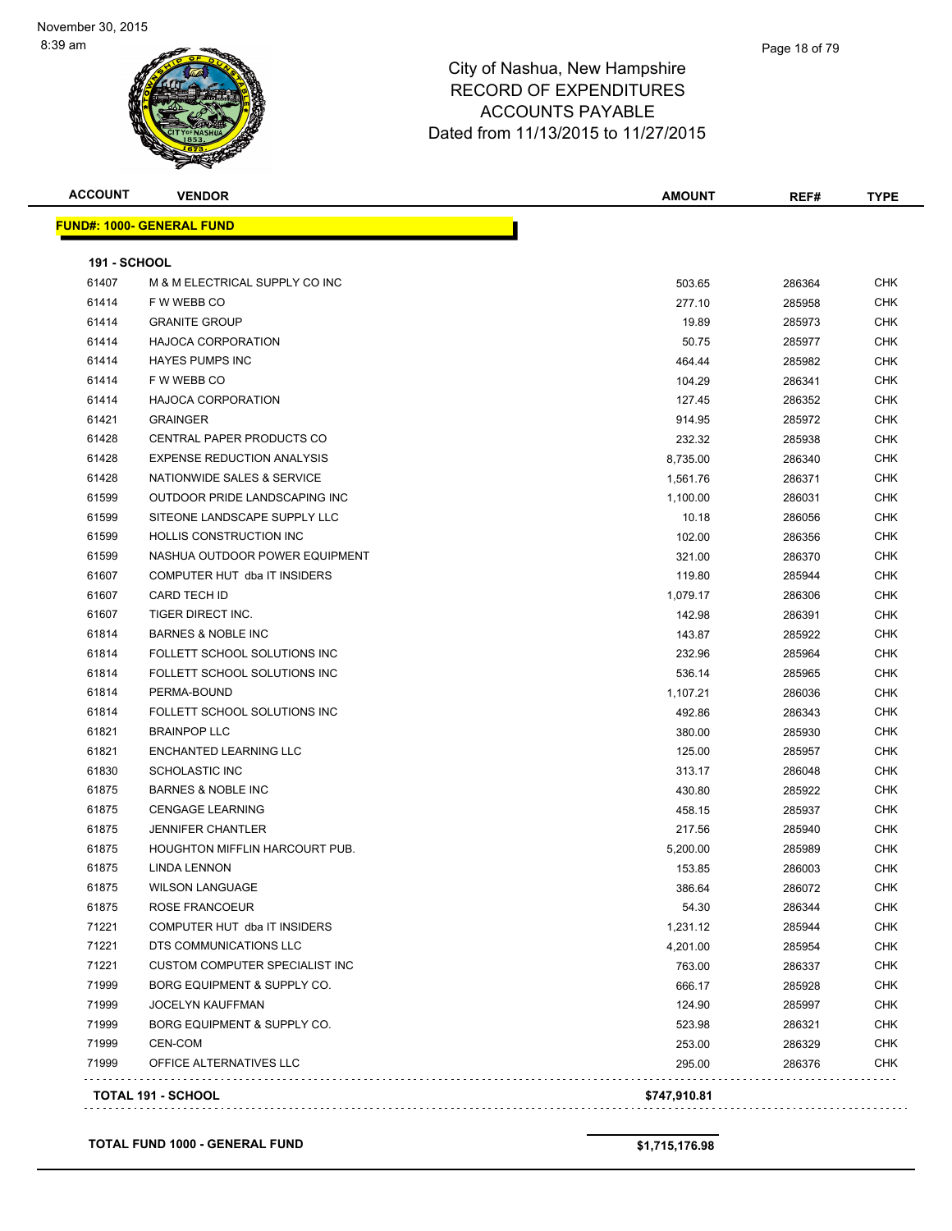| <b>ACCOUNT</b> | <b>VENDOR</b>                         | <b>AMOUNT</b> | REF#   | <b>TYPE</b> |
|----------------|---------------------------------------|---------------|--------|-------------|
|                | <b>FUND#: 1000- GENERAL FUND</b>      |               |        |             |
| 191 - SCHOOL   |                                       |               |        |             |
| 61407          | M & M ELECTRICAL SUPPLY CO INC        | 503.65        | 286364 | <b>CHK</b>  |
| 61414          | F W WEBB CO                           | 277.10        | 285958 | <b>CHK</b>  |
| 61414          | <b>GRANITE GROUP</b>                  | 19.89         | 285973 | CHK         |
| 61414          | <b>HAJOCA CORPORATION</b>             | 50.75         | 285977 | <b>CHK</b>  |
| 61414          | <b>HAYES PUMPS INC</b>                | 464.44        | 285982 | <b>CHK</b>  |
| 61414          | F W WEBB CO                           | 104.29        | 286341 | CHK         |
| 61414          | <b>HAJOCA CORPORATION</b>             | 127.45        | 286352 | <b>CHK</b>  |
| 61421          | <b>GRAINGER</b>                       | 914.95        | 285972 | <b>CHK</b>  |
| 61428          | CENTRAL PAPER PRODUCTS CO             | 232.32        | 285938 | CHK         |
| 61428          | <b>EXPENSE REDUCTION ANALYSIS</b>     | 8,735.00      | 286340 | <b>CHK</b>  |
| 61428          | NATIONWIDE SALES & SERVICE            | 1,561.76      | 286371 | <b>CHK</b>  |
| 61599          | OUTDOOR PRIDE LANDSCAPING INC         | 1,100.00      | 286031 | <b>CHK</b>  |
| 61599          | SITEONE LANDSCAPE SUPPLY LLC          | 10.18         | 286056 | CHK         |
| 61599          | HOLLIS CONSTRUCTION INC               | 102.00        | 286356 | CHK         |
| 61599          | NASHUA OUTDOOR POWER EQUIPMENT        | 321.00        | 286370 | CHK         |
| 61607          | COMPUTER HUT dba IT INSIDERS          | 119.80        | 285944 | CHK         |
| 61607          | <b>CARD TECH ID</b>                   | 1,079.17      | 286306 | CHK         |
| 61607          | TIGER DIRECT INC.                     | 142.98        | 286391 | CHK         |
| 61814          | <b>BARNES &amp; NOBLE INC</b>         | 143.87        | 285922 | <b>CHK</b>  |
| 61814          | FOLLETT SCHOOL SOLUTIONS INC          | 232.96        | 285964 | CHK         |
| 61814          | FOLLETT SCHOOL SOLUTIONS INC          | 536.14        | 285965 | <b>CHK</b>  |
| 61814          | PERMA-BOUND                           | 1,107.21      | 286036 | <b>CHK</b>  |
| 61814          | FOLLETT SCHOOL SOLUTIONS INC          | 492.86        | 286343 | <b>CHK</b>  |
| 61821          | <b>BRAINPOP LLC</b>                   | 380.00        | 285930 | CHK         |
| 61821          | ENCHANTED LEARNING LLC                | 125.00        | 285957 | CHK         |
| 61830          | <b>SCHOLASTIC INC</b>                 | 313.17        | 286048 | CHK         |
| 61875          | <b>BARNES &amp; NOBLE INC</b>         | 430.80        | 285922 | <b>CHK</b>  |
| 61875          | <b>CENGAGE LEARNING</b>               | 458.15        | 285937 | <b>CHK</b>  |
| 61875          | <b>JENNIFER CHANTLER</b>              | 217.56        | 285940 | <b>CHK</b>  |
| 61875          | <b>HOUGHTON MIFFLIN HARCOURT PUB.</b> | 5,200.00      | 285989 | <b>CHK</b>  |
| 61875          | <b>LINDA LENNON</b>                   | 153.85        | 286003 | CHK         |
| 61875          | WILSON LANGUAGE                       | 386.64        | 286072 | <b>CHK</b>  |
| 61875          | ROSE FRANCOEUR                        | 54.30         | 286344 | <b>CHK</b>  |
| 71221          | COMPUTER HUT dba IT INSIDERS          | 1,231.12      | 285944 | <b>CHK</b>  |
| 71221          | DTS COMMUNICATIONS LLC                | 4,201.00      | 285954 | <b>CHK</b>  |
| 71221          | <b>CUSTOM COMPUTER SPECIALIST INC</b> | 763.00        | 286337 | <b>CHK</b>  |
| 71999          | BORG EQUIPMENT & SUPPLY CO.           | 666.17        | 285928 | <b>CHK</b>  |
| 71999          | <b>JOCELYN KAUFFMAN</b>               | 124.90        | 285997 | <b>CHK</b>  |
| 71999          | BORG EQUIPMENT & SUPPLY CO.           | 523.98        | 286321 | <b>CHK</b>  |
| 71999          | <b>CEN-COM</b>                        | 253.00        | 286329 | <b>CHK</b>  |
| 71999          | OFFICE ALTERNATIVES LLC               | 295.00        | 286376 | <b>CHK</b>  |

**TOTAL FUND 1000 - GENERAL FUND \$1,715,176.98**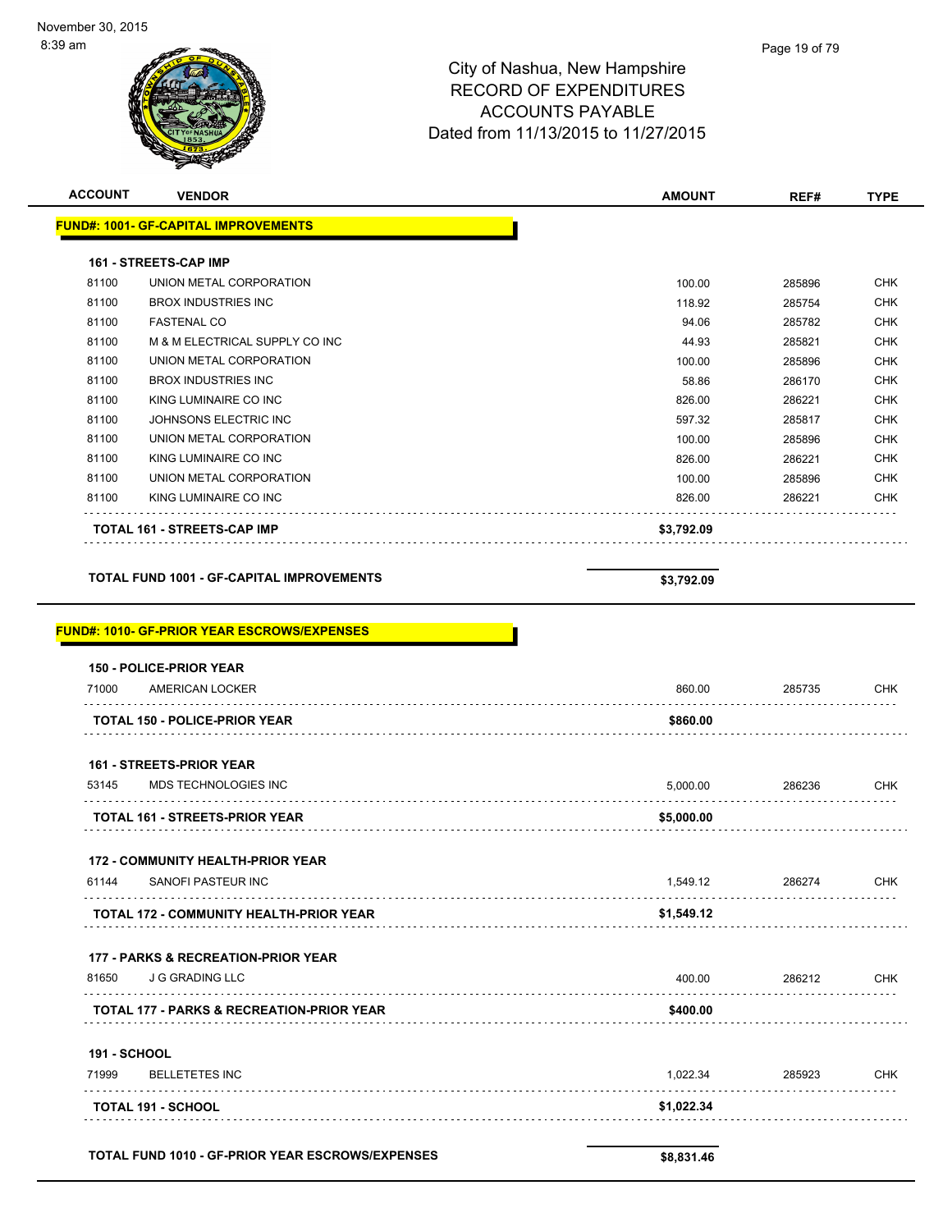

**172 - COMMUNITY HEALTH-PRIOR YEAR**

| 61144 | SANOFI PASTEUR INC                             | .549.12    | 286274 | CHK |
|-------|------------------------------------------------|------------|--------|-----|
|       | <b>TOTAL 172 - COMMUNITY HEALTH-PRIOR YEAR</b> | \$1.549.12 |        |     |
|       |                                                |            |        |     |

#### **177 - PARKS & RECREATION-PRIOR YEAR**

| 81650 | J G GRADING LLC                                      | 400.00   | 286212 | CHK |
|-------|------------------------------------------------------|----------|--------|-----|
|       | <b>TOTAL 177 - PARKS &amp; RECREATION-PRIOR YEAR</b> | \$400.00 |        |     |

**191 - SCHOOL**

| 71999 | BELLETETES INC            | 1.022.34   | 285923 | CHK |
|-------|---------------------------|------------|--------|-----|
|       | <b>TOTAL 191 - SCHOOL</b> | \$1,022.34 |        |     |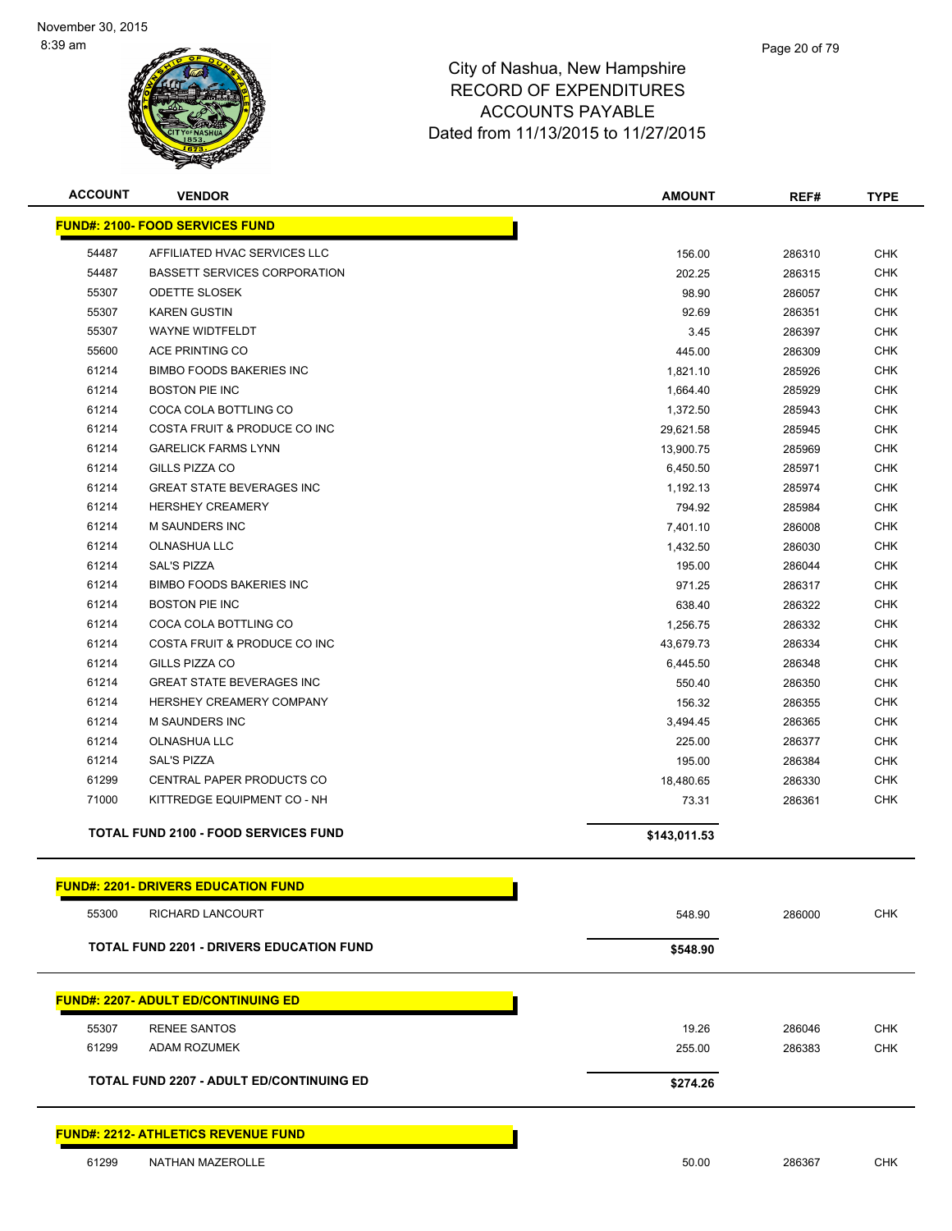

| <b>ACCOUNT</b> | <b>VENDOR</b>                                   | <b>AMOUNT</b> | REF#   | <b>TYPE</b> |
|----------------|-------------------------------------------------|---------------|--------|-------------|
|                | <b>FUND#: 2100- FOOD SERVICES FUND</b>          |               |        |             |
| 54487          | AFFILIATED HVAC SERVICES LLC                    | 156.00        | 286310 | <b>CHK</b>  |
| 54487          | <b>BASSETT SERVICES CORPORATION</b>             | 202.25        | 286315 | <b>CHK</b>  |
| 55307          | <b>ODETTE SLOSEK</b>                            | 98.90         | 286057 | <b>CHK</b>  |
| 55307          | <b>KAREN GUSTIN</b>                             | 92.69         | 286351 | <b>CHK</b>  |
| 55307          | WAYNE WIDTFELDT                                 | 3.45          | 286397 | <b>CHK</b>  |
| 55600          | ACE PRINTING CO                                 | 445.00        | 286309 | <b>CHK</b>  |
| 61214          | <b>BIMBO FOODS BAKERIES INC</b>                 | 1,821.10      | 285926 | <b>CHK</b>  |
| 61214          | <b>BOSTON PIE INC</b>                           | 1,664.40      | 285929 | <b>CHK</b>  |
| 61214          | COCA COLA BOTTLING CO                           | 1,372.50      | 285943 | <b>CHK</b>  |
| 61214          | COSTA FRUIT & PRODUCE CO INC                    | 29,621.58     | 285945 | <b>CHK</b>  |
| 61214          | <b>GARELICK FARMS LYNN</b>                      | 13,900.75     | 285969 | <b>CHK</b>  |
| 61214          | GILLS PIZZA CO                                  | 6,450.50      | 285971 | <b>CHK</b>  |
| 61214          | <b>GREAT STATE BEVERAGES INC</b>                | 1,192.13      | 285974 | <b>CHK</b>  |
| 61214          | <b>HERSHEY CREAMERY</b>                         | 794.92        | 285984 | <b>CHK</b>  |
| 61214          | <b>M SAUNDERS INC</b>                           | 7,401.10      | 286008 | <b>CHK</b>  |
| 61214          | OLNASHUA LLC                                    | 1,432.50      | 286030 | <b>CHK</b>  |
| 61214          | <b>SAL'S PIZZA</b>                              | 195.00        | 286044 | <b>CHK</b>  |
| 61214          | <b>BIMBO FOODS BAKERIES INC</b>                 | 971.25        | 286317 | <b>CHK</b>  |
| 61214          | <b>BOSTON PIE INC</b>                           | 638.40        | 286322 | <b>CHK</b>  |
| 61214          | COCA COLA BOTTLING CO                           | 1,256.75      | 286332 | <b>CHK</b>  |
| 61214          | COSTA FRUIT & PRODUCE CO INC                    | 43,679.73     | 286334 | <b>CHK</b>  |
| 61214          | GILLS PIZZA CO                                  | 6,445.50      | 286348 | <b>CHK</b>  |
| 61214          | <b>GREAT STATE BEVERAGES INC</b>                | 550.40        | 286350 | <b>CHK</b>  |
| 61214          | HERSHEY CREAMERY COMPANY                        | 156.32        | 286355 | <b>CHK</b>  |
| 61214          | <b>M SAUNDERS INC</b>                           | 3,494.45      | 286365 | <b>CHK</b>  |
| 61214          | OLNASHUA LLC                                    | 225.00        | 286377 | <b>CHK</b>  |
| 61214          | <b>SAL'S PIZZA</b>                              | 195.00        | 286384 | <b>CHK</b>  |
| 61299          | CENTRAL PAPER PRODUCTS CO                       | 18,480.65     | 286330 | <b>CHK</b>  |
| 71000          | KITTREDGE EQUIPMENT CO - NH                     | 73.31         | 286361 | <b>CHK</b>  |
|                | <b>TOTAL FUND 2100 - FOOD SERVICES FUND</b>     | \$143,011.53  |        |             |
|                | <b>FUND#: 2201- DRIVERS EDUCATION FUND</b>      |               |        |             |
| 55300          | RICHARD LANCOURT                                | 548.90        | 286000 | <b>CHK</b>  |
|                |                                                 |               |        |             |
|                | <b>TOTAL FUND 2201 - DRIVERS EDUCATION FUND</b> | \$548.90      |        |             |
|                | <b>FUND#: 2207- ADULT ED/CONTINUING ED</b>      |               |        |             |
| 55307          | <b>RENEE SANTOS</b>                             | 19.26         | 286046 | CHK         |
| 61299          | ADAM ROZUMEK                                    | 255.00        | 286383 | <b>CHK</b>  |
|                |                                                 |               |        |             |
|                | TOTAL FUND 2207 - ADULT ED/CONTINUING ED        | \$274.26      |        |             |
|                | <u> FUND#: 2212- ATHLETICS REVENUE FUND</u>     |               |        |             |
| 61299          | NATHAN MAZEROLLE                                | 50.00         | 286367 | <b>CHK</b>  |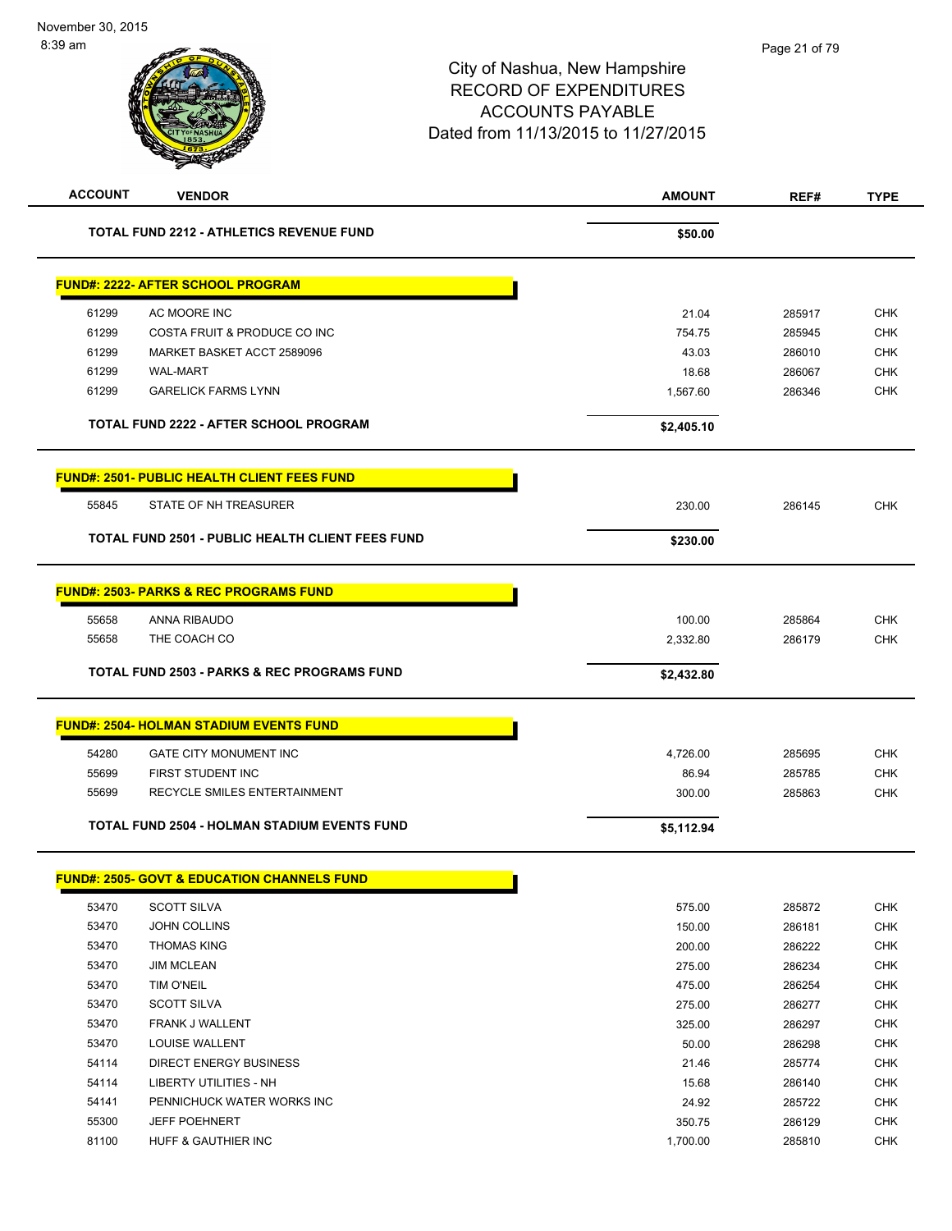| <b>ACCOUNT</b> | <b>VENDOR</b>                                           | <b>AMOUNT</b> | REF#   | <b>TYPE</b> |
|----------------|---------------------------------------------------------|---------------|--------|-------------|
|                | <b>TOTAL FUND 2212 - ATHLETICS REVENUE FUND</b>         | \$50.00       |        |             |
|                | <b>FUND#: 2222- AFTER SCHOOL PROGRAM</b>                |               |        |             |
| 61299          | AC MOORE INC                                            | 21.04         | 285917 | <b>CHK</b>  |
| 61299          | COSTA FRUIT & PRODUCE CO INC                            | 754.75        | 285945 | <b>CHK</b>  |
| 61299          | MARKET BASKET ACCT 2589096                              | 43.03         | 286010 | <b>CHK</b>  |
| 61299          | <b>WAL-MART</b>                                         | 18.68         | 286067 | <b>CHK</b>  |
| 61299          | <b>GARELICK FARMS LYNN</b>                              | 1,567.60      | 286346 | <b>CHK</b>  |
|                | <b>TOTAL FUND 2222 - AFTER SCHOOL PROGRAM</b>           | \$2,405.10    |        |             |
|                | <b>FUND#: 2501- PUBLIC HEALTH CLIENT FEES FUND</b>      |               |        |             |
| 55845          | STATE OF NH TREASURER                                   | 230.00        | 286145 | <b>CHK</b>  |
|                | <b>TOTAL FUND 2501 - PUBLIC HEALTH CLIENT FEES FUND</b> | \$230.00      |        |             |
|                | <b>FUND#: 2503- PARKS &amp; REC PROGRAMS FUND</b>       |               |        |             |
| 55658          | ANNA RIBAUDO                                            | 100.00        | 285864 | <b>CHK</b>  |
| 55658          | THE COACH CO                                            | 2,332.80      | 286179 | <b>CHK</b>  |
|                |                                                         |               |        |             |
|                | <b>TOTAL FUND 2503 - PARKS &amp; REC PROGRAMS FUND</b>  | \$2,432.80    |        |             |
|                | <b>FUND#: 2504- HOLMAN STADIUM EVENTS FUND</b>          |               |        |             |
| 54280          | GATE CITY MONUMENT INC                                  | 4,726.00      | 285695 | <b>CHK</b>  |
| 55699          | FIRST STUDENT INC                                       | 86.94         | 285785 | <b>CHK</b>  |
| 55699          | RECYCLE SMILES ENTERTAINMENT                            | 300.00        | 285863 | <b>CHK</b>  |
|                | <b>TOTAL FUND 2504 - HOLMAN STADIUM EVENTS FUND</b>     | \$5,112.94    |        |             |
|                | <u>FUND#: 2505- GOVT &amp; EDUCATION CHANNELS FUND</u>  |               |        |             |
| 53470          | <b>SCOTT SILVA</b>                                      | 575.00        | 285872 | <b>CHK</b>  |
| 53470          | JOHN COLLINS                                            | 150.00        | 286181 | <b>CHK</b>  |
| 53470          | <b>THOMAS KING</b>                                      | 200.00        | 286222 | <b>CHK</b>  |
| 53470          | <b>JIM MCLEAN</b>                                       | 275.00        | 286234 | <b>CHK</b>  |
| 53470          | TIM O'NEIL                                              | 475.00        | 286254 | <b>CHK</b>  |
| 53470          | <b>SCOTT SILVA</b>                                      | 275.00        | 286277 | <b>CHK</b>  |
| 53470          | FRANK J WALLENT                                         | 325.00        | 286297 | <b>CHK</b>  |
| 53470          | LOUISE WALLENT                                          | 50.00         | 286298 | <b>CHK</b>  |
| 54114          | <b>DIRECT ENERGY BUSINESS</b>                           | 21.46         | 285774 | <b>CHK</b>  |
| 54114          | LIBERTY UTILITIES - NH                                  | 15.68         | 286140 | <b>CHK</b>  |
| 54141          | PENNICHUCK WATER WORKS INC                              | 24.92         | 285722 | <b>CHK</b>  |
| 55300          | <b>JEFF POEHNERT</b>                                    | 350.75        | 286129 | <b>CHK</b>  |
| 81100          | HUFF & GAUTHIER INC                                     | 1,700.00      | 285810 | <b>CHK</b>  |
|                |                                                         |               |        |             |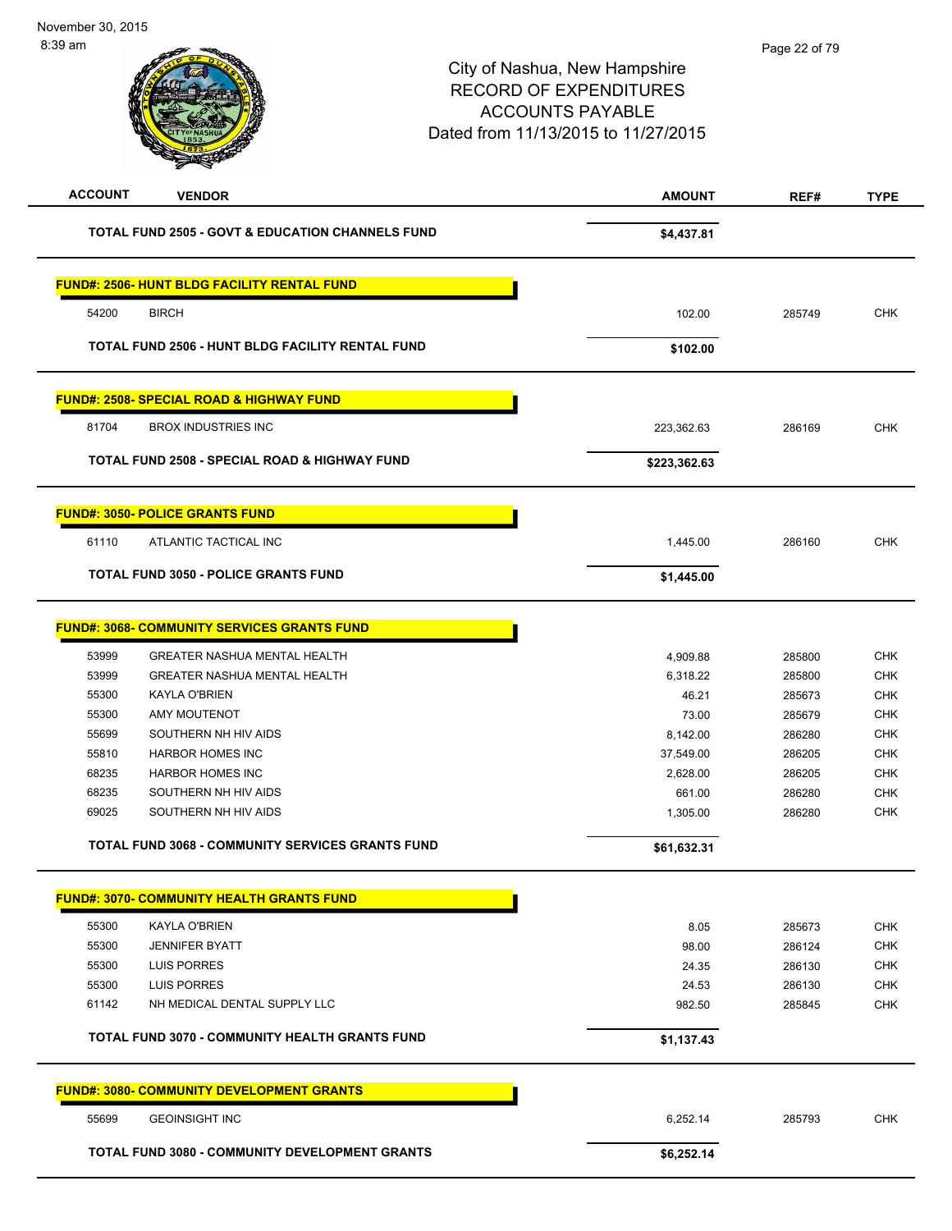| <b>ACCOUNT</b> | <b>VENDOR</b>                                               | <b>AMOUNT</b> | REF#   | <b>TYPE</b> |
|----------------|-------------------------------------------------------------|---------------|--------|-------------|
|                | <b>TOTAL FUND 2505 - GOVT &amp; EDUCATION CHANNELS FUND</b> | \$4,437.81    |        |             |
|                | <b>FUND#: 2506- HUNT BLDG FACILITY RENTAL FUND</b>          |               |        |             |
|                |                                                             |               |        |             |
| 54200          | <b>BIRCH</b>                                                | 102.00        | 285749 | <b>CHK</b>  |
|                | TOTAL FUND 2506 - HUNT BLDG FACILITY RENTAL FUND            | \$102.00      |        |             |
|                | <b>FUND#: 2508- SPECIAL ROAD &amp; HIGHWAY FUND</b>         |               |        |             |
| 81704          | <b>BROX INDUSTRIES INC</b>                                  | 223,362.63    | 286169 | <b>CHK</b>  |
|                | <b>TOTAL FUND 2508 - SPECIAL ROAD &amp; HIGHWAY FUND</b>    | \$223,362.63  |        |             |
|                | <b>FUND#: 3050- POLICE GRANTS FUND</b>                      |               |        |             |
| 61110          | ATLANTIC TACTICAL INC                                       | 1,445.00      | 286160 | <b>CHK</b>  |
|                | <b>TOTAL FUND 3050 - POLICE GRANTS FUND</b>                 | \$1,445.00    |        |             |
|                | <b>FUND#: 3068- COMMUNITY SERVICES GRANTS FUND</b>          |               |        |             |
| 53999          | <b>GREATER NASHUA MENTAL HEALTH</b>                         | 4,909.88      | 285800 | <b>CHK</b>  |
| 53999          | <b>GREATER NASHUA MENTAL HEALTH</b>                         | 6,318.22      | 285800 | <b>CHK</b>  |
| 55300          | <b>KAYLA O'BRIEN</b>                                        | 46.21         | 285673 | <b>CHK</b>  |
| 55300          | AMY MOUTENOT                                                | 73.00         | 285679 | <b>CHK</b>  |
| 55699          | SOUTHERN NH HIV AIDS                                        | 8,142.00      | 286280 | <b>CHK</b>  |
| 55810          | <b>HARBOR HOMES INC</b>                                     | 37,549.00     | 286205 | <b>CHK</b>  |
| 68235          | <b>HARBOR HOMES INC</b>                                     | 2,628.00      | 286205 | <b>CHK</b>  |
| 68235          | SOUTHERN NH HIV AIDS                                        | 661.00        | 286280 | <b>CHK</b>  |
| 69025          | SOUTHERN NH HIV AIDS                                        | 1,305.00      | 286280 | <b>CHK</b>  |
|                | <b>TOTAL FUND 3068 - COMMUNITY SERVICES GRANTS FUND</b>     | \$61,632.31   |        |             |
|                | <b>FUND#: 3070- COMMUNITY HEALTH GRANTS FUND</b>            |               |        |             |
| 55300          | <b>KAYLA O'BRIEN</b>                                        | 8.05          | 285673 | <b>CHK</b>  |
| 55300          | <b>JENNIFER BYATT</b>                                       | 98.00         | 286124 | <b>CHK</b>  |
| 55300          | <b>LUIS PORRES</b>                                          | 24.35         | 286130 | <b>CHK</b>  |
| 55300          | <b>LUIS PORRES</b>                                          | 24.53         | 286130 | <b>CHK</b>  |
| 61142          | NH MEDICAL DENTAL SUPPLY LLC                                | 982.50        | 285845 | <b>CHK</b>  |
|                | <b>TOTAL FUND 3070 - COMMUNITY HEALTH GRANTS FUND</b>       | \$1,137.43    |        |             |
|                | <b>FUND#: 3080- COMMUNITY DEVELOPMENT GRANTS</b>            |               |        |             |
| 55699          | <b>GEOINSIGHT INC</b>                                       | 6,252.14      | 285793 | <b>CHK</b>  |
|                | <b>TOTAL FUND 3080 - COMMUNITY DEVELOPMENT GRANTS</b>       | \$6,252.14    |        |             |
|                |                                                             |               |        |             |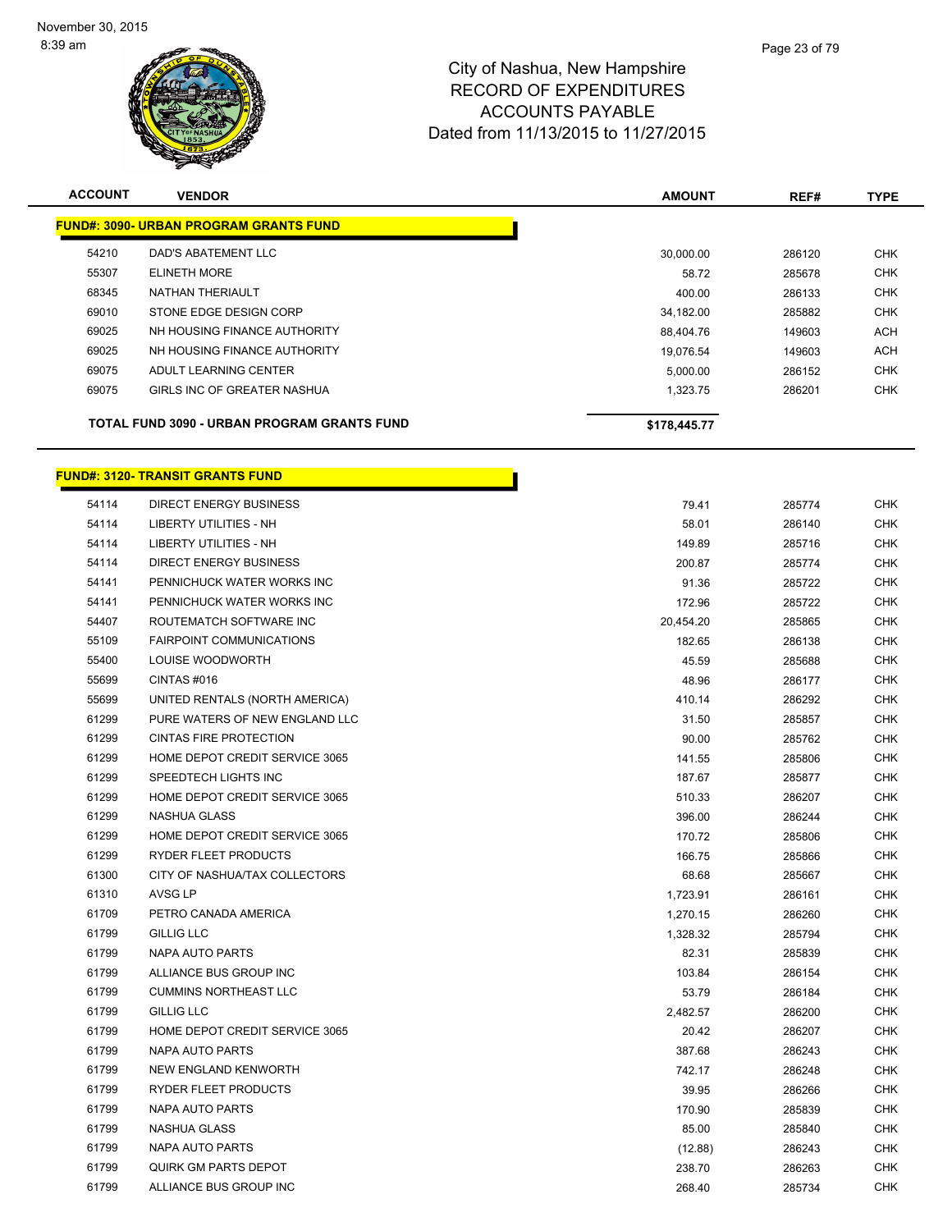

| <b>ACCOUNT</b>                              | <b>VENDOR</b>                                 | <b>AMOUNT</b> | REF#   | <b>TYPE</b> |
|---------------------------------------------|-----------------------------------------------|---------------|--------|-------------|
|                                             | <b>FUND#: 3090- URBAN PROGRAM GRANTS FUND</b> |               |        |             |
| 54210                                       | DAD'S ABATEMENT LLC                           | 30.000.00     | 286120 | <b>CHK</b>  |
| 55307                                       | <b>ELINETH MORE</b>                           | 58.72         | 285678 | <b>CHK</b>  |
| 68345                                       | NATHAN THERIAULT                              | 400.00        | 286133 | <b>CHK</b>  |
| 69010                                       | STONE EDGE DESIGN CORP                        | 34.182.00     | 285882 | <b>CHK</b>  |
| 69025                                       | NH HOUSING FINANCE AUTHORITY                  | 88.404.76     | 149603 | <b>ACH</b>  |
| 69025                                       | NH HOUSING FINANCE AUTHORITY                  | 19.076.54     | 149603 | <b>ACH</b>  |
| 69075                                       | ADULT LEARNING CENTER                         | 5,000.00      | 286152 | <b>CHK</b>  |
| 69075                                       | GIRLS INC OF GREATER NASHUA                   | 1,323.75      | 286201 | <b>CHK</b>  |
| TOTAL FUND 3090 - URBAN PROGRAM GRANTS FUND |                                               | \$178,445.77  |        |             |

г

| 54114 | <b>DIRECT ENERGY BUSINESS</b>   | 79.41     | 285774 | <b>CHK</b> |
|-------|---------------------------------|-----------|--------|------------|
| 54114 | <b>LIBERTY UTILITIES - NH</b>   | 58.01     | 286140 | <b>CHK</b> |
| 54114 | <b>LIBERTY UTILITIES - NH</b>   | 149.89    | 285716 | <b>CHK</b> |
| 54114 | <b>DIRECT ENERGY BUSINESS</b>   | 200.87    | 285774 | CHK        |
| 54141 | PENNICHUCK WATER WORKS INC      | 91.36     | 285722 | CHK        |
| 54141 | PENNICHUCK WATER WORKS INC      | 172.96    | 285722 | <b>CHK</b> |
| 54407 | ROUTEMATCH SOFTWARE INC         | 20,454.20 | 285865 | <b>CHK</b> |
| 55109 | <b>FAIRPOINT COMMUNICATIONS</b> | 182.65    | 286138 | <b>CHK</b> |
| 55400 | LOUISE WOODWORTH                | 45.59     | 285688 | CHK        |
| 55699 | CINTAS#016                      | 48.96     | 286177 | <b>CHK</b> |
| 55699 | UNITED RENTALS (NORTH AMERICA)  | 410.14    | 286292 | <b>CHK</b> |
| 61299 | PURE WATERS OF NEW ENGLAND LLC  | 31.50     | 285857 | <b>CHK</b> |
| 61299 | <b>CINTAS FIRE PROTECTION</b>   | 90.00     | 285762 | <b>CHK</b> |
| 61299 | HOME DEPOT CREDIT SERVICE 3065  | 141.55    | 285806 | <b>CHK</b> |
| 61299 | SPEEDTECH LIGHTS INC            | 187.67    | 285877 | <b>CHK</b> |
| 61299 | HOME DEPOT CREDIT SERVICE 3065  | 510.33    | 286207 | <b>CHK</b> |
| 61299 | <b>NASHUA GLASS</b>             | 396.00    | 286244 | <b>CHK</b> |
| 61299 | HOME DEPOT CREDIT SERVICE 3065  | 170.72    | 285806 | <b>CHK</b> |
| 61299 | <b>RYDER FLEET PRODUCTS</b>     | 166.75    | 285866 | <b>CHK</b> |
| 61300 | CITY OF NASHUA/TAX COLLECTORS   | 68.68     | 285667 | <b>CHK</b> |
| 61310 | AVSG LP                         | 1,723.91  | 286161 | CHK        |
| 61709 | PETRO CANADA AMERICA            | 1,270.15  | 286260 | CHK        |
| 61799 | <b>GILLIG LLC</b>               | 1,328.32  | 285794 | <b>CHK</b> |
| 61799 | <b>NAPA AUTO PARTS</b>          | 82.31     | 285839 | <b>CHK</b> |
| 61799 | ALLIANCE BUS GROUP INC          | 103.84    | 286154 | <b>CHK</b> |
| 61799 | <b>CUMMINS NORTHEAST LLC</b>    | 53.79     | 286184 | <b>CHK</b> |
| 61799 | <b>GILLIG LLC</b>               | 2,482.57  | 286200 | CHK        |
| 61799 | HOME DEPOT CREDIT SERVICE 3065  | 20.42     | 286207 | <b>CHK</b> |
| 61799 | <b>NAPA AUTO PARTS</b>          | 387.68    | 286243 | <b>CHK</b> |
| 61799 | NEW ENGLAND KENWORTH            | 742.17    | 286248 | <b>CHK</b> |
| 61799 | RYDER FLEET PRODUCTS            | 39.95     | 286266 | <b>CHK</b> |
| 61799 | NAPA AUTO PARTS                 | 170.90    | 285839 | CHK        |
| 61799 | NASHUA GLASS                    | 85.00     | 285840 | CHK        |
| 61799 | <b>NAPA AUTO PARTS</b>          | (12.88)   | 286243 | CHK        |
| 61799 | <b>QUIRK GM PARTS DEPOT</b>     | 238.70    | 286263 | <b>CHK</b> |
| 61799 | ALLIANCE BUS GROUP INC          | 268.40    | 285734 | CHK        |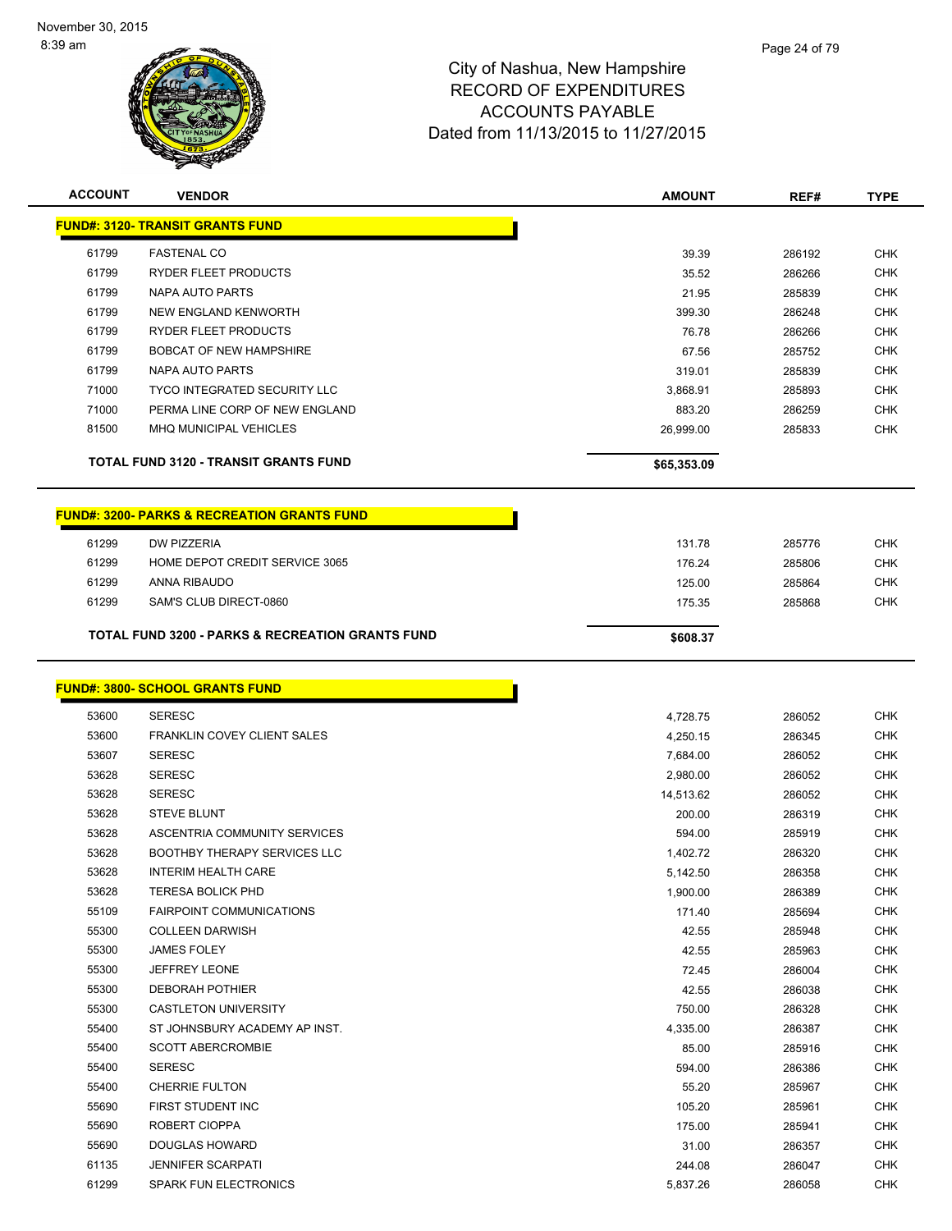

| <b>ACCOUNT</b> | <b>VENDOR</b>                                               | <b>AMOUNT</b> | REF#   | <b>TYPE</b> |
|----------------|-------------------------------------------------------------|---------------|--------|-------------|
|                | <b>FUND#: 3120- TRANSIT GRANTS FUND</b>                     |               |        |             |
| 61799          | <b>FASTENAL CO</b>                                          | 39.39         | 286192 | <b>CHK</b>  |
| 61799          | <b>RYDER FLEET PRODUCTS</b>                                 | 35.52         | 286266 | <b>CHK</b>  |
| 61799          | NAPA AUTO PARTS                                             | 21.95         | 285839 | <b>CHK</b>  |
| 61799          | NEW ENGLAND KENWORTH                                        | 399.30        | 286248 | <b>CHK</b>  |
| 61799          | <b>RYDER FLEET PRODUCTS</b>                                 | 76.78         | 286266 | <b>CHK</b>  |
| 61799          | <b>BOBCAT OF NEW HAMPSHIRE</b>                              | 67.56         | 285752 | <b>CHK</b>  |
| 61799          | NAPA AUTO PARTS                                             | 319.01        | 285839 | <b>CHK</b>  |
| 71000          | <b>TYCO INTEGRATED SECURITY LLC</b>                         | 3,868.91      | 285893 | <b>CHK</b>  |
| 71000          | PERMA LINE CORP OF NEW ENGLAND                              | 883.20        | 286259 | <b>CHK</b>  |
| 81500          | MHQ MUNICIPAL VEHICLES                                      | 26,999.00     | 285833 | <b>CHK</b>  |
|                | <b>TOTAL FUND 3120 - TRANSIT GRANTS FUND</b>                | \$65,353.09   |        |             |
|                | <b>FUND#: 3200- PARKS &amp; RECREATION GRANTS FUND</b>      |               |        |             |
| 61299          | <b>DW PIZZERIA</b>                                          | 131.78        | 285776 | <b>CHK</b>  |
| 61299          | HOME DEPOT CREDIT SERVICE 3065                              | 176.24        | 285806 | <b>CHK</b>  |
| 61299          | ANNA RIBAUDO                                                | 125.00        | 285864 | <b>CHK</b>  |
| 61299          | SAM'S CLUB DIRECT-0860                                      | 175.35        | 285868 | <b>CHK</b>  |
|                | <b>TOTAL FUND 3200 - PARKS &amp; RECREATION GRANTS FUND</b> | \$608.37      |        |             |

#### **FUND#: 3800- SCHOOL GRANTS FUND**

| 53600 | <b>SERESC</b>                       | 4,728.75  |
|-------|-------------------------------------|-----------|
| 53600 | <b>FRANKLIN COVEY CLIENT SALES</b>  | 4,250.15  |
| 53607 | <b>SERESC</b>                       | 7,684.00  |
| 53628 | <b>SERESC</b>                       | 2,980.00  |
| 53628 | <b>SERESC</b>                       | 14,513.62 |
| 53628 | <b>STEVE BLUNT</b>                  | 200.00    |
| 53628 | ASCENTRIA COMMUNITY SERVICES        | 594.00    |
| 53628 | <b>BOOTHBY THERAPY SERVICES LLC</b> | 1,402.72  |
| 53628 | <b>INTERIM HEALTH CARE</b>          | 5,142.50  |
| 53628 | <b>TERESA BOLICK PHD</b>            | 1,900.00  |
| 55109 | <b>FAIRPOINT COMMUNICATIONS</b>     | 171.40    |
| 55300 | <b>COLLEEN DARWISH</b>              | 42.55     |
| 55300 | <b>JAMES FOLEY</b>                  | 42.55     |
| 55300 | JEFFREY LEONE                       | 72.45     |
| 55300 | <b>DEBORAH POTHIER</b>              | 42.55     |
| 55300 | <b>CASTLETON UNIVERSITY</b>         | 750.00    |
| 55400 | ST JOHNSBURY ACADEMY AP INST.       | 4,335.00  |
| 55400 | <b>SCOTT ABERCROMBIE</b>            | 85.00     |
| 55400 | <b>SERESC</b>                       | 594.00    |
| 55400 | <b>CHERRIE FULTON</b>               | 55.20     |
| 55690 | <b>FIRST STUDENT INC</b>            | 105.20    |
| 55690 | <b>ROBERT CIOPPA</b>                | 175.00    |
| 55690 | <b>DOUGLAS HOWARD</b>               | 31.00     |
| 61135 | <b>JENNIFER SCARPATI</b>            | 244.08    |
| 61299 | <b>SPARK FUN ELECTRONICS</b>        | 5,837.26  |
|       |                                     |           |

n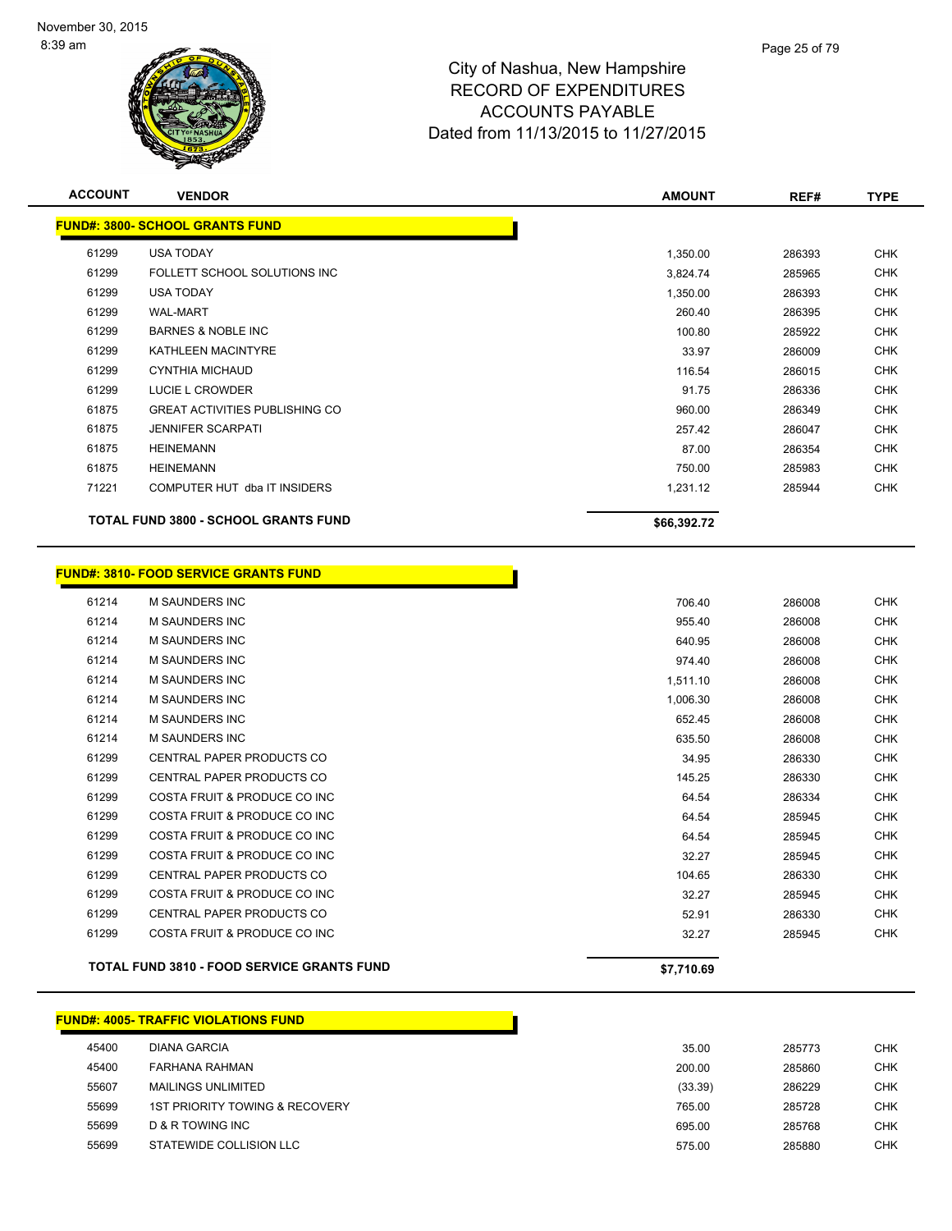

| <b>FUND#: 3800- SCHOOL GRANTS FUND</b><br>61299<br><b>USA TODAY</b> |                                             | 1,350.00    |        |            |
|---------------------------------------------------------------------|---------------------------------------------|-------------|--------|------------|
|                                                                     |                                             |             |        |            |
|                                                                     |                                             |             | 286393 | <b>CHK</b> |
| 61299                                                               | FOLLETT SCHOOL SOLUTIONS INC                | 3,824.74    | 285965 | CHK        |
| 61299<br><b>USA TODAY</b>                                           |                                             | 1,350.00    | 286393 | <b>CHK</b> |
| 61299<br><b>WAL-MART</b>                                            |                                             | 260.40      | 286395 | <b>CHK</b> |
| 61299                                                               | <b>BARNES &amp; NOBLE INC</b>               | 100.80      | 285922 | <b>CHK</b> |
| 61299                                                               | KATHLEEN MACINTYRE                          | 33.97       | 286009 | <b>CHK</b> |
| 61299                                                               | <b>CYNTHIA MICHAUD</b>                      | 116.54      | 286015 | <b>CHK</b> |
| 61299                                                               | LUCIE L CROWDER                             | 91.75       | 286336 | <b>CHK</b> |
| 61875                                                               | <b>GREAT ACTIVITIES PUBLISHING CO</b>       | 960.00      | 286349 | <b>CHK</b> |
| 61875                                                               | <b>JENNIFER SCARPATI</b>                    | 257.42      | 286047 | <b>CHK</b> |
| <b>HEINEMANN</b><br>61875                                           |                                             | 87.00       | 286354 | <b>CHK</b> |
| 61875<br><b>HEINEMANN</b>                                           |                                             | 750.00      | 285983 | <b>CHK</b> |
| 71221                                                               | COMPUTER HUT dba IT INSIDERS                | 1,231.12    | 285944 | <b>CHK</b> |
|                                                                     | <b>TOTAL FUND 3800 - SCHOOL GRANTS FUND</b> | \$66,392.72 |        |            |

#### **FUND#: 3810- FOOD SERVICE GRANTS FUND**

|       | <b>TOTAL FUND 3810 - FOOD SERVICE GRANTS FUND</b> | \$7,710.69 |        |            |
|-------|---------------------------------------------------|------------|--------|------------|
| 61299 | COSTA FRUIT & PRODUCE CO INC                      | 32.27      | 285945 | <b>CHK</b> |
| 61299 | CENTRAL PAPER PRODUCTS CO                         | 52.91      | 286330 | <b>CHK</b> |
| 61299 | COSTA FRUIT & PRODUCE CO INC                      | 32.27      | 285945 | <b>CHK</b> |
| 61299 | <b>CENTRAL PAPER PRODUCTS CO</b>                  | 104.65     | 286330 | <b>CHK</b> |
| 61299 | COSTA FRUIT & PRODUCE CO INC                      | 32.27      | 285945 | <b>CHK</b> |
| 61299 | COSTA FRUIT & PRODUCE CO INC                      | 64.54      | 285945 | <b>CHK</b> |
| 61299 | COSTA FRUIT & PRODUCE CO INC                      | 64.54      | 285945 | <b>CHK</b> |
| 61299 | COSTA FRUIT & PRODUCE CO INC                      | 64.54      | 286334 | <b>CHK</b> |
| 61299 | CENTRAL PAPER PRODUCTS CO                         | 145.25     | 286330 | <b>CHK</b> |
| 61299 | <b>CENTRAL PAPER PRODUCTS CO</b>                  | 34.95      | 286330 | <b>CHK</b> |
| 61214 | <b>M SAUNDERS INC</b>                             | 635.50     | 286008 | <b>CHK</b> |
| 61214 | <b>M SAUNDERS INC</b>                             | 652.45     | 286008 | <b>CHK</b> |
| 61214 | <b>M SAUNDERS INC</b>                             | 1.006.30   | 286008 | <b>CHK</b> |
| 61214 | <b>M SAUNDERS INC</b>                             | 1,511.10   | 286008 | <b>CHK</b> |
| 61214 | <b>M SAUNDERS INC</b>                             | 974.40     | 286008 | <b>CHK</b> |
| 61214 | <b>M SAUNDERS INC</b>                             | 640.95     | 286008 | <b>CHK</b> |
| 61214 | <b>M SAUNDERS INC</b>                             | 955.40     | 286008 | <b>CHK</b> |
| 61214 | <b>M SAUNDERS INC</b>                             | 706.40     | 286008 | <b>CHK</b> |

#### **FUND#: 4005- TRAFFIC VIOLATIONS FUND** DIANA GARCIA 35.00 285773 CHK FARHANA RAHMAN 200.00 285860 CHK MAILINGS UNLIMITED (33.39) 286229 CHK 1ST PRIORITY TOWING & RECOVERY 765.00 285728 CHK D & R TOWING INC 695.00 285768 CHK STATEWIDE COLLISION LLC 575.00 285880 CHK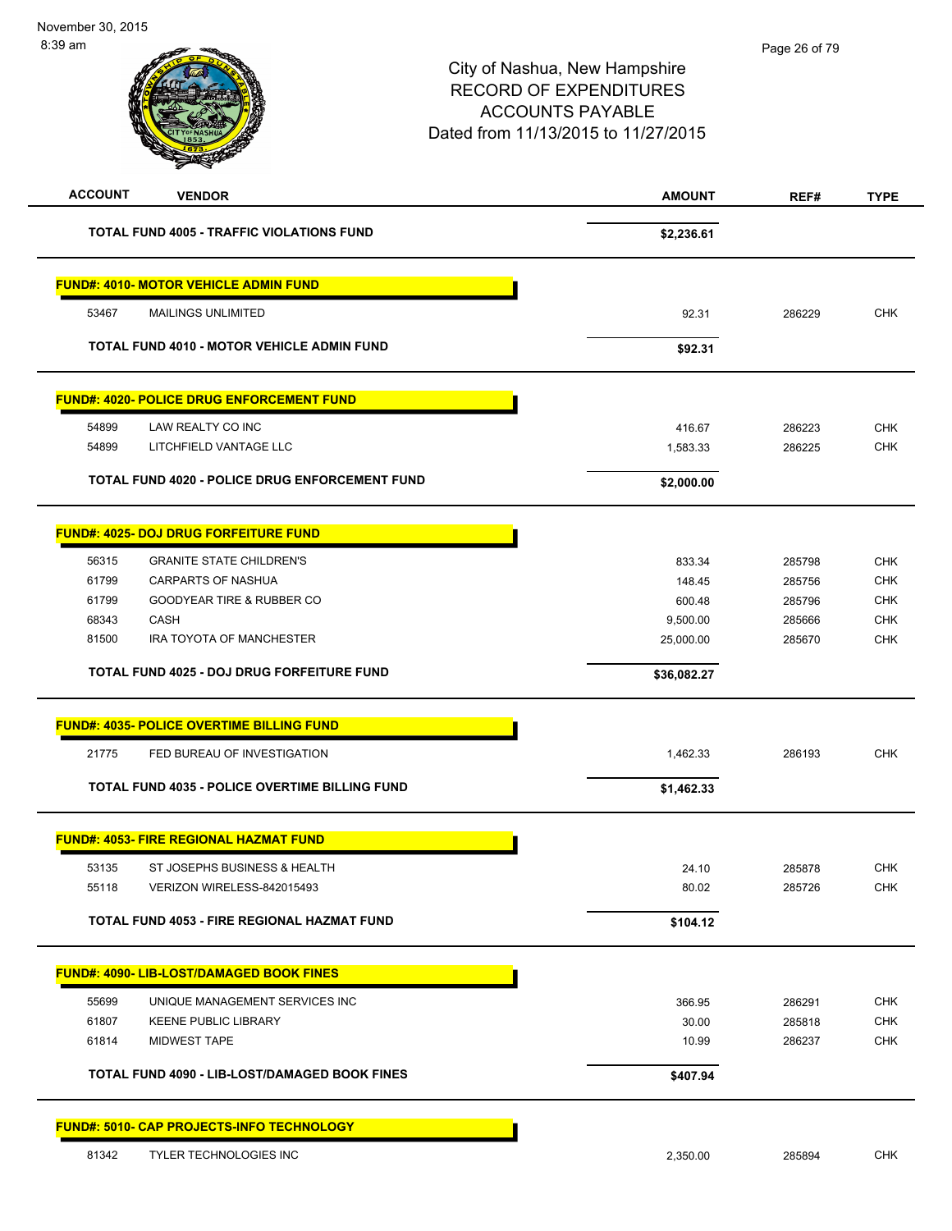| <b>ACCOUNT</b> | <b>VENDOR</b>                                         | <b>AMOUNT</b> | REF#   | <b>TYPE</b> |
|----------------|-------------------------------------------------------|---------------|--------|-------------|
|                | <b>TOTAL FUND 4005 - TRAFFIC VIOLATIONS FUND</b>      | \$2,236.61    |        |             |
|                | <b>FUND#: 4010- MOTOR VEHICLE ADMIN FUND</b>          |               |        |             |
| 53467          | <b>MAILINGS UNLIMITED</b>                             | 92.31         | 286229 | <b>CHK</b>  |
|                | <b>TOTAL FUND 4010 - MOTOR VEHICLE ADMIN FUND</b>     | \$92.31       |        |             |
|                | <b>FUND#: 4020- POLICE DRUG ENFORCEMENT FUND</b>      |               |        |             |
| 54899          | LAW REALTY CO INC                                     | 416.67        | 286223 | <b>CHK</b>  |
| 54899          | LITCHFIELD VANTAGE LLC                                | 1,583.33      | 286225 | <b>CHK</b>  |
|                | TOTAL FUND 4020 - POLICE DRUG ENFORCEMENT FUND        | \$2,000.00    |        |             |
|                | <b>FUND#: 4025- DOJ DRUG FORFEITURE FUND</b>          |               |        |             |
| 56315          | <b>GRANITE STATE CHILDREN'S</b>                       | 833.34        | 285798 | <b>CHK</b>  |
| 61799          | CARPARTS OF NASHUA                                    | 148.45        | 285756 | <b>CHK</b>  |
| 61799          | <b>GOODYEAR TIRE &amp; RUBBER CO</b>                  | 600.48        | 285796 | <b>CHK</b>  |
| 68343          | CASH                                                  | 9,500.00      | 285666 | <b>CHK</b>  |
| 81500          | IRA TOYOTA OF MANCHESTER                              | 25,000.00     | 285670 | <b>CHK</b>  |
|                | TOTAL FUND 4025 - DOJ DRUG FORFEITURE FUND            | \$36,082.27   |        |             |
|                | <b>FUND#: 4035- POLICE OVERTIME BILLING FUND</b>      |               |        |             |
| 21775          | FED BUREAU OF INVESTIGATION                           | 1,462.33      | 286193 | <b>CHK</b>  |
|                | <b>TOTAL FUND 4035 - POLICE OVERTIME BILLING FUND</b> | \$1,462.33    |        |             |
|                | <u>FUND#: 4053- FIRE REGIONAL HAZMAT FUND</u>         |               |        |             |
| 53135          | ST JOSEPHS BUSINESS & HEALTH                          | 24.10         | 285878 | <b>CHK</b>  |
| 55118          | VERIZON WIRELESS-842015493                            | 80.02         | 285726 | <b>CHK</b>  |
|                | TOTAL FUND 4053 - FIRE REGIONAL HAZMAT FUND           | \$104.12      |        |             |
|                | <b>FUND#: 4090- LIB-LOST/DAMAGED BOOK FINES</b>       |               |        |             |
| 55699          | UNIQUE MANAGEMENT SERVICES INC                        | 366.95        | 286291 | <b>CHK</b>  |
| 61807          | <b>KEENE PUBLIC LIBRARY</b>                           | 30.00         | 285818 | <b>CHK</b>  |
| 61814          | <b>MIDWEST TAPE</b>                                   | 10.99         | 286237 | <b>CHK</b>  |
|                | TOTAL FUND 4090 - LIB-LOST/DAMAGED BOOK FINES         | \$407.94      |        |             |
|                | <b>FUND#: 5010- CAP PROJECTS-INFO TECHNOLOGY</b>      |               |        |             |
| 81342          | TYLER TECHNOLOGIES INC                                | 2,350.00      | 285894 | <b>CHK</b>  |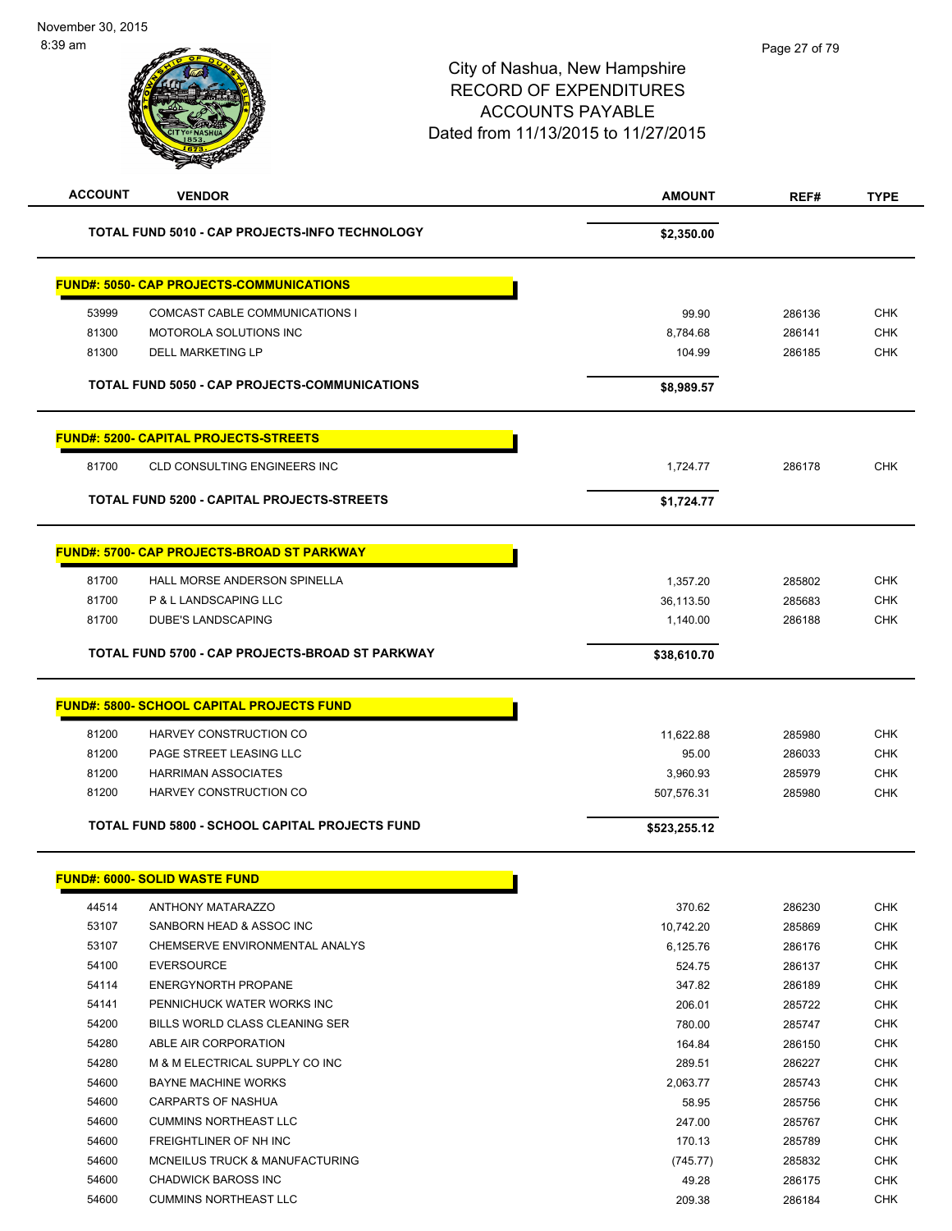| <b>ACCOUNT</b> | <b>VENDOR</b>                                         | <b>AMOUNT</b>         | REF#             | <b>TYPE</b>              |
|----------------|-------------------------------------------------------|-----------------------|------------------|--------------------------|
|                | TOTAL FUND 5010 - CAP PROJECTS-INFO TECHNOLOGY        | \$2,350.00            |                  |                          |
|                | <b>FUND#: 5050- CAP PROJECTS-COMMUNICATIONS</b>       |                       |                  |                          |
| 53999          | COMCAST CABLE COMMUNICATIONS I                        | 99.90                 | 286136           | <b>CHK</b>               |
| 81300          | MOTOROLA SOLUTIONS INC                                | 8,784.68              | 286141           | <b>CHK</b>               |
| 81300          | <b>DELL MARKETING LP</b>                              | 104.99                | 286185           | <b>CHK</b>               |
|                | <b>TOTAL FUND 5050 - CAP PROJECTS-COMMUNICATIONS</b>  | \$8,989.57            |                  |                          |
|                | <b>FUND#: 5200- CAPITAL PROJECTS-STREETS</b>          |                       |                  |                          |
| 81700          | <b>CLD CONSULTING ENGINEERS INC</b>                   | 1,724.77              | 286178           | <b>CHK</b>               |
|                | TOTAL FUND 5200 - CAPITAL PROJECTS-STREETS            | \$1,724.77            |                  |                          |
|                | <b>FUND#: 5700- CAP PROJECTS-BROAD ST PARKWAY</b>     |                       |                  |                          |
| 81700          |                                                       |                       |                  |                          |
| 81700          | HALL MORSE ANDERSON SPINELLA<br>P & L LANDSCAPING LLC | 1,357.20              | 285802<br>285683 | <b>CHK</b><br><b>CHK</b> |
| 81700          | <b>DUBE'S LANDSCAPING</b>                             | 36,113.50<br>1,140.00 | 286188           | <b>CHK</b>               |
|                |                                                       |                       |                  |                          |
|                | TOTAL FUND 5700 - CAP PROJECTS-BROAD ST PARKWAY       | \$38,610.70           |                  |                          |
|                | <b>FUND#: 5800- SCHOOL CAPITAL PROJECTS FUND</b>      |                       |                  |                          |
| 81200          | HARVEY CONSTRUCTION CO                                | 11,622.88             | 285980           | <b>CHK</b>               |
| 81200          | PAGE STREET LEASING LLC                               | 95.00                 | 286033           | <b>CHK</b>               |
| 81200          | <b>HARRIMAN ASSOCIATES</b>                            | 3,960.93              | 285979           | <b>CHK</b>               |
| 81200          | HARVEY CONSTRUCTION CO                                | 507,576.31            | 285980           | <b>CHK</b>               |
|                | <b>TOTAL FUND 5800 - SCHOOL CAPITAL PROJECTS FUND</b> | \$523,255.12          |                  |                          |
|                | <u> FUND#: 6000- SOLID WASTE FUND</u>                 |                       |                  |                          |
| 44514          | <b>ANTHONY MATARAZZO</b>                              | 370.62                | 286230           | <b>CHK</b>               |
| 53107          | SANBORN HEAD & ASSOC INC                              | 10,742.20             | 285869           | <b>CHK</b>               |
| 53107          | CHEMSERVE ENVIRONMENTAL ANALYS                        | 6,125.76              | 286176           | <b>CHK</b>               |
| 54100          | <b>EVERSOURCE</b>                                     | 524.75                | 286137           | <b>CHK</b>               |
| 54114          | <b>ENERGYNORTH PROPANE</b>                            | 347.82                | 286189           | <b>CHK</b>               |
| 54141          | PENNICHUCK WATER WORKS INC                            | 206.01                | 285722           | <b>CHK</b>               |
| 54200          | BILLS WORLD CLASS CLEANING SER                        | 780.00                | 285747           | <b>CHK</b>               |
| 54280          | ABLE AIR CORPORATION                                  | 164.84                | 286150           | <b>CHK</b>               |
| 54280          | M & M ELECTRICAL SUPPLY CO INC                        | 289.51                | 286227           | <b>CHK</b>               |
| 54600          | <b>BAYNE MACHINE WORKS</b>                            | 2,063.77              | 285743           | CHK                      |
| 54600          | CARPARTS OF NASHUA                                    | 58.95                 | 285756           | <b>CHK</b>               |
| 54600          | <b>CUMMINS NORTHEAST LLC</b>                          | 247.00                | 285767           | <b>CHK</b>               |
| 54600          | FREIGHTLINER OF NH INC                                | 170.13                | 285789           | CHK                      |
| 54600          | MCNEILUS TRUCK & MANUFACTURING                        | (745.77)              | 285832           | CHK                      |
| 54600          | <b>CHADWICK BAROSS INC</b>                            | 49.28                 | 286175           | <b>CHK</b>               |
| 54600          | <b>CUMMINS NORTHEAST LLC</b>                          | 209.38                | 286184           | CHK                      |
|                |                                                       |                       |                  |                          |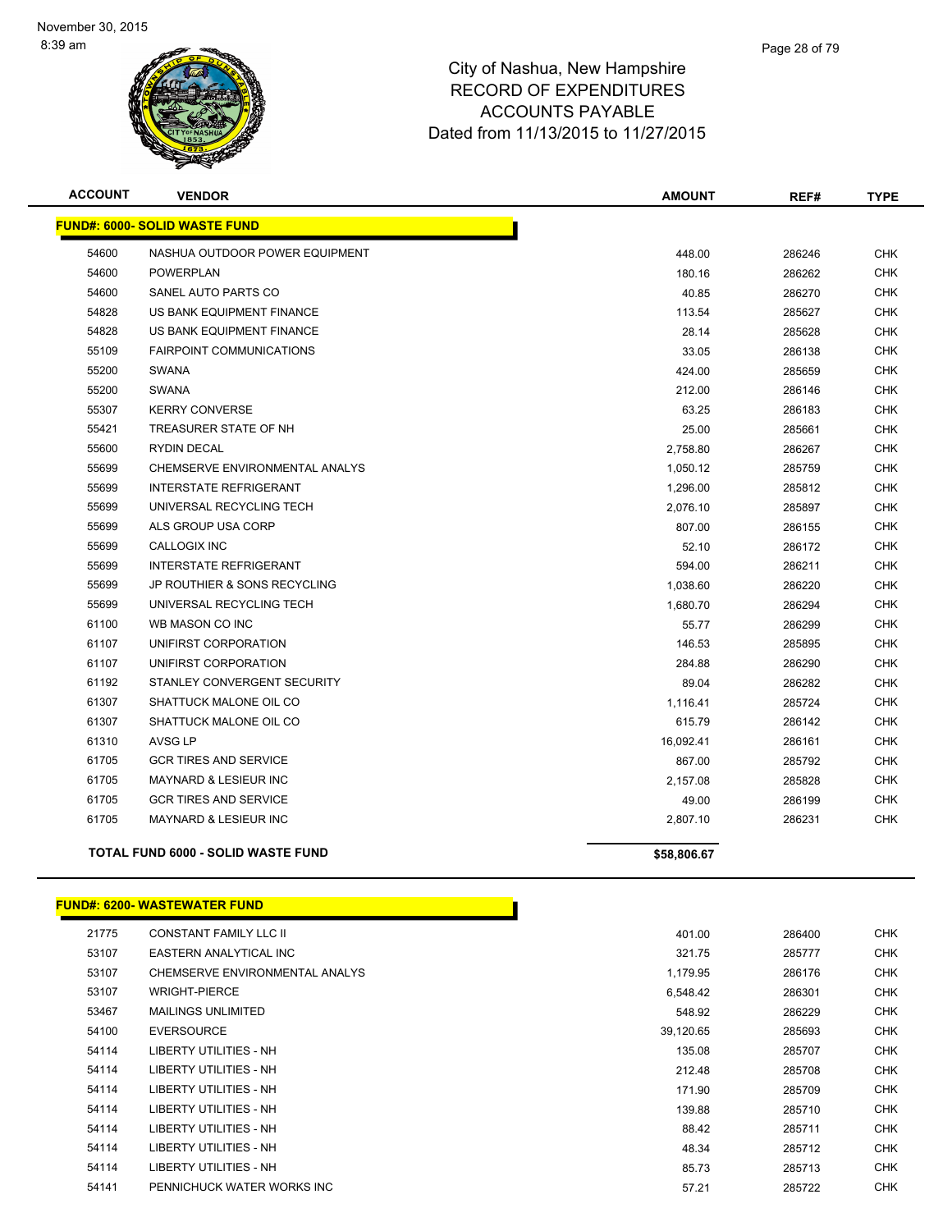

| <b>ACCOUNT</b> | <b>VENDOR</b>                             | <b>AMOUNT</b> | REF#   | <b>TYPE</b> |
|----------------|-------------------------------------------|---------------|--------|-------------|
|                | <b>FUND#: 6000- SOLID WASTE FUND</b>      |               |        |             |
| 54600          | NASHUA OUTDOOR POWER EQUIPMENT            | 448.00        | 286246 | <b>CHK</b>  |
| 54600          | <b>POWERPLAN</b>                          | 180.16        | 286262 | <b>CHK</b>  |
| 54600          | SANEL AUTO PARTS CO                       | 40.85         | 286270 | <b>CHK</b>  |
| 54828          | US BANK EQUIPMENT FINANCE                 | 113.54        | 285627 | <b>CHK</b>  |
| 54828          | US BANK EQUIPMENT FINANCE                 | 28.14         | 285628 | <b>CHK</b>  |
| 55109          | <b>FAIRPOINT COMMUNICATIONS</b>           | 33.05         | 286138 | <b>CHK</b>  |
| 55200          | <b>SWANA</b>                              | 424.00        | 285659 | <b>CHK</b>  |
| 55200          | <b>SWANA</b>                              | 212.00        | 286146 | <b>CHK</b>  |
| 55307          | <b>KERRY CONVERSE</b>                     | 63.25         | 286183 | <b>CHK</b>  |
| 55421          | TREASURER STATE OF NH                     | 25.00         | 285661 | <b>CHK</b>  |
| 55600          | <b>RYDIN DECAL</b>                        | 2,758.80      | 286267 | <b>CHK</b>  |
| 55699          | CHEMSERVE ENVIRONMENTAL ANALYS            | 1,050.12      | 285759 | <b>CHK</b>  |
| 55699          | <b>INTERSTATE REFRIGERANT</b>             | 1,296.00      | 285812 | <b>CHK</b>  |
| 55699          | UNIVERSAL RECYCLING TECH                  | 2,076.10      | 285897 | <b>CHK</b>  |
| 55699          | ALS GROUP USA CORP                        | 807.00        | 286155 | <b>CHK</b>  |
| 55699          | <b>CALLOGIX INC</b>                       | 52.10         | 286172 | <b>CHK</b>  |
| 55699          | <b>INTERSTATE REFRIGERANT</b>             | 594.00        | 286211 | CHK         |
| 55699          | JP ROUTHIER & SONS RECYCLING              | 1,038.60      | 286220 | <b>CHK</b>  |
| 55699          | UNIVERSAL RECYCLING TECH                  | 1,680.70      | 286294 | <b>CHK</b>  |
| 61100          | WB MASON CO INC                           | 55.77         | 286299 | <b>CHK</b>  |
| 61107          | UNIFIRST CORPORATION                      | 146.53        | 285895 | <b>CHK</b>  |
| 61107          | UNIFIRST CORPORATION                      | 284.88        | 286290 | <b>CHK</b>  |
| 61192          | STANLEY CONVERGENT SECURITY               | 89.04         | 286282 | <b>CHK</b>  |
| 61307          | SHATTUCK MALONE OIL CO                    | 1,116.41      | 285724 | <b>CHK</b>  |
| 61307          | SHATTUCK MALONE OIL CO                    | 615.79        | 286142 | <b>CHK</b>  |
| 61310          | <b>AVSG LP</b>                            | 16,092.41     | 286161 | <b>CHK</b>  |
| 61705          | <b>GCR TIRES AND SERVICE</b>              | 867.00        | 285792 | CHK         |
| 61705          | MAYNARD & LESIEUR INC                     | 2,157.08      | 285828 | <b>CHK</b>  |
| 61705          | <b>GCR TIRES AND SERVICE</b>              | 49.00         | 286199 | <b>CHK</b>  |
| 61705          | <b>MAYNARD &amp; LESIEUR INC</b>          | 2,807.10      | 286231 | <b>CHK</b>  |
|                | <b>TOTAL FUND 6000 - SOLID WASTE FUND</b> | \$58,806.67   |        |             |

#### **FUND#: 6200- WASTEWATER FUND**

| 21775 | <b>CONSTANT FAMILY LLC II</b>  | 401.00    | 286400 |
|-------|--------------------------------|-----------|--------|
| 53107 | EASTERN ANALYTICAL INC         | 321.75    | 285777 |
| 53107 | CHEMSERVE ENVIRONMENTAL ANALYS | 1,179.95  | 286176 |
| 53107 | <b>WRIGHT-PIERCE</b>           | 6,548.42  | 286301 |
| 53467 | <b>MAILINGS UNLIMITED</b>      | 548.92    | 286229 |
| 54100 | <b>EVERSOURCE</b>              | 39,120.65 | 285693 |
| 54114 | LIBERTY UTILITIES - NH         | 135.08    | 285707 |
| 54114 | LIBERTY UTILITIES - NH         | 212.48    | 285708 |
| 54114 | LIBERTY UTILITIES - NH         | 171.90    | 285709 |
| 54114 | LIBERTY UTILITIES - NH         | 139.88    | 285710 |
| 54114 | LIBERTY UTILITIES - NH         | 88.42     | 285711 |
| 54114 | LIBERTY UTILITIES - NH         | 48.34     | 285712 |
| 54114 | LIBERTY UTILITIES - NH         | 85.73     | 285713 |
| 54141 | PENNICHUCK WATER WORKS INC     | 57.21     | 285722 |

h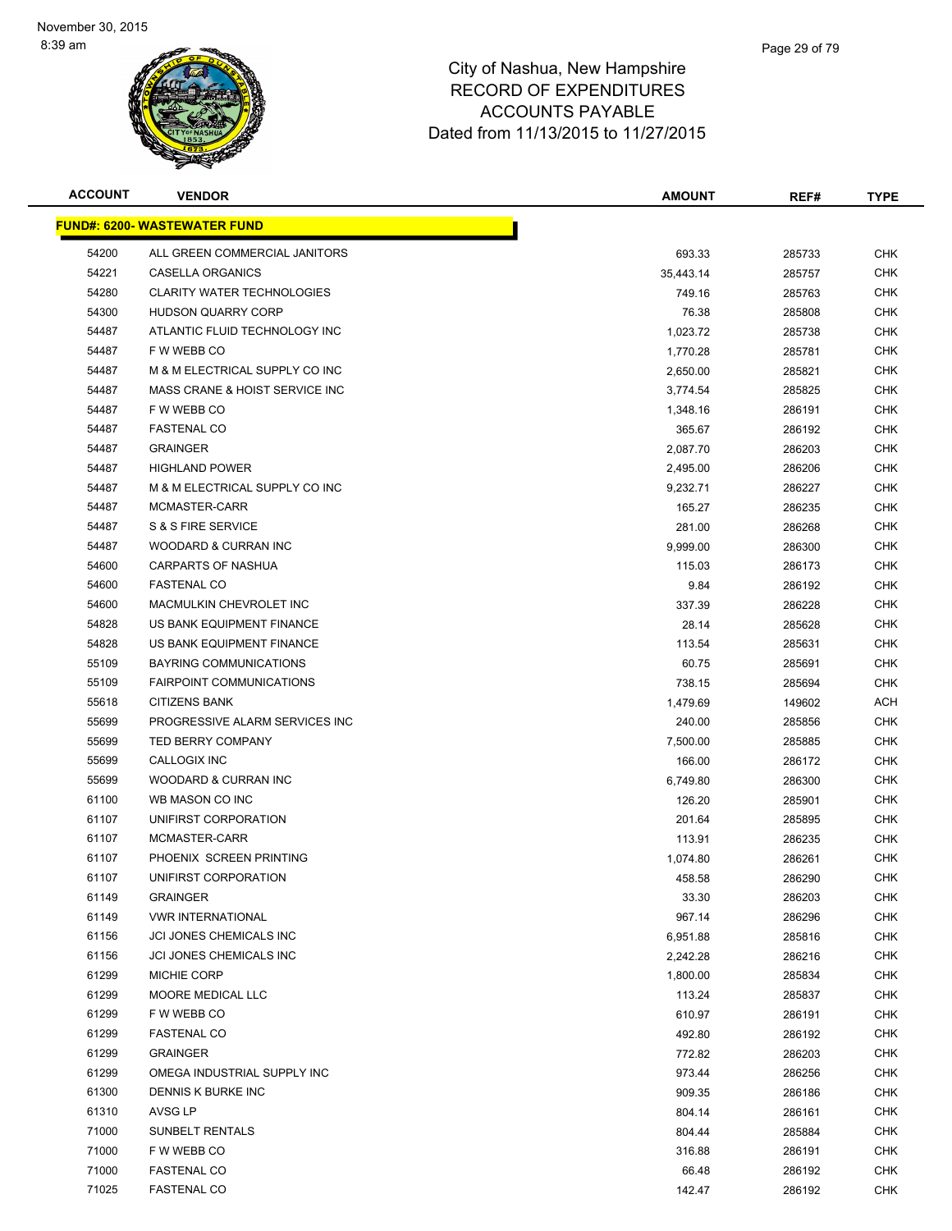

| <b>ACCOUNT</b> | <b>VENDOR</b>                       | <b>AMOUNT</b> | REF#   | <b>TYPE</b> |
|----------------|-------------------------------------|---------------|--------|-------------|
|                | <b>FUND#: 6200- WASTEWATER FUND</b> |               |        |             |
| 54200          | ALL GREEN COMMERCIAL JANITORS       | 693.33        | 285733 | CHK         |
| 54221          | CASELLA ORGANICS                    | 35,443.14     | 285757 | <b>CHK</b>  |
| 54280          | <b>CLARITY WATER TECHNOLOGIES</b>   | 749.16        | 285763 | <b>CHK</b>  |
| 54300          | HUDSON QUARRY CORP                  | 76.38         | 285808 | <b>CHK</b>  |
| 54487          | ATLANTIC FLUID TECHNOLOGY INC       | 1,023.72      | 285738 | <b>CHK</b>  |
| 54487          | F W WEBB CO                         | 1,770.28      | 285781 | CHK         |
| 54487          | M & M ELECTRICAL SUPPLY CO INC      | 2,650.00      | 285821 | <b>CHK</b>  |
| 54487          | MASS CRANE & HOIST SERVICE INC      | 3,774.54      | 285825 | CHK         |
| 54487          | F W WEBB CO                         | 1,348.16      | 286191 | CHK         |
| 54487          | <b>FASTENAL CO</b>                  | 365.67        | 286192 | CHK         |
| 54487          | <b>GRAINGER</b>                     | 2,087.70      | 286203 | <b>CHK</b>  |
| 54487          | <b>HIGHLAND POWER</b>               | 2,495.00      | 286206 | <b>CHK</b>  |
| 54487          | M & M ELECTRICAL SUPPLY CO INC      | 9,232.71      | 286227 | <b>CHK</b>  |
| 54487          | MCMASTER-CARR                       | 165.27        | 286235 | <b>CHK</b>  |
| 54487          | S & S FIRE SERVICE                  | 281.00        | 286268 | <b>CHK</b>  |
| 54487          | WOODARD & CURRAN INC                | 9,999.00      | 286300 | <b>CHK</b>  |
| 54600          | CARPARTS OF NASHUA                  | 115.03        | 286173 | CHK         |
| 54600          | <b>FASTENAL CO</b>                  | 9.84          | 286192 | <b>CHK</b>  |
| 54600          | MACMULKIN CHEVROLET INC             | 337.39        | 286228 | <b>CHK</b>  |
| 54828          | US BANK EQUIPMENT FINANCE           | 28.14         | 285628 | <b>CHK</b>  |
| 54828          | US BANK EQUIPMENT FINANCE           | 113.54        | 285631 | <b>CHK</b>  |
| 55109          | <b>BAYRING COMMUNICATIONS</b>       | 60.75         | 285691 | <b>CHK</b>  |
| 55109          | <b>FAIRPOINT COMMUNICATIONS</b>     | 738.15        | 285694 | CHK         |
| 55618          | <b>CITIZENS BANK</b>                | 1,479.69      | 149602 | ACH         |
| 55699          | PROGRESSIVE ALARM SERVICES INC      | 240.00        | 285856 | <b>CHK</b>  |
| 55699          | <b>TED BERRY COMPANY</b>            | 7,500.00      | 285885 | <b>CHK</b>  |
| 55699          | CALLOGIX INC                        | 166.00        | 286172 | <b>CHK</b>  |
| 55699          | WOODARD & CURRAN INC                | 6,749.80      | 286300 | CHK         |
| 61100          | WB MASON CO INC                     | 126.20        | 285901 | CHK         |
| 61107          | UNIFIRST CORPORATION                | 201.64        | 285895 | CHK         |
| 61107          | MCMASTER-CARR                       | 113.91        | 286235 | CHK         |
| 61107          | PHOENIX SCREEN PRINTING             | 1,074.80      | 286261 | <b>CHK</b>  |
| 61107          | UNIFIRST CORPORATION                | 458.58        | 286290 | <b>CHK</b>  |
| 61149          | <b>GRAINGER</b>                     | 33.30         | 286203 | <b>CHK</b>  |
| 61149          | <b>VWR INTERNATIONAL</b>            | 967.14        | 286296 | <b>CHK</b>  |
| 61156          | JCI JONES CHEMICALS INC             | 6,951.88      | 285816 | <b>CHK</b>  |
| 61156          | JCI JONES CHEMICALS INC             | 2,242.28      | 286216 | <b>CHK</b>  |
| 61299          | MICHIE CORP                         | 1,800.00      | 285834 | <b>CHK</b>  |
| 61299          | MOORE MEDICAL LLC                   | 113.24        | 285837 | <b>CHK</b>  |
| 61299          | F W WEBB CO                         | 610.97        | 286191 | <b>CHK</b>  |
| 61299          | <b>FASTENAL CO</b>                  | 492.80        | 286192 | <b>CHK</b>  |
| 61299          | <b>GRAINGER</b>                     | 772.82        | 286203 | <b>CHK</b>  |
| 61299          | OMEGA INDUSTRIAL SUPPLY INC         | 973.44        | 286256 | <b>CHK</b>  |
| 61300          | DENNIS K BURKE INC                  | 909.35        | 286186 | CHK         |
| 61310          | AVSG LP                             | 804.14        | 286161 | <b>CHK</b>  |
| 71000          | SUNBELT RENTALS                     | 804.44        | 285884 | <b>CHK</b>  |
| 71000          | F W WEBB CO                         | 316.88        | 286191 | CHK         |
| 71000          | <b>FASTENAL CO</b>                  | 66.48         | 286192 | <b>CHK</b>  |
| 71025          | <b>FASTENAL CO</b>                  | 142.47        | 286192 | <b>CHK</b>  |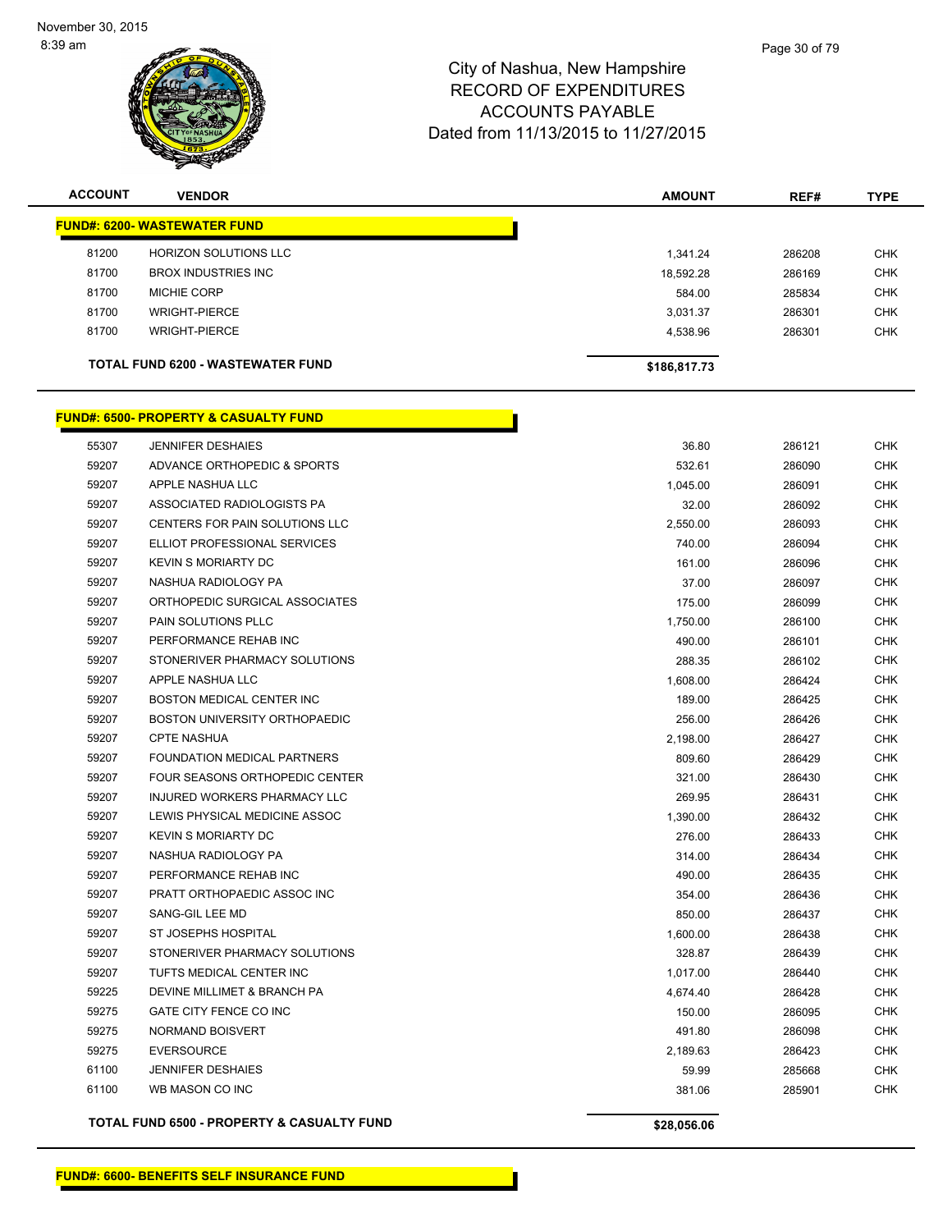

| <b>ACCOUNT</b> | <b>VENDOR</b>                                         | <b>AMOUNT</b> | REF#   | <b>TYPE</b> |
|----------------|-------------------------------------------------------|---------------|--------|-------------|
|                | <b>FUND#: 6200- WASTEWATER FUND</b>                   |               |        |             |
| 81200          | <b>HORIZON SOLUTIONS LLC</b>                          | 1,341.24      | 286208 | <b>CHK</b>  |
| 81700          | <b>BROX INDUSTRIES INC</b>                            | 18,592.28     | 286169 | <b>CHK</b>  |
| 81700          | <b>MICHIE CORP</b>                                    | 584.00        | 285834 | <b>CHK</b>  |
| 81700          | <b>WRIGHT-PIERCE</b>                                  | 3,031.37      | 286301 | <b>CHK</b>  |
| 81700          | <b>WRIGHT-PIERCE</b>                                  | 4,538.96      | 286301 | <b>CHK</b>  |
|                | <b>TOTAL FUND 6200 - WASTEWATER FUND</b>              |               |        |             |
|                |                                                       | \$186,817.73  |        |             |
|                | <b>FUND#: 6500- PROPERTY &amp; CASUALTY FUND</b>      |               |        |             |
| 55307          | <b>JENNIFER DESHAIES</b>                              | 36.80         | 286121 | <b>CHK</b>  |
| 59207          | ADVANCE ORTHOPEDIC & SPORTS                           | 532.61        | 286090 | <b>CHK</b>  |
| 59207          | APPLE NASHUA LLC                                      | 1,045.00      | 286091 | <b>CHK</b>  |
| 59207          | ASSOCIATED RADIOLOGISTS PA                            | 32.00         | 286092 | <b>CHK</b>  |
| 59207          | CENTERS FOR PAIN SOLUTIONS LLC                        | 2,550.00      | 286093 | <b>CHK</b>  |
| 59207          | ELLIOT PROFESSIONAL SERVICES                          | 740.00        | 286094 | <b>CHK</b>  |
| 59207          | <b>KEVIN S MORIARTY DC</b>                            | 161.00        | 286096 | <b>CHK</b>  |
| 59207          | NASHUA RADIOLOGY PA                                   | 37.00         | 286097 | <b>CHK</b>  |
| 59207          | ORTHOPEDIC SURGICAL ASSOCIATES                        | 175.00        | 286099 | <b>CHK</b>  |
| 59207          | PAIN SOLUTIONS PLLC                                   | 1,750.00      | 286100 | <b>CHK</b>  |
| 59207          | PERFORMANCE REHAB INC                                 | 490.00        | 286101 | <b>CHK</b>  |
| 59207          | STONERIVER PHARMACY SOLUTIONS                         | 288.35        | 286102 | <b>CHK</b>  |
| 59207          | APPLE NASHUA LLC                                      | 1,608.00      | 286424 | <b>CHK</b>  |
| 59207          | <b>BOSTON MEDICAL CENTER INC</b>                      | 189.00        | 286425 | <b>CHK</b>  |
| 59207          | <b>BOSTON UNIVERSITY ORTHOPAEDIC</b>                  | 256.00        | 286426 | <b>CHK</b>  |
| 59207          | <b>CPTE NASHUA</b>                                    | 2,198.00      | 286427 | <b>CHK</b>  |
| 59207          | FOUNDATION MEDICAL PARTNERS                           | 809.60        | 286429 | <b>CHK</b>  |
| 59207          | FOUR SEASONS ORTHOPEDIC CENTER                        | 321.00        | 286430 | <b>CHK</b>  |
| 59207          | INJURED WORKERS PHARMACY LLC                          | 269.95        | 286431 | <b>CHK</b>  |
| 59207          | LEWIS PHYSICAL MEDICINE ASSOC                         | 1,390.00      | 286432 | <b>CHK</b>  |
| 59207          | <b>KEVIN S MORIARTY DC</b>                            | 276.00        | 286433 | <b>CHK</b>  |
| 59207          | NASHUA RADIOLOGY PA                                   | 314.00        | 286434 | <b>CHK</b>  |
| 59207          | PERFORMANCE REHAB INC                                 | 490.00        | 286435 | <b>CHK</b>  |
| 59207          | PRATT ORTHOPAEDIC ASSOC INC                           | 354.00        | 286436 | <b>CHK</b>  |
| 59207          | SANG-GIL LEE MD                                       | 850.00        | 286437 | <b>CHK</b>  |
| 59207          | <b>ST JOSEPHS HOSPITAL</b>                            | 1,600.00      | 286438 | <b>CHK</b>  |
| 59207          | STONERIVER PHARMACY SOLUTIONS                         | 328.87        | 286439 | <b>CHK</b>  |
| 59207          | TUFTS MEDICAL CENTER INC                              | 1,017.00      | 286440 | <b>CHK</b>  |
| 59225          | DEVINE MILLIMET & BRANCH PA                           | 4,674.40      | 286428 | <b>CHK</b>  |
| 59275          | GATE CITY FENCE CO INC                                | 150.00        | 286095 | <b>CHK</b>  |
| 59275          | NORMAND BOISVERT                                      | 491.80        | 286098 | <b>CHK</b>  |
| 59275          | <b>EVERSOURCE</b>                                     | 2,189.63      | 286423 | <b>CHK</b>  |
| 61100          | <b>JENNIFER DESHAIES</b>                              | 59.99         | 285668 | <b>CHK</b>  |
| 61100          | WB MASON CO INC                                       | 381.06        | 285901 | <b>CHK</b>  |
|                | <b>TOTAL FUND 6500 - PROPERTY &amp; CASUALTY FUND</b> | \$28,056.06   |        |             |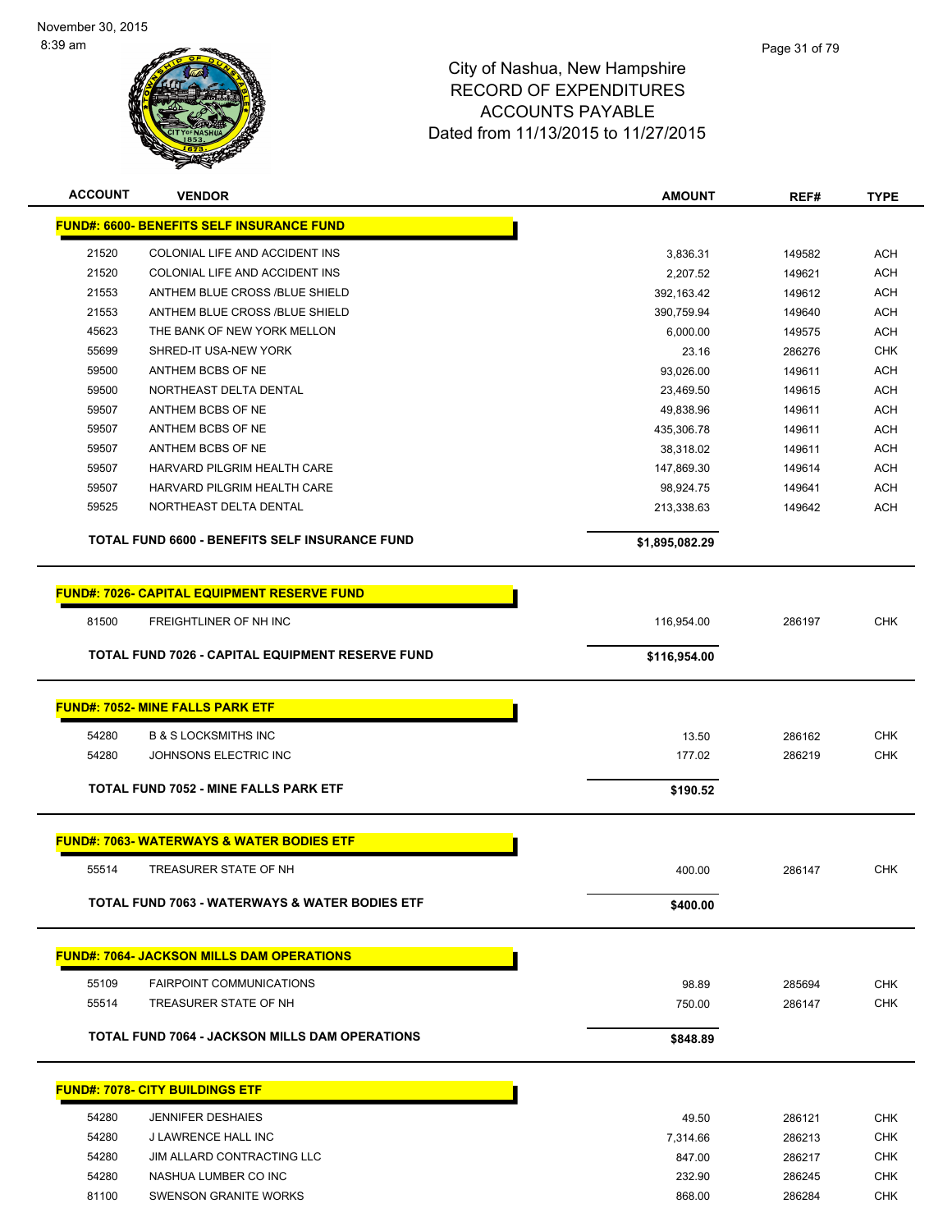

| <b>ACCOUNT</b> | <b>VENDOR</b>                                         | <b>AMOUNT</b>  | REF#   | <b>TYPE</b> |
|----------------|-------------------------------------------------------|----------------|--------|-------------|
|                | <b>FUND#: 6600- BENEFITS SELF INSURANCE FUND</b>      |                |        |             |
| 21520          | COLONIAL LIFE AND ACCIDENT INS                        | 3,836.31       | 149582 | <b>ACH</b>  |
| 21520          | COLONIAL LIFE AND ACCIDENT INS                        | 2,207.52       | 149621 | <b>ACH</b>  |
| 21553          | ANTHEM BLUE CROSS /BLUE SHIELD                        | 392,163.42     | 149612 | <b>ACH</b>  |
| 21553          | ANTHEM BLUE CROSS /BLUE SHIELD                        | 390,759.94     | 149640 | <b>ACH</b>  |
| 45623          | THE BANK OF NEW YORK MELLON                           | 6,000.00       | 149575 | <b>ACH</b>  |
| 55699          | SHRED-IT USA-NEW YORK                                 | 23.16          | 286276 | <b>CHK</b>  |
| 59500          | ANTHEM BCBS OF NE                                     | 93,026.00      | 149611 | <b>ACH</b>  |
| 59500          | NORTHEAST DELTA DENTAL                                | 23,469.50      | 149615 | <b>ACH</b>  |
| 59507          | ANTHEM BCBS OF NE                                     | 49,838.96      | 149611 | <b>ACH</b>  |
| 59507          | ANTHEM BCBS OF NE                                     | 435,306.78     | 149611 | <b>ACH</b>  |
| 59507          | ANTHEM BCBS OF NE                                     | 38,318.02      | 149611 | <b>ACH</b>  |
| 59507          | HARVARD PILGRIM HEALTH CARE                           | 147,869.30     | 149614 | <b>ACH</b>  |
| 59507          | HARVARD PILGRIM HEALTH CARE                           | 98,924.75      | 149641 | <b>ACH</b>  |
| 59525          | NORTHEAST DELTA DENTAL                                | 213,338.63     | 149642 | <b>ACH</b>  |
|                | TOTAL FUND 6600 - BENEFITS SELF INSURANCE FUND        | \$1,895,082.29 |        |             |
|                | <b>FUND#: 7026- CAPITAL EQUIPMENT RESERVE FUND</b>    |                |        |             |
| 81500          | FREIGHTLINER OF NH INC                                | 116,954.00     | 286197 | CHK         |
|                | TOTAL FUND 7026 - CAPITAL EQUIPMENT RESERVE FUND      | \$116,954.00   |        |             |
|                | <b>FUND#: 7052- MINE FALLS PARK ETF</b>               |                |        |             |
| 54280          | <b>B &amp; S LOCKSMITHS INC</b>                       | 13.50          | 286162 | <b>CHK</b>  |
| 54280          | JOHNSONS ELECTRIC INC                                 |                |        | <b>CHK</b>  |
|                |                                                       | 177.02         | 286219 |             |
|                | TOTAL FUND 7052 - MINE FALLS PARK ETF                 | \$190.52       |        |             |
|                | <b>FUND#: 7063- WATERWAYS &amp; WATER BODIES ETF</b>  |                |        |             |
| 55514          | TREASURER STATE OF NH                                 | 400.00         | 286147 | <b>CHK</b>  |
|                | TOTAL FUND 7063 - WATERWAYS & WATER BODIES ETF        | \$400.00       |        |             |
|                | <b>FUND#: 7064- JACKSON MILLS DAM OPERATIONS</b>      |                |        |             |
| 55109          | <b>FAIRPOINT COMMUNICATIONS</b>                       | 98.89          | 285694 | <b>CHK</b>  |
| 55514          | TREASURER STATE OF NH                                 |                | 286147 |             |
|                |                                                       | 750.00         |        | <b>CHK</b>  |
|                | <b>TOTAL FUND 7064 - JACKSON MILLS DAM OPERATIONS</b> | \$848.89       |        |             |
|                | <b>FUND#: 7078- CITY BUILDINGS ETF</b>                |                |        |             |
| 54280          | <b>JENNIFER DESHAIES</b>                              | 49.50          | 286121 | <b>CHK</b>  |
| 54280          | J LAWRENCE HALL INC                                   | 7,314.66       | 286213 | <b>CHK</b>  |
| 54280          | JIM ALLARD CONTRACTING LLC                            | 847.00         | 286217 | CHK         |
| 54280          | NASHUA LUMBER CO INC                                  | 232.90         | 286245 | CHK         |
| 81100          | SWENSON GRANITE WORKS                                 | 868.00         | 286284 | <b>CHK</b>  |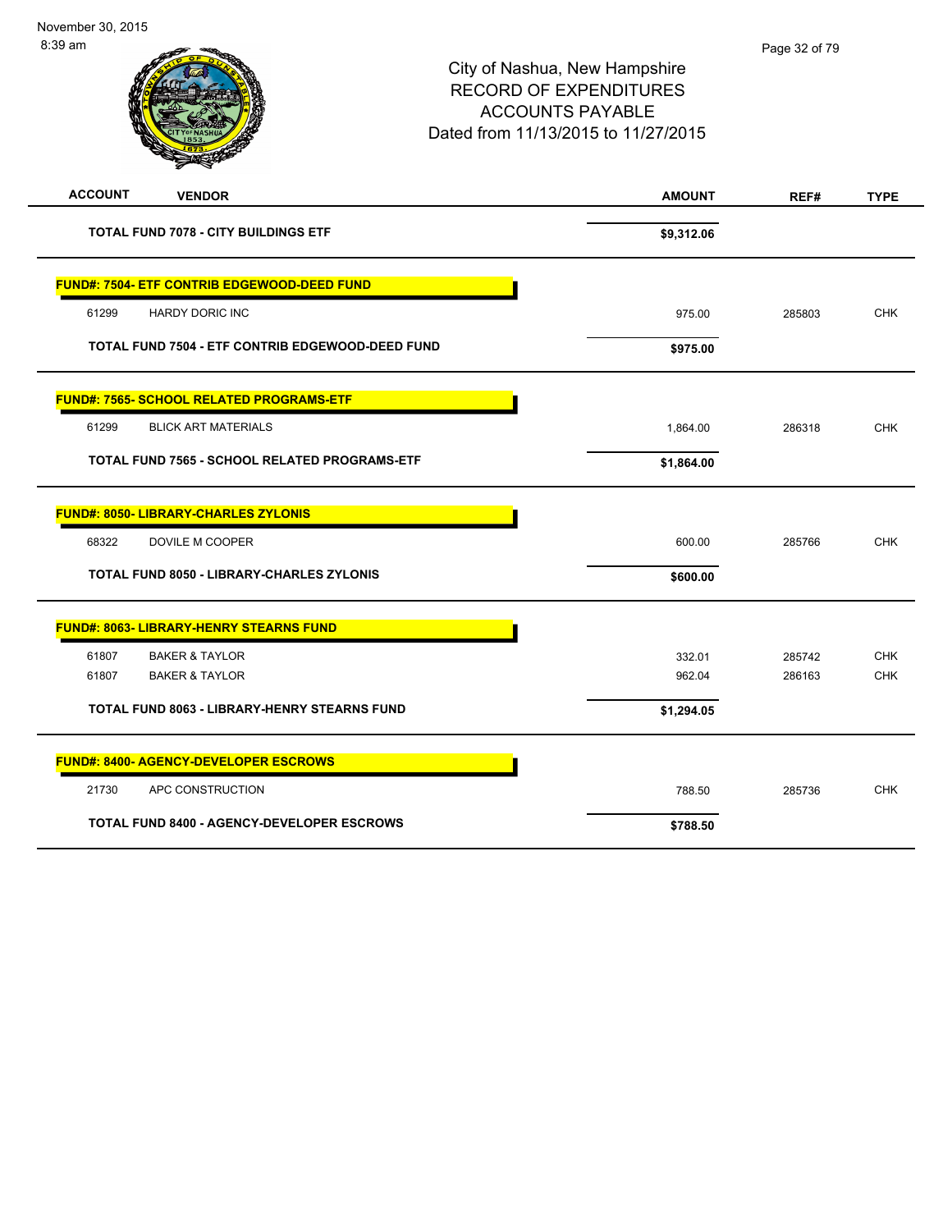| <b>ACCOUNT</b><br><b>VENDOR</b>                     | <b>AMOUNT</b> | REF#   | <b>TYPE</b> |
|-----------------------------------------------------|---------------|--------|-------------|
| <b>TOTAL FUND 7078 - CITY BUILDINGS ETF</b>         | \$9,312.06    |        |             |
| <b>FUND#: 7504- ETF CONTRIB EDGEWOOD-DEED FUND</b>  |               |        |             |
| 61299<br><b>HARDY DORIC INC</b>                     | 975.00        | 285803 | <b>CHK</b>  |
| TOTAL FUND 7504 - ETF CONTRIB EDGEWOOD-DEED FUND    | \$975.00      |        |             |
| <b>FUND#: 7565- SCHOOL RELATED PROGRAMS-ETF</b>     |               |        |             |
| <b>BLICK ART MATERIALS</b><br>61299                 | 1,864.00      | 286318 | <b>CHK</b>  |
| TOTAL FUND 7565 - SCHOOL RELATED PROGRAMS-ETF       | \$1,864.00    |        |             |
| <b>FUND#: 8050- LIBRARY-CHARLES ZYLONIS</b>         |               |        |             |
| 68322<br>DOVILE M COOPER                            | 600.00        | 285766 | <b>CHK</b>  |
| <b>TOTAL FUND 8050 - LIBRARY-CHARLES ZYLONIS</b>    | \$600.00      |        |             |
| <b>FUND#: 8063- LIBRARY-HENRY STEARNS FUND</b>      |               |        |             |
| 61807<br><b>BAKER &amp; TAYLOR</b>                  | 332.01        | 285742 | <b>CHK</b>  |
| 61807<br><b>BAKER &amp; TAYLOR</b>                  | 962.04        | 286163 | <b>CHK</b>  |
| <b>TOTAL FUND 8063 - LIBRARY-HENRY STEARNS FUND</b> | \$1,294.05    |        |             |
| <b>FUND#: 8400- AGENCY-DEVELOPER ESCROWS</b>        |               |        |             |
| 21730<br>APC CONSTRUCTION                           | 788.50        | 285736 | <b>CHK</b>  |
| <b>TOTAL FUND 8400 - AGENCY-DEVELOPER ESCROWS</b>   | \$788.50      |        |             |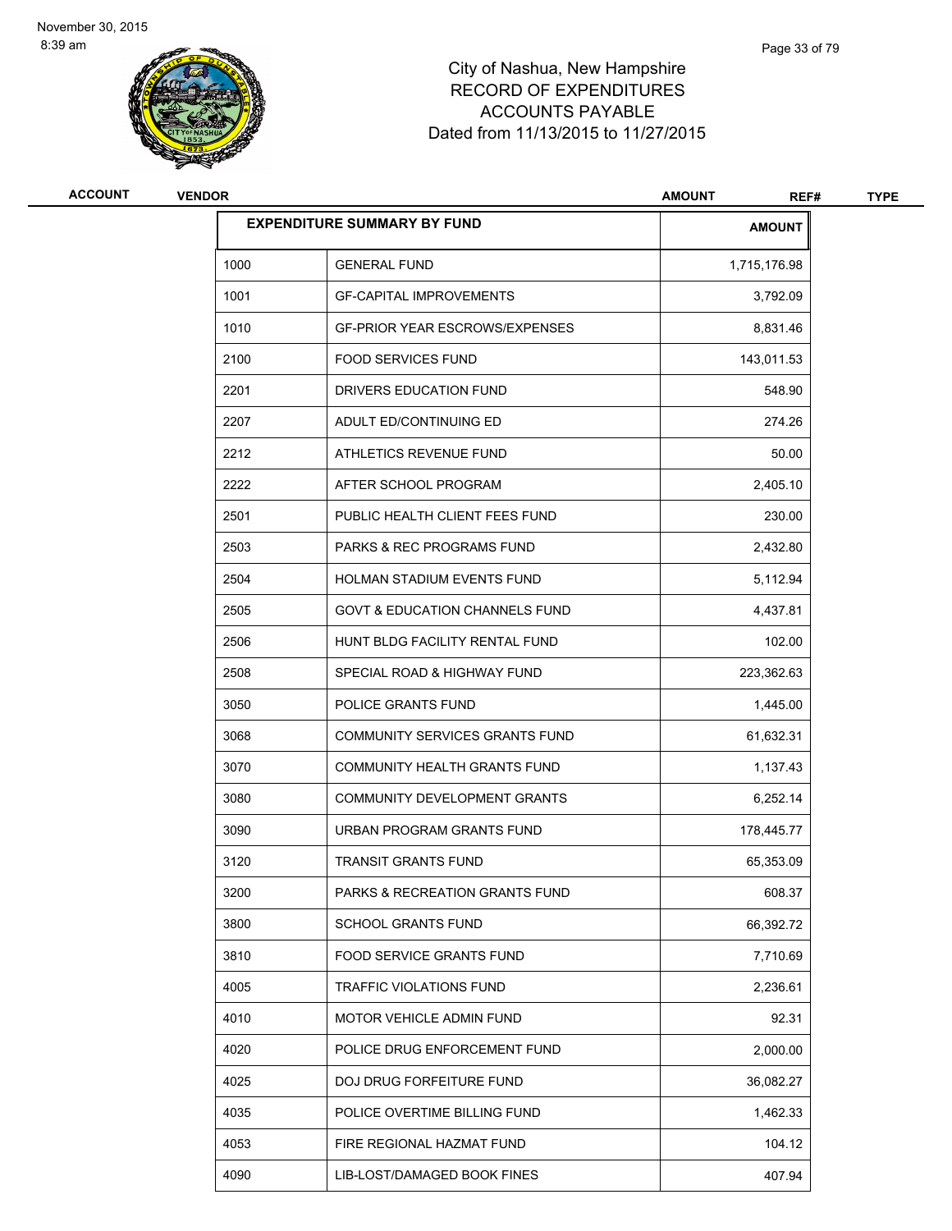

| ACCOUNT | <b>VENDOR</b> |                                           | <b>AMOUNT</b><br>REF# | <b>TYPE</b> |
|---------|---------------|-------------------------------------------|-----------------------|-------------|
|         |               | <b>EXPENDITURE SUMMARY BY FUND</b>        | <b>AMOUNT</b>         |             |
|         | 1000          | <b>GENERAL FUND</b>                       | 1,715,176.98          |             |
|         | 1001          | <b>GF-CAPITAL IMPROVEMENTS</b>            | 3,792.09              |             |
|         | 1010          | <b>GF-PRIOR YEAR ESCROWS/EXPENSES</b>     | 8,831.46              |             |
|         | 2100          | <b>FOOD SERVICES FUND</b>                 | 143,011.53            |             |
|         | 2201          | DRIVERS EDUCATION FUND                    | 548.90                |             |
|         | 2207          | ADULT ED/CONTINUING ED                    | 274.26                |             |
|         | 2212          | ATHLETICS REVENUE FUND                    | 50.00                 |             |
|         | 2222          | AFTER SCHOOL PROGRAM                      | 2,405.10              |             |
|         | 2501          | PUBLIC HEALTH CLIENT FEES FUND            | 230.00                |             |
|         | 2503          | PARKS & REC PROGRAMS FUND                 | 2,432.80              |             |
|         | 2504          | HOLMAN STADIUM EVENTS FUND                | 5,112.94              |             |
|         | 2505          | <b>GOVT &amp; EDUCATION CHANNELS FUND</b> | 4,437.81              |             |
|         | 2506          | HUNT BLDG FACILITY RENTAL FUND            | 102.00                |             |
|         | 2508          | SPECIAL ROAD & HIGHWAY FUND               | 223,362.63            |             |
|         | 3050          | POLICE GRANTS FUND                        | 1,445.00              |             |
|         | 3068          | COMMUNITY SERVICES GRANTS FUND            | 61,632.31             |             |
|         | 3070          | COMMUNITY HEALTH GRANTS FUND              | 1,137.43              |             |
|         | 3080          | COMMUNITY DEVELOPMENT GRANTS              | 6,252.14              |             |
|         | 3090          | URBAN PROGRAM GRANTS FUND                 | 178,445.77            |             |
|         | 3120          | <b>TRANSIT GRANTS FUND</b>                | 65,353.09             |             |
|         | 3200          | PARKS & RECREATION GRANTS FUND            | 608.37                |             |
|         | 3800          | <b>SCHOOL GRANTS FUND</b>                 | 66,392.72             |             |
|         | 3810          | FOOD SERVICE GRANTS FUND                  | 7,710.69              |             |
|         | 4005          | TRAFFIC VIOLATIONS FUND                   | 2,236.61              |             |
|         | 4010          | MOTOR VEHICLE ADMIN FUND                  | 92.31                 |             |
|         | 4020          | POLICE DRUG ENFORCEMENT FUND              | 2,000.00              |             |
|         | 4025          | DOJ DRUG FORFEITURE FUND                  | 36,082.27             |             |
|         | 4035          | POLICE OVERTIME BILLING FUND              | 1,462.33              |             |
|         | 4053          | FIRE REGIONAL HAZMAT FUND                 | 104.12                |             |
|         | 4090          | LIB-LOST/DAMAGED BOOK FINES               | 407.94                |             |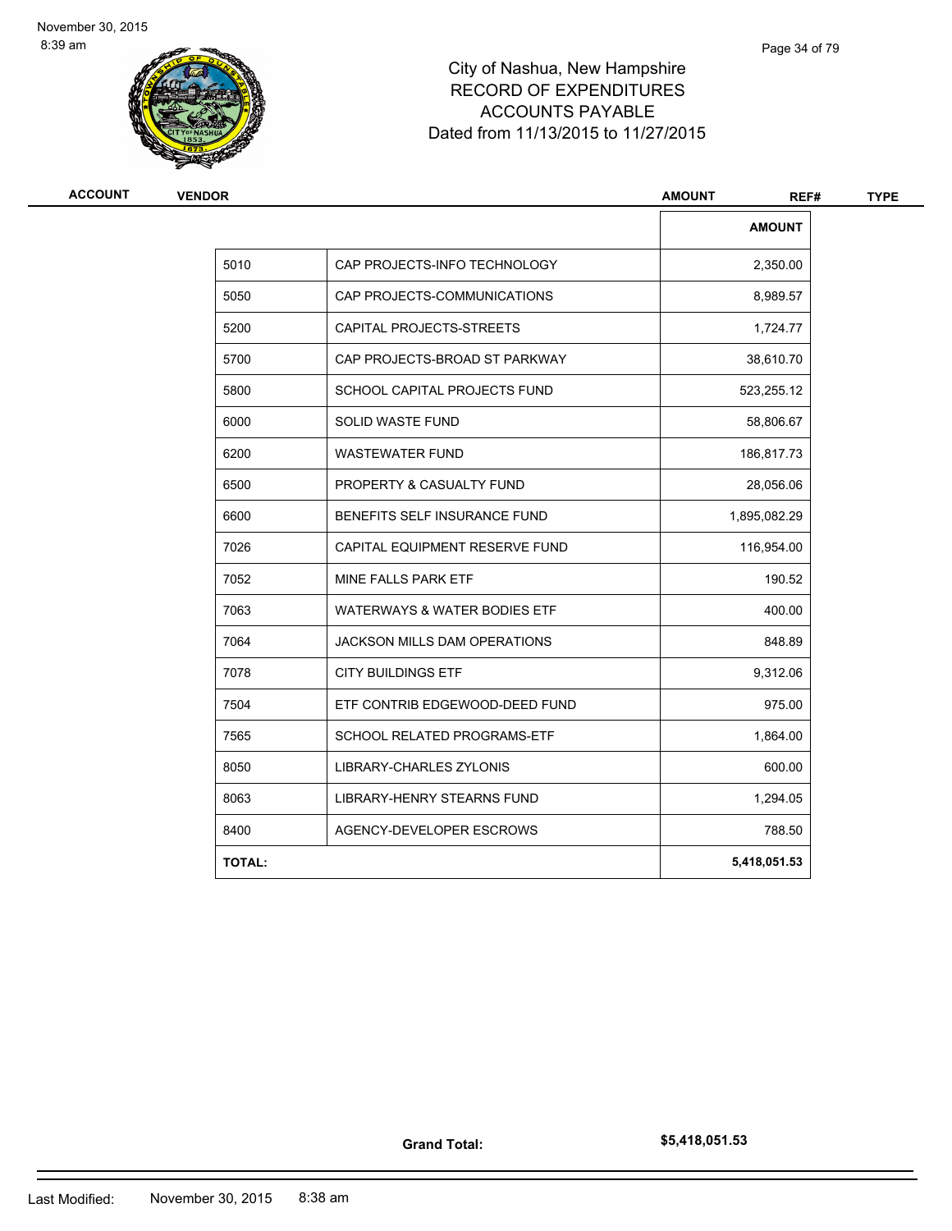

| <b>ACCOUNT</b> | <b>VENDOR</b> |                                     | <b>AMOUNT</b><br>REF# | <b>TYPE</b> |
|----------------|---------------|-------------------------------------|-----------------------|-------------|
|                |               |                                     | <b>AMOUNT</b>         |             |
|                | 5010          | CAP PROJECTS-INFO TECHNOLOGY        | 2,350.00              |             |
|                | 5050          | CAP PROJECTS-COMMUNICATIONS         | 8,989.57              |             |
|                | 5200          | CAPITAL PROJECTS-STREETS            | 1,724.77              |             |
|                | 5700          | CAP PROJECTS-BROAD ST PARKWAY       | 38,610.70             |             |
|                | 5800          | <b>SCHOOL CAPITAL PROJECTS FUND</b> | 523,255.12            |             |
|                | 6000          | <b>SOLID WASTE FUND</b>             | 58,806.67             |             |
|                | 6200          | <b>WASTEWATER FUND</b>              | 186,817.73            |             |
|                | 6500          | PROPERTY & CASUALTY FUND            | 28,056.06             |             |
|                | 6600          | BENEFITS SELF INSURANCE FUND        | 1,895,082.29          |             |
|                | 7026          | CAPITAL EQUIPMENT RESERVE FUND      | 116,954.00            |             |
|                | 7052          | MINE FALLS PARK ETF                 | 190.52                |             |
|                | 7063          | WATERWAYS & WATER BODIES ETF        | 400.00                |             |
|                | 7064          | <b>JACKSON MILLS DAM OPERATIONS</b> | 848.89                |             |
|                | 7078          | <b>CITY BUILDINGS ETF</b>           | 9,312.06              |             |
|                | 7504          | ETF CONTRIB EDGEWOOD-DEED FUND      | 975.00                |             |
|                | 7565          | SCHOOL RELATED PROGRAMS-ETF         | 1,864.00              |             |
|                | 8050          | <b>LIBRARY-CHARLES ZYLONIS</b>      | 600.00                |             |
|                | 8063          | LIBRARY-HENRY STEARNS FUND          | 1,294.05              |             |
|                | 8400          | AGENCY-DEVELOPER ESCROWS            | 788.50                |             |
|                | <b>TOTAL:</b> |                                     | 5,418,051.53          |             |

**Grand Total:**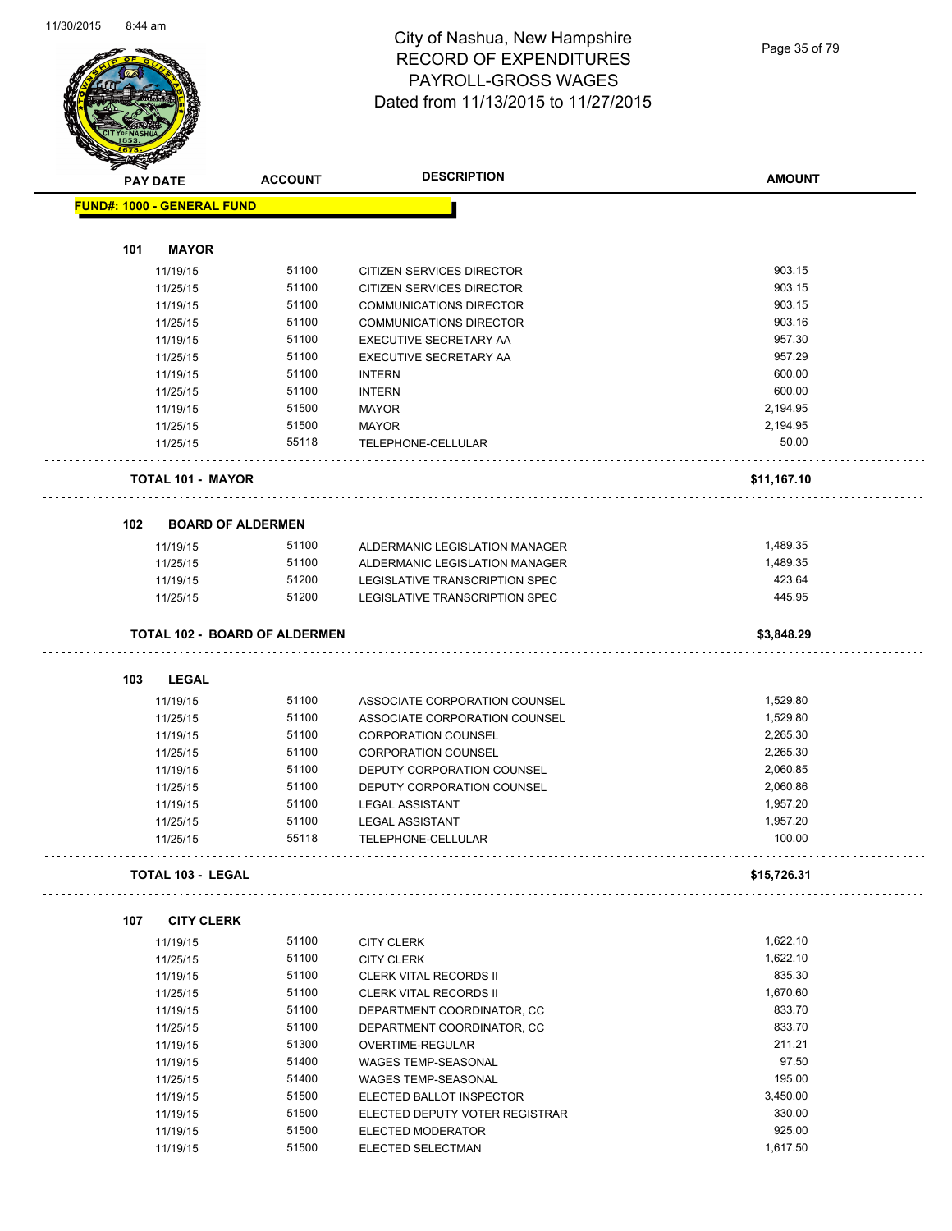

#### City of Nashua, New Hampshire RECORD OF EXPENDITURES PAYROLL-GROSS WAGES Dated from 11/13/2015 to 11/27/2015

| $\blacktriangle$ . | <b>PAY DATE</b>                   | <b>ACCOUNT</b>                       | <b>DESCRIPTION</b>             | <b>AMOUNT</b> |
|--------------------|-----------------------------------|--------------------------------------|--------------------------------|---------------|
|                    | <b>FUND#: 1000 - GENERAL FUND</b> |                                      |                                |               |
| 101                | <b>MAYOR</b>                      |                                      |                                |               |
|                    | 11/19/15                          | 51100                                | CITIZEN SERVICES DIRECTOR      | 903.15        |
|                    |                                   |                                      |                                | 903.15        |
|                    | 11/25/15                          | 51100                                | CITIZEN SERVICES DIRECTOR      |               |
|                    | 11/19/15                          | 51100                                | <b>COMMUNICATIONS DIRECTOR</b> | 903.15        |
|                    | 11/25/15                          | 51100                                | <b>COMMUNICATIONS DIRECTOR</b> | 903.16        |
|                    | 11/19/15                          | 51100                                | EXECUTIVE SECRETARY AA         | 957.30        |
|                    | 11/25/15                          | 51100                                | EXECUTIVE SECRETARY AA         | 957.29        |
|                    | 11/19/15                          | 51100                                | <b>INTERN</b>                  | 600.00        |
|                    | 11/25/15                          | 51100                                | <b>INTERN</b>                  | 600.00        |
|                    | 11/19/15                          | 51500                                | <b>MAYOR</b>                   | 2,194.95      |
|                    | 11/25/15                          | 51500                                | <b>MAYOR</b>                   | 2,194.95      |
|                    | 11/25/15                          | 55118                                | TELEPHONE-CELLULAR             | 50.00         |
|                    | <b>TOTAL 101 - MAYOR</b>          |                                      |                                | \$11,167.10   |
| 102                | <b>BOARD OF ALDERMEN</b>          |                                      |                                |               |
|                    | 11/19/15                          | 51100                                | ALDERMANIC LEGISLATION MANAGER | 1,489.35      |
|                    | 11/25/15                          | 51100                                | ALDERMANIC LEGISLATION MANAGER | 1,489.35      |
|                    | 11/19/15                          | 51200                                | LEGISLATIVE TRANSCRIPTION SPEC | 423.64        |
|                    | 11/25/15                          | 51200                                | LEGISLATIVE TRANSCRIPTION SPEC | 445.95        |
|                    |                                   | <b>TOTAL 102 - BOARD OF ALDERMEN</b> |                                | \$3,848.29    |
| 103                | <b>LEGAL</b>                      |                                      |                                |               |
|                    | 11/19/15                          | 51100                                | ASSOCIATE CORPORATION COUNSEL  | 1,529.80      |
|                    | 11/25/15                          | 51100                                | ASSOCIATE CORPORATION COUNSEL  | 1,529.80      |
|                    | 11/19/15                          | 51100                                | <b>CORPORATION COUNSEL</b>     | 2,265.30      |
|                    | 11/25/15                          | 51100                                | <b>CORPORATION COUNSEL</b>     | 2,265.30      |
|                    | 11/19/15                          | 51100                                | DEPUTY CORPORATION COUNSEL     | 2,060.85      |
|                    | 11/25/15                          | 51100                                | DEPUTY CORPORATION COUNSEL     | 2,060.86      |
|                    | 11/19/15                          | 51100                                | <b>LEGAL ASSISTANT</b>         | 1,957.20      |
|                    | 11/25/15                          | 51100                                | <b>LEGAL ASSISTANT</b>         | 1,957.20      |
|                    | 11/25/15                          | 55118                                | TELEPHONE-CELLULAR             | 100.00        |
|                    | <b>TOTAL 103 - LEGAL</b>          |                                      |                                | \$15,726.31   |
| 107                | <b>CITY CLERK</b>                 |                                      |                                |               |
|                    | 11/19/15                          | 51100                                | <b>CITY CLERK</b>              | 1,622.10      |
|                    | 11/25/15                          | 51100                                | <b>CITY CLERK</b>              | 1,622.10      |
|                    | 11/19/15                          | 51100                                | <b>CLERK VITAL RECORDS II</b>  | 835.30        |
|                    | 11/25/15                          | 51100                                | <b>CLERK VITAL RECORDS II</b>  | 1,670.60      |
|                    | 11/19/15                          | 51100                                | DEPARTMENT COORDINATOR, CC     | 833.70        |
|                    | 11/25/15                          | 51100                                | DEPARTMENT COORDINATOR, CC     | 833.70        |
|                    | 11/19/15                          | 51300                                |                                | 211.21        |
|                    |                                   |                                      | OVERTIME-REGULAR               | 97.50         |
|                    | 11/19/15                          | 51400                                | WAGES TEMP-SEASONAL            |               |
|                    | 11/25/15                          | 51400                                | WAGES TEMP-SEASONAL            | 195.00        |
|                    | 11/19/15                          | 51500                                | ELECTED BALLOT INSPECTOR       | 3,450.00      |
|                    | 11/19/15                          | 51500                                | ELECTED DEPUTY VOTER REGISTRAR | 330.00        |
|                    | 11/19/15                          | 51500                                | ELECTED MODERATOR              | 925.00        |

11/19/15 51500 ELECTED SELECTMAN 1,617.50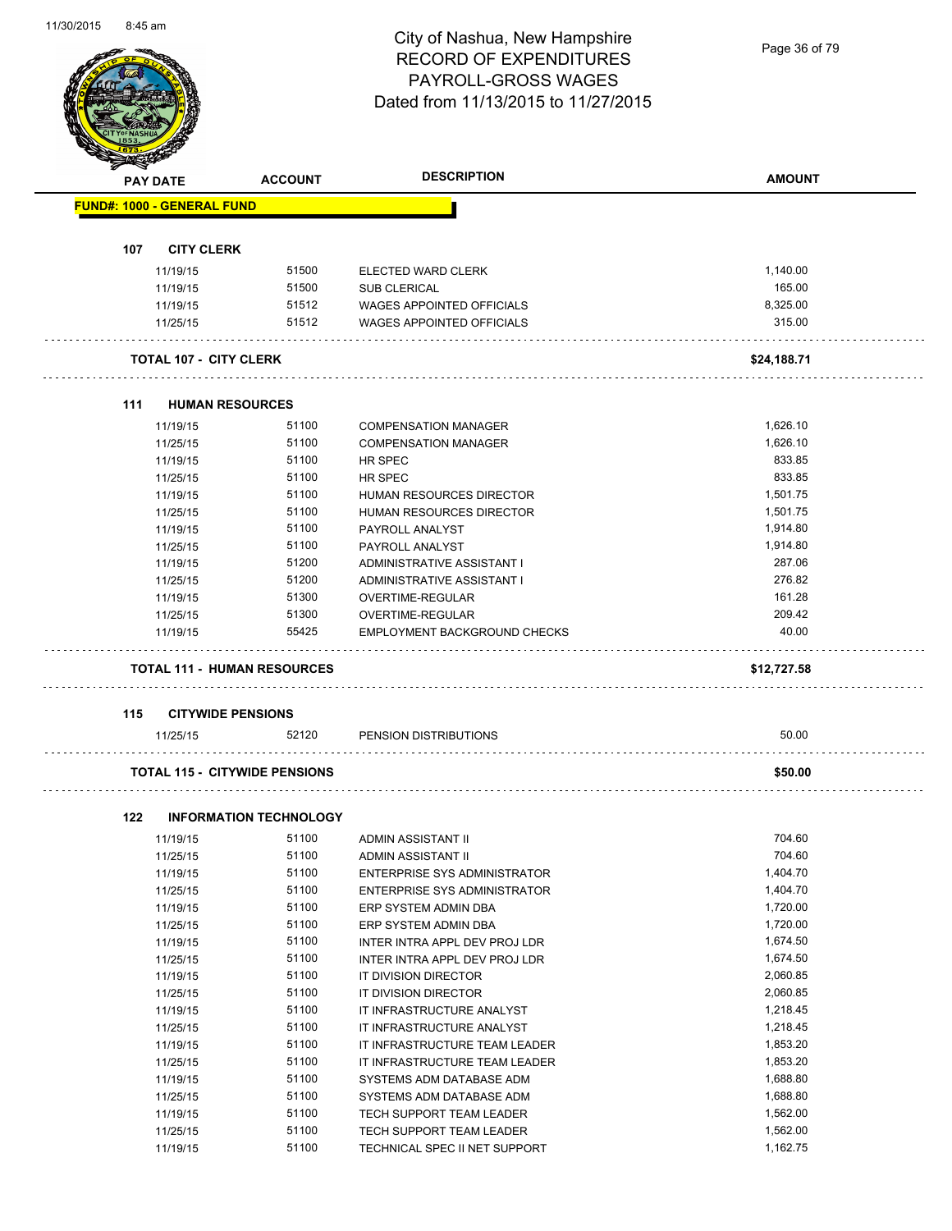#### City of Nashua, New Hampshire RECORD OF EXPENDITURES PAYROLL-GROSS WAGES Dated from 11/13/2015 to 11/27/2015

Page 36 of 79

|     | <b>PAY DATE</b>                      | <b>ACCOUNT</b>                | <b>DESCRIPTION</b>               | <b>AMOUNT</b> |
|-----|--------------------------------------|-------------------------------|----------------------------------|---------------|
|     | <b>FUND#: 1000 - GENERAL FUND</b>    |                               |                                  |               |
| 107 | <b>CITY CLERK</b>                    |                               |                                  |               |
|     | 11/19/15                             | 51500                         | ELECTED WARD CLERK               | 1,140.00      |
|     | 11/19/15                             | 51500                         | <b>SUB CLERICAL</b>              | 165.00        |
|     | 11/19/15                             | 51512                         | WAGES APPOINTED OFFICIALS        | 8.325.00      |
|     | 11/25/15                             | 51512                         | <b>WAGES APPOINTED OFFICIALS</b> | 315.00        |
|     |                                      |                               |                                  |               |
|     | <b>TOTAL 107 - CITY CLERK</b>        |                               |                                  | \$24,188.71   |
| 111 | <b>HUMAN RESOURCES</b>               |                               |                                  |               |
|     | 11/19/15                             | 51100                         | <b>COMPENSATION MANAGER</b>      | 1,626.10      |
|     | 11/25/15                             | 51100                         | <b>COMPENSATION MANAGER</b>      | 1,626.10      |
|     | 11/19/15                             | 51100                         | <b>HR SPEC</b>                   | 833.85        |
|     | 11/25/15                             | 51100                         | <b>HR SPEC</b>                   | 833.85        |
|     | 11/19/15                             | 51100                         | <b>HUMAN RESOURCES DIRECTOR</b>  | 1,501.75      |
|     | 11/25/15                             | 51100                         | HUMAN RESOURCES DIRECTOR         | 1,501.75      |
|     | 11/19/15                             | 51100                         | PAYROLL ANALYST                  | 1,914.80      |
|     | 11/25/15                             | 51100                         | PAYROLL ANALYST                  | 1,914.80      |
|     | 11/19/15                             | 51200                         | ADMINISTRATIVE ASSISTANT I       | 287.06        |
|     | 11/25/15                             | 51200                         | ADMINISTRATIVE ASSISTANT I       | 276.82        |
|     | 11/19/15                             | 51300                         | OVERTIME-REGULAR                 | 161.28        |
|     | 11/25/15                             | 51300                         | OVERTIME-REGULAR                 | 209.42        |
|     | 11/19/15                             | 55425                         | EMPLOYMENT BACKGROUND CHECKS     | 40.00         |
|     | <b>TOTAL 111 - HUMAN RESOURCES</b>   |                               |                                  | \$12,727.58   |
|     |                                      |                               |                                  |               |
| 115 | <b>CITYWIDE PENSIONS</b>             |                               |                                  | 50.00         |
|     | 11/25/15                             | 52120                         | PENSION DISTRIBUTIONS            |               |
|     | <b>TOTAL 115 - CITYWIDE PENSIONS</b> |                               |                                  | \$50.00       |
| 122 |                                      | <b>INFORMATION TECHNOLOGY</b> |                                  |               |
|     | 11/19/15                             | 51100                         | ADMIN ASSISTANT II               | 704.60        |
|     | 11/25/15                             | 51100                         | ADMIN ASSISTANT II               | 704.60        |
|     | 11/19/15                             | 51100                         | ENTERPRISE SYS ADMINISTRATOR     | 1,404.70      |
|     | 11/25/15                             | 51100                         | ENTERPRISE SYS ADMINISTRATOR     | 1,404.70      |
|     | 11/19/15                             | 51100                         | ERP SYSTEM ADMIN DBA             | 1,720.00      |
|     | 11/25/15                             | 51100                         | ERP SYSTEM ADMIN DBA             | 1,720.00      |
|     | 11/19/15                             | 51100                         | INTER INTRA APPL DEV PROJ LDR    | 1,674.50      |
|     | 11/25/15                             | 51100                         | INTER INTRA APPL DEV PROJ LDR    | 1,674.50      |
|     | 11/19/15                             | 51100                         | IT DIVISION DIRECTOR             | 2,060.85      |
|     | 11/25/15                             | 51100                         | IT DIVISION DIRECTOR             | 2,060.85      |
|     | 11/19/15                             | 51100                         | IT INFRASTRUCTURE ANALYST        | 1,218.45      |
|     |                                      | 51100                         | IT INFRASTRUCTURE ANALYST        | 1,218.45      |
|     | 11/25/15                             | 51100                         |                                  |               |
|     | 11/19/15                             |                               | IT INFRASTRUCTURE TEAM LEADER    | 1,853.20      |
|     | 11/25/15                             | 51100                         | IT INFRASTRUCTURE TEAM LEADER    | 1,853.20      |
|     | 11/19/15                             | 51100                         | SYSTEMS ADM DATABASE ADM         | 1,688.80      |
|     | 11/25/15                             | 51100                         | SYSTEMS ADM DATABASE ADM         | 1,688.80      |
|     | 11/19/15                             | 51100                         | TECH SUPPORT TEAM LEADER         | 1,562.00      |
|     | 11/25/15                             | 51100                         | TECH SUPPORT TEAM LEADER         | 1,562.00      |

11/19/15 51100 TECHNICAL SPEC II NET SUPPORT 1,162.75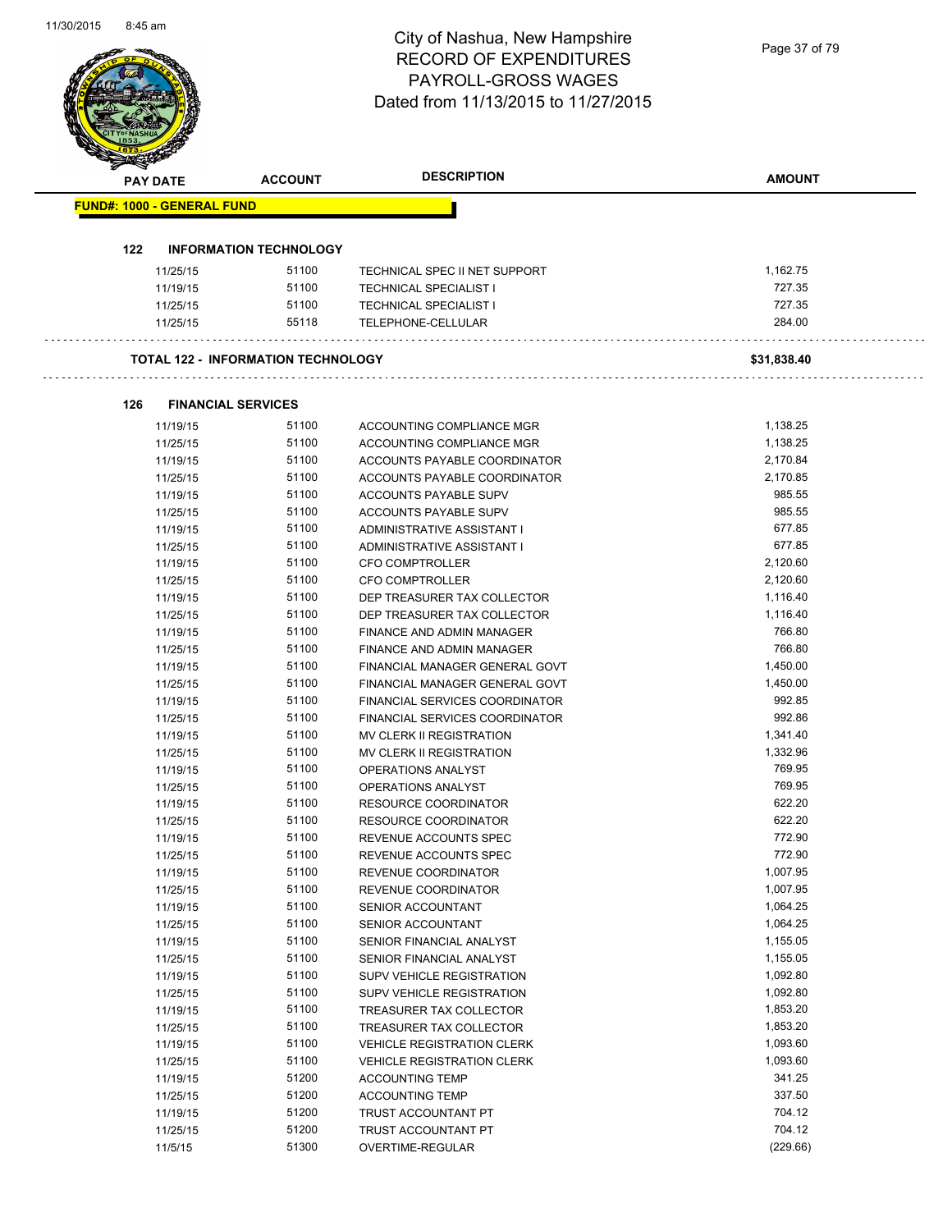| <b>PAY DATE</b>                   | <b>ACCOUNT</b>                            | <b>DESCRIPTION</b>                | <b>AMOUNT</b> |
|-----------------------------------|-------------------------------------------|-----------------------------------|---------------|
| <b>FUND#: 1000 - GENERAL FUND</b> |                                           |                                   |               |
| 122                               | <b>INFORMATION TECHNOLOGY</b>             |                                   |               |
| 11/25/15                          | 51100                                     | TECHNICAL SPEC II NET SUPPORT     | 1,162.75      |
| 11/19/15                          | 51100                                     | <b>TECHNICAL SPECIALIST I</b>     | 727.35        |
| 11/25/15                          | 51100                                     | <b>TECHNICAL SPECIALIST I</b>     | 727.35        |
| 11/25/15                          | 55118                                     | TELEPHONE-CELLULAR                | 284.00        |
|                                   | <b>TOTAL 122 - INFORMATION TECHNOLOGY</b> |                                   | \$31,838.40   |
|                                   |                                           |                                   |               |
| 126                               | <b>FINANCIAL SERVICES</b>                 |                                   |               |
| 11/19/15                          | 51100                                     | ACCOUNTING COMPLIANCE MGR         | 1,138.25      |
| 11/25/15                          | 51100                                     | ACCOUNTING COMPLIANCE MGR         | 1,138.25      |
| 11/19/15                          | 51100                                     | ACCOUNTS PAYABLE COORDINATOR      | 2,170.84      |
| 11/25/15                          | 51100                                     | ACCOUNTS PAYABLE COORDINATOR      | 2,170.85      |
| 11/19/15                          | 51100                                     | <b>ACCOUNTS PAYABLE SUPV</b>      | 985.55        |
| 11/25/15                          | 51100                                     | ACCOUNTS PAYABLE SUPV             | 985.55        |
| 11/19/15                          | 51100                                     | ADMINISTRATIVE ASSISTANT I        | 677.85        |
| 11/25/15                          | 51100                                     | ADMINISTRATIVE ASSISTANT I        | 677.85        |
| 11/19/15                          | 51100                                     | <b>CFO COMPTROLLER</b>            | 2,120.60      |
| 11/25/15                          | 51100                                     | <b>CFO COMPTROLLER</b>            | 2,120.60      |
| 11/19/15                          | 51100                                     | DEP TREASURER TAX COLLECTOR       | 1,116.40      |
| 11/25/15                          | 51100                                     | DEP TREASURER TAX COLLECTOR       | 1,116.40      |
| 11/19/15                          | 51100                                     | FINANCE AND ADMIN MANAGER         | 766.80        |
| 11/25/15                          | 51100                                     | FINANCE AND ADMIN MANAGER         | 766.80        |
| 11/19/15                          | 51100                                     | FINANCIAL MANAGER GENERAL GOVT    | 1,450.00      |
| 11/25/15                          | 51100                                     | FINANCIAL MANAGER GENERAL GOVT    | 1,450.00      |
| 11/19/15                          | 51100                                     | FINANCIAL SERVICES COORDINATOR    | 992.85        |
| 11/25/15                          | 51100                                     | FINANCIAL SERVICES COORDINATOR    | 992.86        |
| 11/19/15                          | 51100                                     | MV CLERK II REGISTRATION          | 1,341.40      |
| 11/25/15                          | 51100                                     | MV CLERK II REGISTRATION          | 1,332.96      |
| 11/19/15                          | 51100                                     | OPERATIONS ANALYST                | 769.95        |
| 11/25/15                          | 51100                                     | OPERATIONS ANALYST                | 769.95        |
| 11/19/15                          | 51100                                     | RESOURCE COORDINATOR              | 622.20        |
| 11/25/15                          | 51100                                     | <b>RESOURCE COORDINATOR</b>       | 622.20        |
| 11/19/15                          | 51100                                     | REVENUE ACCOUNTS SPEC             | 772.90        |
| 11/25/15                          | 51100                                     | REVENUE ACCOUNTS SPEC             | 772.90        |
| 11/19/15                          | 51100                                     | REVENUE COORDINATOR               | 1,007.95      |
| 11/25/15                          | 51100                                     | REVENUE COORDINATOR               | 1,007.95      |
| 11/19/15                          | 51100                                     | SENIOR ACCOUNTANT                 | 1,064.25      |
| 11/25/15                          | 51100                                     | SENIOR ACCOUNTANT                 | 1,064.25      |
| 11/19/15                          | 51100                                     | SENIOR FINANCIAL ANALYST          | 1,155.05      |
| 11/25/15                          | 51100                                     | SENIOR FINANCIAL ANALYST          | 1,155.05      |
| 11/19/15                          | 51100                                     | <b>SUPV VEHICLE REGISTRATION</b>  | 1,092.80      |
| 11/25/15                          | 51100                                     | <b>SUPV VEHICLE REGISTRATION</b>  | 1,092.80      |
| 11/19/15                          | 51100                                     | TREASURER TAX COLLECTOR           | 1,853.20      |
| 11/25/15                          | 51100                                     | TREASURER TAX COLLECTOR           | 1,853.20      |
| 11/19/15                          | 51100                                     | <b>VEHICLE REGISTRATION CLERK</b> | 1,093.60      |
| 11/25/15                          | 51100                                     | <b>VEHICLE REGISTRATION CLERK</b> | 1,093.60      |
| 11/19/15                          | 51200                                     | <b>ACCOUNTING TEMP</b>            | 341.25        |
| 11/25/15                          | 51200                                     | <b>ACCOUNTING TEMP</b>            | 337.50        |
| 11/19/15                          | 51200                                     | TRUST ACCOUNTANT PT               | 704.12        |
| 11/25/15                          | 51200                                     | TRUST ACCOUNTANT PT               | 704.12        |
| 11/5/15                           | 51300                                     | OVERTIME-REGULAR                  | (229.66)      |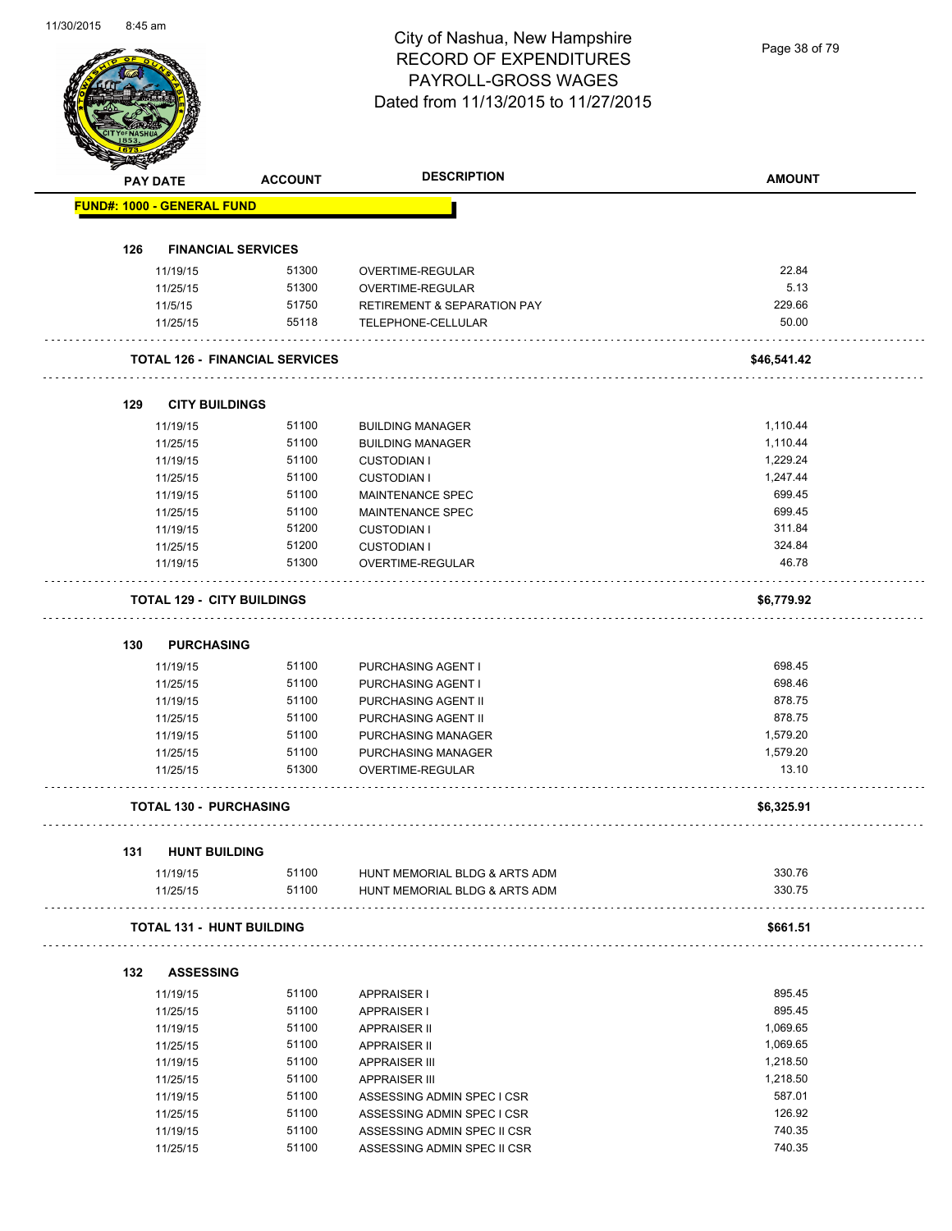Page 38 of 79

|     | <b>PAY DATE</b>                   | <b>ACCOUNT</b>                        | <b>DESCRIPTION</b>                                 | <b>AMOUNT</b> |
|-----|-----------------------------------|---------------------------------------|----------------------------------------------------|---------------|
|     | <b>FUND#: 1000 - GENERAL FUND</b> |                                       |                                                    |               |
|     |                                   |                                       |                                                    |               |
| 126 | <b>FINANCIAL SERVICES</b>         |                                       |                                                    |               |
|     | 11/19/15<br>11/25/15              | 51300<br>51300                        | <b>OVERTIME-REGULAR</b><br><b>OVERTIME-REGULAR</b> | 22.84<br>5.13 |
|     | 11/5/15                           | 51750                                 | <b>RETIREMENT &amp; SEPARATION PAY</b>             | 229.66        |
|     | 11/25/15                          | 55118                                 | TELEPHONE-CELLULAR                                 | 50.00         |
|     |                                   | <b>TOTAL 126 - FINANCIAL SERVICES</b> |                                                    | \$46,541.42   |
|     |                                   |                                       |                                                    |               |
| 129 | <b>CITY BUILDINGS</b>             |                                       |                                                    |               |
|     | 11/19/15                          | 51100                                 | <b>BUILDING MANAGER</b>                            | 1,110.44      |
|     | 11/25/15                          | 51100                                 | <b>BUILDING MANAGER</b>                            | 1,110.44      |
|     | 11/19/15                          | 51100                                 | <b>CUSTODIAN I</b>                                 | 1,229.24      |
|     | 11/25/15                          | 51100                                 | <b>CUSTODIAN I</b>                                 | 1,247.44      |
|     | 11/19/15                          | 51100                                 | <b>MAINTENANCE SPEC</b>                            | 699.45        |
|     | 11/25/15                          | 51100                                 | <b>MAINTENANCE SPEC</b>                            | 699.45        |
|     | 11/19/15                          | 51200                                 | <b>CUSTODIAN I</b>                                 | 311.84        |
|     | 11/25/15                          | 51200                                 | <b>CUSTODIAN I</b>                                 | 324.84        |
|     | 11/19/15                          | 51300                                 | OVERTIME-REGULAR                                   | 46.78         |
|     | <b>TOTAL 129 - CITY BUILDINGS</b> |                                       |                                                    | \$6,779.92    |
| 130 | <b>PURCHASING</b>                 |                                       |                                                    |               |
|     | 11/19/15                          | 51100                                 | PURCHASING AGENT I                                 | 698.45        |
|     | 11/25/15                          | 51100                                 | PURCHASING AGENT I                                 | 698.46        |
|     | 11/19/15                          | 51100                                 | PURCHASING AGENT II                                | 878.75        |
|     | 11/25/15                          | 51100                                 | PURCHASING AGENT II                                | 878.75        |
|     | 11/19/15                          | 51100                                 | PURCHASING MANAGER                                 | 1,579.20      |
|     | 11/25/15                          | 51100                                 | PURCHASING MANAGER                                 | 1,579.20      |
|     | 11/25/15                          | 51300                                 | OVERTIME-REGULAR                                   | 13.10         |
|     | <b>TOTAL 130 - PURCHASING</b>     |                                       |                                                    | \$6,325.91    |
|     |                                   |                                       |                                                    |               |
| 131 | <b>HUNT BUILDING</b>              |                                       | HUNT MEMORIAL BLDG & ARTS ADM                      | 330.76        |
|     | 11/19/15<br>11/25/15              | 51100<br>51100                        | HUNT MEMORIAL BLDG & ARTS ADM                      | 330.75        |
|     | <b>TOTAL 131 - HUNT BUILDING</b>  |                                       |                                                    | \$661.51      |
|     |                                   |                                       |                                                    |               |
| 132 | <b>ASSESSING</b>                  |                                       |                                                    |               |
|     | 11/19/15                          | 51100                                 | <b>APPRAISER I</b>                                 | 895.45        |
|     | 11/25/15                          | 51100                                 | <b>APPRAISER I</b>                                 | 895.45        |
|     | 11/19/15                          | 51100                                 | <b>APPRAISER II</b>                                | 1,069.65      |
|     | 11/25/15                          | 51100                                 | <b>APPRAISER II</b>                                | 1,069.65      |
|     | 11/19/15                          | 51100                                 | <b>APPRAISER III</b>                               | 1,218.50      |
|     | 11/25/15                          | 51100                                 | <b>APPRAISER III</b>                               | 1,218.50      |
|     | 11/19/15                          | 51100                                 | ASSESSING ADMIN SPEC I CSR                         | 587.01        |
|     | 11/25/15                          | 51100                                 | ASSESSING ADMIN SPEC I CSR                         | 126.92        |
|     | 11/19/15                          | 51100                                 | ASSESSING ADMIN SPEC II CSR                        | 740.35        |
|     | 11/25/15                          | 51100                                 | ASSESSING ADMIN SPEC II CSR                        | 740.35        |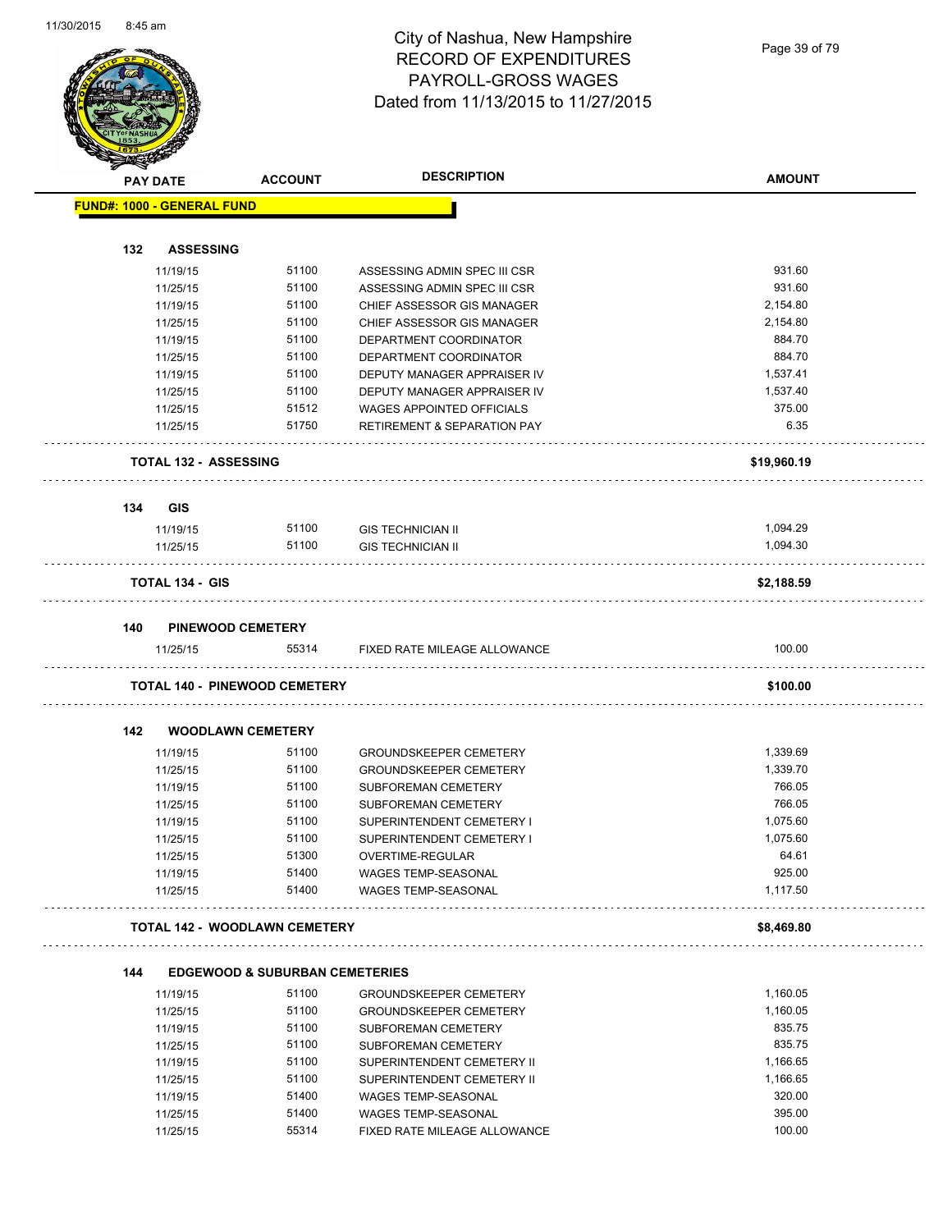

|                                   | <b>PAY DATE</b>        | <b>ACCOUNT</b>                            | <b>DESCRIPTION</b>                                                         | <b>AMOUNT</b>        |
|-----------------------------------|------------------------|-------------------------------------------|----------------------------------------------------------------------------|----------------------|
| <b>FUND#: 1000 - GENERAL FUND</b> |                        |                                           |                                                                            |                      |
|                                   |                        |                                           |                                                                            |                      |
| 132                               |                        | <b>ASSESSING</b>                          |                                                                            |                      |
|                                   | 11/19/15               | 51100                                     | ASSESSING ADMIN SPEC III CSR                                               | 931.60               |
|                                   | 11/25/15               | 51100                                     | ASSESSING ADMIN SPEC III CSR                                               | 931.60               |
|                                   | 11/19/15               | 51100                                     | CHIEF ASSESSOR GIS MANAGER                                                 | 2,154.80             |
|                                   | 11/25/15               | 51100                                     | CHIEF ASSESSOR GIS MANAGER                                                 | 2,154.80             |
|                                   | 11/19/15               | 51100                                     | DEPARTMENT COORDINATOR                                                     | 884.70               |
|                                   | 11/25/15               | 51100                                     | DEPARTMENT COORDINATOR                                                     | 884.70               |
|                                   | 11/19/15               | 51100<br>51100                            | DEPUTY MANAGER APPRAISER IV                                                | 1,537.41<br>1,537.40 |
|                                   | 11/25/15               | 51512                                     | DEPUTY MANAGER APPRAISER IV                                                | 375.00               |
|                                   | 11/25/15<br>11/25/15   | 51750                                     | <b>WAGES APPOINTED OFFICIALS</b><br><b>RETIREMENT &amp; SEPARATION PAY</b> | 6.35                 |
|                                   |                        |                                           |                                                                            |                      |
|                                   |                        | <b>TOTAL 132 - ASSESSING</b>              |                                                                            | \$19,960.19          |
| 134                               | GIS                    |                                           |                                                                            |                      |
|                                   | 11/19/15               | 51100                                     | <b>GIS TECHNICIAN II</b>                                                   | 1,094.29             |
|                                   | 11/25/15               | 51100                                     | <b>GIS TECHNICIAN II</b>                                                   | 1,094.30             |
|                                   | <b>TOTAL 134 - GIS</b> |                                           |                                                                            | \$2,188.59           |
|                                   |                        |                                           |                                                                            |                      |
| 140                               |                        | <b>PINEWOOD CEMETERY</b>                  |                                                                            |                      |
|                                   | 11/25/15               | 55314                                     | FIXED RATE MILEAGE ALLOWANCE                                               | 100.00               |
|                                   |                        | <b>TOTAL 140 - PINEWOOD CEMETERY</b>      |                                                                            | \$100.00             |
| 142                               |                        | <b>WOODLAWN CEMETERY</b>                  |                                                                            |                      |
|                                   |                        | 51100                                     |                                                                            | 1,339.69             |
|                                   | 11/19/15               | 51100                                     | <b>GROUNDSKEEPER CEMETERY</b>                                              | 1,339.70             |
|                                   | 11/25/15<br>11/19/15   | 51100                                     | <b>GROUNDSKEEPER CEMETERY</b><br>SUBFOREMAN CEMETERY                       | 766.05               |
|                                   | 11/25/15               | 51100                                     | SUBFOREMAN CEMETERY                                                        | 766.05               |
|                                   | 11/19/15               | 51100                                     | SUPERINTENDENT CEMETERY I                                                  | 1,075.60             |
|                                   | 11/25/15               | 51100                                     | SUPERINTENDENT CEMETERY I                                                  | 1,075.60             |
|                                   | 11/25/15               | 51300                                     | OVERTIME-REGULAR                                                           | 64.61                |
|                                   | 11/19/15               | 51400                                     | <b>WAGES TEMP-SEASONAL</b>                                                 | 925.00               |
|                                   | 11/25/15               | 51400                                     | <b>WAGES TEMP-SEASONAL</b>                                                 | 1,117.50             |
|                                   |                        | <b>TOTAL 142 - WOODLAWN CEMETERY</b>      |                                                                            | \$8,469.80           |
|                                   |                        |                                           |                                                                            |                      |
| 144                               |                        | <b>EDGEWOOD &amp; SUBURBAN CEMETERIES</b> |                                                                            |                      |
|                                   | 11/19/15               | 51100                                     | <b>GROUNDSKEEPER CEMETERY</b>                                              | 1,160.05             |
|                                   | 11/25/15               | 51100                                     | <b>GROUNDSKEEPER CEMETERY</b>                                              | 1,160.05             |
|                                   | 11/19/15               | 51100                                     | SUBFOREMAN CEMETERY                                                        | 835.75               |
|                                   | 11/25/15               | 51100                                     | SUBFOREMAN CEMETERY                                                        | 835.75               |
|                                   | 11/19/15               | 51100                                     | SUPERINTENDENT CEMETERY II                                                 | 1,166.65             |
|                                   | 11/25/15               | 51100                                     | SUPERINTENDENT CEMETERY II                                                 | 1,166.65             |
|                                   | 11/19/15               | 51400                                     | <b>WAGES TEMP-SEASONAL</b>                                                 | 320.00               |
|                                   | 11/25/15               | 51400                                     | WAGES TEMP-SEASONAL                                                        | 395.00               |
|                                   | 11/25/15               | 55314                                     | FIXED RATE MILEAGE ALLOWANCE                                               | 100.00               |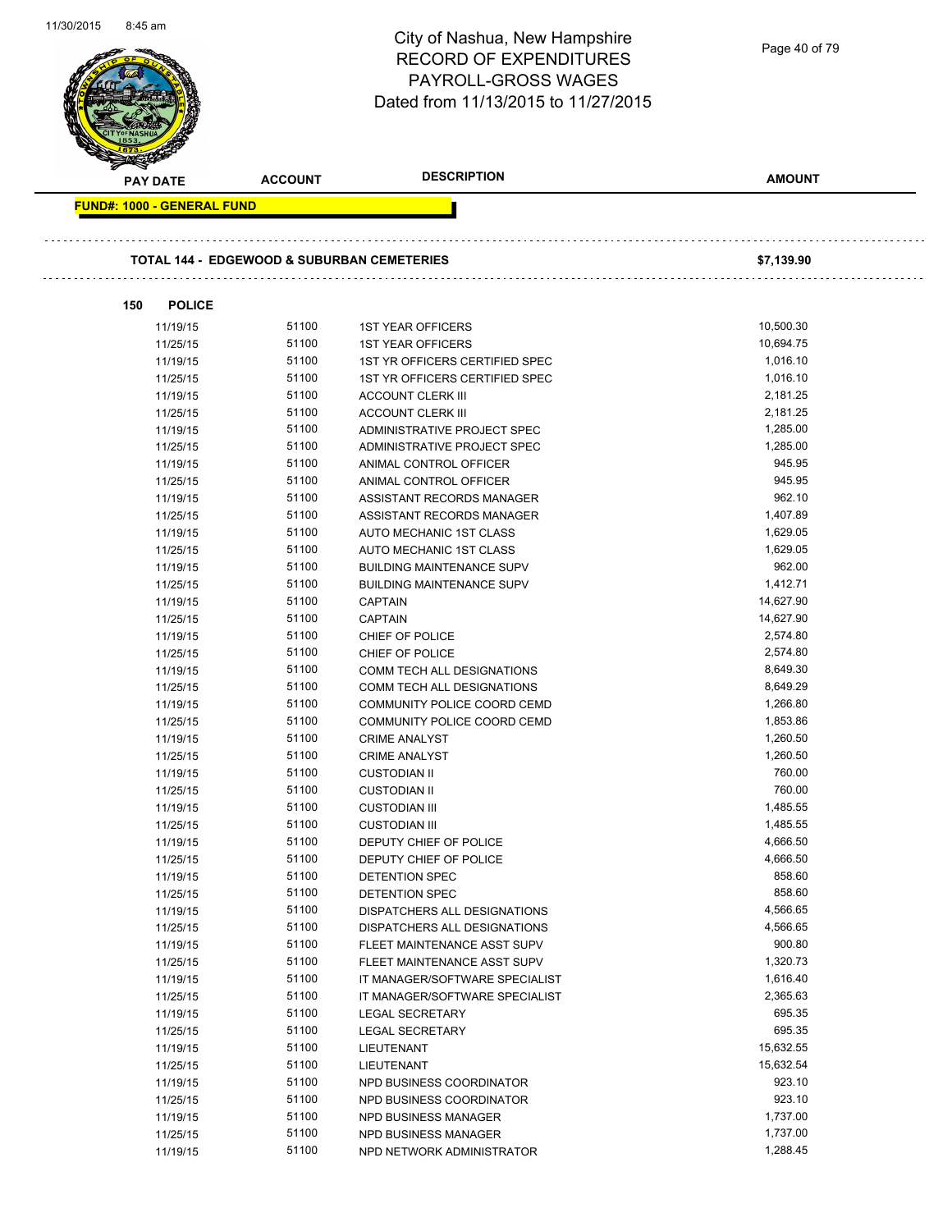| 11/30/2015 | 8:45 am                           |                                                       | City of Nashua, New Hampshire<br><b>RECORD OF EXPENDITURES</b><br><b>PAYROLL-GROSS WAGES</b><br>Dated from 11/13/2015 to 11/27/2015 | Page 40 of 79         |
|------------|-----------------------------------|-------------------------------------------------------|-------------------------------------------------------------------------------------------------------------------------------------|-----------------------|
|            | <b>PAY DATE</b>                   | <b>ACCOUNT</b>                                        | <b>DESCRIPTION</b>                                                                                                                  | <b>AMOUNT</b>         |
|            | <b>FUND#: 1000 - GENERAL FUND</b> |                                                       |                                                                                                                                     |                       |
|            |                                   | <b>TOTAL 144 - EDGEWOOD &amp; SUBURBAN CEMETERIES</b> |                                                                                                                                     | \$7,139.90            |
|            | 150<br><b>POLICE</b>              |                                                       |                                                                                                                                     |                       |
|            | 11/19/15                          | 51100                                                 | <b>1ST YEAR OFFICERS</b>                                                                                                            | 10,500.30             |
|            | 11/25/15                          | 51100                                                 | <b>1ST YEAR OFFICERS</b>                                                                                                            | 10,694.75             |
|            | 11/19/15                          | 51100                                                 | 1ST YR OFFICERS CERTIFIED SPEC                                                                                                      | 1,016.10              |
|            | 11/25/15                          | 51100                                                 | 1ST YR OFFICERS CERTIFIED SPEC                                                                                                      | 1,016.10              |
|            | 11/19/15                          | 51100                                                 | <b>ACCOUNT CLERK III</b>                                                                                                            | 2,181.25              |
|            | 11/25/15                          | 51100                                                 | <b>ACCOUNT CLERK III</b>                                                                                                            | 2,181.25              |
|            | 11/19/15                          | 51100                                                 | ADMINISTRATIVE PROJECT SPEC                                                                                                         | 1,285.00              |
|            | 11/25/15                          | 51100                                                 | ADMINISTRATIVE PROJECT SPEC                                                                                                         | 1,285.00              |
|            | 11/19/15                          | 51100                                                 | ANIMAL CONTROL OFFICER                                                                                                              | 945.95                |
|            | 11/25/15                          | 51100                                                 | ANIMAL CONTROL OFFICER                                                                                                              | 945.95                |
|            | 11/19/15                          | 51100                                                 | ASSISTANT RECORDS MANAGER                                                                                                           | 962.10                |
|            | 11/25/15                          | 51100                                                 | ASSISTANT RECORDS MANAGER                                                                                                           | 1,407.89              |
|            | 11/19/15                          | 51100                                                 | AUTO MECHANIC 1ST CLASS                                                                                                             | 1,629.05              |
|            | 11/25/15                          | 51100                                                 | AUTO MECHANIC 1ST CLASS                                                                                                             | 1,629.05              |
|            | 11/19/15                          | 51100                                                 | <b>BUILDING MAINTENANCE SUPV</b>                                                                                                    | 962.00                |
|            | 11/25/15                          | 51100<br>51100                                        | <b>BUILDING MAINTENANCE SUPV</b>                                                                                                    | 1,412.71<br>14,627.90 |
|            | 11/19/15<br>11/25/15              | 51100                                                 | <b>CAPTAIN</b><br><b>CAPTAIN</b>                                                                                                    | 14,627.90             |
|            | 11/19/15                          | 51100                                                 | CHIEF OF POLICE                                                                                                                     | 2,574.80              |
|            | 11/25/15                          | 51100                                                 | CHIEF OF POLICE                                                                                                                     | 2,574.80              |
|            | 11/19/15                          | 51100                                                 | COMM TECH ALL DESIGNATIONS                                                                                                          | 8,649.30              |
|            | 11/25/15                          | 51100                                                 | COMM TECH ALL DESIGNATIONS                                                                                                          | 8,649.29              |
|            | 11/19/15                          | 51100                                                 | COMMUNITY POLICE COORD CEMD                                                                                                         | 1,266.80              |
|            | 11/25/15                          | 51100                                                 | COMMUNITY POLICE COORD CEMD                                                                                                         | 1,853.86              |
|            | 11/19/15                          | 51100                                                 | <b>CRIME ANALYST</b>                                                                                                                | 1,260.50              |
|            | 11/25/15                          | 51100                                                 | <b>CRIME ANALYST</b>                                                                                                                | 1,260.50              |
|            | 11/19/15                          | 51100                                                 | <b>CUSTODIAN II</b>                                                                                                                 | 760.00                |
|            | 11/25/15                          | 51100                                                 | <b>CUSTODIAN II</b>                                                                                                                 | 760.00                |
|            | 11/19/15                          | 51100                                                 | <b>CUSTODIAN III</b>                                                                                                                | 1,485.55              |
|            | 11/25/15                          | 51100                                                 | <b>CUSTODIAN III</b>                                                                                                                | 1,485.55              |
|            | 11/19/15                          | 51100                                                 | DEPUTY CHIEF OF POLICE                                                                                                              | 4,666.50              |
|            | 11/25/15                          | 51100                                                 | DEPUTY CHIEF OF POLICE                                                                                                              | 4,666.50              |
|            | 11/19/15                          | 51100                                                 | DETENTION SPEC                                                                                                                      | 858.60                |
|            | 11/25/15                          | 51100                                                 | DETENTION SPEC                                                                                                                      | 858.60                |
|            | 11/19/15                          | 51100                                                 | <b>DISPATCHERS ALL DESIGNATIONS</b>                                                                                                 | 4,566.65              |
|            | 11/25/15                          | 51100                                                 | DISPATCHERS ALL DESIGNATIONS                                                                                                        | 4,566.65              |
|            | 11/19/15                          | 51100                                                 | FLEET MAINTENANCE ASST SUPV                                                                                                         | 900.80                |
|            | 11/25/15                          | 51100                                                 | FLEET MAINTENANCE ASST SUPV                                                                                                         | 1,320.73              |
|            | 11/19/15                          | 51100                                                 | IT MANAGER/SOFTWARE SPECIALIST                                                                                                      | 1,616.40              |
|            | 11/25/15                          | 51100                                                 | IT MANAGER/SOFTWARE SPECIALIST                                                                                                      | 2,365.63              |
|            | 11/19/15                          | 51100                                                 | <b>LEGAL SECRETARY</b>                                                                                                              | 695.35                |
|            | 11/25/15                          | 51100                                                 | <b>LEGAL SECRETARY</b>                                                                                                              | 695.35                |
|            | 11/19/15                          | 51100                                                 | LIEUTENANT                                                                                                                          | 15,632.55             |
|            | 11/25/15                          | 51100<br>51100                                        | LIEUTENANT                                                                                                                          | 15,632.54<br>923.10   |
|            | 11/19/15<br>11/25/15              | 51100                                                 | NPD BUSINESS COORDINATOR<br>NPD BUSINESS COORDINATOR                                                                                | 923.10                |
|            | 11/19/15                          | 51100                                                 | NPD BUSINESS MANAGER                                                                                                                | 1,737.00              |
|            | 11/25/15                          | 51100                                                 | NPD BUSINESS MANAGER                                                                                                                | 1,737.00              |
|            | 11/19/15                          | 51100                                                 | NPD NETWORK ADMINISTRATOR                                                                                                           | 1,288.45              |
|            |                                   |                                                       |                                                                                                                                     |                       |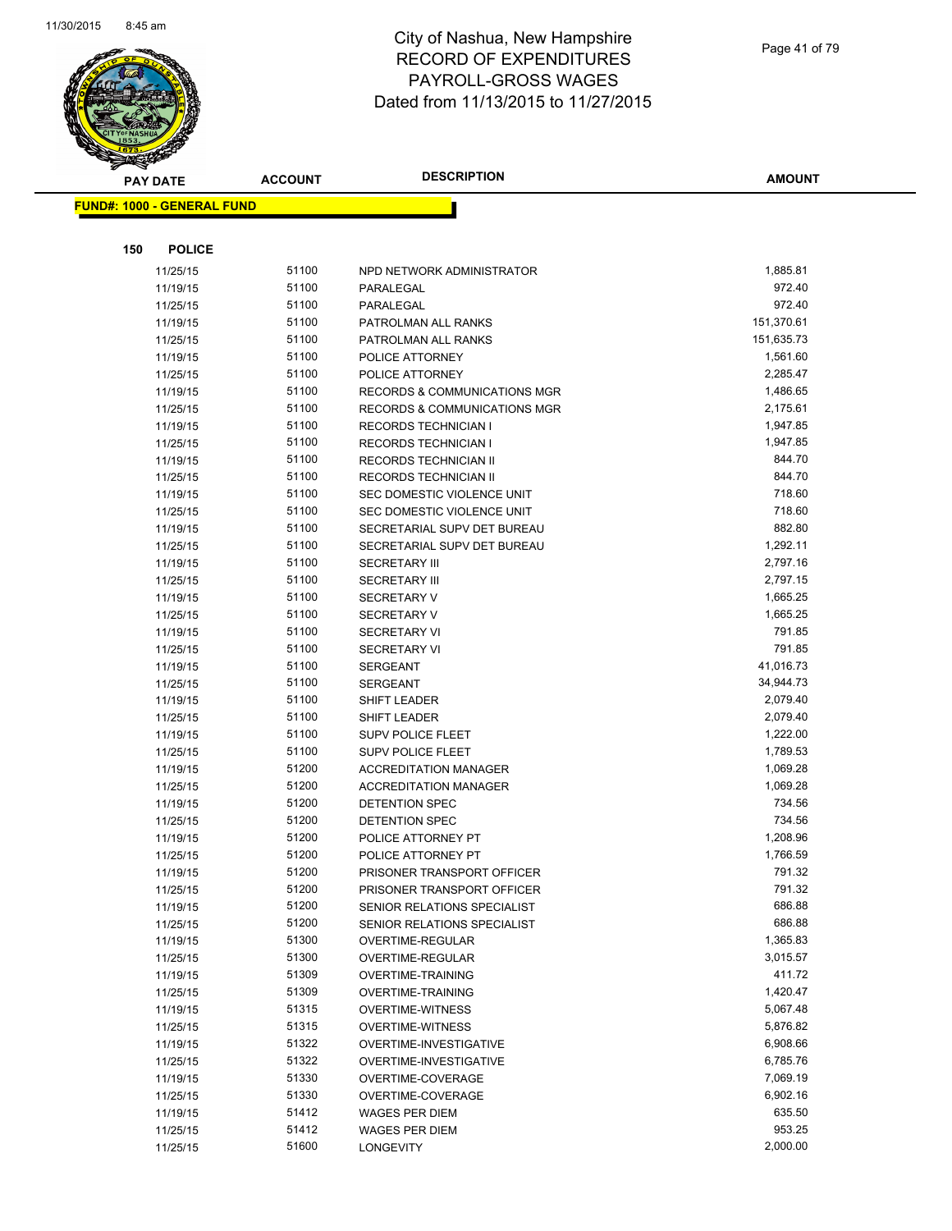

| <b>PAY DATE</b>                   | <b>ACCOUNT</b> | <b>DESCRIPTION</b>                                    | <b>AMOUNT</b>        |
|-----------------------------------|----------------|-------------------------------------------------------|----------------------|
| <b>FUND#: 1000 - GENERAL FUND</b> |                |                                                       |                      |
|                                   |                |                                                       |                      |
|                                   |                |                                                       |                      |
| 150<br><b>POLICE</b>              |                |                                                       |                      |
| 11/25/15                          | 51100          | NPD NETWORK ADMINISTRATOR                             | 1,885.81             |
| 11/19/15                          | 51100          | PARALEGAL                                             | 972.40               |
| 11/25/15                          | 51100          | PARALEGAL                                             | 972.40               |
| 11/19/15                          | 51100          | PATROLMAN ALL RANKS                                   | 151,370.61           |
| 11/25/15                          | 51100          | PATROLMAN ALL RANKS                                   | 151,635.73           |
| 11/19/15                          | 51100          | POLICE ATTORNEY                                       | 1,561.60             |
| 11/25/15                          | 51100          | POLICE ATTORNEY                                       | 2,285.47             |
| 11/19/15                          | 51100          | <b>RECORDS &amp; COMMUNICATIONS MGR</b>               | 1,486.65             |
| 11/25/15                          | 51100          | <b>RECORDS &amp; COMMUNICATIONS MGR</b>               | 2,175.61             |
| 11/19/15                          | 51100          | <b>RECORDS TECHNICIAN I</b>                           | 1,947.85             |
| 11/25/15                          | 51100          | <b>RECORDS TECHNICIAN I</b>                           | 1,947.85             |
| 11/19/15                          | 51100          | RECORDS TECHNICIAN II                                 | 844.70               |
| 11/25/15                          | 51100          | <b>RECORDS TECHNICIAN II</b>                          | 844.70               |
| 11/19/15                          | 51100          | SEC DOMESTIC VIOLENCE UNIT                            | 718.60               |
| 11/25/15                          | 51100          | SEC DOMESTIC VIOLENCE UNIT                            | 718.60               |
| 11/19/15                          | 51100          | SECRETARIAL SUPV DET BUREAU                           | 882.80               |
| 11/25/15                          | 51100          | SECRETARIAL SUPV DET BUREAU                           | 1,292.11             |
| 11/19/15                          | 51100          | <b>SECRETARY III</b>                                  | 2,797.16             |
| 11/25/15                          | 51100          | <b>SECRETARY III</b>                                  | 2,797.15             |
| 11/19/15                          | 51100          | <b>SECRETARY V</b>                                    | 1,665.25             |
| 11/25/15                          | 51100          | <b>SECRETARY V</b>                                    | 1,665.25             |
| 11/19/15                          | 51100          | <b>SECRETARY VI</b>                                   | 791.85               |
| 11/25/15                          | 51100          | <b>SECRETARY VI</b>                                   | 791.85               |
| 11/19/15                          | 51100          | <b>SERGEANT</b>                                       | 41,016.73            |
| 11/25/15                          | 51100          | <b>SERGEANT</b>                                       | 34,944.73            |
| 11/19/15                          | 51100          | SHIFT LEADER                                          | 2,079.40             |
| 11/25/15                          | 51100          | SHIFT LEADER                                          | 2,079.40             |
| 11/19/15                          | 51100<br>51100 | <b>SUPV POLICE FLEET</b>                              | 1,222.00<br>1,789.53 |
| 11/25/15                          |                | SUPV POLICE FLEET<br><b>ACCREDITATION MANAGER</b>     |                      |
| 11/19/15                          | 51200<br>51200 |                                                       | 1,069.28<br>1,069.28 |
| 11/25/15                          |                | <b>ACCREDITATION MANAGER</b><br><b>DETENTION SPEC</b> | 734.56               |
| 11/19/15                          | 51200<br>51200 |                                                       | 734.56               |
| 11/25/15<br>11/19/15              | 51200          | DETENTION SPEC<br>POLICE ATTORNEY PT                  | 1,208.96             |
| 11/25/15                          | 51200          | POLICE ATTORNEY PT                                    | 1,766.59             |
| 11/19/15                          | 51200          | PRISONER TRANSPORT OFFICER                            | 791.32               |
| 11/25/15                          | 51200          | PRISONER TRANSPORT OFFICER                            | 791.32               |
| 11/19/15                          | 51200          | SENIOR RELATIONS SPECIALIST                           | 686.88               |
| 11/25/15                          | 51200          | SENIOR RELATIONS SPECIALIST                           | 686.88               |
| 11/19/15                          | 51300          | OVERTIME-REGULAR                                      | 1,365.83             |
| 11/25/15                          | 51300          | OVERTIME-REGULAR                                      | 3,015.57             |
| 11/19/15                          | 51309          | OVERTIME-TRAINING                                     | 411.72               |
| 11/25/15                          | 51309          | OVERTIME-TRAINING                                     | 1,420.47             |
| 11/19/15                          | 51315          | <b>OVERTIME-WITNESS</b>                               | 5,067.48             |
| 11/25/15                          | 51315          | <b>OVERTIME-WITNESS</b>                               | 5,876.82             |
| 11/19/15                          | 51322          | OVERTIME-INVESTIGATIVE                                | 6,908.66             |
| 11/25/15                          | 51322          | OVERTIME-INVESTIGATIVE                                | 6,785.76             |
| 11/19/15                          | 51330          | OVERTIME-COVERAGE                                     | 7,069.19             |
| 11/25/15                          | 51330          | OVERTIME-COVERAGE                                     | 6,902.16             |
| 11/19/15                          | 51412          | <b>WAGES PER DIEM</b>                                 | 635.50               |
| 11/25/15                          | 51412          | <b>WAGES PER DIEM</b>                                 | 953.25               |
| 11/25/15                          | 51600          | LONGEVITY                                             | 2,000.00             |
|                                   |                |                                                       |                      |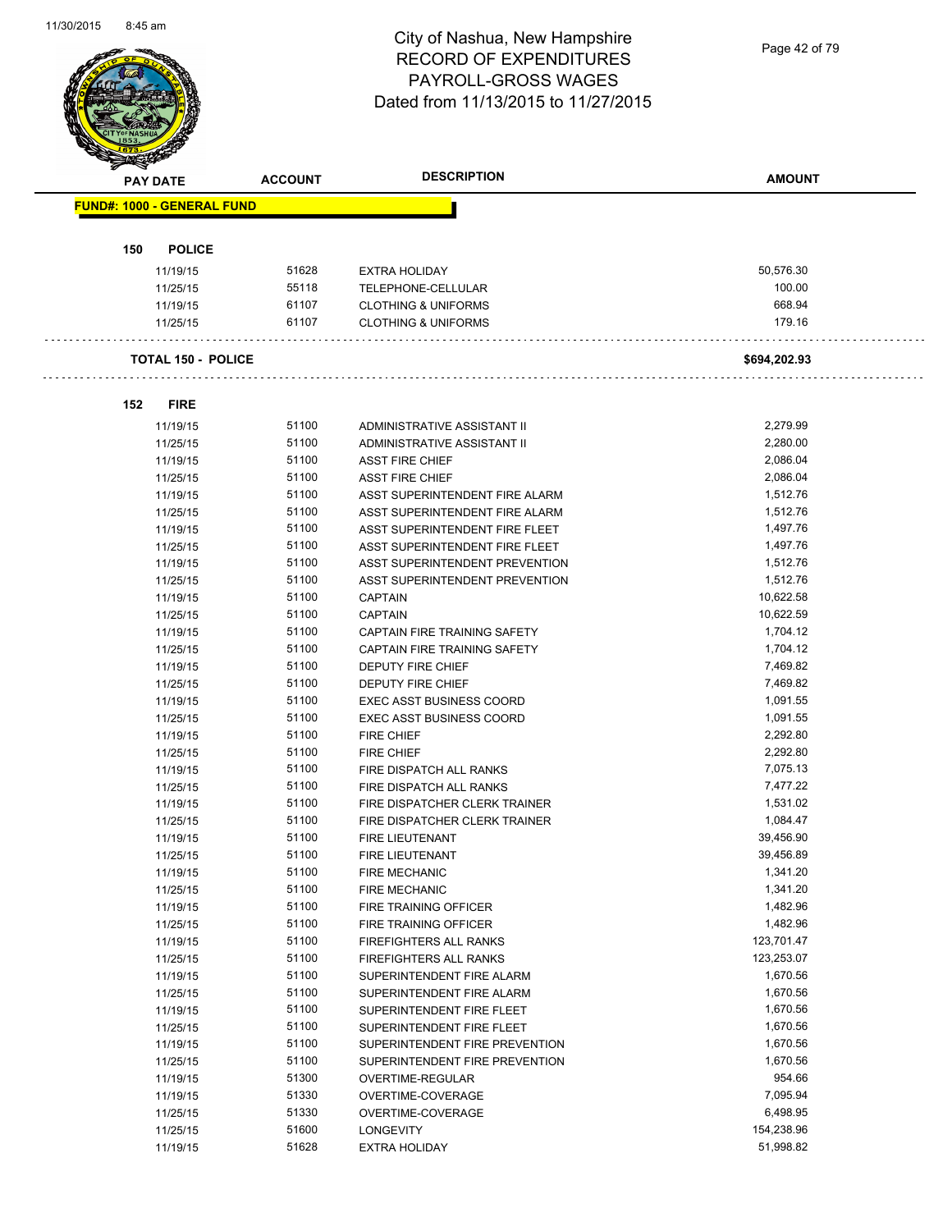Page 42 of 79

| <b>PAY DATE</b>                   | <b>ACCOUNT</b> | <b>DESCRIPTION</b>                                               | <b>AMOUNT</b>        |
|-----------------------------------|----------------|------------------------------------------------------------------|----------------------|
| <b>FUND#: 1000 - GENERAL FUND</b> |                |                                                                  |                      |
|                                   |                |                                                                  |                      |
|                                   |                |                                                                  |                      |
| <b>POLICE</b><br>150              |                |                                                                  |                      |
| 11/19/15                          | 51628          | <b>EXTRA HOLIDAY</b>                                             | 50,576.30            |
| 11/25/15                          | 55118          | TELEPHONE-CELLULAR                                               | 100.00               |
| 11/19/15                          | 61107          | <b>CLOTHING &amp; UNIFORMS</b>                                   | 668.94               |
| 11/25/15                          | 61107          | <b>CLOTHING &amp; UNIFORMS</b>                                   | 179.16               |
| <b>TOTAL 150 - POLICE</b>         |                |                                                                  | \$694,202.93         |
| <b>FIRE</b><br>152                |                |                                                                  |                      |
|                                   |                |                                                                  |                      |
| 11/19/15                          | 51100          | ADMINISTRATIVE ASSISTANT II                                      | 2,279.99             |
| 11/25/15                          | 51100          | ADMINISTRATIVE ASSISTANT II                                      | 2,280.00<br>2,086.04 |
| 11/19/15                          | 51100<br>51100 | <b>ASST FIRE CHIEF</b>                                           | 2,086.04             |
| 11/25/15                          |                | <b>ASST FIRE CHIEF</b>                                           | 1,512.76             |
| 11/19/15<br>11/25/15              | 51100<br>51100 | ASST SUPERINTENDENT FIRE ALARM                                   | 1,512.76             |
| 11/19/15                          | 51100          | ASST SUPERINTENDENT FIRE ALARM<br>ASST SUPERINTENDENT FIRE FLEET | 1,497.76             |
| 11/25/15                          | 51100          | ASST SUPERINTENDENT FIRE FLEET                                   | 1,497.76             |
| 11/19/15                          | 51100          | ASST SUPERINTENDENT PREVENTION                                   | 1,512.76             |
|                                   | 51100          | ASST SUPERINTENDENT PREVENTION                                   | 1,512.76             |
| 11/25/15<br>11/19/15              | 51100          | <b>CAPTAIN</b>                                                   | 10,622.58            |
| 11/25/15                          | 51100          | <b>CAPTAIN</b>                                                   | 10,622.59            |
| 11/19/15                          | 51100          | CAPTAIN FIRE TRAINING SAFETY                                     | 1,704.12             |
| 11/25/15                          | 51100          | CAPTAIN FIRE TRAINING SAFETY                                     | 1,704.12             |
| 11/19/15                          | 51100          | DEPUTY FIRE CHIEF                                                | 7,469.82             |
| 11/25/15                          | 51100          | DEPUTY FIRE CHIEF                                                | 7,469.82             |
| 11/19/15                          | 51100          | <b>EXEC ASST BUSINESS COORD</b>                                  | 1,091.55             |
| 11/25/15                          | 51100          | <b>EXEC ASST BUSINESS COORD</b>                                  | 1,091.55             |
| 11/19/15                          | 51100          | FIRE CHIEF                                                       | 2,292.80             |
| 11/25/15                          | 51100          | <b>FIRE CHIEF</b>                                                | 2,292.80             |
| 11/19/15                          | 51100          | FIRE DISPATCH ALL RANKS                                          | 7,075.13             |
| 11/25/15                          | 51100          | FIRE DISPATCH ALL RANKS                                          | 7,477.22             |
| 11/19/15                          | 51100          | FIRE DISPATCHER CLERK TRAINER                                    | 1,531.02             |
| 11/25/15                          | 51100          | FIRE DISPATCHER CLERK TRAINER                                    | 1,084.47             |
| 11/19/15                          | 51100          | <b>FIRE LIEUTENANT</b>                                           | 39,456.90            |
| 11/25/15                          | 51100          | FIRE LIEUTENANT                                                  | 39,456.89            |
| 11/19/15                          | 51100          | <b>FIRE MECHANIC</b>                                             | 1,341.20             |
| 11/25/15                          | 51100          | FIRE MECHANIC                                                    | 1,341.20             |
| 11/19/15                          | 51100          | FIRE TRAINING OFFICER                                            | 1,482.96             |
| 11/25/15                          | 51100          | FIRE TRAINING OFFICER                                            | 1,482.96             |
| 11/19/15                          | 51100          | <b>FIREFIGHTERS ALL RANKS</b>                                    | 123,701.47           |
| 11/25/15                          | 51100          | FIREFIGHTERS ALL RANKS                                           | 123,253.07           |
| 11/19/15                          | 51100          | SUPERINTENDENT FIRE ALARM                                        | 1,670.56             |
| 11/25/15                          | 51100          | SUPERINTENDENT FIRE ALARM                                        | 1,670.56             |
| 11/19/15                          | 51100          | SUPERINTENDENT FIRE FLEET                                        | 1,670.56             |
| 11/25/15                          | 51100          | SUPERINTENDENT FIRE FLEET                                        | 1,670.56             |
| 11/19/15                          | 51100          | SUPERINTENDENT FIRE PREVENTION                                   | 1,670.56             |
| 11/25/15                          | 51100          | SUPERINTENDENT FIRE PREVENTION                                   | 1,670.56             |
| 11/19/15                          | 51300          | OVERTIME-REGULAR                                                 | 954.66               |
| 11/19/15                          | 51330          | OVERTIME-COVERAGE                                                | 7,095.94             |
| 11/25/15                          | 51330          | OVERTIME-COVERAGE                                                | 6,498.95             |
| 11/25/15                          | 51600          | <b>LONGEVITY</b>                                                 | 154,238.96           |
| 11/19/15                          | 51628          | <b>EXTRA HOLIDAY</b>                                             | 51,998.82            |
|                                   |                |                                                                  |                      |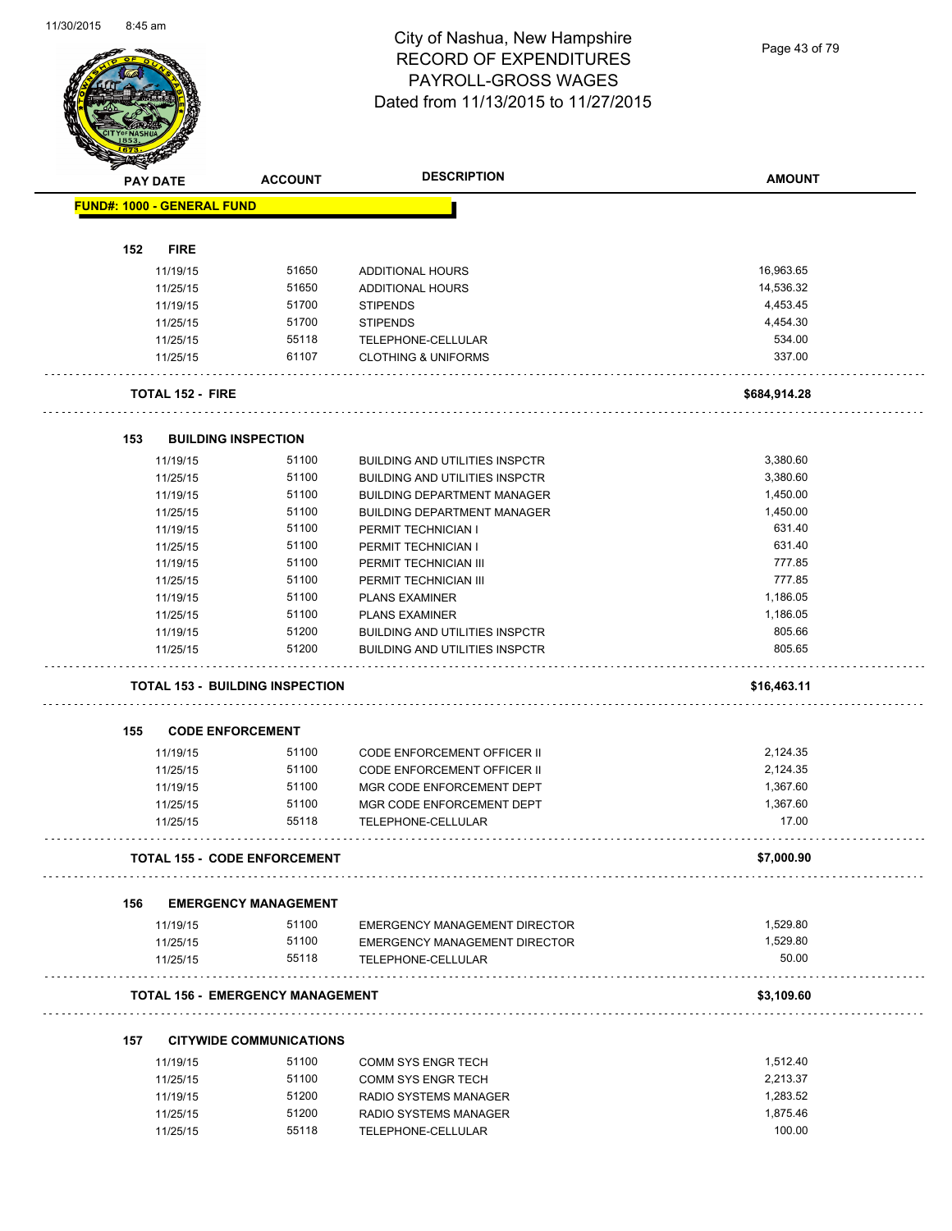Page 43 of 79

|     | <b>PAY DATE</b>                   | <b>ACCOUNT</b>                          | <b>DESCRIPTION</b>                    | <b>AMOUNT</b> |
|-----|-----------------------------------|-----------------------------------------|---------------------------------------|---------------|
|     | <b>FUND#: 1000 - GENERAL FUND</b> |                                         |                                       |               |
|     |                                   |                                         |                                       |               |
| 152 | <b>FIRE</b>                       |                                         |                                       |               |
|     | 11/19/15                          | 51650                                   | <b>ADDITIONAL HOURS</b>               | 16,963.65     |
|     | 11/25/15                          | 51650                                   | <b>ADDITIONAL HOURS</b>               | 14,536.32     |
|     | 11/19/15                          | 51700                                   | <b>STIPENDS</b>                       | 4,453.45      |
|     | 11/25/15                          | 51700                                   | <b>STIPENDS</b>                       | 4,454.30      |
|     | 11/25/15                          | 55118                                   | TELEPHONE-CELLULAR                    | 534.00        |
|     | 11/25/15                          | 61107                                   | <b>CLOTHING &amp; UNIFORMS</b>        | 337.00        |
|     | <b>TOTAL 152 - FIRE</b>           |                                         |                                       | \$684,914.28  |
| 153 |                                   | <b>BUILDING INSPECTION</b>              |                                       |               |
|     | 11/19/15                          | 51100                                   | <b>BUILDING AND UTILITIES INSPCTR</b> | 3,380.60      |
|     | 11/25/15                          | 51100                                   | <b>BUILDING AND UTILITIES INSPCTR</b> | 3,380.60      |
|     | 11/19/15                          | 51100                                   | <b>BUILDING DEPARTMENT MANAGER</b>    | 1,450.00      |
|     | 11/25/15                          | 51100                                   | <b>BUILDING DEPARTMENT MANAGER</b>    | 1,450.00      |
|     | 11/19/15                          | 51100                                   | PERMIT TECHNICIAN I                   | 631.40        |
|     | 11/25/15                          | 51100                                   | PERMIT TECHNICIAN I                   | 631.40        |
|     | 11/19/15                          | 51100                                   | PERMIT TECHNICIAN III                 | 777.85        |
|     |                                   | 51100                                   | PERMIT TECHNICIAN III                 | 777.85        |
|     | 11/25/15                          | 51100                                   |                                       | 1,186.05      |
|     | 11/19/15                          | 51100                                   | <b>PLANS EXAMINER</b>                 | 1,186.05      |
|     | 11/25/15                          |                                         | <b>PLANS EXAMINER</b>                 |               |
|     | 11/19/15                          | 51200                                   | <b>BUILDING AND UTILITIES INSPCTR</b> | 805.66        |
|     | 11/25/15                          | 51200                                   | <b>BUILDING AND UTILITIES INSPCTR</b> | 805.65        |
|     |                                   | <b>TOTAL 153 - BUILDING INSPECTION</b>  |                                       | \$16,463.11   |
| 155 |                                   | <b>CODE ENFORCEMENT</b>                 |                                       |               |
|     | 11/19/15                          | 51100                                   | <b>CODE ENFORCEMENT OFFICER II</b>    | 2,124.35      |
|     | 11/25/15                          | 51100                                   | CODE ENFORCEMENT OFFICER II           | 2,124.35      |
|     | 11/19/15                          | 51100                                   | MGR CODE ENFORCEMENT DEPT             | 1,367.60      |
|     | 11/25/15                          | 51100                                   | MGR CODE ENFORCEMENT DEPT             | 1,367.60      |
|     | 11/25/15                          | 55118                                   | TELEPHONE-CELLULAR                    | 17.00         |
|     |                                   | <b>TOTAL 155 - CODE ENFORCEMENT</b>     |                                       | \$7,000.90    |
| 156 |                                   | <b>EMERGENCY MANAGEMENT</b>             |                                       |               |
|     | 11/19/15                          | 51100                                   | EMERGENCY MANAGEMENT DIRECTOR         | 1,529.80      |
|     | 11/25/15                          | 51100                                   | <b>EMERGENCY MANAGEMENT DIRECTOR</b>  | 1,529.80      |
|     | 11/25/15                          | 55118                                   | TELEPHONE-CELLULAR                    | 50.00         |
|     |                                   | <b>TOTAL 156 - EMERGENCY MANAGEMENT</b> | .                                     | \$3,109.60    |
|     |                                   |                                         |                                       |               |
| 157 | 11/19/15                          | <b>CITYWIDE COMMUNICATIONS</b><br>51100 | COMM SYS ENGR TECH                    | 1,512.40      |
|     | 11/25/15                          | 51100                                   | <b>COMM SYS ENGR TECH</b>             | 2,213.37      |
|     | 11/19/15                          | 51200                                   | RADIO SYSTEMS MANAGER                 | 1,283.52      |
|     |                                   | 51200                                   |                                       | 1,875.46      |
|     | 11/25/15                          |                                         | RADIO SYSTEMS MANAGER                 | 100.00        |
|     | 11/25/15                          | 55118                                   | TELEPHONE-CELLULAR                    |               |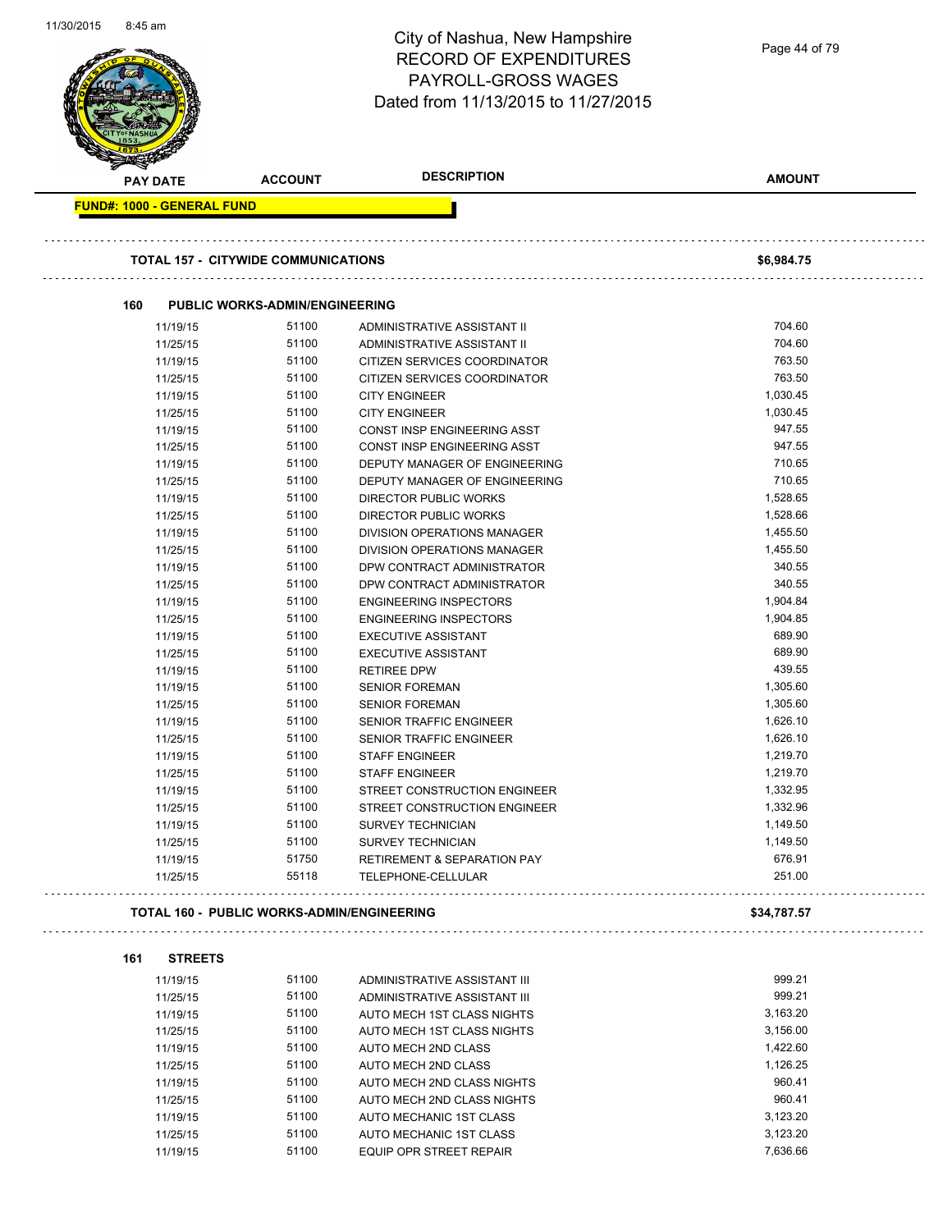| <u>,,,,,,,,,,</u>                 |                                                   | City of Nashua, New Hampshire                              | Page 44 of 79        |
|-----------------------------------|---------------------------------------------------|------------------------------------------------------------|----------------------|
|                                   |                                                   | <b>RECORD OF EXPENDITURES</b>                              |                      |
|                                   |                                                   | PAYROLL-GROSS WAGES                                        |                      |
|                                   |                                                   | Dated from 11/13/2015 to 11/27/2015                        |                      |
|                                   |                                                   |                                                            |                      |
|                                   |                                                   |                                                            |                      |
| <b>PAY DATE</b>                   | <b>ACCOUNT</b>                                    | <b>DESCRIPTION</b>                                         | <b>AMOUNT</b>        |
| <b>FUND#: 1000 - GENERAL FUND</b> |                                                   |                                                            |                      |
|                                   |                                                   |                                                            |                      |
|                                   | <b>TOTAL 157 - CITYWIDE COMMUNICATIONS</b>        |                                                            | \$6,984.75           |
|                                   |                                                   |                                                            |                      |
| 160                               | <b>PUBLIC WORKS-ADMIN/ENGINEERING</b>             |                                                            |                      |
| 11/19/15                          | 51100                                             | ADMINISTRATIVE ASSISTANT II                                | 704.60               |
| 11/25/15                          | 51100                                             | ADMINISTRATIVE ASSISTANT II                                | 704.60               |
| 11/19/15                          | 51100                                             | CITIZEN SERVICES COORDINATOR                               | 763.50               |
| 11/25/15                          | 51100                                             | CITIZEN SERVICES COORDINATOR                               | 763.50               |
| 11/19/15                          | 51100                                             | <b>CITY ENGINEER</b>                                       | 1,030.45             |
| 11/25/15                          | 51100                                             | <b>CITY ENGINEER</b>                                       | 1,030.45             |
| 11/19/15                          | 51100                                             | CONST INSP ENGINEERING ASST                                | 947.55               |
| 11/25/15                          | 51100                                             | CONST INSP ENGINEERING ASST                                | 947.55               |
| 11/19/15                          | 51100                                             | DEPUTY MANAGER OF ENGINEERING                              | 710.65               |
| 11/25/15                          | 51100                                             | DEPUTY MANAGER OF ENGINEERING                              | 710.65               |
| 11/19/15                          | 51100                                             | <b>DIRECTOR PUBLIC WORKS</b>                               | 1,528.65             |
| 11/25/15                          | 51100<br>51100                                    | <b>DIRECTOR PUBLIC WORKS</b>                               | 1,528.66<br>1,455.50 |
| 11/19/15<br>11/25/15              | 51100                                             | DIVISION OPERATIONS MANAGER<br>DIVISION OPERATIONS MANAGER | 1,455.50             |
| 11/19/15                          | 51100                                             | DPW CONTRACT ADMINISTRATOR                                 | 340.55               |
| 11/25/15                          | 51100                                             | DPW CONTRACT ADMINISTRATOR                                 | 340.55               |
| 11/19/15                          | 51100                                             | <b>ENGINEERING INSPECTORS</b>                              | 1,904.84             |
| 11/25/15                          | 51100                                             | <b>ENGINEERING INSPECTORS</b>                              | 1,904.85             |
| 11/19/15                          | 51100                                             | <b>EXECUTIVE ASSISTANT</b>                                 | 689.90               |
| 11/25/15                          | 51100                                             | <b>EXECUTIVE ASSISTANT</b>                                 | 689.90               |
| 11/19/15                          | 51100                                             | <b>RETIREE DPW</b>                                         | 439.55               |
| 11/19/15                          | 51100                                             | <b>SENIOR FOREMAN</b>                                      | 1,305.60             |
| 11/25/15                          | 51100                                             | <b>SENIOR FOREMAN</b>                                      | 1,305.60             |
| 11/19/15                          | 51100                                             | <b>SENIOR TRAFFIC ENGINEER</b>                             | 1,626.10             |
| 11/25/15                          | 51100                                             | SENIOR TRAFFIC ENGINEER                                    | 1,626.10             |
| 11/19/15                          | 51100                                             | <b>STAFF ENGINEER</b>                                      | 1,219.70             |
| 11/25/15                          | 51100                                             | <b>STAFF ENGINEER</b>                                      | 1,219.70             |
| 11/19/15                          | 51100                                             | STREET CONSTRUCTION ENGINEER                               | 1,332.95             |
| 11/25/15                          | 51100                                             | STREET CONSTRUCTION ENGINEER                               | 1,332.96             |
| 11/19/15                          | 51100                                             | <b>SURVEY TECHNICIAN</b>                                   | 1,149.50             |
| 11/25/15                          | 51100                                             | <b>SURVEY TECHNICIAN</b>                                   | 1,149.50             |
| 11/19/15                          | 51750                                             | <b>RETIREMENT &amp; SEPARATION PAY</b>                     | 676.91               |
| 11/25/15                          | 55118                                             | TELEPHONE-CELLULAR                                         | 251.00               |
|                                   | <b>TOTAL 160 - PUBLIC WORKS-ADMIN/ENGINEERING</b> |                                                            | \$34,787.57          |
|                                   |                                                   |                                                            |                      |
| 161<br><b>STREETS</b>             |                                                   |                                                            |                      |
| 11/19/15                          | 51100                                             | ADMINISTRATIVE ASSISTANT III                               | 999.21               |
| 11/25/15                          | 51100                                             | ADMINISTRATIVE ASSISTANT III                               | 999.21               |
| 11/19/15                          | 51100                                             | AUTO MECH 1ST CLASS NIGHTS                                 | 3,163.20             |
| 11/25/15                          | 51100                                             | AUTO MECH 1ST CLASS NIGHTS                                 | 3,156.00             |
| 11/19/15                          | 51100                                             | AUTO MECH 2ND CLASS                                        | 1,422.60             |
| 11/25/15                          | 51100<br>51100                                    | AUTO MECH 2ND CLASS                                        | 1,126.25<br>960.41   |
| 11/19/15                          | 51100                                             | AUTO MECH 2ND CLASS NIGHTS                                 | 960.41               |
| 11/25/15                          | 51100                                             | AUTO MECH 2ND CLASS NIGHTS                                 | 3,123.20             |
| 11/19/15<br>11/25/15              | 51100                                             | AUTO MECHANIC 1ST CLASS<br>AUTO MECHANIC 1ST CLASS         | 3,123.20             |
| 11/19/15                          | 51100                                             | EQUIP OPR STREET REPAIR                                    | 7,636.66             |
|                                   |                                                   |                                                            |                      |

11/30/2015 8:45 am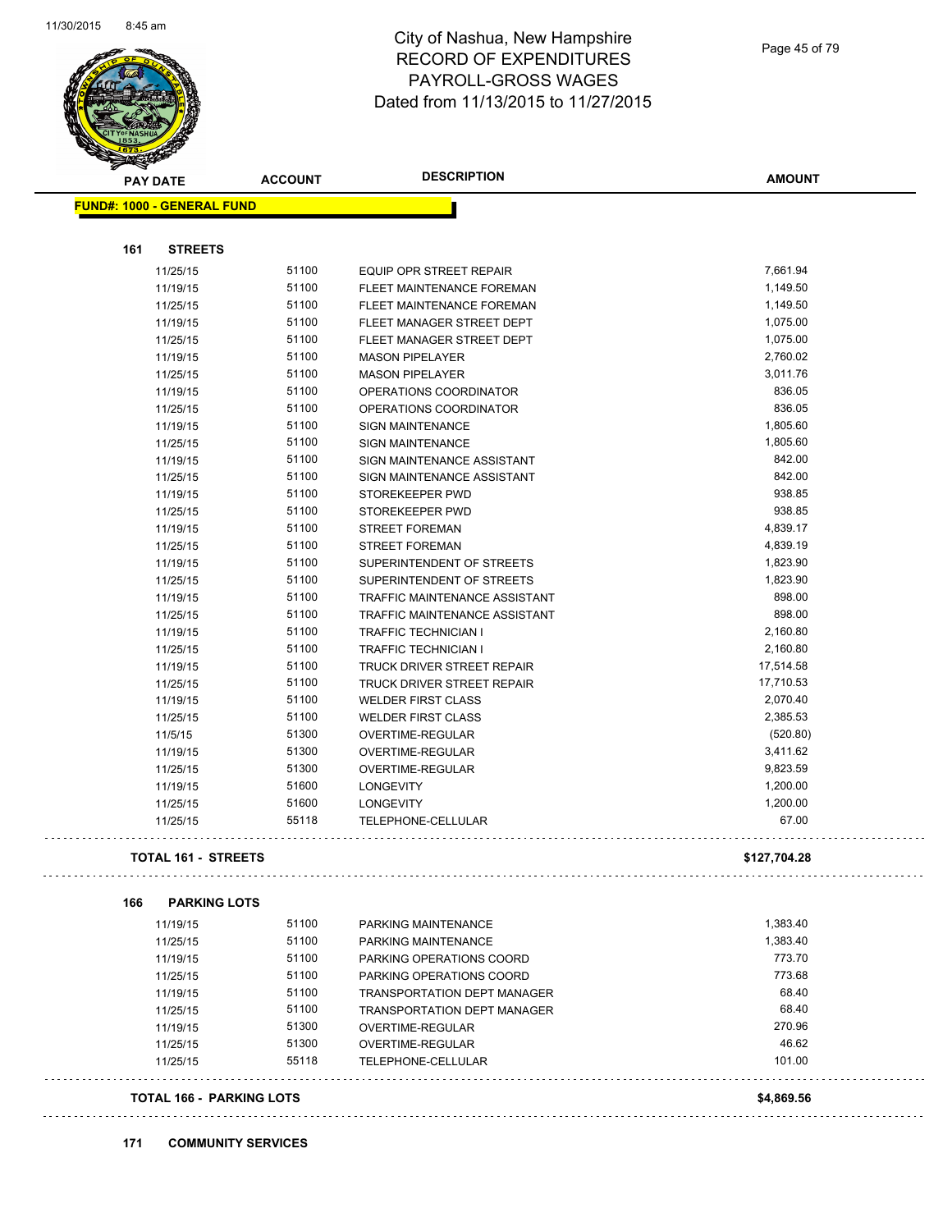. . . . . . . . . . .



### City of Nashua, New Hampshire RECORD OF EXPENDITURES PAYROLL-GROSS WAGES Dated from 11/13/2015 to 11/27/2015

| <b>ACCOUNT</b> | <b>DESCRIPTION</b>                                                                                                                                                               | <b>AMOUNT</b>                                                                                                                                                                                                                                                                             |
|----------------|----------------------------------------------------------------------------------------------------------------------------------------------------------------------------------|-------------------------------------------------------------------------------------------------------------------------------------------------------------------------------------------------------------------------------------------------------------------------------------------|
|                |                                                                                                                                                                                  |                                                                                                                                                                                                                                                                                           |
|                |                                                                                                                                                                                  |                                                                                                                                                                                                                                                                                           |
|                |                                                                                                                                                                                  |                                                                                                                                                                                                                                                                                           |
| 51100          | <b>EQUIP OPR STREET REPAIR</b>                                                                                                                                                   | 7,661.94                                                                                                                                                                                                                                                                                  |
| 51100          | FLEET MAINTENANCE FOREMAN                                                                                                                                                        | 1,149.50                                                                                                                                                                                                                                                                                  |
| 51100          | FLEET MAINTENANCE FOREMAN                                                                                                                                                        | 1,149.50                                                                                                                                                                                                                                                                                  |
| 51100          | FLEET MANAGER STREET DEPT                                                                                                                                                        | 1,075.00                                                                                                                                                                                                                                                                                  |
| 51100          | FLEET MANAGER STREET DEPT                                                                                                                                                        | 1,075.00                                                                                                                                                                                                                                                                                  |
| 51100          | <b>MASON PIPELAYER</b>                                                                                                                                                           | 2,760.02                                                                                                                                                                                                                                                                                  |
| 51100          | <b>MASON PIPELAYER</b>                                                                                                                                                           | 3,011.76                                                                                                                                                                                                                                                                                  |
| 51100          | OPERATIONS COORDINATOR                                                                                                                                                           | 836.05                                                                                                                                                                                                                                                                                    |
| 51100          | OPERATIONS COORDINATOR                                                                                                                                                           | 836.05                                                                                                                                                                                                                                                                                    |
| 51100          | <b>SIGN MAINTENANCE</b>                                                                                                                                                          | 1,805.60                                                                                                                                                                                                                                                                                  |
| 51100          | <b>SIGN MAINTENANCE</b>                                                                                                                                                          | 1,805.60                                                                                                                                                                                                                                                                                  |
| 51100          | SIGN MAINTENANCE ASSISTANT                                                                                                                                                       | 842.00                                                                                                                                                                                                                                                                                    |
| 51100          | SIGN MAINTENANCE ASSISTANT                                                                                                                                                       | 842.00                                                                                                                                                                                                                                                                                    |
| 51100          | STOREKEEPER PWD                                                                                                                                                                  | 938.85                                                                                                                                                                                                                                                                                    |
| 51100          | STOREKEEPER PWD                                                                                                                                                                  | 938.85                                                                                                                                                                                                                                                                                    |
| 51100          | <b>STREET FOREMAN</b>                                                                                                                                                            | 4,839.17                                                                                                                                                                                                                                                                                  |
| 51100          | <b>STREET FOREMAN</b>                                                                                                                                                            | 4,839.19                                                                                                                                                                                                                                                                                  |
| 51100          | SUPERINTENDENT OF STREETS                                                                                                                                                        | 1,823.90                                                                                                                                                                                                                                                                                  |
| 51100          | SUPERINTENDENT OF STREETS                                                                                                                                                        | 1,823.90                                                                                                                                                                                                                                                                                  |
| 51100          | TRAFFIC MAINTENANCE ASSISTANT                                                                                                                                                    | 898.00                                                                                                                                                                                                                                                                                    |
| 51100          | TRAFFIC MAINTENANCE ASSISTANT                                                                                                                                                    | 898.00                                                                                                                                                                                                                                                                                    |
| 51100          | <b>TRAFFIC TECHNICIAN I</b>                                                                                                                                                      | 2,160.80                                                                                                                                                                                                                                                                                  |
| 51100          | <b>TRAFFIC TECHNICIAN I</b>                                                                                                                                                      | 2,160.80                                                                                                                                                                                                                                                                                  |
| 51100          | TRUCK DRIVER STREET REPAIR                                                                                                                                                       | 17,514.58                                                                                                                                                                                                                                                                                 |
| 51100          | TRUCK DRIVER STREET REPAIR                                                                                                                                                       | 17,710.53                                                                                                                                                                                                                                                                                 |
| 51100          | <b>WELDER FIRST CLASS</b>                                                                                                                                                        | 2,070.40                                                                                                                                                                                                                                                                                  |
| 51100          | <b>WELDER FIRST CLASS</b>                                                                                                                                                        | 2,385.53                                                                                                                                                                                                                                                                                  |
| 51300          |                                                                                                                                                                                  | (520.80)                                                                                                                                                                                                                                                                                  |
| 51300          | OVERTIME-REGULAR                                                                                                                                                                 | 3,411.62                                                                                                                                                                                                                                                                                  |
| 51300          | OVERTIME-REGULAR                                                                                                                                                                 | 9,823.59                                                                                                                                                                                                                                                                                  |
|                |                                                                                                                                                                                  | 1,200.00                                                                                                                                                                                                                                                                                  |
|                |                                                                                                                                                                                  | 1,200.00                                                                                                                                                                                                                                                                                  |
| 55118          | TELEPHONE-CELLULAR                                                                                                                                                               | 67.00                                                                                                                                                                                                                                                                                     |
|                |                                                                                                                                                                                  | \$127,704.28                                                                                                                                                                                                                                                                              |
|                |                                                                                                                                                                                  |                                                                                                                                                                                                                                                                                           |
|                |                                                                                                                                                                                  | 1,383.40                                                                                                                                                                                                                                                                                  |
|                |                                                                                                                                                                                  | 1,383.40                                                                                                                                                                                                                                                                                  |
|                |                                                                                                                                                                                  | 773.70                                                                                                                                                                                                                                                                                    |
|                |                                                                                                                                                                                  | 773.68                                                                                                                                                                                                                                                                                    |
|                |                                                                                                                                                                                  | 68.40                                                                                                                                                                                                                                                                                     |
|                |                                                                                                                                                                                  | 68.40                                                                                                                                                                                                                                                                                     |
|                |                                                                                                                                                                                  |                                                                                                                                                                                                                                                                                           |
|                |                                                                                                                                                                                  | 270.96                                                                                                                                                                                                                                                                                    |
|                |                                                                                                                                                                                  | 46.62                                                                                                                                                                                                                                                                                     |
|                | <b>FUND#: 1000 - GENERAL FUND</b><br>51600<br>51600<br><b>TOTAL 161 - STREETS</b><br><b>PARKING LOTS</b><br>51100<br>51100<br>51100<br>51100<br>51100<br>51100<br>51300<br>51300 | OVERTIME-REGULAR<br><b>LONGEVITY</b><br><b>LONGEVITY</b><br>PARKING MAINTENANCE<br>PARKING MAINTENANCE<br>PARKING OPERATIONS COORD<br>PARKING OPERATIONS COORD<br><b>TRANSPORTATION DEPT MANAGER</b><br><b>TRANSPORTATION DEPT MANAGER</b><br>OVERTIME-REGULAR<br><b>OVERTIME-REGULAR</b> |

#### **TOTAL 166 - PARKING LOTS \$4,869.56**

**171 COMMUNITY SERVICES**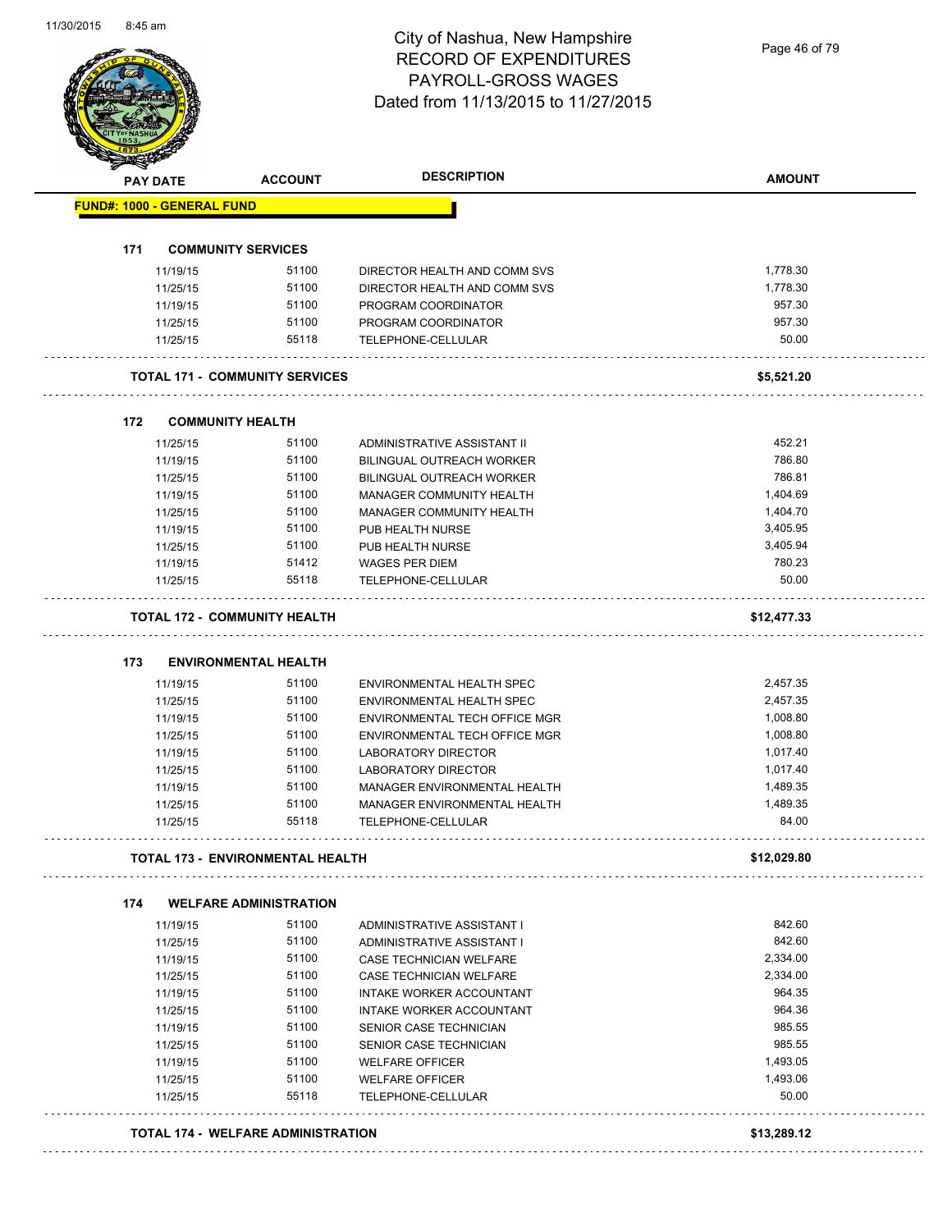Page 46 of 79

| <b>FUND#: 1000 - GENERAL FUND</b><br><b>COMMUNITY SERVICES</b><br>51100<br>1,778.30<br>11/19/15<br>DIRECTOR HEALTH AND COMM SVS<br>51100<br>1,778.30<br>11/25/15<br>DIRECTOR HEALTH AND COMM SVS<br>51100<br>957.30<br>11/19/15<br>PROGRAM COORDINATOR<br>957.30<br>11/25/15<br>51100<br>PROGRAM COORDINATOR<br>50.00<br>55118<br>11/25/15<br>TELEPHONE-CELLULAR<br><b>TOTAL 171 - COMMUNITY SERVICES</b><br>\$5,521.20<br><b>COMMUNITY HEALTH</b><br>51100<br>452.21<br>11/25/15<br>ADMINISTRATIVE ASSISTANT II<br>786.80<br>51100<br>11/19/15<br><b>BILINGUAL OUTREACH WORKER</b><br>51100<br>786.81<br>BILINGUAL OUTREACH WORKER<br>11/25/15<br>51100<br>1,404.69<br>11/19/15<br>MANAGER COMMUNITY HEALTH<br>51100<br>1,404.70<br>11/25/15<br>MANAGER COMMUNITY HEALTH<br>51100<br>PUB HEALTH NURSE<br>3,405.95<br>11/19/15<br>3,405.94<br>51100<br>11/25/15<br>PUB HEALTH NURSE<br>780.23<br>11/19/15<br>51412<br>WAGES PER DIEM<br>55118<br>50.00<br>TELEPHONE-CELLULAR<br>11/25/15<br><b>TOTAL 172 - COMMUNITY HEALTH</b><br>\$12,477.33<br><b>ENVIRONMENTAL HEALTH</b><br>51100<br>2,457.35<br>11/19/15<br>ENVIRONMENTAL HEALTH SPEC<br>51100<br>2,457.35<br>ENVIRONMENTAL HEALTH SPEC<br>11/25/15<br>1,008.80<br>51100<br>11/19/15<br>ENVIRONMENTAL TECH OFFICE MGR<br>1,008.80<br>11/25/15<br>51100<br>ENVIRONMENTAL TECH OFFICE MGR<br>51100<br><b>LABORATORY DIRECTOR</b><br>1,017.40<br>11/19/15<br>LABORATORY DIRECTOR<br>11/25/15<br>51100<br>1,017.40<br>51100<br>1,489.35<br>11/19/15<br>MANAGER ENVIRONMENTAL HEALTH<br>51100<br>1,489.35<br>11/25/15<br>MANAGER ENVIRONMENTAL HEALTH<br>84.00<br>55118<br>11/25/15<br>TELEPHONE-CELLULAR<br><b>TOTAL 173 - ENVIRONMENTAL HEALTH</b><br>\$12,029.80<br><b>WELFARE ADMINISTRATION</b><br>51100<br>11/19/15<br>842.60<br>ADMINISTRATIVE ASSISTANT I<br>842.60<br>51100<br>11/25/15<br>ADMINISTRATIVE ASSISTANT I<br>51100<br>2,334.00<br>11/19/15<br><b>CASE TECHNICIAN WELFARE</b><br>51100<br>2,334.00<br>CASE TECHNICIAN WELFARE<br>11/25/15<br>51100<br>964.35<br>11/19/15<br>INTAKE WORKER ACCOUNTANT<br>51100<br>964.36<br>11/25/15<br>INTAKE WORKER ACCOUNTANT<br>51100<br>985.55<br>SENIOR CASE TECHNICIAN<br>11/19/15<br>985.55<br>51100<br>11/25/15<br>SENIOR CASE TECHNICIAN<br>51100<br>1,493.05<br>11/19/15<br><b>WELFARE OFFICER</b><br>51100<br>1,493.06<br>11/25/15<br><b>WELFARE OFFICER</b> | PAY DATE | <b>ACCOUNT</b> | <b>DESCRIPTION</b> | <b>AMOUNT</b> |
|------------------------------------------------------------------------------------------------------------------------------------------------------------------------------------------------------------------------------------------------------------------------------------------------------------------------------------------------------------------------------------------------------------------------------------------------------------------------------------------------------------------------------------------------------------------------------------------------------------------------------------------------------------------------------------------------------------------------------------------------------------------------------------------------------------------------------------------------------------------------------------------------------------------------------------------------------------------------------------------------------------------------------------------------------------------------------------------------------------------------------------------------------------------------------------------------------------------------------------------------------------------------------------------------------------------------------------------------------------------------------------------------------------------------------------------------------------------------------------------------------------------------------------------------------------------------------------------------------------------------------------------------------------------------------------------------------------------------------------------------------------------------------------------------------------------------------------------------------------------------------------------------------------------------------------------------------------------------------------------------------------------------------------------------------------------------------------------------------------------------------------------------------------------------------------------------------------------------------------------------------------------------------------------------------------------------------------------------------------------------------|----------|----------------|--------------------|---------------|
|                                                                                                                                                                                                                                                                                                                                                                                                                                                                                                                                                                                                                                                                                                                                                                                                                                                                                                                                                                                                                                                                                                                                                                                                                                                                                                                                                                                                                                                                                                                                                                                                                                                                                                                                                                                                                                                                                                                                                                                                                                                                                                                                                                                                                                                                                                                                                                              |          |                |                    |               |
|                                                                                                                                                                                                                                                                                                                                                                                                                                                                                                                                                                                                                                                                                                                                                                                                                                                                                                                                                                                                                                                                                                                                                                                                                                                                                                                                                                                                                                                                                                                                                                                                                                                                                                                                                                                                                                                                                                                                                                                                                                                                                                                                                                                                                                                                                                                                                                              |          |                |                    |               |
|                                                                                                                                                                                                                                                                                                                                                                                                                                                                                                                                                                                                                                                                                                                                                                                                                                                                                                                                                                                                                                                                                                                                                                                                                                                                                                                                                                                                                                                                                                                                                                                                                                                                                                                                                                                                                                                                                                                                                                                                                                                                                                                                                                                                                                                                                                                                                                              | 171      |                |                    |               |
|                                                                                                                                                                                                                                                                                                                                                                                                                                                                                                                                                                                                                                                                                                                                                                                                                                                                                                                                                                                                                                                                                                                                                                                                                                                                                                                                                                                                                                                                                                                                                                                                                                                                                                                                                                                                                                                                                                                                                                                                                                                                                                                                                                                                                                                                                                                                                                              |          |                |                    |               |
|                                                                                                                                                                                                                                                                                                                                                                                                                                                                                                                                                                                                                                                                                                                                                                                                                                                                                                                                                                                                                                                                                                                                                                                                                                                                                                                                                                                                                                                                                                                                                                                                                                                                                                                                                                                                                                                                                                                                                                                                                                                                                                                                                                                                                                                                                                                                                                              |          |                |                    |               |
|                                                                                                                                                                                                                                                                                                                                                                                                                                                                                                                                                                                                                                                                                                                                                                                                                                                                                                                                                                                                                                                                                                                                                                                                                                                                                                                                                                                                                                                                                                                                                                                                                                                                                                                                                                                                                                                                                                                                                                                                                                                                                                                                                                                                                                                                                                                                                                              |          |                |                    |               |
|                                                                                                                                                                                                                                                                                                                                                                                                                                                                                                                                                                                                                                                                                                                                                                                                                                                                                                                                                                                                                                                                                                                                                                                                                                                                                                                                                                                                                                                                                                                                                                                                                                                                                                                                                                                                                                                                                                                                                                                                                                                                                                                                                                                                                                                                                                                                                                              |          |                |                    |               |
|                                                                                                                                                                                                                                                                                                                                                                                                                                                                                                                                                                                                                                                                                                                                                                                                                                                                                                                                                                                                                                                                                                                                                                                                                                                                                                                                                                                                                                                                                                                                                                                                                                                                                                                                                                                                                                                                                                                                                                                                                                                                                                                                                                                                                                                                                                                                                                              |          |                |                    |               |
|                                                                                                                                                                                                                                                                                                                                                                                                                                                                                                                                                                                                                                                                                                                                                                                                                                                                                                                                                                                                                                                                                                                                                                                                                                                                                                                                                                                                                                                                                                                                                                                                                                                                                                                                                                                                                                                                                                                                                                                                                                                                                                                                                                                                                                                                                                                                                                              |          |                |                    |               |
|                                                                                                                                                                                                                                                                                                                                                                                                                                                                                                                                                                                                                                                                                                                                                                                                                                                                                                                                                                                                                                                                                                                                                                                                                                                                                                                                                                                                                                                                                                                                                                                                                                                                                                                                                                                                                                                                                                                                                                                                                                                                                                                                                                                                                                                                                                                                                                              | 172      |                |                    |               |
|                                                                                                                                                                                                                                                                                                                                                                                                                                                                                                                                                                                                                                                                                                                                                                                                                                                                                                                                                                                                                                                                                                                                                                                                                                                                                                                                                                                                                                                                                                                                                                                                                                                                                                                                                                                                                                                                                                                                                                                                                                                                                                                                                                                                                                                                                                                                                                              |          |                |                    |               |
|                                                                                                                                                                                                                                                                                                                                                                                                                                                                                                                                                                                                                                                                                                                                                                                                                                                                                                                                                                                                                                                                                                                                                                                                                                                                                                                                                                                                                                                                                                                                                                                                                                                                                                                                                                                                                                                                                                                                                                                                                                                                                                                                                                                                                                                                                                                                                                              |          |                |                    |               |
|                                                                                                                                                                                                                                                                                                                                                                                                                                                                                                                                                                                                                                                                                                                                                                                                                                                                                                                                                                                                                                                                                                                                                                                                                                                                                                                                                                                                                                                                                                                                                                                                                                                                                                                                                                                                                                                                                                                                                                                                                                                                                                                                                                                                                                                                                                                                                                              |          |                |                    |               |
|                                                                                                                                                                                                                                                                                                                                                                                                                                                                                                                                                                                                                                                                                                                                                                                                                                                                                                                                                                                                                                                                                                                                                                                                                                                                                                                                                                                                                                                                                                                                                                                                                                                                                                                                                                                                                                                                                                                                                                                                                                                                                                                                                                                                                                                                                                                                                                              |          |                |                    |               |
|                                                                                                                                                                                                                                                                                                                                                                                                                                                                                                                                                                                                                                                                                                                                                                                                                                                                                                                                                                                                                                                                                                                                                                                                                                                                                                                                                                                                                                                                                                                                                                                                                                                                                                                                                                                                                                                                                                                                                                                                                                                                                                                                                                                                                                                                                                                                                                              |          |                |                    |               |
|                                                                                                                                                                                                                                                                                                                                                                                                                                                                                                                                                                                                                                                                                                                                                                                                                                                                                                                                                                                                                                                                                                                                                                                                                                                                                                                                                                                                                                                                                                                                                                                                                                                                                                                                                                                                                                                                                                                                                                                                                                                                                                                                                                                                                                                                                                                                                                              |          |                |                    |               |
|                                                                                                                                                                                                                                                                                                                                                                                                                                                                                                                                                                                                                                                                                                                                                                                                                                                                                                                                                                                                                                                                                                                                                                                                                                                                                                                                                                                                                                                                                                                                                                                                                                                                                                                                                                                                                                                                                                                                                                                                                                                                                                                                                                                                                                                                                                                                                                              |          |                |                    |               |
|                                                                                                                                                                                                                                                                                                                                                                                                                                                                                                                                                                                                                                                                                                                                                                                                                                                                                                                                                                                                                                                                                                                                                                                                                                                                                                                                                                                                                                                                                                                                                                                                                                                                                                                                                                                                                                                                                                                                                                                                                                                                                                                                                                                                                                                                                                                                                                              |          |                |                    |               |
|                                                                                                                                                                                                                                                                                                                                                                                                                                                                                                                                                                                                                                                                                                                                                                                                                                                                                                                                                                                                                                                                                                                                                                                                                                                                                                                                                                                                                                                                                                                                                                                                                                                                                                                                                                                                                                                                                                                                                                                                                                                                                                                                                                                                                                                                                                                                                                              |          |                |                    |               |
|                                                                                                                                                                                                                                                                                                                                                                                                                                                                                                                                                                                                                                                                                                                                                                                                                                                                                                                                                                                                                                                                                                                                                                                                                                                                                                                                                                                                                                                                                                                                                                                                                                                                                                                                                                                                                                                                                                                                                                                                                                                                                                                                                                                                                                                                                                                                                                              |          |                |                    |               |
|                                                                                                                                                                                                                                                                                                                                                                                                                                                                                                                                                                                                                                                                                                                                                                                                                                                                                                                                                                                                                                                                                                                                                                                                                                                                                                                                                                                                                                                                                                                                                                                                                                                                                                                                                                                                                                                                                                                                                                                                                                                                                                                                                                                                                                                                                                                                                                              | 173      |                |                    |               |
|                                                                                                                                                                                                                                                                                                                                                                                                                                                                                                                                                                                                                                                                                                                                                                                                                                                                                                                                                                                                                                                                                                                                                                                                                                                                                                                                                                                                                                                                                                                                                                                                                                                                                                                                                                                                                                                                                                                                                                                                                                                                                                                                                                                                                                                                                                                                                                              |          |                |                    |               |
|                                                                                                                                                                                                                                                                                                                                                                                                                                                                                                                                                                                                                                                                                                                                                                                                                                                                                                                                                                                                                                                                                                                                                                                                                                                                                                                                                                                                                                                                                                                                                                                                                                                                                                                                                                                                                                                                                                                                                                                                                                                                                                                                                                                                                                                                                                                                                                              |          |                |                    |               |
|                                                                                                                                                                                                                                                                                                                                                                                                                                                                                                                                                                                                                                                                                                                                                                                                                                                                                                                                                                                                                                                                                                                                                                                                                                                                                                                                                                                                                                                                                                                                                                                                                                                                                                                                                                                                                                                                                                                                                                                                                                                                                                                                                                                                                                                                                                                                                                              |          |                |                    |               |
|                                                                                                                                                                                                                                                                                                                                                                                                                                                                                                                                                                                                                                                                                                                                                                                                                                                                                                                                                                                                                                                                                                                                                                                                                                                                                                                                                                                                                                                                                                                                                                                                                                                                                                                                                                                                                                                                                                                                                                                                                                                                                                                                                                                                                                                                                                                                                                              |          |                |                    |               |
|                                                                                                                                                                                                                                                                                                                                                                                                                                                                                                                                                                                                                                                                                                                                                                                                                                                                                                                                                                                                                                                                                                                                                                                                                                                                                                                                                                                                                                                                                                                                                                                                                                                                                                                                                                                                                                                                                                                                                                                                                                                                                                                                                                                                                                                                                                                                                                              |          |                |                    |               |
|                                                                                                                                                                                                                                                                                                                                                                                                                                                                                                                                                                                                                                                                                                                                                                                                                                                                                                                                                                                                                                                                                                                                                                                                                                                                                                                                                                                                                                                                                                                                                                                                                                                                                                                                                                                                                                                                                                                                                                                                                                                                                                                                                                                                                                                                                                                                                                              |          |                |                    |               |
|                                                                                                                                                                                                                                                                                                                                                                                                                                                                                                                                                                                                                                                                                                                                                                                                                                                                                                                                                                                                                                                                                                                                                                                                                                                                                                                                                                                                                                                                                                                                                                                                                                                                                                                                                                                                                                                                                                                                                                                                                                                                                                                                                                                                                                                                                                                                                                              |          |                |                    |               |
|                                                                                                                                                                                                                                                                                                                                                                                                                                                                                                                                                                                                                                                                                                                                                                                                                                                                                                                                                                                                                                                                                                                                                                                                                                                                                                                                                                                                                                                                                                                                                                                                                                                                                                                                                                                                                                                                                                                                                                                                                                                                                                                                                                                                                                                                                                                                                                              |          |                |                    |               |
|                                                                                                                                                                                                                                                                                                                                                                                                                                                                                                                                                                                                                                                                                                                                                                                                                                                                                                                                                                                                                                                                                                                                                                                                                                                                                                                                                                                                                                                                                                                                                                                                                                                                                                                                                                                                                                                                                                                                                                                                                                                                                                                                                                                                                                                                                                                                                                              |          |                |                    |               |
|                                                                                                                                                                                                                                                                                                                                                                                                                                                                                                                                                                                                                                                                                                                                                                                                                                                                                                                                                                                                                                                                                                                                                                                                                                                                                                                                                                                                                                                                                                                                                                                                                                                                                                                                                                                                                                                                                                                                                                                                                                                                                                                                                                                                                                                                                                                                                                              |          |                |                    |               |
|                                                                                                                                                                                                                                                                                                                                                                                                                                                                                                                                                                                                                                                                                                                                                                                                                                                                                                                                                                                                                                                                                                                                                                                                                                                                                                                                                                                                                                                                                                                                                                                                                                                                                                                                                                                                                                                                                                                                                                                                                                                                                                                                                                                                                                                                                                                                                                              | 174      |                |                    |               |
|                                                                                                                                                                                                                                                                                                                                                                                                                                                                                                                                                                                                                                                                                                                                                                                                                                                                                                                                                                                                                                                                                                                                                                                                                                                                                                                                                                                                                                                                                                                                                                                                                                                                                                                                                                                                                                                                                                                                                                                                                                                                                                                                                                                                                                                                                                                                                                              |          |                |                    |               |
|                                                                                                                                                                                                                                                                                                                                                                                                                                                                                                                                                                                                                                                                                                                                                                                                                                                                                                                                                                                                                                                                                                                                                                                                                                                                                                                                                                                                                                                                                                                                                                                                                                                                                                                                                                                                                                                                                                                                                                                                                                                                                                                                                                                                                                                                                                                                                                              |          |                |                    |               |
|                                                                                                                                                                                                                                                                                                                                                                                                                                                                                                                                                                                                                                                                                                                                                                                                                                                                                                                                                                                                                                                                                                                                                                                                                                                                                                                                                                                                                                                                                                                                                                                                                                                                                                                                                                                                                                                                                                                                                                                                                                                                                                                                                                                                                                                                                                                                                                              |          |                |                    |               |
|                                                                                                                                                                                                                                                                                                                                                                                                                                                                                                                                                                                                                                                                                                                                                                                                                                                                                                                                                                                                                                                                                                                                                                                                                                                                                                                                                                                                                                                                                                                                                                                                                                                                                                                                                                                                                                                                                                                                                                                                                                                                                                                                                                                                                                                                                                                                                                              |          |                |                    |               |
|                                                                                                                                                                                                                                                                                                                                                                                                                                                                                                                                                                                                                                                                                                                                                                                                                                                                                                                                                                                                                                                                                                                                                                                                                                                                                                                                                                                                                                                                                                                                                                                                                                                                                                                                                                                                                                                                                                                                                                                                                                                                                                                                                                                                                                                                                                                                                                              |          |                |                    |               |
|                                                                                                                                                                                                                                                                                                                                                                                                                                                                                                                                                                                                                                                                                                                                                                                                                                                                                                                                                                                                                                                                                                                                                                                                                                                                                                                                                                                                                                                                                                                                                                                                                                                                                                                                                                                                                                                                                                                                                                                                                                                                                                                                                                                                                                                                                                                                                                              |          |                |                    |               |
|                                                                                                                                                                                                                                                                                                                                                                                                                                                                                                                                                                                                                                                                                                                                                                                                                                                                                                                                                                                                                                                                                                                                                                                                                                                                                                                                                                                                                                                                                                                                                                                                                                                                                                                                                                                                                                                                                                                                                                                                                                                                                                                                                                                                                                                                                                                                                                              |          |                |                    |               |
|                                                                                                                                                                                                                                                                                                                                                                                                                                                                                                                                                                                                                                                                                                                                                                                                                                                                                                                                                                                                                                                                                                                                                                                                                                                                                                                                                                                                                                                                                                                                                                                                                                                                                                                                                                                                                                                                                                                                                                                                                                                                                                                                                                                                                                                                                                                                                                              |          |                |                    |               |
|                                                                                                                                                                                                                                                                                                                                                                                                                                                                                                                                                                                                                                                                                                                                                                                                                                                                                                                                                                                                                                                                                                                                                                                                                                                                                                                                                                                                                                                                                                                                                                                                                                                                                                                                                                                                                                                                                                                                                                                                                                                                                                                                                                                                                                                                                                                                                                              |          |                |                    |               |
|                                                                                                                                                                                                                                                                                                                                                                                                                                                                                                                                                                                                                                                                                                                                                                                                                                                                                                                                                                                                                                                                                                                                                                                                                                                                                                                                                                                                                                                                                                                                                                                                                                                                                                                                                                                                                                                                                                                                                                                                                                                                                                                                                                                                                                                                                                                                                                              |          |                |                    |               |
|                                                                                                                                                                                                                                                                                                                                                                                                                                                                                                                                                                                                                                                                                                                                                                                                                                                                                                                                                                                                                                                                                                                                                                                                                                                                                                                                                                                                                                                                                                                                                                                                                                                                                                                                                                                                                                                                                                                                                                                                                                                                                                                                                                                                                                                                                                                                                                              | 11/25/15 | 55118          | TELEPHONE-CELLULAR | 50.00         |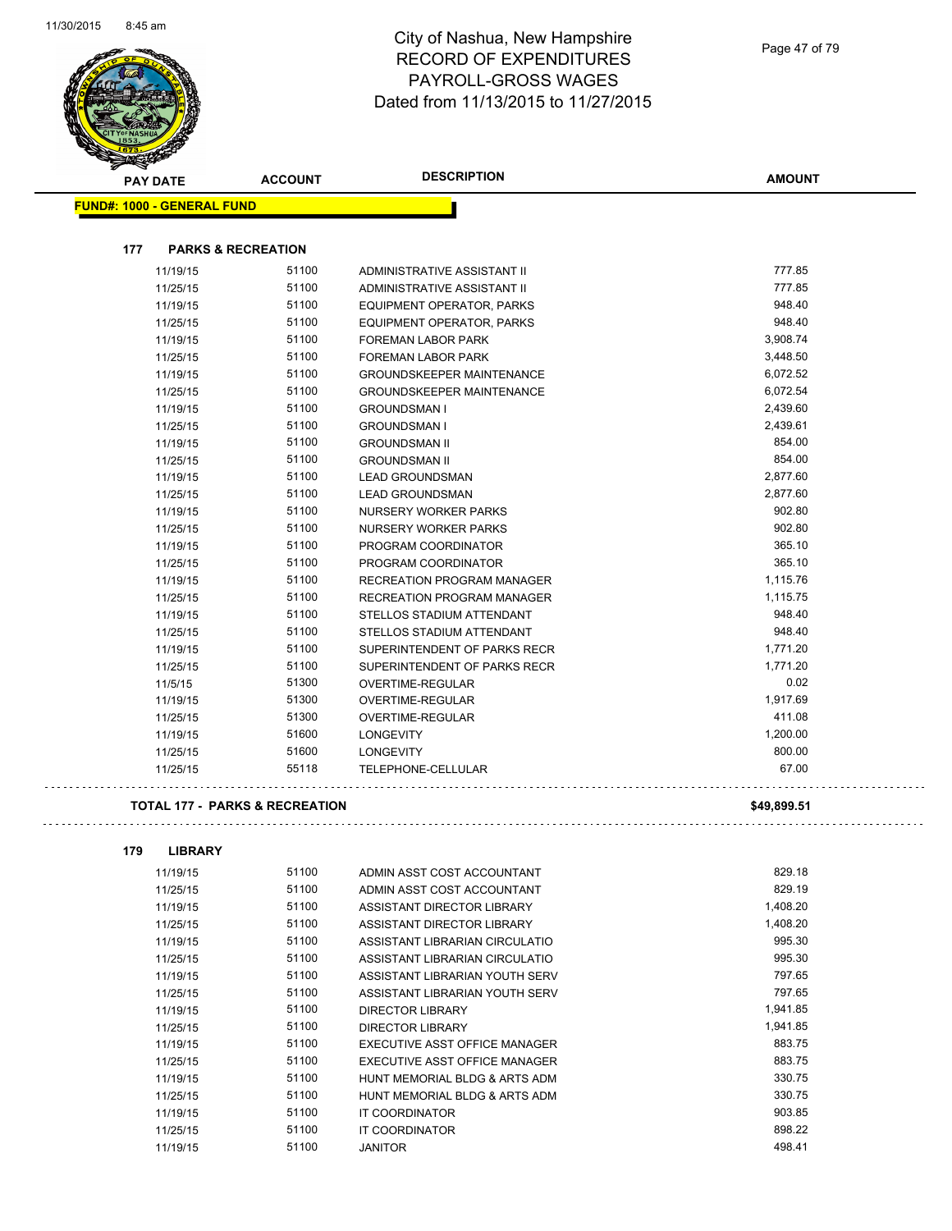and the contract of the contract of the contract of the contract of the contract of the contract of the contract of the contract of the contract of the contract of the contract of the contract of the contract of the contra



| <b>PAY DATE</b>                           | <b>ACCOUNT</b>                | <b>DESCRIPTION</b>                | <b>AMOUNT</b> |
|-------------------------------------------|-------------------------------|-----------------------------------|---------------|
| <b>FUND#: 1000 - GENERAL FUND</b>         |                               |                                   |               |
| 177                                       | <b>PARKS &amp; RECREATION</b> |                                   |               |
| 11/19/15                                  | 51100                         | ADMINISTRATIVE ASSISTANT II       | 777.85        |
| 11/25/15                                  | 51100                         | ADMINISTRATIVE ASSISTANT II       | 777.85        |
| 11/19/15                                  | 51100                         | EQUIPMENT OPERATOR, PARKS         | 948.40        |
| 11/25/15                                  | 51100                         | EQUIPMENT OPERATOR, PARKS         | 948.40        |
| 11/19/15                                  | 51100                         | <b>FOREMAN LABOR PARK</b>         | 3,908.74      |
| 11/25/15                                  | 51100                         | <b>FOREMAN LABOR PARK</b>         | 3,448.50      |
| 11/19/15                                  | 51100                         | <b>GROUNDSKEEPER MAINTENANCE</b>  | 6,072.52      |
| 11/25/15                                  | 51100                         | <b>GROUNDSKEEPER MAINTENANCE</b>  | 6,072.54      |
| 11/19/15                                  | 51100                         | <b>GROUNDSMAN I</b>               | 2,439.60      |
| 11/25/15                                  | 51100                         | <b>GROUNDSMAN I</b>               | 2,439.61      |
| 11/19/15                                  | 51100                         | <b>GROUNDSMAN II</b>              | 854.00        |
| 11/25/15                                  | 51100                         | <b>GROUNDSMAN II</b>              | 854.00        |
| 11/19/15                                  | 51100                         | <b>LEAD GROUNDSMAN</b>            | 2,877.60      |
| 11/25/15                                  | 51100                         | <b>LEAD GROUNDSMAN</b>            | 2,877.60      |
| 11/19/15                                  | 51100                         | NURSERY WORKER PARKS              | 902.80        |
| 11/25/15                                  | 51100                         | NURSERY WORKER PARKS              | 902.80        |
| 11/19/15                                  | 51100                         | PROGRAM COORDINATOR               | 365.10        |
| 11/25/15                                  | 51100                         | PROGRAM COORDINATOR               | 365.10        |
| 11/19/15                                  | 51100                         | <b>RECREATION PROGRAM MANAGER</b> | 1,115.76      |
| 11/25/15                                  | 51100                         | <b>RECREATION PROGRAM MANAGER</b> | 1,115.75      |
| 11/19/15                                  | 51100                         | STELLOS STADIUM ATTENDANT         | 948.40        |
| 11/25/15                                  | 51100                         | STELLOS STADIUM ATTENDANT         | 948.40        |
| 11/19/15                                  | 51100                         | SUPERINTENDENT OF PARKS RECR      | 1,771.20      |
| 11/25/15                                  | 51100                         | SUPERINTENDENT OF PARKS RECR      | 1.771.20      |
| 11/5/15                                   | 51300                         | <b>OVERTIME-REGULAR</b>           | 0.02          |
| 11/19/15                                  | 51300                         | OVERTIME-REGULAR                  | 1,917.69      |
| 11/25/15                                  | 51300                         | <b>OVERTIME-REGULAR</b>           | 411.08        |
| 11/19/15                                  | 51600                         | <b>LONGEVITY</b>                  | 1,200.00      |
| 11/25/15                                  | 51600                         | <b>LONGEVITY</b>                  | 800.00        |
| 11/25/15                                  | 55118                         | TELEPHONE-CELLULAR                | 67.00         |
| <b>TOTAL 177 - PARKS &amp; RECREATION</b> |                               |                                   | \$49,899.51   |

| 11/19/15 | 51100 | ADMIN ASST COST ACCOUNTANT     | 829.18   |
|----------|-------|--------------------------------|----------|
| 11/25/15 | 51100 | ADMIN ASST COST ACCOUNTANT     | 829.19   |
| 11/19/15 | 51100 | ASSISTANT DIRECTOR LIBRARY     | 1,408.20 |
| 11/25/15 | 51100 | ASSISTANT DIRECTOR LIBRARY     | 1,408.20 |
| 11/19/15 | 51100 | ASSISTANT LIBRARIAN CIRCULATIO | 995.30   |
| 11/25/15 | 51100 | ASSISTANT LIBRARIAN CIRCULATIO | 995.30   |
| 11/19/15 | 51100 | ASSISTANT LIBRARIAN YOUTH SERV | 797.65   |
| 11/25/15 | 51100 | ASSISTANT LIBRARIAN YOUTH SERV | 797.65   |
| 11/19/15 | 51100 | <b>DIRECTOR LIBRARY</b>        | 1,941.85 |
| 11/25/15 | 51100 | <b>DIRECTOR LIBRARY</b>        | 1,941.85 |
| 11/19/15 | 51100 | EXECUTIVE ASST OFFICE MANAGER  | 883.75   |
| 11/25/15 | 51100 | EXECUTIVE ASST OFFICE MANAGER  | 883.75   |
| 11/19/15 | 51100 | HUNT MEMORIAL BLDG & ARTS ADM  | 330.75   |
| 11/25/15 | 51100 | HUNT MEMORIAL BLDG & ARTS ADM  | 330.75   |
| 11/19/15 | 51100 | <b>IT COORDINATOR</b>          | 903.85   |
| 11/25/15 | 51100 | <b>IT COORDINATOR</b>          | 898.22   |
| 11/19/15 | 51100 | <b>JANITOR</b>                 | 498.41   |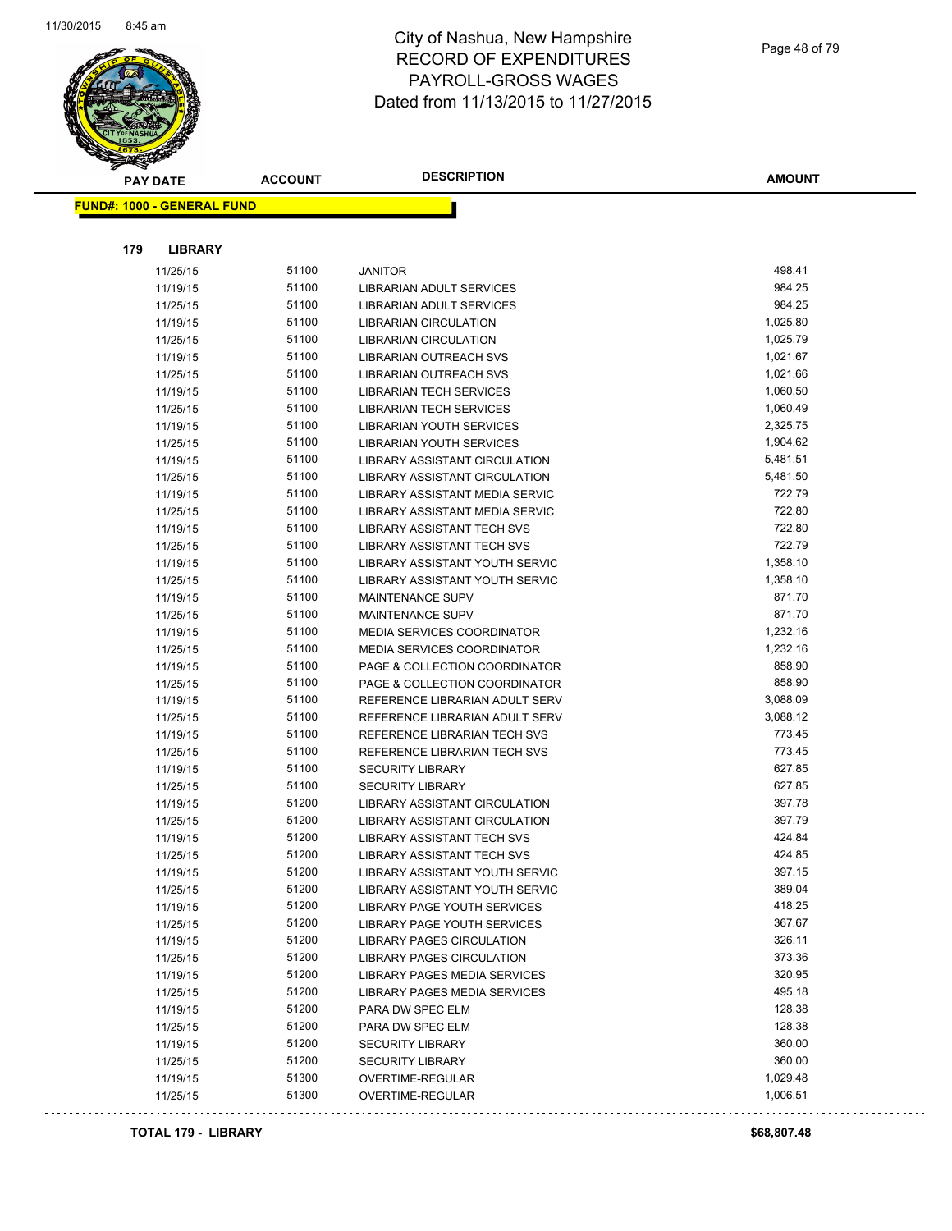

| <b>PAY DATE</b>                   | <b>ACCOUNT</b> | <b>DESCRIPTION</b>                                                   | <b>AMOUNT</b>    |
|-----------------------------------|----------------|----------------------------------------------------------------------|------------------|
| <b>FUND#: 1000 - GENERAL FUND</b> |                |                                                                      |                  |
|                                   |                |                                                                      |                  |
|                                   |                |                                                                      |                  |
| 179<br><b>LIBRARY</b>             |                |                                                                      |                  |
| 11/25/15                          | 51100          | <b>JANITOR</b>                                                       | 498.41           |
| 11/19/15                          | 51100          | LIBRARIAN ADULT SERVICES                                             | 984.25           |
| 11/25/15                          | 51100          | LIBRARIAN ADULT SERVICES                                             | 984.25           |
| 11/19/15                          | 51100          | <b>LIBRARIAN CIRCULATION</b>                                         | 1,025.80         |
| 11/25/15                          | 51100          | <b>LIBRARIAN CIRCULATION</b>                                         | 1,025.79         |
| 11/19/15                          | 51100          | LIBRARIAN OUTREACH SVS                                               | 1,021.67         |
| 11/25/15                          | 51100          | LIBRARIAN OUTREACH SVS                                               | 1,021.66         |
| 11/19/15                          | 51100          | <b>LIBRARIAN TECH SERVICES</b>                                       | 1,060.50         |
| 11/25/15                          | 51100          | <b>LIBRARIAN TECH SERVICES</b>                                       | 1,060.49         |
| 11/19/15                          | 51100          | LIBRARIAN YOUTH SERVICES                                             | 2,325.75         |
| 11/25/15                          | 51100          | LIBRARIAN YOUTH SERVICES                                             | 1,904.62         |
| 11/19/15                          | 51100          | LIBRARY ASSISTANT CIRCULATION                                        | 5,481.51         |
| 11/25/15                          | 51100          | LIBRARY ASSISTANT CIRCULATION                                        | 5,481.50         |
| 11/19/15                          | 51100          | LIBRARY ASSISTANT MEDIA SERVIC                                       | 722.79           |
| 11/25/15                          | 51100          | LIBRARY ASSISTANT MEDIA SERVIC                                       | 722.80           |
| 11/19/15                          | 51100          | <b>LIBRARY ASSISTANT TECH SVS</b>                                    | 722.80           |
| 11/25/15                          | 51100          | LIBRARY ASSISTANT TECH SVS                                           | 722.79           |
| 11/19/15                          | 51100          | LIBRARY ASSISTANT YOUTH SERVIC                                       | 1,358.10         |
| 11/25/15                          | 51100          | <b>LIBRARY ASSISTANT YOUTH SERVIC</b>                                | 1,358.10         |
| 11/19/15                          | 51100          | <b>MAINTENANCE SUPV</b>                                              | 871.70           |
| 11/25/15                          | 51100          | <b>MAINTENANCE SUPV</b>                                              | 871.70           |
| 11/19/15                          | 51100          | <b>MEDIA SERVICES COORDINATOR</b>                                    | 1,232.16         |
| 11/25/15                          | 51100          | <b>MEDIA SERVICES COORDINATOR</b>                                    | 1,232.16         |
| 11/19/15                          | 51100          | PAGE & COLLECTION COORDINATOR                                        | 858.90           |
| 11/25/15                          | 51100          | PAGE & COLLECTION COORDINATOR                                        | 858.90           |
| 11/19/15                          | 51100          | REFERENCE LIBRARIAN ADULT SERV                                       | 3,088.09         |
| 11/25/15                          | 51100          | REFERENCE LIBRARIAN ADULT SERV                                       | 3,088.12         |
| 11/19/15                          | 51100          | REFERENCE LIBRARIAN TECH SVS                                         | 773.45           |
| 11/25/15                          | 51100          | REFERENCE LIBRARIAN TECH SVS                                         | 773.45           |
| 11/19/15                          | 51100          | <b>SECURITY LIBRARY</b>                                              | 627.85           |
| 11/25/15                          | 51100          | <b>SECURITY LIBRARY</b>                                              | 627.85           |
| 11/19/15                          | 51200          | LIBRARY ASSISTANT CIRCULATION                                        | 397.78           |
| 11/25/15                          | 51200          | <b>LIBRARY ASSISTANT CIRCULATION</b>                                 | 397.79           |
| 11/19/15                          | 51200          | <b>LIBRARY ASSISTANT TECH SVS</b>                                    | 424.84           |
| 11/25/15                          | 51200          | LIBRARY ASSISTANT TECH SVS                                           | 424.85<br>397.15 |
| 11/19/15                          | 51200          | LIBRARY ASSISTANT YOUTH SERVIC                                       |                  |
| 11/25/15                          | 51200          | LIBRARY ASSISTANT YOUTH SERVIC                                       | 389.04<br>418.25 |
| 11/19/15                          | 51200          | LIBRARY PAGE YOUTH SERVICES                                          | 367.67           |
| 11/25/15                          | 51200<br>51200 | LIBRARY PAGE YOUTH SERVICES                                          | 326.11           |
| 11/19/15<br>11/25/15              | 51200          | <b>LIBRARY PAGES CIRCULATION</b><br><b>LIBRARY PAGES CIRCULATION</b> | 373.36           |
|                                   | 51200          | LIBRARY PAGES MEDIA SERVICES                                         | 320.95           |
| 11/19/15<br>11/25/15              | 51200          | LIBRARY PAGES MEDIA SERVICES                                         | 495.18           |
| 11/19/15                          | 51200          | PARA DW SPEC ELM                                                     | 128.38           |
| 11/25/15                          | 51200          | PARA DW SPEC ELM                                                     | 128.38           |
| 11/19/15                          | 51200          | <b>SECURITY LIBRARY</b>                                              | 360.00           |
| 11/25/15                          | 51200          | <b>SECURITY LIBRARY</b>                                              | 360.00           |
| 11/19/15                          | 51300          | OVERTIME-REGULAR                                                     | 1,029.48         |
| 11/25/15                          | 51300          | OVERTIME-REGULAR                                                     | 1,006.51         |
|                                   |                |                                                                      |                  |

#### **TOTAL 179 - LIBRARY \$68,807.48**

 $\sim$   $\sim$ 

 $\mathbb{Z}^2$  ,  $\mathbb{Z}^2$  ,  $\mathbb{Z}^2$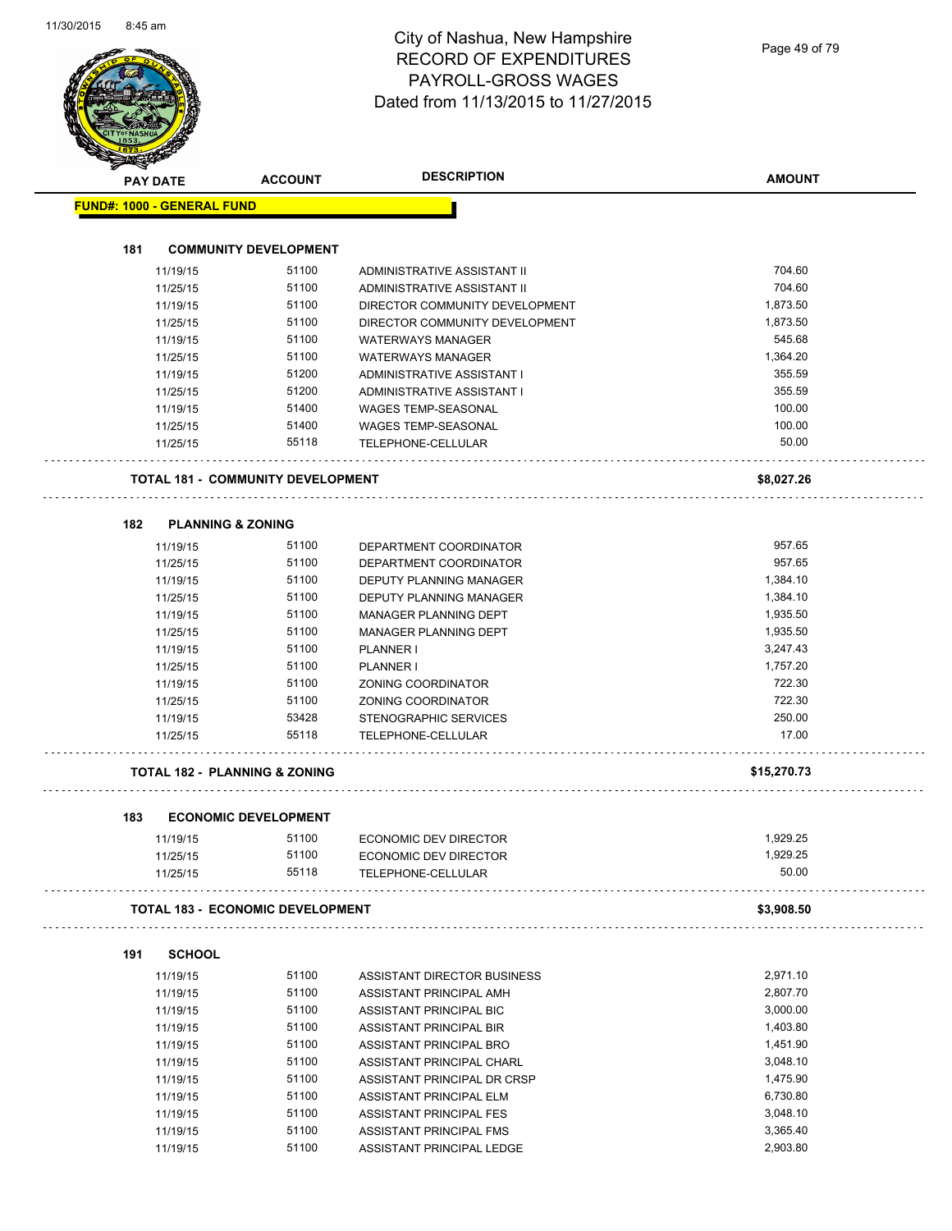|                      | <b>ACCOUNT</b>                                                                                                                                                                                                                                                                                                                                                                                           | <b>DESCRIPTION</b>                                                                                                                                                                                                            | <b>AMOUNT</b>                                                                                                                                                                                                                                                                                                                                                                                                                            |
|----------------------|----------------------------------------------------------------------------------------------------------------------------------------------------------------------------------------------------------------------------------------------------------------------------------------------------------------------------------------------------------------------------------------------------------|-------------------------------------------------------------------------------------------------------------------------------------------------------------------------------------------------------------------------------|------------------------------------------------------------------------------------------------------------------------------------------------------------------------------------------------------------------------------------------------------------------------------------------------------------------------------------------------------------------------------------------------------------------------------------------|
|                      |                                                                                                                                                                                                                                                                                                                                                                                                          |                                                                                                                                                                                                                               |                                                                                                                                                                                                                                                                                                                                                                                                                                          |
|                      |                                                                                                                                                                                                                                                                                                                                                                                                          |                                                                                                                                                                                                                               |                                                                                                                                                                                                                                                                                                                                                                                                                                          |
|                      |                                                                                                                                                                                                                                                                                                                                                                                                          |                                                                                                                                                                                                                               |                                                                                                                                                                                                                                                                                                                                                                                                                                          |
|                      | 51100                                                                                                                                                                                                                                                                                                                                                                                                    | ADMINISTRATIVE ASSISTANT II                                                                                                                                                                                                   | 704.60                                                                                                                                                                                                                                                                                                                                                                                                                                   |
|                      | 51100                                                                                                                                                                                                                                                                                                                                                                                                    | ADMINISTRATIVE ASSISTANT II                                                                                                                                                                                                   | 704.60                                                                                                                                                                                                                                                                                                                                                                                                                                   |
|                      | 51100                                                                                                                                                                                                                                                                                                                                                                                                    | DIRECTOR COMMUNITY DEVELOPMENT                                                                                                                                                                                                | 1,873.50                                                                                                                                                                                                                                                                                                                                                                                                                                 |
|                      | 51100                                                                                                                                                                                                                                                                                                                                                                                                    | DIRECTOR COMMUNITY DEVELOPMENT                                                                                                                                                                                                | 1,873.50                                                                                                                                                                                                                                                                                                                                                                                                                                 |
|                      | 51100                                                                                                                                                                                                                                                                                                                                                                                                    | <b>WATERWAYS MANAGER</b>                                                                                                                                                                                                      | 545.68                                                                                                                                                                                                                                                                                                                                                                                                                                   |
|                      | 51100                                                                                                                                                                                                                                                                                                                                                                                                    | <b>WATERWAYS MANAGER</b>                                                                                                                                                                                                      | 1,364.20                                                                                                                                                                                                                                                                                                                                                                                                                                 |
|                      | 51200                                                                                                                                                                                                                                                                                                                                                                                                    | ADMINISTRATIVE ASSISTANT I                                                                                                                                                                                                    | 355.59                                                                                                                                                                                                                                                                                                                                                                                                                                   |
|                      | 51200                                                                                                                                                                                                                                                                                                                                                                                                    | ADMINISTRATIVE ASSISTANT I                                                                                                                                                                                                    | 355.59                                                                                                                                                                                                                                                                                                                                                                                                                                   |
|                      | 51400                                                                                                                                                                                                                                                                                                                                                                                                    | <b>WAGES TEMP-SEASONAL</b>                                                                                                                                                                                                    | 100.00                                                                                                                                                                                                                                                                                                                                                                                                                                   |
|                      | 51400                                                                                                                                                                                                                                                                                                                                                                                                    | WAGES TEMP-SEASONAL                                                                                                                                                                                                           | 100.00                                                                                                                                                                                                                                                                                                                                                                                                                                   |
|                      | 55118                                                                                                                                                                                                                                                                                                                                                                                                    | TELEPHONE-CELLULAR                                                                                                                                                                                                            | 50.00                                                                                                                                                                                                                                                                                                                                                                                                                                    |
|                      |                                                                                                                                                                                                                                                                                                                                                                                                          |                                                                                                                                                                                                                               | \$8,027.26                                                                                                                                                                                                                                                                                                                                                                                                                               |
|                      |                                                                                                                                                                                                                                                                                                                                                                                                          |                                                                                                                                                                                                                               |                                                                                                                                                                                                                                                                                                                                                                                                                                          |
|                      | 51100                                                                                                                                                                                                                                                                                                                                                                                                    | DEPARTMENT COORDINATOR                                                                                                                                                                                                        | 957.65                                                                                                                                                                                                                                                                                                                                                                                                                                   |
|                      | 51100                                                                                                                                                                                                                                                                                                                                                                                                    |                                                                                                                                                                                                                               | 957.65                                                                                                                                                                                                                                                                                                                                                                                                                                   |
|                      | 51100                                                                                                                                                                                                                                                                                                                                                                                                    |                                                                                                                                                                                                                               | 1,384.10                                                                                                                                                                                                                                                                                                                                                                                                                                 |
|                      |                                                                                                                                                                                                                                                                                                                                                                                                          |                                                                                                                                                                                                                               | 1,384.10                                                                                                                                                                                                                                                                                                                                                                                                                                 |
|                      |                                                                                                                                                                                                                                                                                                                                                                                                          |                                                                                                                                                                                                                               | 1,935.50                                                                                                                                                                                                                                                                                                                                                                                                                                 |
|                      |                                                                                                                                                                                                                                                                                                                                                                                                          |                                                                                                                                                                                                                               | 1,935.50                                                                                                                                                                                                                                                                                                                                                                                                                                 |
|                      |                                                                                                                                                                                                                                                                                                                                                                                                          |                                                                                                                                                                                                                               | 3,247.43                                                                                                                                                                                                                                                                                                                                                                                                                                 |
|                      |                                                                                                                                                                                                                                                                                                                                                                                                          |                                                                                                                                                                                                                               | 1,757.20                                                                                                                                                                                                                                                                                                                                                                                                                                 |
|                      |                                                                                                                                                                                                                                                                                                                                                                                                          |                                                                                                                                                                                                                               | 722.30                                                                                                                                                                                                                                                                                                                                                                                                                                   |
|                      |                                                                                                                                                                                                                                                                                                                                                                                                          |                                                                                                                                                                                                                               | 722.30                                                                                                                                                                                                                                                                                                                                                                                                                                   |
|                      |                                                                                                                                                                                                                                                                                                                                                                                                          |                                                                                                                                                                                                                               | 250.00                                                                                                                                                                                                                                                                                                                                                                                                                                   |
|                      | 55118                                                                                                                                                                                                                                                                                                                                                                                                    | <b>TELEPHONE-CELLULAR</b>                                                                                                                                                                                                     | 17.00                                                                                                                                                                                                                                                                                                                                                                                                                                    |
|                      |                                                                                                                                                                                                                                                                                                                                                                                                          |                                                                                                                                                                                                                               | \$15,270.73                                                                                                                                                                                                                                                                                                                                                                                                                              |
|                      |                                                                                                                                                                                                                                                                                                                                                                                                          |                                                                                                                                                                                                                               |                                                                                                                                                                                                                                                                                                                                                                                                                                          |
|                      |                                                                                                                                                                                                                                                                                                                                                                                                          |                                                                                                                                                                                                                               | 1,929.25                                                                                                                                                                                                                                                                                                                                                                                                                                 |
|                      | 51100                                                                                                                                                                                                                                                                                                                                                                                                    |                                                                                                                                                                                                                               | 1,929.25                                                                                                                                                                                                                                                                                                                                                                                                                                 |
|                      | 55118                                                                                                                                                                                                                                                                                                                                                                                                    | TELEPHONE-CELLULAR                                                                                                                                                                                                            | 50.00                                                                                                                                                                                                                                                                                                                                                                                                                                    |
|                      |                                                                                                                                                                                                                                                                                                                                                                                                          |                                                                                                                                                                                                                               | \$3,908.50                                                                                                                                                                                                                                                                                                                                                                                                                               |
|                      |                                                                                                                                                                                                                                                                                                                                                                                                          |                                                                                                                                                                                                                               |                                                                                                                                                                                                                                                                                                                                                                                                                                          |
|                      | 51100                                                                                                                                                                                                                                                                                                                                                                                                    | ASSISTANT DIRECTOR BUSINESS                                                                                                                                                                                                   | 2,971.10                                                                                                                                                                                                                                                                                                                                                                                                                                 |
|                      | 51100                                                                                                                                                                                                                                                                                                                                                                                                    | ASSISTANT PRINCIPAL AMH                                                                                                                                                                                                       | 2,807.70                                                                                                                                                                                                                                                                                                                                                                                                                                 |
|                      | 51100                                                                                                                                                                                                                                                                                                                                                                                                    | ASSISTANT PRINCIPAL BIC                                                                                                                                                                                                       | 3,000.00                                                                                                                                                                                                                                                                                                                                                                                                                                 |
|                      | 51100                                                                                                                                                                                                                                                                                                                                                                                                    |                                                                                                                                                                                                                               | 1,403.80                                                                                                                                                                                                                                                                                                                                                                                                                                 |
| 11/19/15             | 51100                                                                                                                                                                                                                                                                                                                                                                                                    | ASSISTANT PRINCIPAL BRO                                                                                                                                                                                                       | 1,451.90                                                                                                                                                                                                                                                                                                                                                                                                                                 |
|                      | 51100                                                                                                                                                                                                                                                                                                                                                                                                    | ASSISTANT PRINCIPAL CHARL                                                                                                                                                                                                     | 3,048.10                                                                                                                                                                                                                                                                                                                                                                                                                                 |
|                      |                                                                                                                                                                                                                                                                                                                                                                                                          |                                                                                                                                                                                                                               |                                                                                                                                                                                                                                                                                                                                                                                                                                          |
| 11/19/15             |                                                                                                                                                                                                                                                                                                                                                                                                          |                                                                                                                                                                                                                               |                                                                                                                                                                                                                                                                                                                                                                                                                                          |
| 11/19/15             | 51100                                                                                                                                                                                                                                                                                                                                                                                                    | ASSISTANT PRINCIPAL DR CRSP                                                                                                                                                                                                   | 1,475.90                                                                                                                                                                                                                                                                                                                                                                                                                                 |
| 11/19/15             | 51100                                                                                                                                                                                                                                                                                                                                                                                                    | ASSISTANT PRINCIPAL ELM                                                                                                                                                                                                       | 6,730.80                                                                                                                                                                                                                                                                                                                                                                                                                                 |
| 11/19/15<br>11/19/15 | 51100<br>51100                                                                                                                                                                                                                                                                                                                                                                                           | ASSISTANT PRINCIPAL FES<br>ASSISTANT PRINCIPAL FMS                                                                                                                                                                            | 3,048.10<br>3,365.40                                                                                                                                                                                                                                                                                                                                                                                                                     |
|                      | <b>PAY DATE</b><br>11/19/15<br>11/25/15<br>11/19/15<br>11/25/15<br>11/19/15<br>11/25/15<br>11/19/15<br>11/25/15<br>11/19/15<br>11/25/15<br>11/25/15<br>11/19/15<br>11/25/15<br>11/19/15<br>11/25/15<br>11/19/15<br>11/25/15<br>11/19/15<br>11/25/15<br>11/19/15<br>11/25/15<br>11/19/15<br>11/25/15<br>11/19/15<br>11/25/15<br>11/25/15<br><b>SCHOOL</b><br>11/19/15<br>11/19/15<br>11/19/15<br>11/19/15 | <b>FUND#: 1000 - GENERAL FUND</b><br><b>PLANNING &amp; ZONING</b><br>51100<br>51100<br>51100<br>51100<br>51100<br>51100<br>51100<br>53428<br><b>TOTAL 182 - PLANNING &amp; ZONING</b><br><b>ECONOMIC DEVELOPMENT</b><br>51100 | <b>COMMUNITY DEVELOPMENT</b><br><b>TOTAL 181 - COMMUNITY DEVELOPMENT</b><br>DEPARTMENT COORDINATOR<br>DEPUTY PLANNING MANAGER<br>DEPUTY PLANNING MANAGER<br>MANAGER PLANNING DEPT<br>MANAGER PLANNING DEPT<br>PLANNER I<br><b>PLANNER I</b><br>ZONING COORDINATOR<br>ZONING COORDINATOR<br>STENOGRAPHIC SERVICES<br>ECONOMIC DEV DIRECTOR<br>ECONOMIC DEV DIRECTOR<br><b>TOTAL 183 - ECONOMIC DEVELOPMENT</b><br>ASSISTANT PRINCIPAL BIR |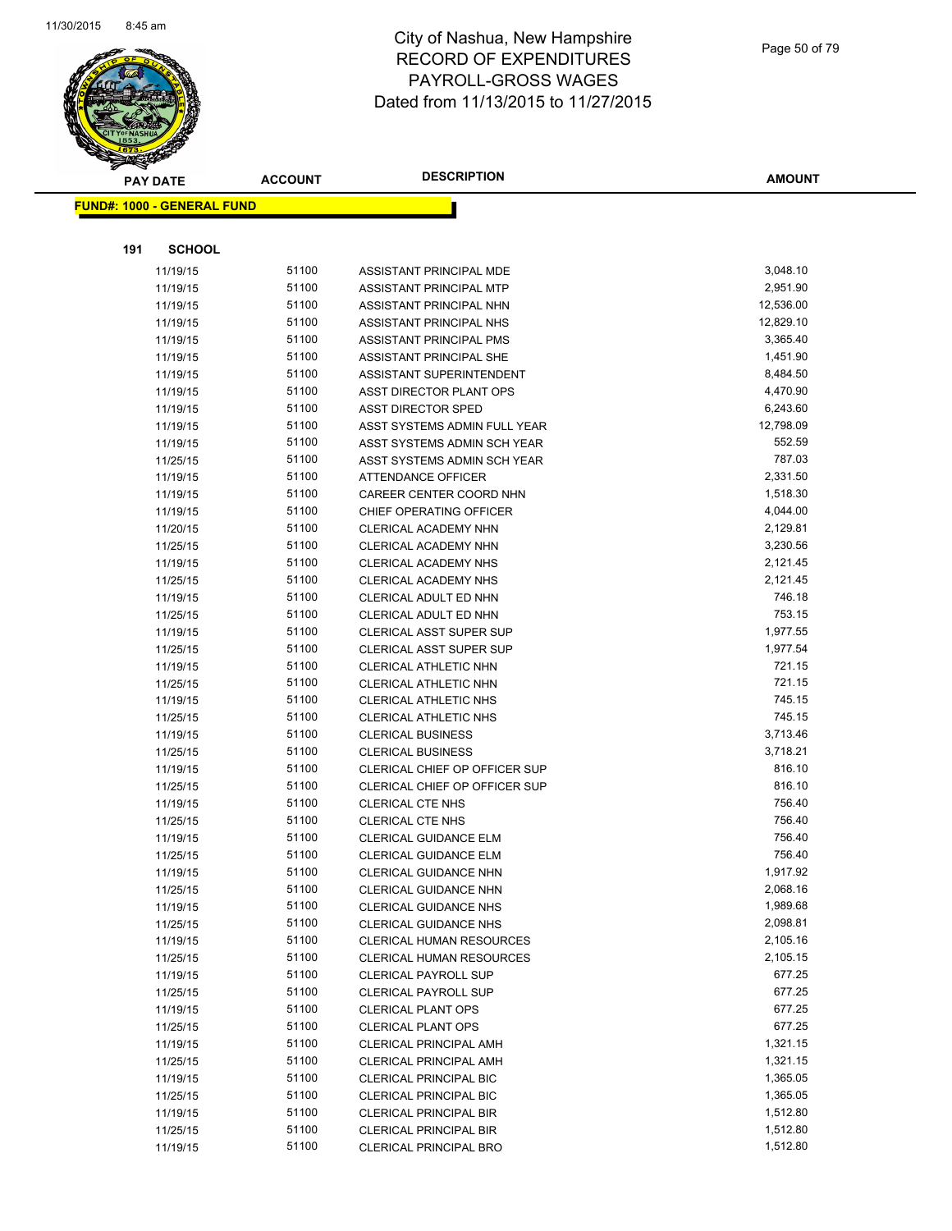

| <b>PAY DATE</b>                   | <b>ACCOUNT</b> | <b>DESCRIPTION</b>                                             | <b>AMOUNT</b>        |
|-----------------------------------|----------------|----------------------------------------------------------------|----------------------|
| <b>FUND#: 1000 - GENERAL FUND</b> |                |                                                                |                      |
|                                   |                |                                                                |                      |
|                                   |                |                                                                |                      |
| 191<br><b>SCHOOL</b>              |                |                                                                |                      |
| 11/19/15                          | 51100          | ASSISTANT PRINCIPAL MDE                                        | 3,048.10             |
| 11/19/15                          | 51100          | ASSISTANT PRINCIPAL MTP                                        | 2,951.90             |
| 11/19/15                          | 51100          | ASSISTANT PRINCIPAL NHN                                        | 12,536.00            |
| 11/19/15                          | 51100          | ASSISTANT PRINCIPAL NHS                                        | 12,829.10            |
| 11/19/15                          | 51100          | ASSISTANT PRINCIPAL PMS                                        | 3,365.40             |
| 11/19/15                          | 51100          | ASSISTANT PRINCIPAL SHE                                        | 1,451.90             |
| 11/19/15                          | 51100          | ASSISTANT SUPERINTENDENT                                       | 8,484.50             |
| 11/19/15                          | 51100          | ASST DIRECTOR PLANT OPS                                        | 4,470.90             |
| 11/19/15                          | 51100          | <b>ASST DIRECTOR SPED</b>                                      | 6,243.60             |
| 11/19/15                          | 51100<br>51100 | ASST SYSTEMS ADMIN FULL YEAR                                   | 12,798.09<br>552.59  |
| 11/19/15                          | 51100          | ASST SYSTEMS ADMIN SCH YEAR<br>ASST SYSTEMS ADMIN SCH YEAR     | 787.03               |
| 11/25/15<br>11/19/15              | 51100          | <b>ATTENDANCE OFFICER</b>                                      | 2,331.50             |
| 11/19/15                          | 51100          | CAREER CENTER COORD NHN                                        | 1,518.30             |
| 11/19/15                          | 51100          | CHIEF OPERATING OFFICER                                        | 4,044.00             |
| 11/20/15                          | 51100          | CLERICAL ACADEMY NHN                                           | 2,129.81             |
| 11/25/15                          | 51100          | CLERICAL ACADEMY NHN                                           | 3,230.56             |
| 11/19/15                          | 51100          | <b>CLERICAL ACADEMY NHS</b>                                    | 2,121.45             |
| 11/25/15                          | 51100          | CLERICAL ACADEMY NHS                                           | 2,121.45             |
| 11/19/15                          | 51100          | CLERICAL ADULT ED NHN                                          | 746.18               |
| 11/25/15                          | 51100          | CLERICAL ADULT ED NHN                                          | 753.15               |
| 11/19/15                          | 51100          | <b>CLERICAL ASST SUPER SUP</b>                                 | 1,977.55             |
| 11/25/15                          | 51100          | <b>CLERICAL ASST SUPER SUP</b>                                 | 1,977.54             |
| 11/19/15                          | 51100          | <b>CLERICAL ATHLETIC NHN</b>                                   | 721.15               |
| 11/25/15                          | 51100          | CLERICAL ATHLETIC NHN                                          | 721.15               |
| 11/19/15                          | 51100          | CLERICAL ATHLETIC NHS                                          | 745.15               |
| 11/25/15                          | 51100          | CLERICAL ATHLETIC NHS                                          | 745.15               |
| 11/19/15                          | 51100          | <b>CLERICAL BUSINESS</b>                                       | 3,713.46             |
| 11/25/15                          | 51100          | <b>CLERICAL BUSINESS</b>                                       | 3,718.21             |
| 11/19/15                          | 51100          | CLERICAL CHIEF OP OFFICER SUP                                  | 816.10               |
| 11/25/15                          | 51100          | CLERICAL CHIEF OP OFFICER SUP                                  | 816.10               |
| 11/19/15                          | 51100          | CLERICAL CTE NHS                                               | 756.40               |
| 11/25/15                          | 51100          | <b>CLERICAL CTE NHS</b>                                        | 756.40               |
| 11/19/15                          | 51100          | <b>CLERICAL GUIDANCE ELM</b>                                   | 756.40               |
| 11/25/15                          | 51100          | <b>CLERICAL GUIDANCE ELM</b>                                   | 756.40               |
| 11/19/15                          | 51100          | <b>CLERICAL GUIDANCE NHN</b>                                   | 1,917.92             |
| 11/25/15                          | 51100          | CLERICAL GUIDANCE NHN                                          | 2,068.16             |
| 11/19/15                          | 51100          | <b>CLERICAL GUIDANCE NHS</b>                                   | 1,989.68             |
| 11/25/15                          | 51100          | CLERICAL GUIDANCE NHS                                          | 2,098.81             |
| 11/19/15                          | 51100          | <b>CLERICAL HUMAN RESOURCES</b>                                | 2,105.16             |
| 11/25/15                          | 51100          | CLERICAL HUMAN RESOURCES                                       | 2,105.15             |
| 11/19/15                          | 51100          | <b>CLERICAL PAYROLL SUP</b>                                    | 677.25               |
| 11/25/15                          | 51100          | <b>CLERICAL PAYROLL SUP</b>                                    | 677.25               |
| 11/19/15                          | 51100          | <b>CLERICAL PLANT OPS</b>                                      | 677.25               |
| 11/25/15                          | 51100          | <b>CLERICAL PLANT OPS</b>                                      | 677.25               |
| 11/19/15                          | 51100          | <b>CLERICAL PRINCIPAL AMH</b>                                  | 1,321.15             |
| 11/25/15                          | 51100<br>51100 | <b>CLERICAL PRINCIPAL AMH</b><br><b>CLERICAL PRINCIPAL BIC</b> | 1,321.15<br>1,365.05 |
| 11/19/15                          | 51100          | <b>CLERICAL PRINCIPAL BIC</b>                                  | 1,365.05             |
| 11/25/15<br>11/19/15              | 51100          | <b>CLERICAL PRINCIPAL BIR</b>                                  | 1,512.80             |
| 11/25/15                          | 51100          | <b>CLERICAL PRINCIPAL BIR</b>                                  | 1,512.80             |
| 11/19/15                          | 51100          | <b>CLERICAL PRINCIPAL BRO</b>                                  | 1,512.80             |
|                                   |                |                                                                |                      |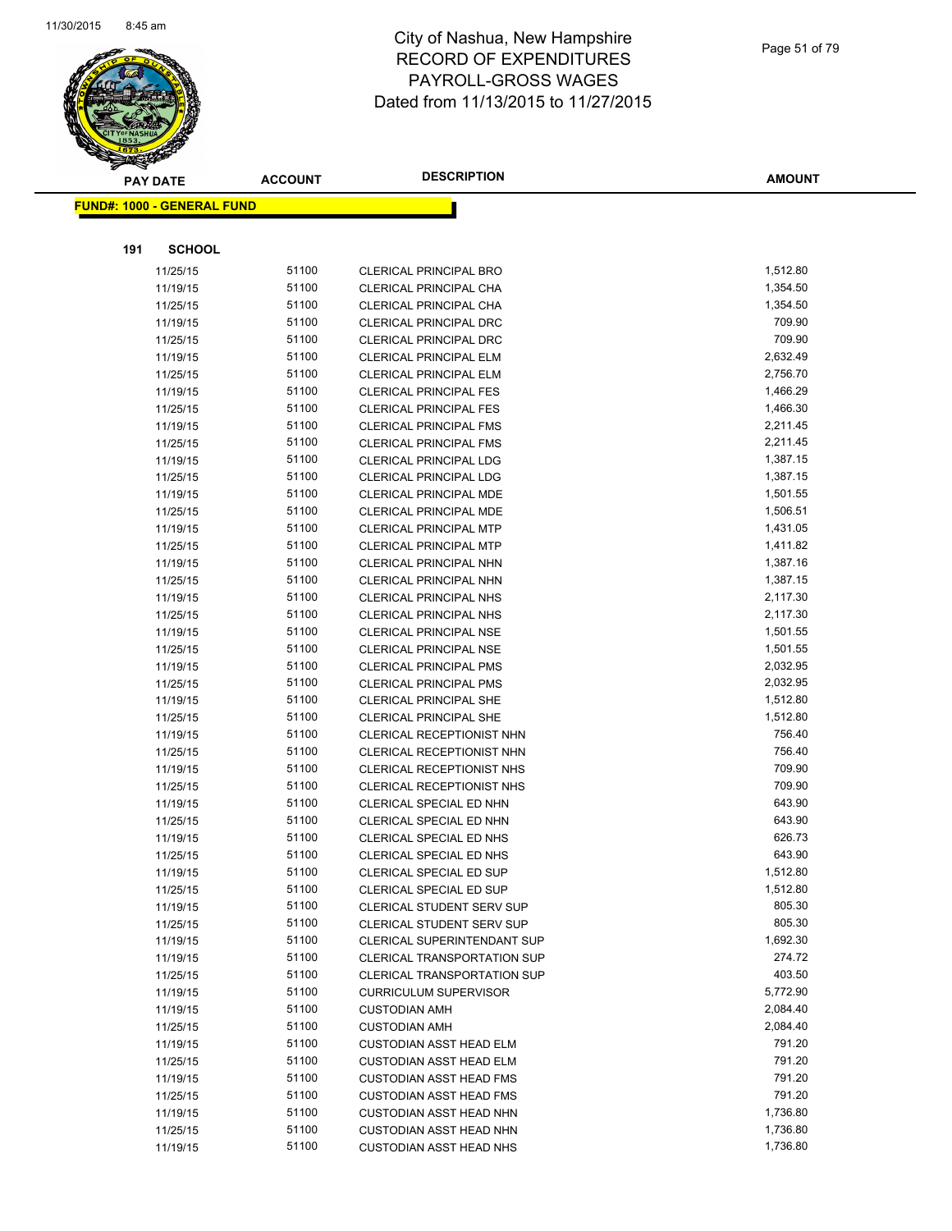

|     | <b>PAY DATE</b>                    | <b>ACCOUNT</b> | <b>DESCRIPTION</b>                 | <b>AMOUNT</b> |
|-----|------------------------------------|----------------|------------------------------------|---------------|
|     | <u> FUND#: 1000 - GENERAL FUND</u> |                |                                    |               |
|     |                                    |                |                                    |               |
|     |                                    |                |                                    |               |
| 191 | <b>SCHOOL</b>                      |                |                                    |               |
|     | 11/25/15                           | 51100          | <b>CLERICAL PRINCIPAL BRO</b>      | 1,512.80      |
|     | 11/19/15                           | 51100          | CLERICAL PRINCIPAL CHA             | 1,354.50      |
|     | 11/25/15                           | 51100          | CLERICAL PRINCIPAL CHA             | 1,354.50      |
|     | 11/19/15                           | 51100          | <b>CLERICAL PRINCIPAL DRC</b>      | 709.90        |
|     | 11/25/15                           | 51100          | <b>CLERICAL PRINCIPAL DRC</b>      | 709.90        |
|     | 11/19/15                           | 51100          | <b>CLERICAL PRINCIPAL ELM</b>      | 2,632.49      |
|     | 11/25/15                           | 51100          | <b>CLERICAL PRINCIPAL ELM</b>      | 2,756.70      |
|     | 11/19/15                           | 51100          | <b>CLERICAL PRINCIPAL FES</b>      | 1,466.29      |
|     | 11/25/15                           | 51100          | <b>CLERICAL PRINCIPAL FES</b>      | 1,466.30      |
|     | 11/19/15                           | 51100          | <b>CLERICAL PRINCIPAL FMS</b>      | 2,211.45      |
|     | 11/25/15                           | 51100          | <b>CLERICAL PRINCIPAL FMS</b>      | 2,211.45      |
|     | 11/19/15                           | 51100          | <b>CLERICAL PRINCIPAL LDG</b>      | 1,387.15      |
|     | 11/25/15                           | 51100          | <b>CLERICAL PRINCIPAL LDG</b>      | 1,387.15      |
|     | 11/19/15                           | 51100          | <b>CLERICAL PRINCIPAL MDE</b>      | 1,501.55      |
|     | 11/25/15                           | 51100          | CLERICAL PRINCIPAL MDE             | 1,506.51      |
|     | 11/19/15                           | 51100          | <b>CLERICAL PRINCIPAL MTP</b>      | 1,431.05      |
|     | 11/25/15                           | 51100          | <b>CLERICAL PRINCIPAL MTP</b>      | 1,411.82      |
|     | 11/19/15                           | 51100          | <b>CLERICAL PRINCIPAL NHN</b>      | 1,387.16      |
|     | 11/25/15                           | 51100          | <b>CLERICAL PRINCIPAL NHN</b>      | 1,387.15      |
|     | 11/19/15                           | 51100          | <b>CLERICAL PRINCIPAL NHS</b>      | 2,117.30      |
|     | 11/25/15                           | 51100          | <b>CLERICAL PRINCIPAL NHS</b>      | 2,117.30      |
|     | 11/19/15                           | 51100          | <b>CLERICAL PRINCIPAL NSE</b>      | 1,501.55      |
|     | 11/25/15                           | 51100          | <b>CLERICAL PRINCIPAL NSE</b>      | 1,501.55      |
|     | 11/19/15                           | 51100          | <b>CLERICAL PRINCIPAL PMS</b>      | 2,032.95      |
|     | 11/25/15                           | 51100          | <b>CLERICAL PRINCIPAL PMS</b>      | 2,032.95      |
|     | 11/19/15                           | 51100          | <b>CLERICAL PRINCIPAL SHE</b>      | 1,512.80      |
|     | 11/25/15                           | 51100          | <b>CLERICAL PRINCIPAL SHE</b>      | 1,512.80      |
|     | 11/19/15                           | 51100          | <b>CLERICAL RECEPTIONIST NHN</b>   | 756.40        |
|     | 11/25/15                           | 51100          | CLERICAL RECEPTIONIST NHN          | 756.40        |
|     | 11/19/15                           | 51100          | CLERICAL RECEPTIONIST NHS          | 709.90        |
|     | 11/25/15                           | 51100          | CLERICAL RECEPTIONIST NHS          | 709.90        |
|     | 11/19/15                           | 51100          | CLERICAL SPECIAL ED NHN            | 643.90        |
|     | 11/25/15                           | 51100          | CLERICAL SPECIAL ED NHN            | 643.90        |
|     | 11/19/15                           | 51100          | CLERICAL SPECIAL ED NHS            | 626.73        |
|     | 11/25/15                           | 51100          | CLERICAL SPECIAL ED NHS            | 643.90        |
|     | 11/19/15                           | 51100          | CLERICAL SPECIAL ED SUP            | 1,512.80      |
|     | 11/25/15                           | 51100          | CLERICAL SPECIAL ED SUP            | 1,512.80      |
|     | 11/19/15                           | 51100          | CLERICAL STUDENT SERV SUP          | 805.30        |
|     | 11/25/15                           | 51100          | <b>CLERICAL STUDENT SERV SUP</b>   | 805.30        |
|     | 11/19/15                           | 51100          | CLERICAL SUPERINTENDANT SUP        | 1,692.30      |
|     | 11/19/15                           | 51100          | <b>CLERICAL TRANSPORTATION SUP</b> | 274.72        |
|     | 11/25/15                           | 51100          | <b>CLERICAL TRANSPORTATION SUP</b> | 403.50        |
|     | 11/19/15                           | 51100          | <b>CURRICULUM SUPERVISOR</b>       | 5,772.90      |
|     | 11/19/15                           | 51100          | <b>CUSTODIAN AMH</b>               | 2,084.40      |
|     | 11/25/15                           | 51100          | <b>CUSTODIAN AMH</b>               | 2,084.40      |
|     | 11/19/15                           | 51100          | <b>CUSTODIAN ASST HEAD ELM</b>     | 791.20        |
|     | 11/25/15                           | 51100          | <b>CUSTODIAN ASST HEAD ELM</b>     | 791.20        |
|     | 11/19/15                           | 51100          | <b>CUSTODIAN ASST HEAD FMS</b>     | 791.20        |
|     | 11/25/15                           | 51100          | <b>CUSTODIAN ASST HEAD FMS</b>     | 791.20        |
|     | 11/19/15                           | 51100          | <b>CUSTODIAN ASST HEAD NHN</b>     | 1,736.80      |
|     | 11/25/15                           | 51100          | <b>CUSTODIAN ASST HEAD NHN</b>     | 1,736.80      |
|     | 11/19/15                           | 51100          | <b>CUSTODIAN ASST HEAD NHS</b>     | 1,736.80      |
|     |                                    |                |                                    |               |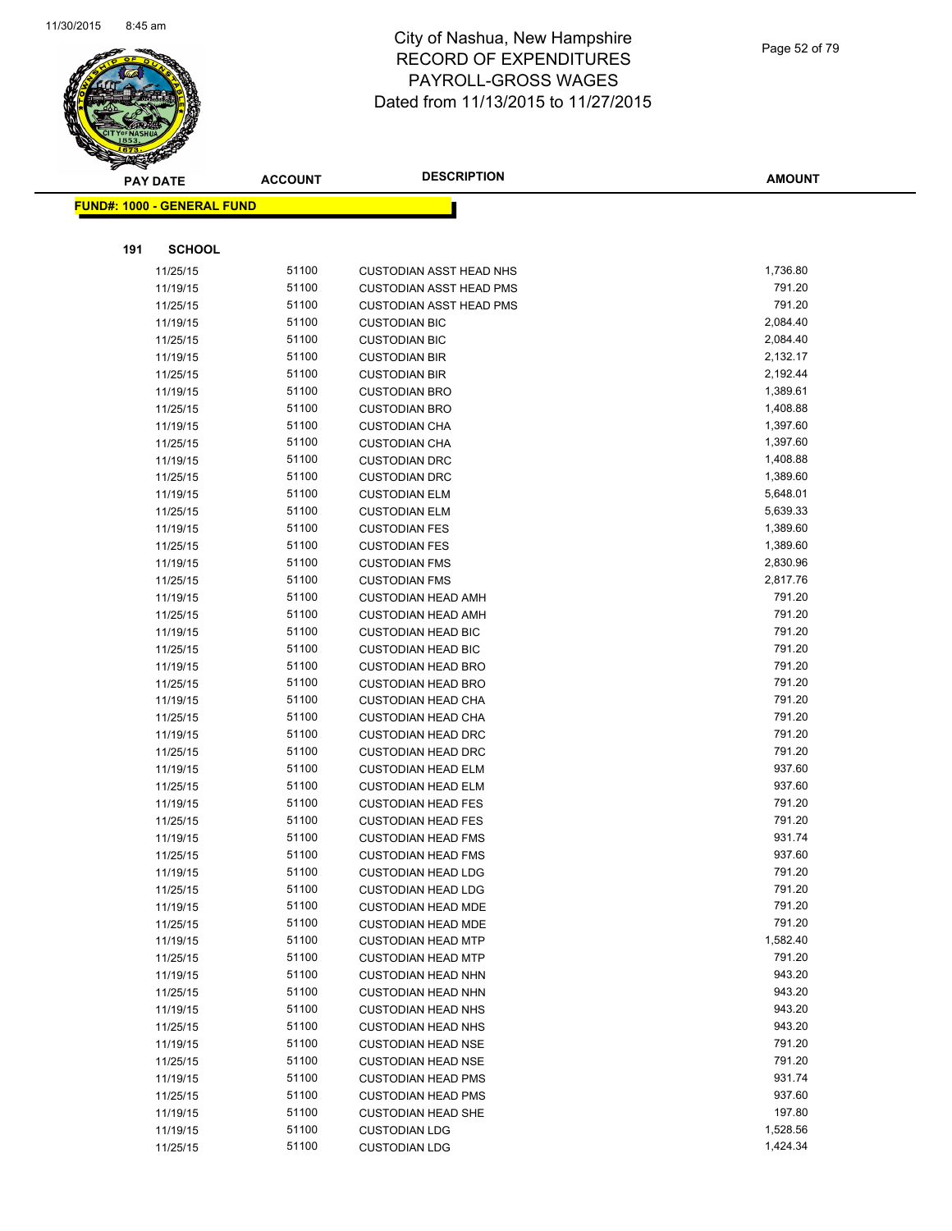

|     | <b>PAY DATE</b>                   | <b>ACCOUNT</b> | <b>DESCRIPTION</b>                                     | <b>AMOUNT</b>    |
|-----|-----------------------------------|----------------|--------------------------------------------------------|------------------|
|     | <b>FUND#: 1000 - GENERAL FUND</b> |                |                                                        |                  |
|     |                                   |                |                                                        |                  |
|     |                                   |                |                                                        |                  |
| 191 | <b>SCHOOL</b>                     |                |                                                        |                  |
|     | 11/25/15                          | 51100          | <b>CUSTODIAN ASST HEAD NHS</b>                         | 1,736.80         |
|     | 11/19/15                          | 51100          | <b>CUSTODIAN ASST HEAD PMS</b>                         | 791.20           |
|     | 11/25/15                          | 51100          | <b>CUSTODIAN ASST HEAD PMS</b>                         | 791.20           |
|     | 11/19/15                          | 51100          | <b>CUSTODIAN BIC</b>                                   | 2,084.40         |
|     | 11/25/15                          | 51100          | <b>CUSTODIAN BIC</b>                                   | 2,084.40         |
|     | 11/19/15                          | 51100          | <b>CUSTODIAN BIR</b>                                   | 2,132.17         |
|     | 11/25/15                          | 51100          | <b>CUSTODIAN BIR</b>                                   | 2,192.44         |
|     | 11/19/15                          | 51100          | <b>CUSTODIAN BRO</b>                                   | 1,389.61         |
|     | 11/25/15                          | 51100          | <b>CUSTODIAN BRO</b>                                   | 1,408.88         |
|     | 11/19/15                          | 51100          | <b>CUSTODIAN CHA</b>                                   | 1,397.60         |
|     | 11/25/15                          | 51100          | <b>CUSTODIAN CHA</b>                                   | 1,397.60         |
|     | 11/19/15                          | 51100          | <b>CUSTODIAN DRC</b>                                   | 1,408.88         |
|     | 11/25/15                          | 51100          | <b>CUSTODIAN DRC</b>                                   | 1,389.60         |
|     | 11/19/15                          | 51100          | <b>CUSTODIAN ELM</b>                                   | 5,648.01         |
|     | 11/25/15                          | 51100          | <b>CUSTODIAN ELM</b>                                   | 5,639.33         |
|     | 11/19/15                          | 51100          | <b>CUSTODIAN FES</b>                                   | 1,389.60         |
|     | 11/25/15                          | 51100          | <b>CUSTODIAN FES</b>                                   | 1,389.60         |
|     | 11/19/15                          | 51100          | <b>CUSTODIAN FMS</b>                                   | 2,830.96         |
|     | 11/25/15                          | 51100          | <b>CUSTODIAN FMS</b>                                   | 2,817.76         |
|     | 11/19/15                          | 51100          | <b>CUSTODIAN HEAD AMH</b>                              | 791.20           |
|     | 11/25/15                          | 51100          | <b>CUSTODIAN HEAD AMH</b>                              | 791.20           |
|     | 11/19/15                          | 51100          | <b>CUSTODIAN HEAD BIC</b>                              | 791.20<br>791.20 |
|     | 11/25/15                          | 51100          | <b>CUSTODIAN HEAD BIC</b>                              | 791.20           |
|     | 11/19/15                          | 51100<br>51100 | <b>CUSTODIAN HEAD BRO</b>                              | 791.20           |
|     | 11/25/15                          | 51100          | <b>CUSTODIAN HEAD BRO</b>                              | 791.20           |
|     | 11/19/15                          | 51100          | <b>CUSTODIAN HEAD CHA</b><br><b>CUSTODIAN HEAD CHA</b> | 791.20           |
|     | 11/25/15<br>11/19/15              | 51100          | <b>CUSTODIAN HEAD DRC</b>                              | 791.20           |
|     | 11/25/15                          | 51100          | <b>CUSTODIAN HEAD DRC</b>                              | 791.20           |
|     | 11/19/15                          | 51100          | <b>CUSTODIAN HEAD ELM</b>                              | 937.60           |
|     | 11/25/15                          | 51100          | <b>CUSTODIAN HEAD ELM</b>                              | 937.60           |
|     | 11/19/15                          | 51100          | <b>CUSTODIAN HEAD FES</b>                              | 791.20           |
|     | 11/25/15                          | 51100          | <b>CUSTODIAN HEAD FES</b>                              | 791.20           |
|     | 11/19/15                          | 51100          | <b>CUSTODIAN HEAD FMS</b>                              | 931.74           |
|     | 11/25/15                          | 51100          | <b>CUSTODIAN HEAD FMS</b>                              | 937.60           |
|     | 11/19/15                          | 51100          | <b>CUSTODIAN HEAD LDG</b>                              | 791.20           |
|     | 11/25/15                          | 51100          | <b>CUSTODIAN HEAD LDG</b>                              | 791.20           |
|     | 11/19/15                          | 51100          | <b>CUSTODIAN HEAD MDE</b>                              | 791.20           |
|     | 11/25/15                          | 51100          | <b>CUSTODIAN HEAD MDE</b>                              | 791.20           |
|     | 11/19/15                          | 51100          | <b>CUSTODIAN HEAD MTP</b>                              | 1,582.40         |
|     | 11/25/15                          | 51100          | <b>CUSTODIAN HEAD MTP</b>                              | 791.20           |
|     | 11/19/15                          | 51100          | <b>CUSTODIAN HEAD NHN</b>                              | 943.20           |
|     | 11/25/15                          | 51100          | <b>CUSTODIAN HEAD NHN</b>                              | 943.20           |
|     | 11/19/15                          | 51100          | <b>CUSTODIAN HEAD NHS</b>                              | 943.20           |
|     | 11/25/15                          | 51100          | <b>CUSTODIAN HEAD NHS</b>                              | 943.20           |
|     | 11/19/15                          | 51100          | <b>CUSTODIAN HEAD NSE</b>                              | 791.20           |
|     | 11/25/15                          | 51100          | <b>CUSTODIAN HEAD NSE</b>                              | 791.20           |
|     | 11/19/15                          | 51100          | <b>CUSTODIAN HEAD PMS</b>                              | 931.74           |
|     | 11/25/15                          | 51100          | <b>CUSTODIAN HEAD PMS</b>                              | 937.60           |
|     | 11/19/15                          | 51100          | <b>CUSTODIAN HEAD SHE</b>                              | 197.80           |
|     | 11/19/15                          | 51100          | <b>CUSTODIAN LDG</b>                                   | 1,528.56         |
|     | 11/25/15                          | 51100          | <b>CUSTODIAN LDG</b>                                   | 1,424.34         |
|     |                                   |                |                                                        |                  |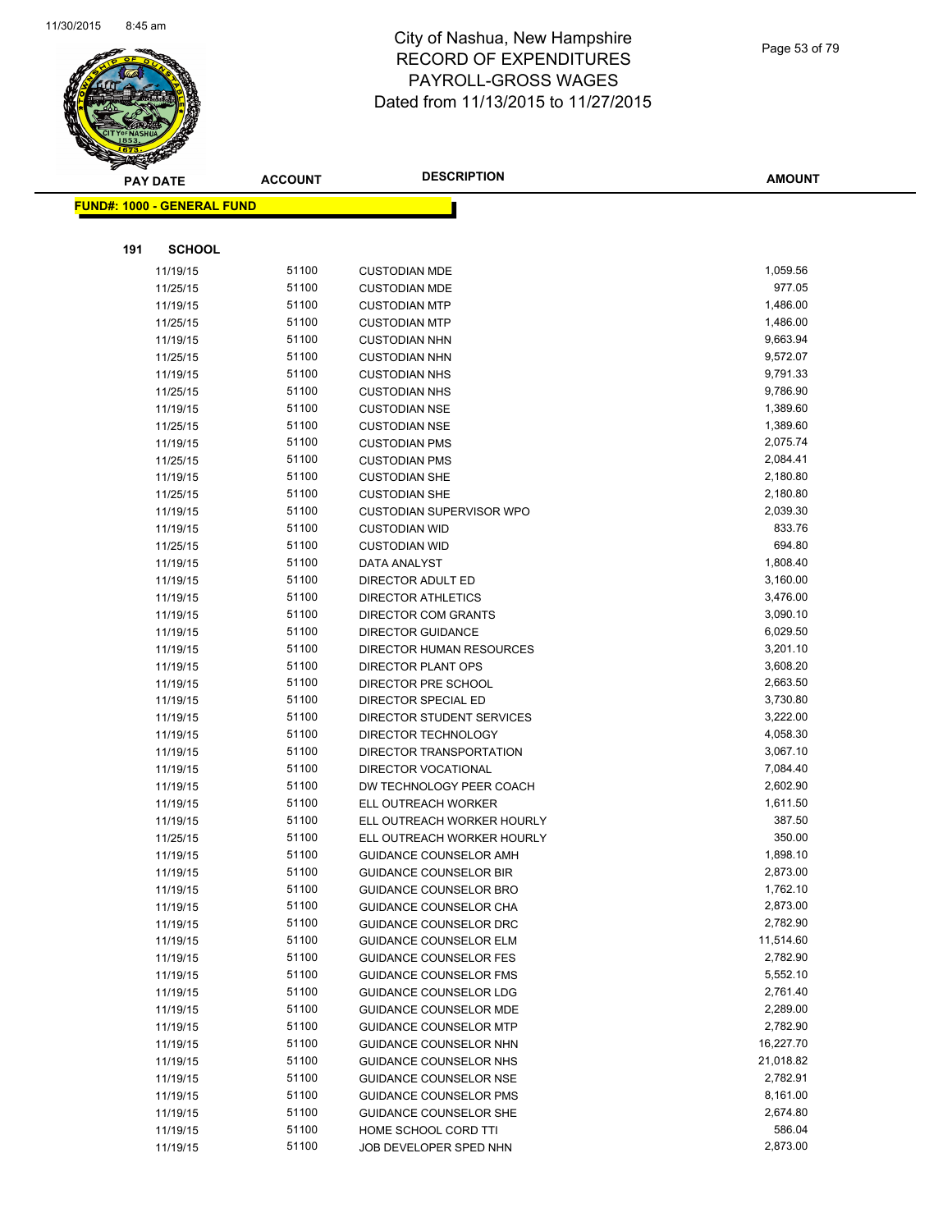

|     | <b>PAY DATE</b>                   | <b>ACCOUNT</b> | <b>DESCRIPTION</b>              | <b>AMOUNT</b> |
|-----|-----------------------------------|----------------|---------------------------------|---------------|
|     | <b>FUND#: 1000 - GENERAL FUND</b> |                |                                 |               |
|     |                                   |                |                                 |               |
|     |                                   |                |                                 |               |
| 191 | <b>SCHOOL</b>                     |                |                                 |               |
|     | 11/19/15                          | 51100          | <b>CUSTODIAN MDE</b>            | 1,059.56      |
|     | 11/25/15                          | 51100          | <b>CUSTODIAN MDE</b>            | 977.05        |
|     | 11/19/15                          | 51100          | <b>CUSTODIAN MTP</b>            | 1,486.00      |
|     | 11/25/15                          | 51100          | <b>CUSTODIAN MTP</b>            | 1,486.00      |
|     | 11/19/15                          | 51100          | <b>CUSTODIAN NHN</b>            | 9,663.94      |
|     | 11/25/15                          | 51100          | <b>CUSTODIAN NHN</b>            | 9,572.07      |
|     | 11/19/15                          | 51100          | <b>CUSTODIAN NHS</b>            | 9,791.33      |
|     | 11/25/15                          | 51100          | <b>CUSTODIAN NHS</b>            | 9,786.90      |
|     | 11/19/15                          | 51100          | <b>CUSTODIAN NSE</b>            | 1,389.60      |
|     | 11/25/15                          | 51100          | <b>CUSTODIAN NSE</b>            | 1,389.60      |
|     | 11/19/15                          | 51100          | <b>CUSTODIAN PMS</b>            | 2,075.74      |
|     | 11/25/15                          | 51100          | <b>CUSTODIAN PMS</b>            | 2,084.41      |
|     | 11/19/15                          | 51100          | <b>CUSTODIAN SHE</b>            | 2,180.80      |
|     | 11/25/15                          | 51100          | <b>CUSTODIAN SHE</b>            | 2,180.80      |
|     | 11/19/15                          | 51100          | <b>CUSTODIAN SUPERVISOR WPO</b> | 2,039.30      |
|     | 11/19/15                          | 51100          | <b>CUSTODIAN WID</b>            | 833.76        |
|     | 11/25/15                          | 51100          | <b>CUSTODIAN WID</b>            | 694.80        |
|     | 11/19/15                          | 51100          | DATA ANALYST                    | 1,808.40      |
|     | 11/19/15                          | 51100          | DIRECTOR ADULT ED               | 3,160.00      |
|     | 11/19/15                          | 51100          | <b>DIRECTOR ATHLETICS</b>       | 3,476.00      |
|     | 11/19/15                          | 51100          | DIRECTOR COM GRANTS             | 3,090.10      |
|     | 11/19/15                          | 51100          | <b>DIRECTOR GUIDANCE</b>        | 6,029.50      |
|     | 11/19/15                          | 51100          | DIRECTOR HUMAN RESOURCES        | 3,201.10      |
|     | 11/19/15                          | 51100          | <b>DIRECTOR PLANT OPS</b>       | 3,608.20      |
|     | 11/19/15                          | 51100          | DIRECTOR PRE SCHOOL             | 2,663.50      |
|     | 11/19/15                          | 51100          | DIRECTOR SPECIAL ED             | 3,730.80      |
|     | 11/19/15                          | 51100          | DIRECTOR STUDENT SERVICES       | 3,222.00      |
|     | 11/19/15                          | 51100          | DIRECTOR TECHNOLOGY             | 4,058.30      |
|     | 11/19/15                          | 51100          | DIRECTOR TRANSPORTATION         | 3,067.10      |
|     | 11/19/15                          | 51100          | <b>DIRECTOR VOCATIONAL</b>      | 7,084.40      |
|     | 11/19/15                          | 51100          | DW TECHNOLOGY PEER COACH        | 2,602.90      |
|     | 11/19/15                          | 51100          | ELL OUTREACH WORKER             | 1,611.50      |
|     | 11/19/15                          | 51100          | ELL OUTREACH WORKER HOURLY      | 387.50        |
|     | 11/25/15                          | 51100          | ELL OUTREACH WORKER HOURLY      | 350.00        |
|     | 11/19/15                          | 51100          | <b>GUIDANCE COUNSELOR AMH</b>   | 1,898.10      |
|     | 11/19/15                          | 51100          | <b>GUIDANCE COUNSELOR BIR</b>   | 2,873.00      |
|     | 11/19/15                          | 51100          | <b>GUIDANCE COUNSELOR BRO</b>   | 1,762.10      |
|     | 11/19/15                          | 51100          | <b>GUIDANCE COUNSELOR CHA</b>   | 2,873.00      |
|     | 11/19/15                          | 51100          | GUIDANCE COUNSELOR DRC          | 2,782.90      |
|     | 11/19/15                          | 51100          | <b>GUIDANCE COUNSELOR ELM</b>   | 11,514.60     |
|     | 11/19/15                          | 51100          | <b>GUIDANCE COUNSELOR FES</b>   | 2,782.90      |
|     | 11/19/15                          | 51100          | <b>GUIDANCE COUNSELOR FMS</b>   | 5,552.10      |
|     | 11/19/15                          | 51100          | <b>GUIDANCE COUNSELOR LDG</b>   | 2,761.40      |
|     | 11/19/15                          | 51100          | <b>GUIDANCE COUNSELOR MDE</b>   | 2,289.00      |
|     | 11/19/15                          | 51100          | <b>GUIDANCE COUNSELOR MTP</b>   | 2,782.90      |
|     | 11/19/15                          | 51100          | GUIDANCE COUNSELOR NHN          | 16,227.70     |
|     | 11/19/15                          | 51100          | GUIDANCE COUNSELOR NHS          | 21,018.82     |
|     | 11/19/15                          | 51100          | <b>GUIDANCE COUNSELOR NSE</b>   | 2,782.91      |
|     | 11/19/15                          | 51100          | <b>GUIDANCE COUNSELOR PMS</b>   | 8,161.00      |
|     | 11/19/15                          | 51100          | GUIDANCE COUNSELOR SHE          | 2,674.80      |
|     | 11/19/15                          | 51100          | HOME SCHOOL CORD TTI            | 586.04        |
|     | 11/19/15                          | 51100          | JOB DEVELOPER SPED NHN          | 2,873.00      |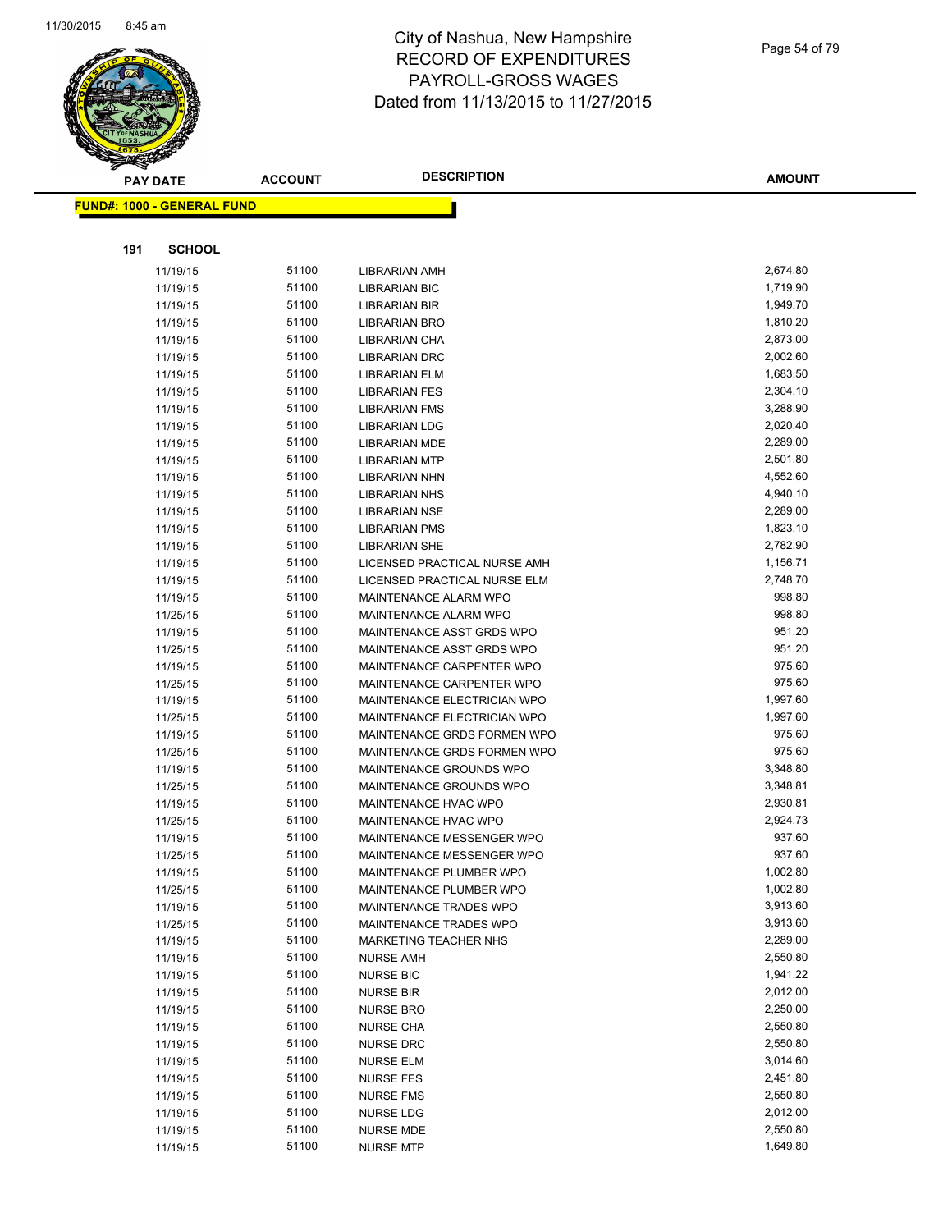

| <b>PAY DATE</b> |                                   | <b>ACCOUNT</b> | <b>DESCRIPTION</b>           | <b>AMOUNT</b> |
|-----------------|-----------------------------------|----------------|------------------------------|---------------|
|                 | <b>FUND#: 1000 - GENERAL FUND</b> |                |                              |               |
|                 |                                   |                |                              |               |
|                 |                                   |                |                              |               |
| 191             | <b>SCHOOL</b>                     |                |                              |               |
|                 | 11/19/15                          | 51100          | <b>LIBRARIAN AMH</b>         | 2,674.80      |
|                 | 11/19/15                          | 51100          | <b>LIBRARIAN BIC</b>         | 1,719.90      |
|                 | 11/19/15                          | 51100          | <b>LIBRARIAN BIR</b>         | 1,949.70      |
|                 | 11/19/15                          | 51100          | <b>LIBRARIAN BRO</b>         | 1,810.20      |
|                 | 11/19/15                          | 51100          | LIBRARIAN CHA                | 2,873.00      |
|                 | 11/19/15                          | 51100          | <b>LIBRARIAN DRC</b>         | 2,002.60      |
|                 | 11/19/15                          | 51100          | LIBRARIAN ELM                | 1,683.50      |
|                 | 11/19/15                          | 51100          | <b>LIBRARIAN FES</b>         | 2,304.10      |
|                 | 11/19/15                          | 51100          | <b>LIBRARIAN FMS</b>         | 3,288.90      |
|                 | 11/19/15                          | 51100          | <b>LIBRARIAN LDG</b>         | 2,020.40      |
|                 | 11/19/15                          | 51100          | <b>LIBRARIAN MDE</b>         | 2,289.00      |
|                 | 11/19/15                          | 51100          | <b>LIBRARIAN MTP</b>         | 2,501.80      |
|                 | 11/19/15                          | 51100          | <b>LIBRARIAN NHN</b>         | 4,552.60      |
|                 | 11/19/15                          | 51100          | <b>LIBRARIAN NHS</b>         | 4,940.10      |
|                 | 11/19/15                          | 51100          | <b>LIBRARIAN NSE</b>         | 2,289.00      |
|                 | 11/19/15                          | 51100          | <b>LIBRARIAN PMS</b>         | 1,823.10      |
|                 | 11/19/15                          | 51100          | <b>LIBRARIAN SHE</b>         | 2,782.90      |
|                 | 11/19/15                          | 51100          | LICENSED PRACTICAL NURSE AMH | 1,156.71      |
|                 | 11/19/15                          | 51100          | LICENSED PRACTICAL NURSE ELM | 2,748.70      |
|                 | 11/19/15                          | 51100          | MAINTENANCE ALARM WPO        | 998.80        |
|                 | 11/25/15                          | 51100          | MAINTENANCE ALARM WPO        | 998.80        |
|                 | 11/19/15                          | 51100          | MAINTENANCE ASST GRDS WPO    | 951.20        |
|                 | 11/25/15                          | 51100          | MAINTENANCE ASST GRDS WPO    | 951.20        |
|                 | 11/19/15                          | 51100          | MAINTENANCE CARPENTER WPO    | 975.60        |
|                 | 11/25/15                          | 51100          | MAINTENANCE CARPENTER WPO    | 975.60        |
|                 | 11/19/15                          | 51100          | MAINTENANCE ELECTRICIAN WPO  | 1,997.60      |
|                 | 11/25/15                          | 51100          | MAINTENANCE ELECTRICIAN WPO  | 1,997.60      |
|                 | 11/19/15                          | 51100          | MAINTENANCE GRDS FORMEN WPO  | 975.60        |
|                 | 11/25/15                          | 51100          | MAINTENANCE GRDS FORMEN WPO  | 975.60        |
|                 | 11/19/15                          | 51100          | MAINTENANCE GROUNDS WPO      | 3,348.80      |
|                 | 11/25/15                          | 51100          | MAINTENANCE GROUNDS WPO      | 3,348.81      |
|                 | 11/19/15                          | 51100          | MAINTENANCE HVAC WPO         | 2,930.81      |
|                 | 11/25/15                          | 51100          | MAINTENANCE HVAC WPO         | 2,924.73      |
|                 | 11/19/15                          | 51100          | MAINTENANCE MESSENGER WPO    | 937.60        |
|                 | 11/25/15                          | 51100          | MAINTENANCE MESSENGER WPO    | 937.60        |
|                 | 11/19/15                          | 51100          | MAINTENANCE PLUMBER WPO      | 1,002.80      |
|                 | 11/25/15                          | 51100          | MAINTENANCE PLUMBER WPO      | 1,002.80      |
|                 | 11/19/15                          | 51100          | MAINTENANCE TRADES WPO       | 3,913.60      |
|                 | 11/25/15                          | 51100          | MAINTENANCE TRADES WPO       | 3,913.60      |
|                 | 11/19/15                          | 51100          | MARKETING TEACHER NHS        | 2,289.00      |
|                 | 11/19/15                          | 51100          | <b>NURSE AMH</b>             | 2,550.80      |
|                 | 11/19/15                          | 51100          | <b>NURSE BIC</b>             | 1,941.22      |
|                 | 11/19/15                          | 51100          | <b>NURSE BIR</b>             | 2,012.00      |
|                 | 11/19/15                          | 51100          | <b>NURSE BRO</b>             | 2,250.00      |
|                 | 11/19/15                          | 51100          | <b>NURSE CHA</b>             | 2,550.80      |
|                 | 11/19/15                          | 51100          | <b>NURSE DRC</b>             | 2,550.80      |
|                 | 11/19/15                          | 51100          | <b>NURSE ELM</b>             | 3,014.60      |
|                 | 11/19/15                          | 51100          | <b>NURSE FES</b>             | 2,451.80      |
|                 | 11/19/15                          | 51100          | <b>NURSE FMS</b>             | 2,550.80      |
|                 | 11/19/15                          | 51100          | <b>NURSE LDG</b>             | 2,012.00      |
|                 | 11/19/15                          | 51100          | <b>NURSE MDE</b>             | 2,550.80      |
|                 | 11/19/15                          | 51100          | <b>NURSE MTP</b>             | 1,649.80      |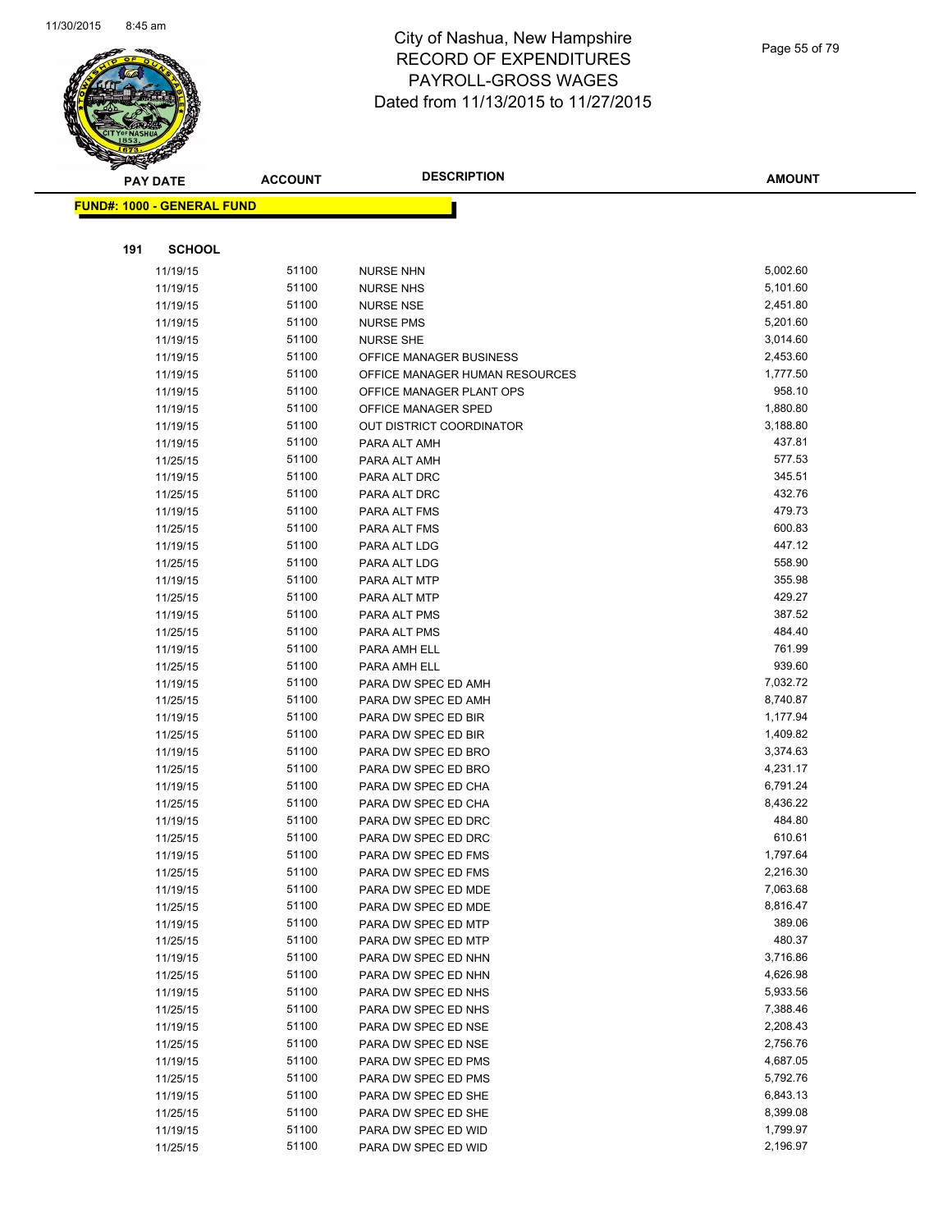

|     | <b>PAY DATE</b>                   | <b>ACCOUNT</b> | <b>DESCRIPTION</b>             | <b>AMOUNT</b> |
|-----|-----------------------------------|----------------|--------------------------------|---------------|
|     | <b>FUND#: 1000 - GENERAL FUND</b> |                |                                |               |
|     |                                   |                |                                |               |
|     |                                   |                |                                |               |
| 191 | <b>SCHOOL</b>                     |                |                                |               |
|     | 11/19/15                          | 51100          | <b>NURSE NHN</b>               | 5,002.60      |
|     | 11/19/15                          | 51100          | <b>NURSE NHS</b>               | 5,101.60      |
|     | 11/19/15                          | 51100          | <b>NURSE NSE</b>               | 2,451.80      |
|     | 11/19/15                          | 51100          | <b>NURSE PMS</b>               | 5,201.60      |
|     | 11/19/15                          | 51100          | <b>NURSE SHE</b>               | 3,014.60      |
|     | 11/19/15                          | 51100          | OFFICE MANAGER BUSINESS        | 2,453.60      |
|     | 11/19/15                          | 51100          | OFFICE MANAGER HUMAN RESOURCES | 1,777.50      |
|     | 11/19/15                          | 51100          | OFFICE MANAGER PLANT OPS       | 958.10        |
|     | 11/19/15                          | 51100          | OFFICE MANAGER SPED            | 1,880.80      |
|     | 11/19/15                          | 51100          | OUT DISTRICT COORDINATOR       | 3,188.80      |
|     | 11/19/15                          | 51100          | PARA ALT AMH                   | 437.81        |
|     | 11/25/15                          | 51100          | PARA ALT AMH                   | 577.53        |
|     | 11/19/15                          | 51100          | PARA ALT DRC                   | 345.51        |
|     | 11/25/15                          | 51100          | PARA ALT DRC                   | 432.76        |
|     | 11/19/15                          | 51100          | PARA ALT FMS                   | 479.73        |
|     | 11/25/15                          | 51100          | PARA ALT FMS                   | 600.83        |
|     | 11/19/15                          | 51100          | PARA ALT LDG                   | 447.12        |
|     | 11/25/15                          | 51100          | PARA ALT LDG                   | 558.90        |
|     | 11/19/15                          | 51100          | PARA ALT MTP                   | 355.98        |
|     | 11/25/15                          | 51100          | PARA ALT MTP                   | 429.27        |
|     | 11/19/15                          | 51100          | PARA ALT PMS                   | 387.52        |
|     | 11/25/15                          | 51100          | PARA ALT PMS                   | 484.40        |
|     | 11/19/15                          | 51100          | PARA AMH ELL                   | 761.99        |
|     | 11/25/15                          | 51100          | PARA AMH ELL                   | 939.60        |
|     | 11/19/15                          | 51100          | PARA DW SPEC ED AMH            | 7,032.72      |
|     | 11/25/15                          | 51100          | PARA DW SPEC ED AMH            | 8,740.87      |
|     | 11/19/15                          | 51100          | PARA DW SPEC ED BIR            | 1,177.94      |
|     | 11/25/15                          | 51100          | PARA DW SPEC ED BIR            | 1,409.82      |
|     | 11/19/15                          | 51100          | PARA DW SPEC ED BRO            | 3,374.63      |
|     | 11/25/15                          | 51100          | PARA DW SPEC ED BRO            | 4,231.17      |
|     | 11/19/15                          | 51100          | PARA DW SPEC ED CHA            | 6,791.24      |
|     | 11/25/15                          | 51100          | PARA DW SPEC ED CHA            | 8,436.22      |
|     | 11/19/15                          | 51100          | PARA DW SPEC ED DRC            | 484.80        |
|     | 11/25/15                          | 51100          | PARA DW SPEC ED DRC            | 610.61        |
|     | 11/19/15                          | 51100          | PARA DW SPEC ED FMS            | 1,797.64      |
|     | 11/25/15                          | 51100          | PARA DW SPEC ED FMS            | 2,216.30      |
|     | 11/19/15                          | 51100          | PARA DW SPEC ED MDE            | 7,063.68      |
|     | 11/25/15                          | 51100          | PARA DW SPEC ED MDE            | 8,816.47      |
|     | 11/19/15                          | 51100          | PARA DW SPEC ED MTP            | 389.06        |
|     | 11/25/15                          | 51100          | PARA DW SPEC ED MTP            | 480.37        |
|     | 11/19/15                          | 51100          | PARA DW SPEC ED NHN            | 3,716.86      |
|     | 11/25/15                          | 51100          | PARA DW SPEC ED NHN            | 4,626.98      |
|     | 11/19/15                          | 51100          | PARA DW SPEC ED NHS            | 5,933.56      |
|     | 11/25/15                          | 51100          | PARA DW SPEC ED NHS            | 7,388.46      |
|     | 11/19/15                          | 51100          | PARA DW SPEC ED NSE            | 2,208.43      |
|     | 11/25/15                          | 51100          | PARA DW SPEC ED NSE            | 2,756.76      |
|     | 11/19/15                          | 51100          | PARA DW SPEC ED PMS            | 4,687.05      |
|     | 11/25/15                          | 51100          | PARA DW SPEC ED PMS            | 5,792.76      |
|     | 11/19/15                          | 51100          | PARA DW SPEC ED SHE            | 6,843.13      |
|     | 11/25/15                          | 51100          | PARA DW SPEC ED SHE            | 8,399.08      |
|     | 11/19/15                          | 51100          | PARA DW SPEC ED WID            | 1,799.97      |
|     | 11/25/15                          | 51100          | PARA DW SPEC ED WID            | 2,196.97      |
|     |                                   |                |                                |               |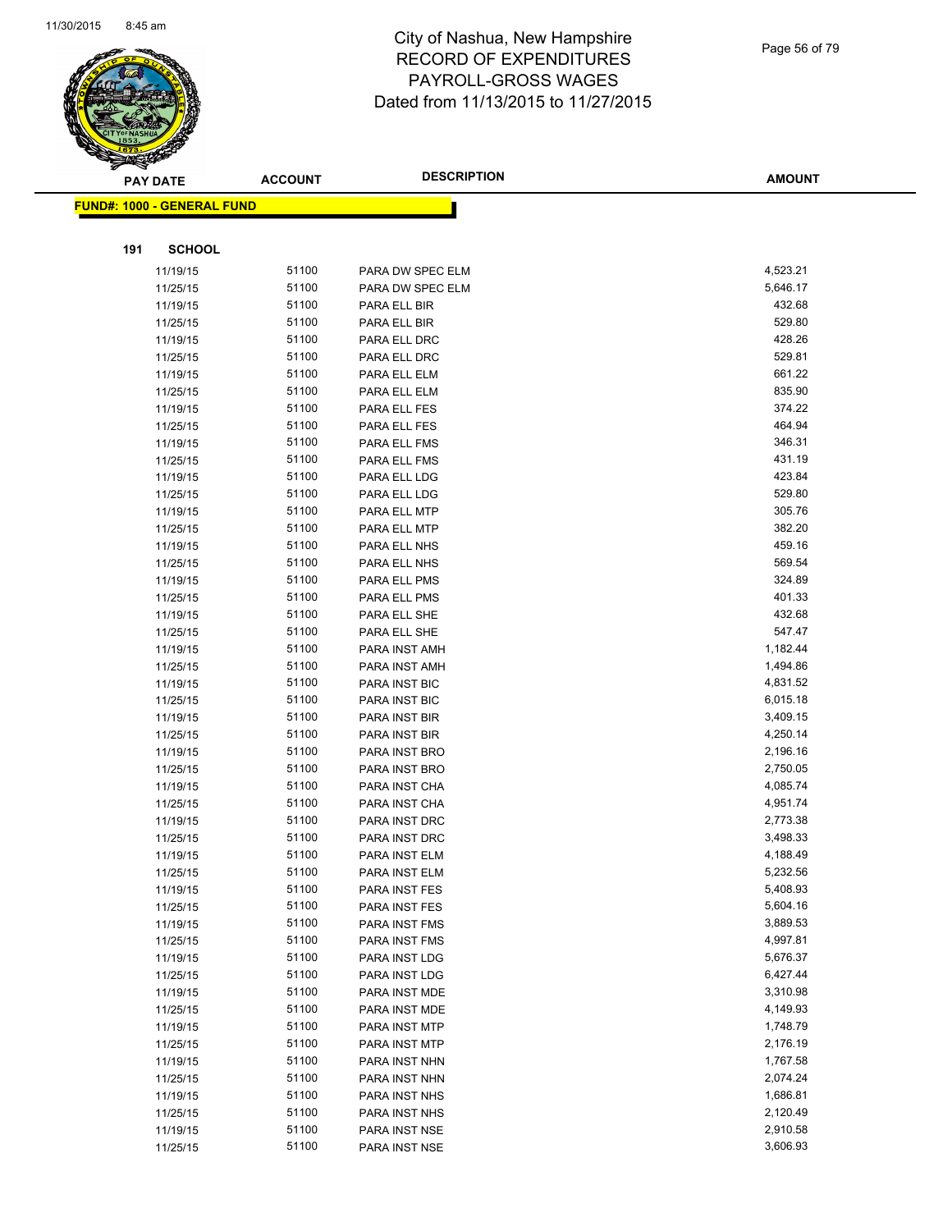

| ॼ   | <b>PAY DATE</b>                   | <b>ACCOUNT</b> | <b>DESCRIPTION</b>             | <b>AMOUNT</b>        |
|-----|-----------------------------------|----------------|--------------------------------|----------------------|
|     | <b>FUND#: 1000 - GENERAL FUND</b> |                |                                |                      |
|     |                                   |                |                                |                      |
| 191 | <b>SCHOOL</b>                     |                |                                |                      |
|     | 11/19/15                          | 51100          | PARA DW SPEC ELM               | 4,523.21             |
|     | 11/25/15                          | 51100          | PARA DW SPEC ELM               | 5,646.17             |
|     | 11/19/15                          | 51100          | PARA ELL BIR                   | 432.68               |
|     | 11/25/15                          | 51100          | PARA ELL BIR                   | 529.80               |
|     | 11/19/15                          | 51100          | PARA ELL DRC                   | 428.26               |
|     | 11/25/15                          | 51100          | PARA ELL DRC                   | 529.81               |
|     | 11/19/15                          | 51100          | PARA ELL ELM                   | 661.22               |
|     | 11/25/15                          | 51100          | PARA ELL ELM                   | 835.90               |
|     | 11/19/15                          | 51100          | PARA ELL FES                   | 374.22               |
|     | 11/25/15                          | 51100          | PARA ELL FES                   | 464.94               |
|     | 11/19/15                          | 51100          | PARA ELL FMS                   | 346.31               |
|     | 11/25/15                          | 51100          | PARA ELL FMS                   | 431.19               |
|     | 11/19/15                          | 51100          | PARA ELL LDG                   | 423.84               |
|     | 11/25/15                          | 51100          | PARA ELL LDG                   | 529.80               |
|     | 11/19/15                          | 51100          | PARA ELL MTP                   | 305.76               |
|     | 11/25/15                          | 51100          | PARA ELL MTP                   | 382.20               |
|     | 11/19/15                          | 51100          | PARA ELL NHS                   | 459.16               |
|     | 11/25/15                          | 51100          | PARA ELL NHS                   | 569.54               |
|     | 11/19/15                          | 51100          | PARA ELL PMS                   | 324.89               |
|     | 11/25/15                          | 51100          | PARA ELL PMS                   | 401.33               |
|     | 11/19/15                          | 51100          | PARA ELL SHE                   | 432.68               |
|     | 11/25/15                          | 51100          | PARA ELL SHE                   | 547.47               |
|     | 11/19/15                          | 51100          | PARA INST AMH                  | 1,182.44             |
|     | 11/25/15                          | 51100          | PARA INST AMH                  | 1,494.86             |
|     | 11/19/15                          | 51100          | PARA INST BIC                  | 4,831.52             |
|     | 11/25/15                          | 51100          | PARA INST BIC                  | 6,015.18             |
|     | 11/19/15                          | 51100          | PARA INST BIR                  | 3,409.15             |
|     | 11/25/15                          | 51100          | PARA INST BIR                  | 4,250.14             |
|     | 11/19/15                          | 51100          | PARA INST BRO                  | 2,196.16             |
|     | 11/25/15                          | 51100          | PARA INST BRO                  | 2,750.05             |
|     | 11/19/15                          | 51100          | PARA INST CHA                  | 4,085.74             |
|     | 11/25/15                          | 51100          | PARA INST CHA                  | 4,951.74             |
|     | 11/19/15                          | 51100          | PARA INST DRC                  | 2,773.38             |
|     | 11/25/15                          | 51100          | PARA INST DRC                  | 3,498.33             |
|     | 11/19/15                          | 51100          | PARA INST ELM                  | 4,188.49             |
|     | 11/25/15                          | 51100          | PARA INST ELM                  | 5,232.56             |
|     | 11/19/15                          | 51100          | PARA INST FES                  | 5,408.93             |
|     | 11/25/15                          | 51100          | PARA INST FES                  | 5,604.16             |
|     | 11/19/15                          | 51100          | PARA INST FMS                  | 3,889.53             |
|     | 11/25/15                          | 51100          | PARA INST FMS                  | 4,997.81             |
|     | 11/19/15                          | 51100          | PARA INST LDG                  | 5,676.37             |
|     | 11/25/15                          | 51100          | PARA INST LDG                  | 6,427.44             |
|     | 11/19/15                          | 51100          | PARA INST MDE                  | 3,310.98             |
|     | 11/25/15<br>11/19/15              | 51100<br>51100 | PARA INST MDE<br>PARA INST MTP | 4,149.93<br>1,748.79 |
|     |                                   | 51100          | PARA INST MTP                  | 2,176.19             |
|     | 11/25/15<br>11/19/15              | 51100          | PARA INST NHN                  | 1,767.58             |
|     | 11/25/15                          | 51100          | PARA INST NHN                  | 2,074.24             |
|     | 11/19/15                          | 51100          | PARA INST NHS                  | 1,686.81             |
|     | 11/25/15                          | 51100          | PARA INST NHS                  | 2,120.49             |
|     | 11/19/15                          | 51100          | PARA INST NSE                  | 2,910.58             |
|     | 11/25/15                          | 51100          | PARA INST NSE                  | 3,606.93             |
|     |                                   |                |                                |                      |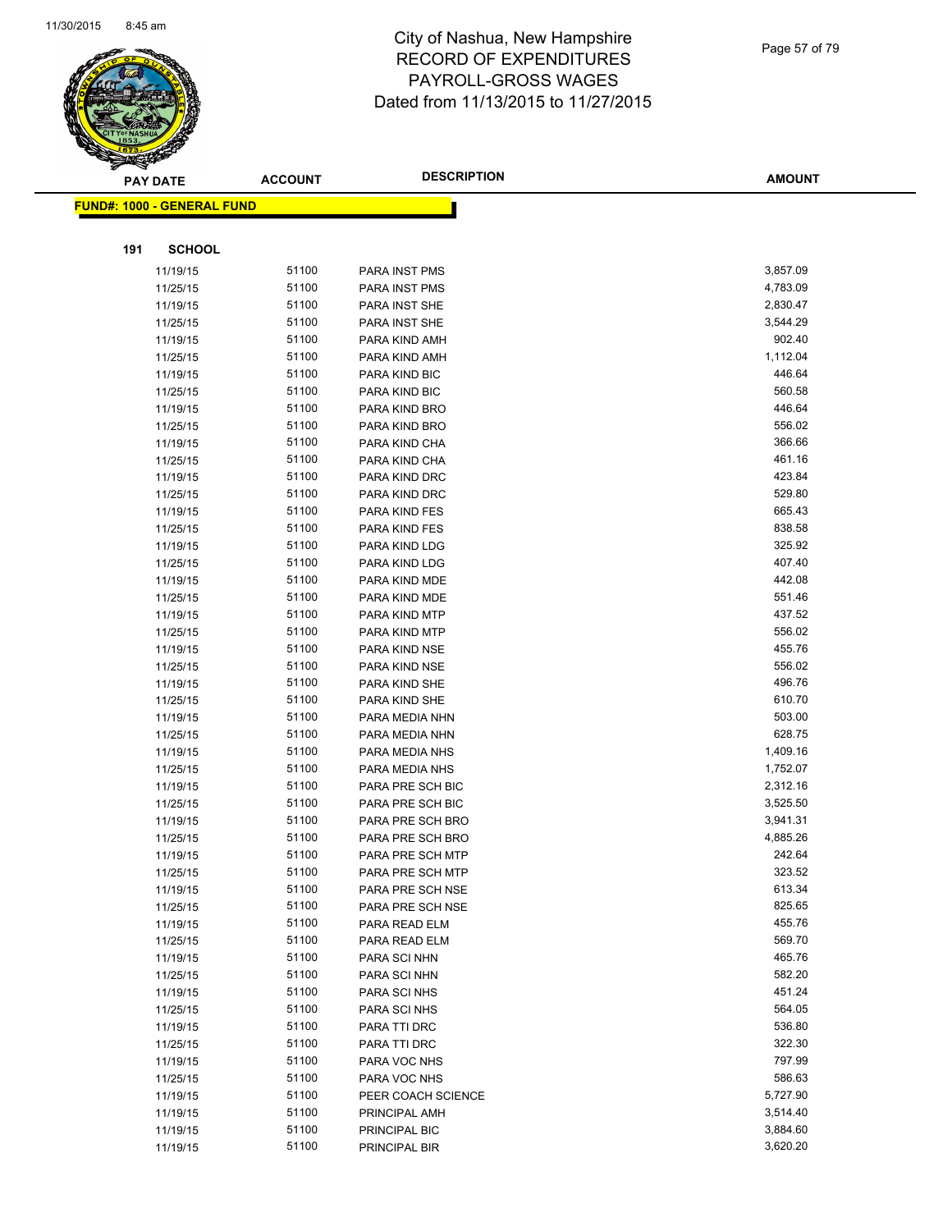

| ॼ   | <b>PAY DATE</b>                   | <b>ACCOUNT</b> | <b>DESCRIPTION</b>           | <b>AMOUNT</b>    |
|-----|-----------------------------------|----------------|------------------------------|------------------|
|     | <b>FUND#: 1000 - GENERAL FUND</b> |                |                              |                  |
|     |                                   |                |                              |                  |
| 191 | <b>SCHOOL</b>                     |                |                              |                  |
|     | 11/19/15                          | 51100          | PARA INST PMS                | 3,857.09         |
|     | 11/25/15                          | 51100          | PARA INST PMS                | 4,783.09         |
|     | 11/19/15                          | 51100          | PARA INST SHE                | 2,830.47         |
|     | 11/25/15                          | 51100          | PARA INST SHE                | 3,544.29         |
|     | 11/19/15                          | 51100          | PARA KIND AMH                | 902.40           |
|     | 11/25/15                          | 51100          | PARA KIND AMH                | 1,112.04         |
|     | 11/19/15                          | 51100          | PARA KIND BIC                | 446.64           |
|     | 11/25/15                          | 51100          | PARA KIND BIC                | 560.58           |
|     | 11/19/15                          | 51100          | PARA KIND BRO                | 446.64           |
|     | 11/25/15                          | 51100          | PARA KIND BRO                | 556.02           |
|     | 11/19/15                          | 51100          | PARA KIND CHA                | 366.66           |
|     | 11/25/15                          | 51100          | PARA KIND CHA                | 461.16           |
|     | 11/19/15                          | 51100          | PARA KIND DRC                | 423.84           |
|     | 11/25/15                          | 51100          | PARA KIND DRC                | 529.80           |
|     | 11/19/15                          | 51100          | PARA KIND FES                | 665.43           |
|     | 11/25/15                          | 51100          | PARA KIND FES                | 838.58           |
|     | 11/19/15                          | 51100          | PARA KIND LDG                | 325.92           |
|     | 11/25/15                          | 51100          | PARA KIND LDG                | 407.40           |
|     | 11/19/15                          | 51100          | PARA KIND MDE                | 442.08           |
|     | 11/25/15                          | 51100          | PARA KIND MDE                | 551.46           |
|     | 11/19/15                          | 51100          | PARA KIND MTP                | 437.52           |
|     | 11/25/15                          | 51100          | PARA KIND MTP                | 556.02           |
|     | 11/19/15                          | 51100          | PARA KIND NSE                | 455.76           |
|     | 11/25/15                          | 51100          | PARA KIND NSE                | 556.02           |
|     | 11/19/15                          | 51100          | PARA KIND SHE                | 496.76           |
|     | 11/25/15                          | 51100          | PARA KIND SHE                | 610.70           |
|     | 11/19/15                          | 51100          | PARA MEDIA NHN               | 503.00           |
|     | 11/25/15                          | 51100          | PARA MEDIA NHN               | 628.75           |
|     | 11/19/15                          | 51100          | PARA MEDIA NHS               | 1,409.16         |
|     | 11/25/15                          | 51100          | PARA MEDIA NHS               | 1,752.07         |
|     | 11/19/15                          | 51100          | PARA PRE SCH BIC             | 2,312.16         |
|     | 11/25/15                          | 51100          | PARA PRE SCH BIC             | 3,525.50         |
|     | 11/19/15                          | 51100          | PARA PRE SCH BRO             | 3,941.31         |
|     | 11/25/15                          | 51100          | PARA PRE SCH BRO             | 4,885.26         |
|     | 11/19/15                          | 51100          | PARA PRE SCH MTP             | 242.64           |
|     | 11/25/15                          | 51100          | PARA PRE SCH MTP             | 323.52           |
|     | 11/19/15                          | 51100          | PARA PRE SCH NSE             | 613.34           |
|     | 11/25/15                          | 51100          | PARA PRE SCH NSE             | 825.65           |
|     | 11/19/15                          | 51100          | PARA READ ELM                | 455.76           |
|     | 11/25/15                          | 51100          | PARA READ ELM                | 569.70           |
|     | 11/19/15                          | 51100          | PARA SCI NHN                 | 465.76<br>582.20 |
|     | 11/25/15                          | 51100          | PARA SCI NHN                 | 451.24           |
|     | 11/19/15                          | 51100<br>51100 | PARA SCI NHS                 | 564.05           |
|     | 11/25/15                          | 51100          | PARA SCI NHS                 | 536.80           |
|     | 11/19/15                          | 51100          | PARA TTI DRC                 | 322.30           |
|     | 11/25/15<br>11/19/15              | 51100          | PARA TTI DRC<br>PARA VOC NHS | 797.99           |
|     | 11/25/15                          | 51100          | PARA VOC NHS                 | 586.63           |
|     | 11/19/15                          | 51100          | PEER COACH SCIENCE           | 5,727.90         |
|     | 11/19/15                          | 51100          | PRINCIPAL AMH                | 3,514.40         |
|     | 11/19/15                          | 51100          | PRINCIPAL BIC                | 3,884.60         |
|     | 11/19/15                          | 51100          | PRINCIPAL BIR                | 3,620.20         |
|     |                                   |                |                              |                  |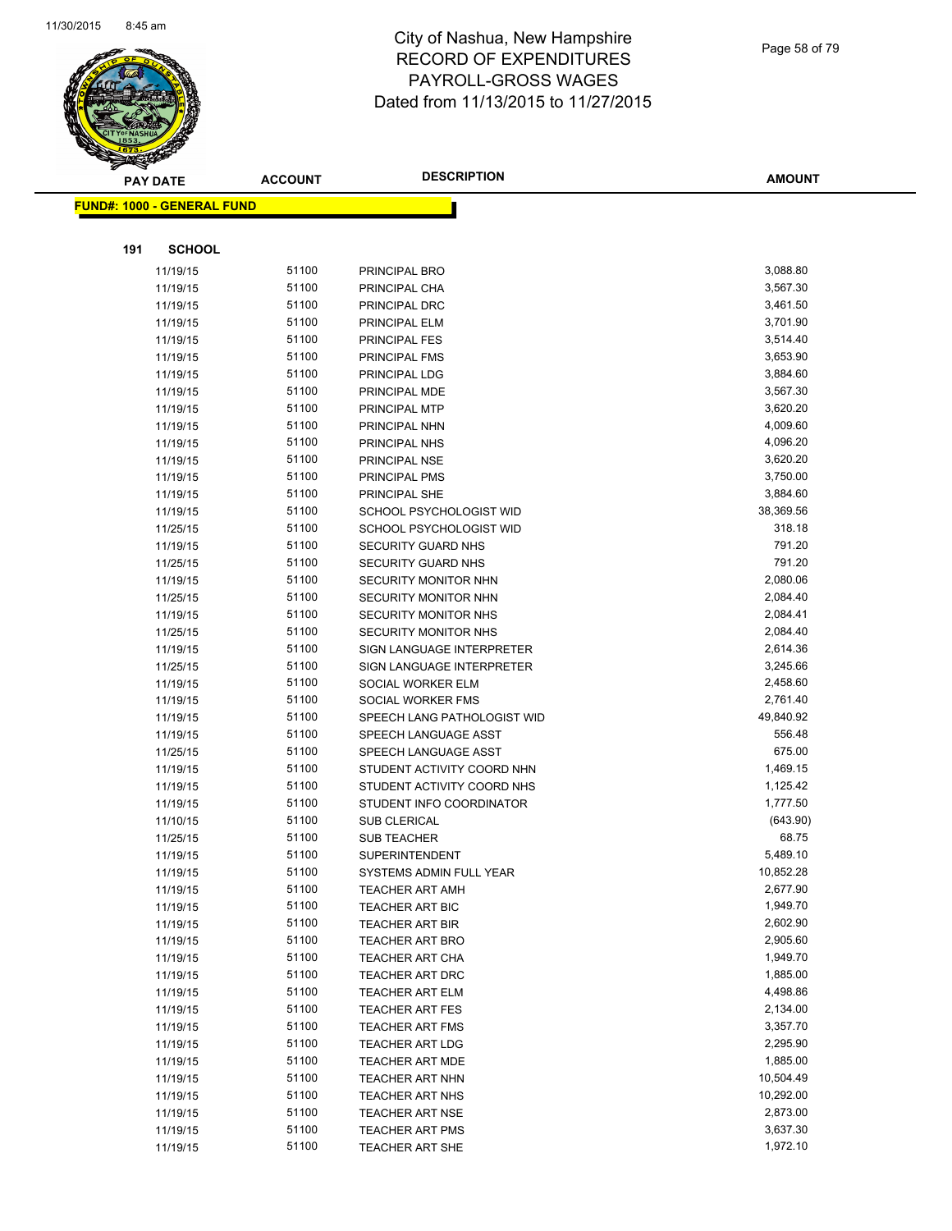

|     | <b>PAY DATE</b>                   | <b>ACCOUNT</b> | <b>DESCRIPTION</b>          | <b>AMOUNT</b>        |
|-----|-----------------------------------|----------------|-----------------------------|----------------------|
|     | <b>FUND#: 1000 - GENERAL FUND</b> |                |                             |                      |
|     |                                   |                |                             |                      |
|     |                                   |                |                             |                      |
| 191 | <b>SCHOOL</b>                     |                |                             |                      |
|     | 11/19/15                          | 51100          | PRINCIPAL BRO               | 3,088.80             |
|     | 11/19/15                          | 51100          | PRINCIPAL CHA               | 3,567.30             |
|     | 11/19/15                          | 51100          | PRINCIPAL DRC               | 3,461.50             |
|     | 11/19/15                          | 51100          | PRINCIPAL ELM               | 3,701.90             |
|     | 11/19/15                          | 51100          | <b>PRINCIPAL FES</b>        | 3,514.40             |
|     | 11/19/15                          | 51100          | PRINCIPAL FMS               | 3,653.90             |
|     | 11/19/15                          | 51100          | PRINCIPAL LDG               | 3,884.60             |
|     | 11/19/15                          | 51100          | PRINCIPAL MDE               | 3,567.30             |
|     | 11/19/15                          | 51100          | PRINCIPAL MTP               | 3,620.20             |
|     | 11/19/15                          | 51100          | PRINCIPAL NHN               | 4,009.60             |
|     | 11/19/15                          | 51100          | PRINCIPAL NHS               | 4,096.20             |
|     | 11/19/15                          | 51100          | PRINCIPAL NSE               | 3,620.20             |
|     | 11/19/15                          | 51100          | PRINCIPAL PMS               | 3,750.00             |
|     | 11/19/15                          | 51100          | PRINCIPAL SHE               | 3,884.60             |
|     | 11/19/15                          | 51100          | SCHOOL PSYCHOLOGIST WID     | 38,369.56            |
|     | 11/25/15                          | 51100          | SCHOOL PSYCHOLOGIST WID     | 318.18               |
|     | 11/19/15                          | 51100          | SECURITY GUARD NHS          | 791.20               |
|     | 11/25/15                          | 51100          | SECURITY GUARD NHS          | 791.20               |
|     | 11/19/15                          | 51100          | SECURITY MONITOR NHN        | 2,080.06             |
|     | 11/25/15                          | 51100          | SECURITY MONITOR NHN        | 2,084.40             |
|     | 11/19/15                          | 51100          | SECURITY MONITOR NHS        | 2,084.41             |
|     | 11/25/15                          | 51100          | <b>SECURITY MONITOR NHS</b> | 2,084.40             |
|     | 11/19/15                          | 51100          | SIGN LANGUAGE INTERPRETER   | 2,614.36             |
|     | 11/25/15                          | 51100          | SIGN LANGUAGE INTERPRETER   | 3,245.66             |
|     | 11/19/15                          | 51100          | SOCIAL WORKER ELM           | 2,458.60             |
|     | 11/19/15                          | 51100          | SOCIAL WORKER FMS           | 2,761.40             |
|     | 11/19/15                          | 51100          | SPEECH LANG PATHOLOGIST WID | 49,840.92            |
|     | 11/19/15                          | 51100          | SPEECH LANGUAGE ASST        | 556.48               |
|     | 11/25/15                          | 51100          | SPEECH LANGUAGE ASST        | 675.00               |
|     | 11/19/15                          | 51100          | STUDENT ACTIVITY COORD NHN  | 1,469.15             |
|     | 11/19/15                          | 51100          | STUDENT ACTIVITY COORD NHS  | 1,125.42             |
|     | 11/19/15                          | 51100          | STUDENT INFO COORDINATOR    | 1,777.50             |
|     | 11/10/15                          | 51100          | <b>SUB CLERICAL</b>         | (643.90)             |
|     | 11/25/15                          | 51100          | SUB TEACHER                 | 68.75                |
|     | 11/19/15                          | 51100          | <b>SUPERINTENDENT</b>       | 5,489.10             |
|     | 11/19/15                          | 51100          | SYSTEMS ADMIN FULL YEAR     | 10,852.28            |
|     | 11/19/15                          | 51100          | <b>TEACHER ART AMH</b>      | 2,677.90             |
|     | 11/19/15                          | 51100          | <b>TEACHER ART BIC</b>      | 1,949.70             |
|     | 11/19/15                          | 51100          | <b>TEACHER ART BIR</b>      | 2,602.90             |
|     | 11/19/15                          | 51100          | <b>TEACHER ART BRO</b>      | 2,905.60             |
|     | 11/19/15                          | 51100          | <b>TEACHER ART CHA</b>      | 1,949.70             |
|     | 11/19/15                          | 51100          | <b>TEACHER ART DRC</b>      | 1,885.00             |
|     | 11/19/15                          | 51100          | <b>TEACHER ART ELM</b>      | 4,498.86             |
|     | 11/19/15                          | 51100          | <b>TEACHER ART FES</b>      | 2,134.00             |
|     | 11/19/15                          | 51100          | <b>TEACHER ART FMS</b>      | 3,357.70<br>2,295.90 |
|     | 11/19/15                          | 51100          | <b>TEACHER ART LDG</b>      |                      |
|     | 11/19/15                          | 51100          | <b>TEACHER ART MDE</b>      | 1,885.00             |
|     | 11/19/15                          | 51100          | <b>TEACHER ART NHN</b>      | 10,504.49            |
|     | 11/19/15                          | 51100          | <b>TEACHER ART NHS</b>      | 10,292.00            |
|     | 11/19/15                          | 51100          | <b>TEACHER ART NSE</b>      | 2,873.00             |
|     | 11/19/15                          | 51100          | <b>TEACHER ART PMS</b>      | 3,637.30             |
|     | 11/19/15                          | 51100          | <b>TEACHER ART SHE</b>      | 1,972.10             |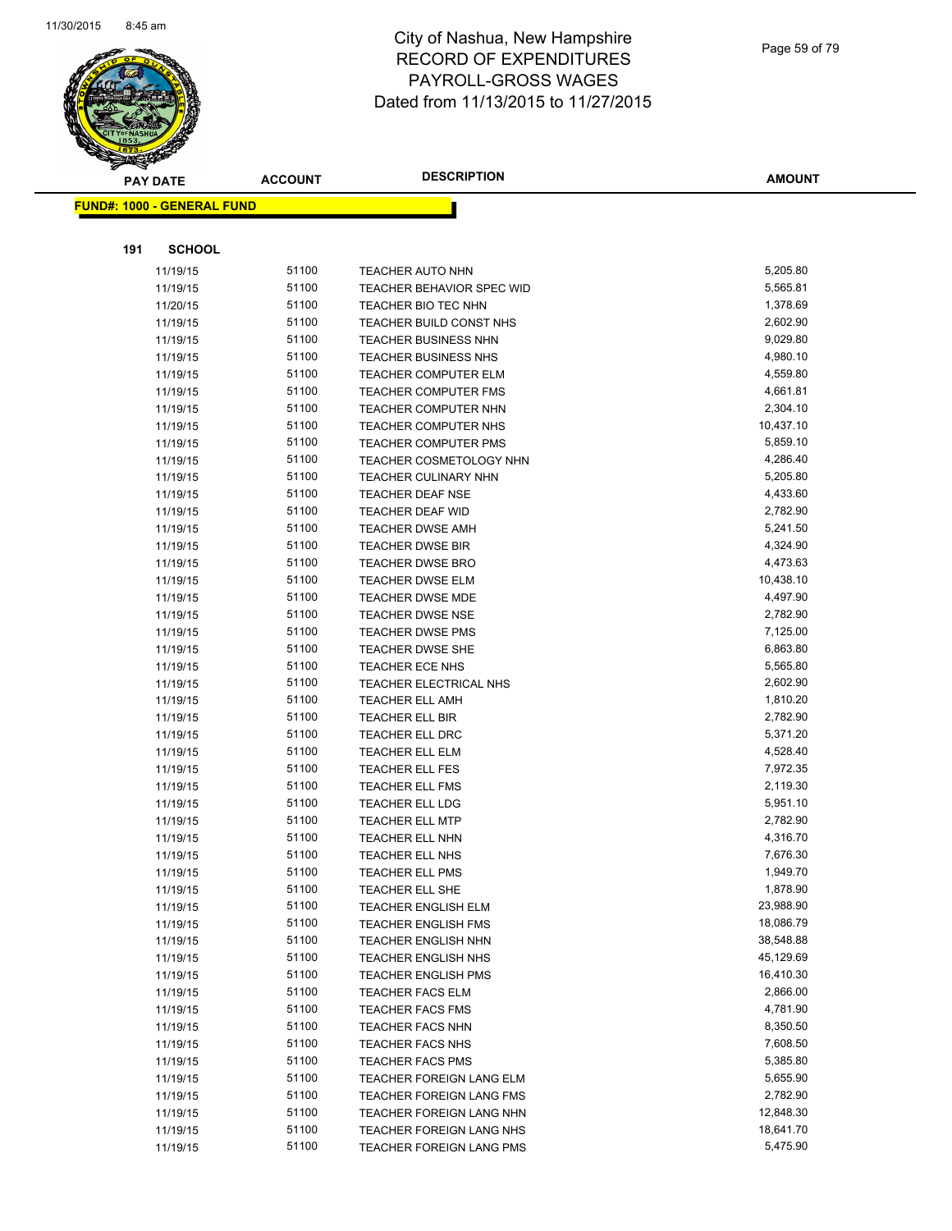

|     | <b>PAY DATE</b>                   | <b>ACCOUNT</b> | <b>DESCRIPTION</b>                        | <b>AMOUNT</b>        |
|-----|-----------------------------------|----------------|-------------------------------------------|----------------------|
|     | <b>FUND#: 1000 - GENERAL FUND</b> |                |                                           |                      |
|     |                                   |                |                                           |                      |
|     |                                   |                |                                           |                      |
| 191 | <b>SCHOOL</b>                     |                |                                           |                      |
|     | 11/19/15                          | 51100          | <b>TEACHER AUTO NHN</b>                   | 5,205.80             |
|     | 11/19/15                          | 51100          | <b>TEACHER BEHAVIOR SPEC WID</b>          | 5,565.81             |
|     | 11/20/15                          | 51100          | TEACHER BIO TEC NHN                       | 1,378.69             |
|     | 11/19/15                          | 51100          | TEACHER BUILD CONST NHS                   | 2,602.90             |
|     | 11/19/15                          | 51100          | TEACHER BUSINESS NHN                      | 9,029.80             |
|     | 11/19/15                          | 51100          | <b>TEACHER BUSINESS NHS</b>               | 4,980.10             |
|     | 11/19/15                          | 51100          | <b>TEACHER COMPUTER ELM</b>               | 4,559.80             |
|     | 11/19/15                          | 51100          | <b>TEACHER COMPUTER FMS</b>               | 4,661.81             |
|     | 11/19/15                          | 51100          | <b>TEACHER COMPUTER NHN</b>               | 2,304.10             |
|     | 11/19/15                          | 51100          | <b>TEACHER COMPUTER NHS</b>               | 10,437.10            |
|     | 11/19/15                          | 51100          | <b>TEACHER COMPUTER PMS</b>               | 5,859.10             |
|     | 11/19/15                          | 51100          | TEACHER COSMETOLOGY NHN                   | 4,286.40             |
|     | 11/19/15                          | 51100          | <b>TEACHER CULINARY NHN</b>               | 5,205.80             |
|     | 11/19/15                          | 51100          | <b>TEACHER DEAF NSE</b>                   | 4,433.60             |
|     | 11/19/15                          | 51100          | <b>TEACHER DEAF WID</b>                   | 2,782.90             |
|     | 11/19/15                          | 51100          | <b>TEACHER DWSE AMH</b>                   | 5,241.50             |
|     | 11/19/15                          | 51100          | <b>TEACHER DWSE BIR</b>                   | 4,324.90             |
|     | 11/19/15                          | 51100          | <b>TEACHER DWSE BRO</b>                   | 4,473.63             |
|     | 11/19/15                          | 51100          | <b>TEACHER DWSE ELM</b>                   | 10,438.10            |
|     | 11/19/15                          | 51100          | <b>TEACHER DWSE MDE</b>                   | 4,497.90             |
|     | 11/19/15                          | 51100          | <b>TEACHER DWSE NSE</b>                   | 2,782.90             |
|     | 11/19/15                          | 51100          | <b>TEACHER DWSE PMS</b>                   | 7,125.00             |
|     | 11/19/15                          | 51100          | <b>TEACHER DWSE SHE</b>                   | 6,863.80             |
|     | 11/19/15                          | 51100          | TEACHER ECE NHS                           | 5,565.80             |
|     | 11/19/15                          | 51100          | TEACHER ELECTRICAL NHS                    | 2,602.90             |
|     | 11/19/15                          | 51100<br>51100 | <b>TEACHER ELL AMH</b>                    | 1,810.20<br>2,782.90 |
|     | 11/19/15                          | 51100          | TEACHER ELL BIR<br><b>TEACHER ELL DRC</b> | 5,371.20             |
|     | 11/19/15<br>11/19/15              | 51100          | <b>TEACHER ELL ELM</b>                    | 4,528.40             |
|     | 11/19/15                          | 51100          | <b>TEACHER ELL FES</b>                    | 7,972.35             |
|     | 11/19/15                          | 51100          | <b>TEACHER ELL FMS</b>                    | 2,119.30             |
|     | 11/19/15                          | 51100          | <b>TEACHER ELL LDG</b>                    | 5,951.10             |
|     | 11/19/15                          | 51100          | <b>TEACHER ELL MTP</b>                    | 2,782.90             |
|     | 11/19/15                          | 51100          | <b>TEACHER ELL NHN</b>                    | 4,316.70             |
|     | 11/19/15                          | 51100          | <b>TEACHER ELL NHS</b>                    | 7,676.30             |
|     | 11/19/15                          | 51100          | <b>TEACHER ELL PMS</b>                    | 1,949.70             |
|     | 11/19/15                          | 51100          | TEACHER ELL SHE                           | 1,878.90             |
|     | 11/19/15                          | 51100          | <b>TEACHER ENGLISH ELM</b>                | 23,988.90            |
|     | 11/19/15                          | 51100          | <b>TEACHER ENGLISH FMS</b>                | 18,086.79            |
|     | 11/19/15                          | 51100          | <b>TEACHER ENGLISH NHN</b>                | 38,548.88            |
|     | 11/19/15                          | 51100          | TEACHER ENGLISH NHS                       | 45,129.69            |
|     | 11/19/15                          | 51100          | <b>TEACHER ENGLISH PMS</b>                | 16,410.30            |
|     | 11/19/15                          | 51100          | <b>TEACHER FACS ELM</b>                   | 2,866.00             |
|     | 11/19/15                          | 51100          | <b>TEACHER FACS FMS</b>                   | 4,781.90             |
|     | 11/19/15                          | 51100          | <b>TEACHER FACS NHN</b>                   | 8,350.50             |
|     | 11/19/15                          | 51100          | <b>TEACHER FACS NHS</b>                   | 7,608.50             |
|     | 11/19/15                          | 51100          | <b>TEACHER FACS PMS</b>                   | 5,385.80             |
|     | 11/19/15                          | 51100          | TEACHER FOREIGN LANG ELM                  | 5,655.90             |
|     | 11/19/15                          | 51100          | TEACHER FOREIGN LANG FMS                  | 2,782.90             |
|     | 11/19/15                          | 51100          | TEACHER FOREIGN LANG NHN                  | 12,848.30            |
|     | 11/19/15                          | 51100          | TEACHER FOREIGN LANG NHS                  | 18,641.70            |
|     | 11/19/15                          | 51100          | TEACHER FOREIGN LANG PMS                  | 5,475.90             |
|     |                                   |                |                                           |                      |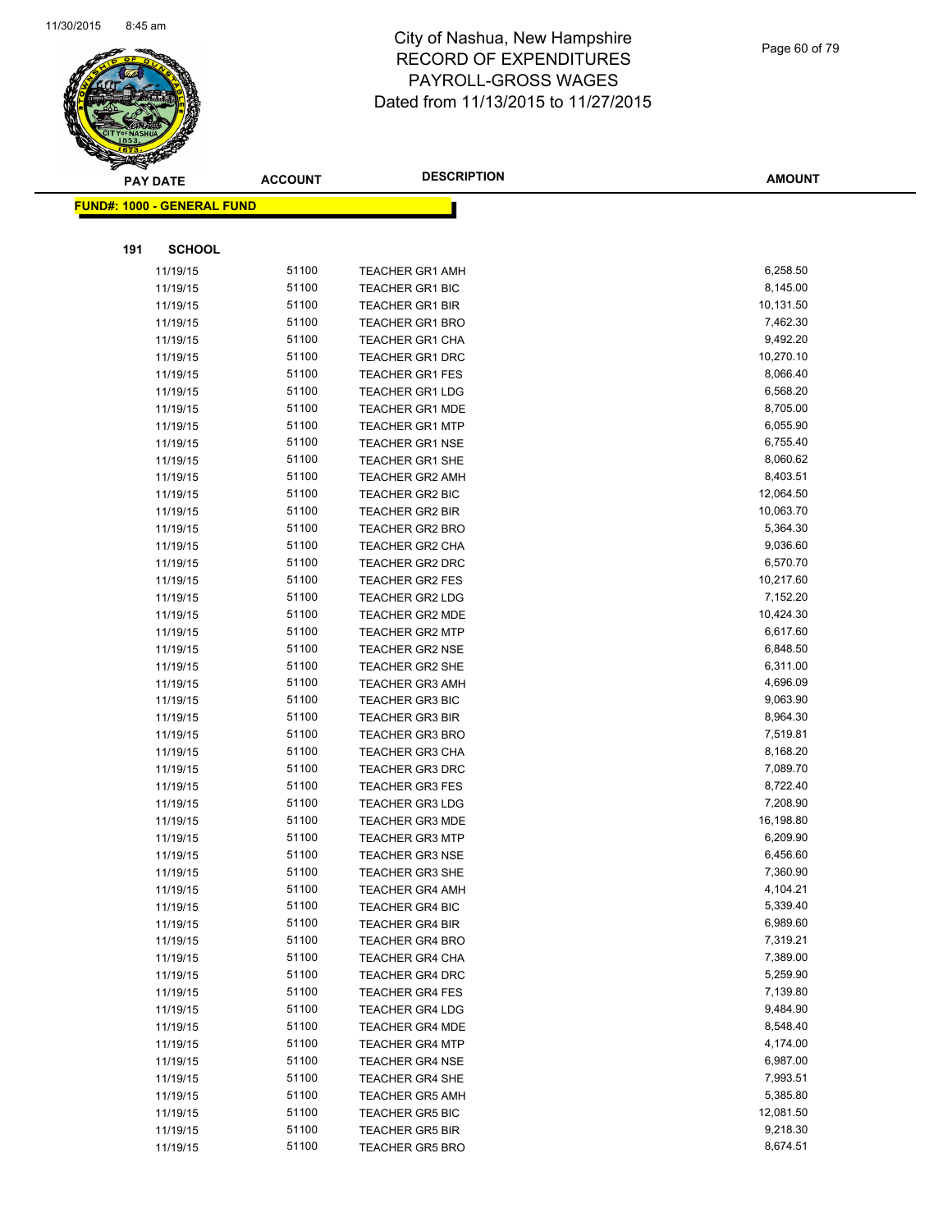

| $\tilde{\phantom{a}}$ | <b>PAY DATE</b>                    | <b>ACCOUNT</b> | <b>DESCRIPTION</b>                               | <b>AMOUNT</b>        |
|-----------------------|------------------------------------|----------------|--------------------------------------------------|----------------------|
|                       | <u> FUND#: 1000 - GENERAL FUND</u> |                |                                                  |                      |
|                       |                                    |                |                                                  |                      |
| 191                   | <b>SCHOOL</b>                      |                |                                                  |                      |
|                       | 11/19/15                           | 51100          | <b>TEACHER GR1 AMH</b>                           | 6,258.50             |
|                       | 11/19/15                           | 51100          | <b>TEACHER GR1 BIC</b>                           | 8,145.00             |
|                       | 11/19/15                           | 51100          | <b>TEACHER GR1 BIR</b>                           | 10,131.50            |
|                       | 11/19/15                           | 51100          | <b>TEACHER GR1 BRO</b>                           | 7,462.30             |
|                       | 11/19/15                           | 51100          | <b>TEACHER GR1 CHA</b>                           | 9,492.20             |
|                       | 11/19/15                           | 51100          | <b>TEACHER GR1 DRC</b>                           | 10,270.10            |
|                       | 11/19/15                           | 51100          | <b>TEACHER GR1 FES</b>                           | 8,066.40             |
|                       | 11/19/15                           | 51100          | <b>TEACHER GR1 LDG</b>                           | 6,568.20             |
|                       | 11/19/15                           | 51100          | <b>TEACHER GR1 MDE</b>                           | 8,705.00             |
|                       | 11/19/15                           | 51100          | <b>TEACHER GR1 MTP</b>                           | 6,055.90             |
|                       | 11/19/15                           | 51100          | <b>TEACHER GR1 NSE</b>                           | 6,755.40             |
|                       | 11/19/15                           | 51100          | <b>TEACHER GR1 SHE</b>                           | 8,060.62             |
|                       | 11/19/15                           | 51100          | <b>TEACHER GR2 AMH</b>                           | 8,403.51             |
|                       | 11/19/15                           | 51100          | TEACHER GR2 BIC                                  | 12,064.50            |
|                       | 11/19/15                           | 51100          | <b>TEACHER GR2 BIR</b>                           | 10,063.70            |
|                       | 11/19/15                           | 51100          | <b>TEACHER GR2 BRO</b>                           | 5,364.30             |
|                       | 11/19/15                           | 51100          | <b>TEACHER GR2 CHA</b>                           | 9,036.60             |
|                       | 11/19/15                           | 51100          | <b>TEACHER GR2 DRC</b>                           | 6,570.70             |
|                       | 11/19/15                           | 51100          | <b>TEACHER GR2 FES</b>                           | 10,217.60            |
|                       | 11/19/15                           | 51100          | <b>TEACHER GR2 LDG</b>                           | 7,152.20             |
|                       | 11/19/15                           | 51100          | <b>TEACHER GR2 MDE</b>                           | 10,424.30            |
|                       | 11/19/15                           | 51100          | <b>TEACHER GR2 MTP</b>                           | 6,617.60             |
|                       | 11/19/15                           | 51100          | <b>TEACHER GR2 NSE</b>                           | 6,848.50             |
|                       | 11/19/15                           | 51100          | <b>TEACHER GR2 SHE</b>                           | 6,311.00             |
|                       | 11/19/15                           | 51100          | <b>TEACHER GR3 AMH</b>                           | 4,696.09             |
|                       | 11/19/15                           | 51100          | <b>TEACHER GR3 BIC</b>                           | 9,063.90             |
|                       | 11/19/15                           | 51100          | <b>TEACHER GR3 BIR</b>                           | 8,964.30             |
|                       | 11/19/15                           | 51100          | <b>TEACHER GR3 BRO</b>                           | 7,519.81             |
|                       | 11/19/15                           | 51100          | <b>TEACHER GR3 CHA</b>                           | 8,168.20             |
|                       | 11/19/15                           | 51100          | <b>TEACHER GR3 DRC</b>                           | 7,089.70             |
|                       | 11/19/15                           | 51100          | <b>TEACHER GR3 FES</b>                           | 8,722.40             |
|                       | 11/19/15                           | 51100          | <b>TEACHER GR3 LDG</b>                           | 7,208.90             |
|                       | 11/19/15                           | 51100          | <b>TEACHER GR3 MDE</b>                           | 16,198.80            |
|                       | 11/19/15                           | 51100          | <b>TEACHER GR3 MTP</b>                           | 6,209.90             |
|                       | 11/19/15                           | 51100          | <b>TEACHER GR3 NSE</b>                           | 6,456.60             |
|                       | 11/19/15                           | 51100          | <b>TEACHER GR3 SHE</b>                           | 7,360.90             |
|                       | 11/19/15                           | 51100<br>51100 | <b>TEACHER GR4 AMH</b>                           | 4,104.21             |
|                       | 11/19/15                           | 51100          | <b>TEACHER GR4 BIC</b>                           | 5,339.40             |
|                       | 11/19/15                           | 51100          | <b>TEACHER GR4 BIR</b>                           | 6,989.60<br>7,319.21 |
|                       | 11/19/15                           | 51100          | <b>TEACHER GR4 BRO</b><br><b>TEACHER GR4 CHA</b> | 7,389.00             |
|                       | 11/19/15                           | 51100          |                                                  | 5,259.90             |
|                       | 11/19/15<br>11/19/15               | 51100          | <b>TEACHER GR4 DRC</b><br><b>TEACHER GR4 FES</b> | 7,139.80             |
|                       | 11/19/15                           | 51100          | <b>TEACHER GR4 LDG</b>                           | 9,484.90             |
|                       |                                    | 51100          | TEACHER GR4 MDE                                  | 8,548.40             |
|                       | 11/19/15<br>11/19/15               | 51100          | <b>TEACHER GR4 MTP</b>                           | 4,174.00             |
|                       | 11/19/15                           | 51100          | <b>TEACHER GR4 NSE</b>                           | 6,987.00             |
|                       | 11/19/15                           | 51100          | <b>TEACHER GR4 SHE</b>                           | 7,993.51             |
|                       | 11/19/15                           | 51100          | <b>TEACHER GR5 AMH</b>                           | 5,385.80             |
|                       | 11/19/15                           | 51100          | <b>TEACHER GR5 BIC</b>                           | 12,081.50            |
|                       | 11/19/15                           | 51100          | <b>TEACHER GR5 BIR</b>                           | 9,218.30             |
|                       | 11/19/15                           | 51100          | <b>TEACHER GR5 BRO</b>                           | 8,674.51             |
|                       |                                    |                |                                                  |                      |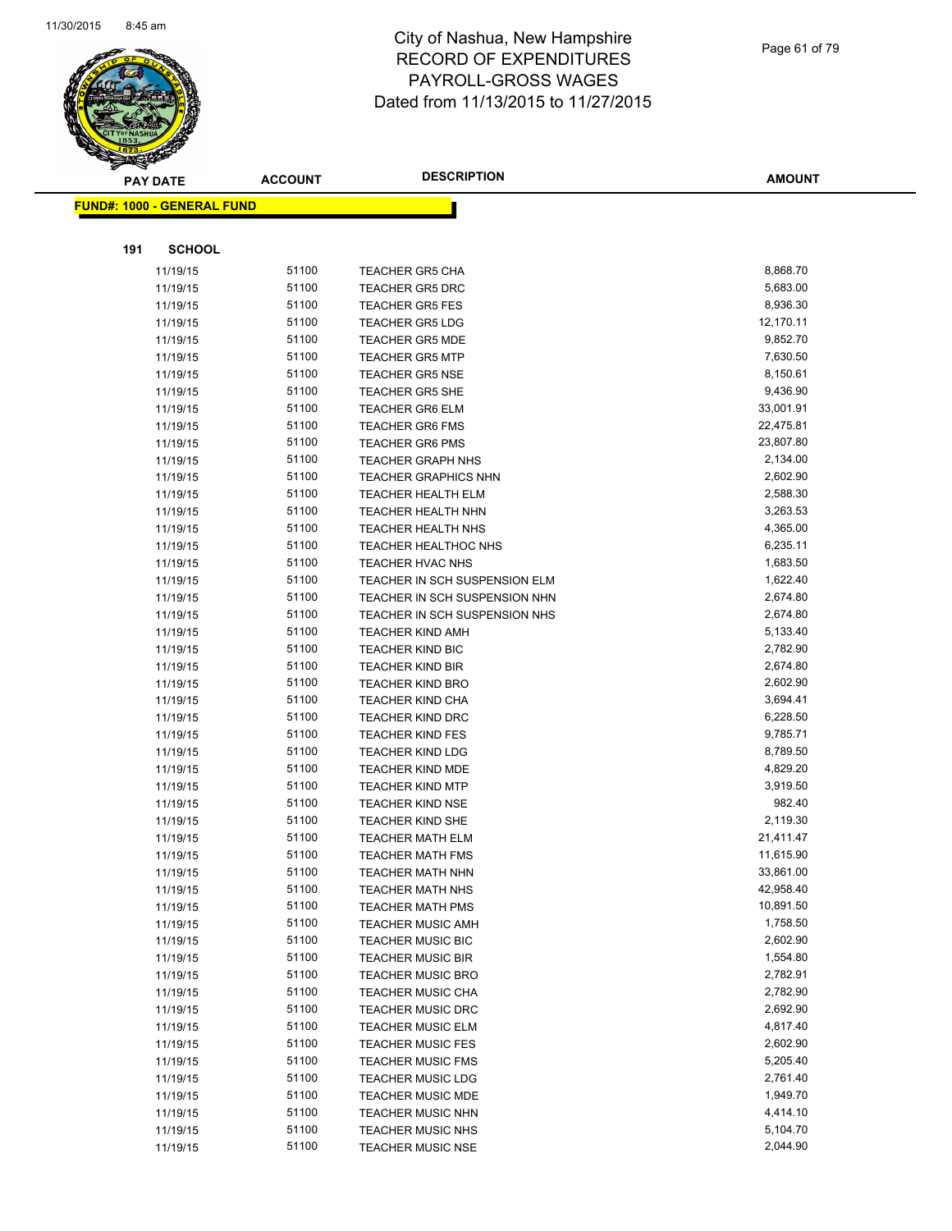

|     | <b>PAY DATE</b>                   | <b>ACCOUNT</b> | <b>DESCRIPTION</b>                                 | <b>AMOUNT</b>        |
|-----|-----------------------------------|----------------|----------------------------------------------------|----------------------|
|     | <b>FUND#: 1000 - GENERAL FUND</b> |                |                                                    |                      |
|     |                                   |                |                                                    |                      |
|     |                                   |                |                                                    |                      |
| 191 | <b>SCHOOL</b>                     |                |                                                    |                      |
|     | 11/19/15                          | 51100          | <b>TEACHER GR5 CHA</b>                             | 8,868.70             |
|     | 11/19/15                          | 51100          | <b>TEACHER GR5 DRC</b>                             | 5,683.00             |
|     | 11/19/15                          | 51100          | <b>TEACHER GR5 FES</b>                             | 8,936.30             |
|     | 11/19/15                          | 51100          | <b>TEACHER GR5 LDG</b>                             | 12,170.11            |
|     | 11/19/15                          | 51100          | <b>TEACHER GR5 MDE</b>                             | 9,852.70             |
|     | 11/19/15                          | 51100          | <b>TEACHER GR5 MTP</b>                             | 7,630.50             |
|     | 11/19/15                          | 51100          | <b>TEACHER GR5 NSE</b>                             | 8,150.61             |
|     | 11/19/15                          | 51100          | <b>TEACHER GR5 SHE</b>                             | 9,436.90             |
|     | 11/19/15                          | 51100          | <b>TEACHER GR6 ELM</b>                             | 33,001.91            |
|     | 11/19/15                          | 51100          | <b>TEACHER GR6 FMS</b>                             | 22,475.81            |
|     | 11/19/15                          | 51100          | <b>TEACHER GR6 PMS</b>                             | 23,807.80            |
|     | 11/19/15                          | 51100          | <b>TEACHER GRAPH NHS</b>                           | 2,134.00             |
|     | 11/19/15                          | 51100          | <b>TEACHER GRAPHICS NHN</b>                        | 2,602.90             |
|     | 11/19/15                          | 51100          | <b>TEACHER HEALTH ELM</b>                          | 2,588.30             |
|     | 11/19/15                          | 51100          | <b>TEACHER HEALTH NHN</b>                          | 3,263.53             |
|     | 11/19/15                          | 51100          | <b>TEACHER HEALTH NHS</b>                          | 4,365.00             |
|     | 11/19/15                          | 51100          | TEACHER HEALTHOC NHS                               | 6,235.11             |
|     | 11/19/15                          | 51100          | TEACHER HVAC NHS                                   | 1,683.50             |
|     | 11/19/15                          | 51100          | TEACHER IN SCH SUSPENSION ELM                      | 1,622.40             |
|     | 11/19/15                          | 51100          | TEACHER IN SCH SUSPENSION NHN                      | 2,674.80             |
|     | 11/19/15                          | 51100          | TEACHER IN SCH SUSPENSION NHS                      | 2,674.80             |
|     | 11/19/15                          | 51100<br>51100 | <b>TEACHER KIND AMH</b>                            | 5,133.40<br>2,782.90 |
|     | 11/19/15                          | 51100          | <b>TEACHER KIND BIC</b>                            |                      |
|     | 11/19/15                          | 51100          | <b>TEACHER KIND BIR</b><br><b>TEACHER KIND BRO</b> | 2,674.80<br>2,602.90 |
|     | 11/19/15<br>11/19/15              | 51100          | <b>TEACHER KIND CHA</b>                            | 3,694.41             |
|     | 11/19/15                          | 51100          | <b>TEACHER KIND DRC</b>                            | 6,228.50             |
|     | 11/19/15                          | 51100          | <b>TEACHER KIND FES</b>                            | 9,785.71             |
|     | 11/19/15                          | 51100          | <b>TEACHER KIND LDG</b>                            | 8,789.50             |
|     | 11/19/15                          | 51100          | <b>TEACHER KIND MDE</b>                            | 4,829.20             |
|     | 11/19/15                          | 51100          | <b>TEACHER KIND MTP</b>                            | 3,919.50             |
|     | 11/19/15                          | 51100          | <b>TEACHER KIND NSE</b>                            | 982.40               |
|     | 11/19/15                          | 51100          | <b>TEACHER KIND SHE</b>                            | 2,119.30             |
|     | 11/19/15                          | 51100          | TEACHER MATH ELM                                   | 21,411.47            |
|     | 11/19/15                          | 51100          | <b>TEACHER MATH FMS</b>                            | 11,615.90            |
|     | 11/19/15                          | 51100          | TEACHER MATH NHN                                   | 33,861.00            |
|     | 11/19/15                          | 51100          | <b>TEACHER MATH NHS</b>                            | 42,958.40            |
|     | 11/19/15                          | 51100          | <b>TEACHER MATH PMS</b>                            | 10,891.50            |
|     | 11/19/15                          | 51100          | <b>TEACHER MUSIC AMH</b>                           | 1,758.50             |
|     | 11/19/15                          | 51100          | <b>TEACHER MUSIC BIC</b>                           | 2,602.90             |
|     | 11/19/15                          | 51100          | <b>TEACHER MUSIC BIR</b>                           | 1,554.80             |
|     | 11/19/15                          | 51100          | <b>TEACHER MUSIC BRO</b>                           | 2,782.91             |
|     | 11/19/15                          | 51100          | <b>TEACHER MUSIC CHA</b>                           | 2,782.90             |
|     | 11/19/15                          | 51100          | <b>TEACHER MUSIC DRC</b>                           | 2,692.90             |
|     | 11/19/15                          | 51100          | <b>TEACHER MUSIC ELM</b>                           | 4,817.40             |
|     | 11/19/15                          | 51100          | <b>TEACHER MUSIC FES</b>                           | 2,602.90             |
|     | 11/19/15                          | 51100          | <b>TEACHER MUSIC FMS</b>                           | 5,205.40             |
|     | 11/19/15                          | 51100          | <b>TEACHER MUSIC LDG</b>                           | 2,761.40             |
|     | 11/19/15                          | 51100          | <b>TEACHER MUSIC MDE</b>                           | 1,949.70             |
|     | 11/19/15                          | 51100          | <b>TEACHER MUSIC NHN</b>                           | 4,414.10             |
|     | 11/19/15                          | 51100          | <b>TEACHER MUSIC NHS</b>                           | 5,104.70             |
|     | 11/19/15                          | 51100          | <b>TEACHER MUSIC NSE</b>                           | 2,044.90             |
|     |                                   |                |                                                    |                      |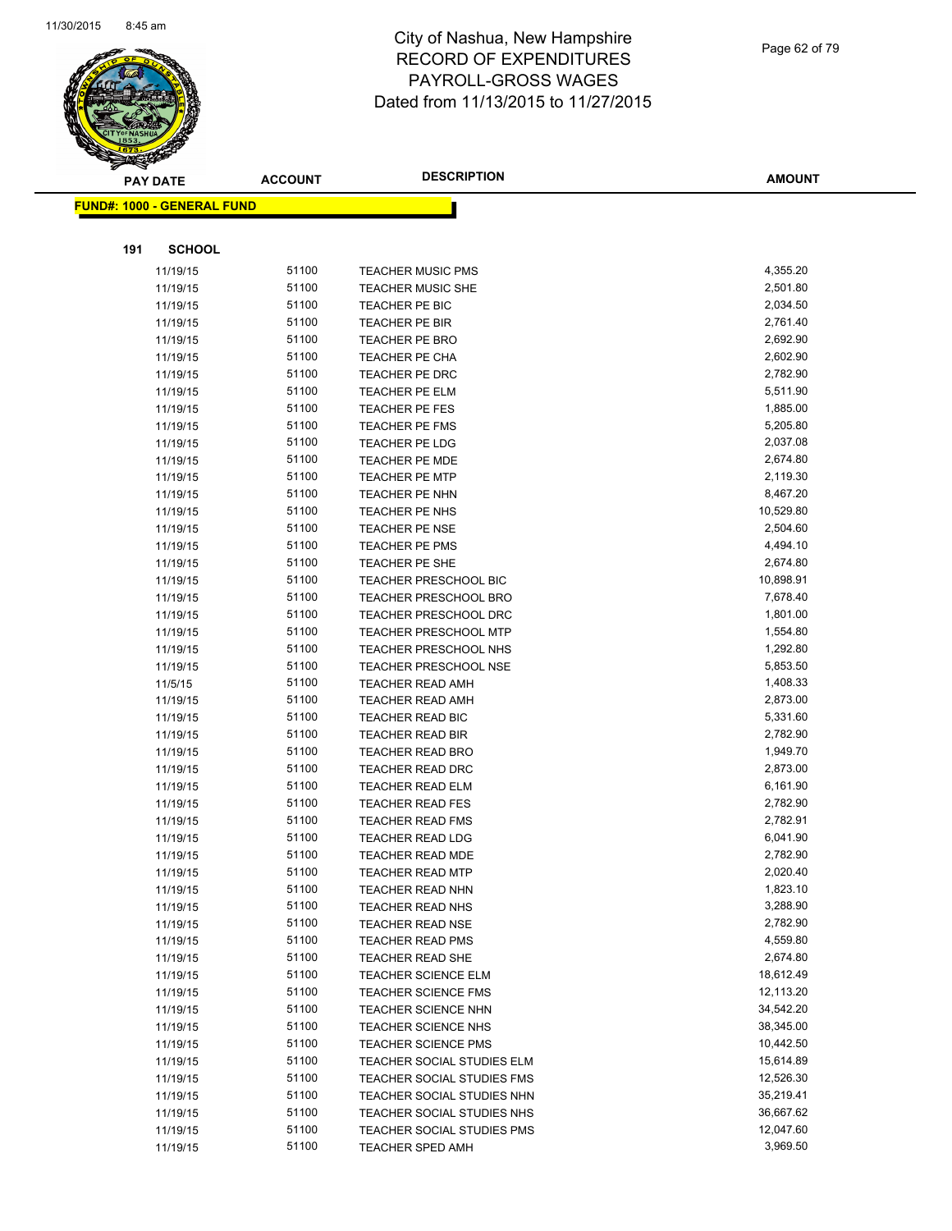

|     | <b>PAY DATE</b>                    | <b>ACCOUNT</b> | <b>DESCRIPTION</b>                          | <b>AMOUNT</b>        |
|-----|------------------------------------|----------------|---------------------------------------------|----------------------|
|     | <u> FUND#: 1000 - GENERAL FUND</u> |                |                                             |                      |
|     |                                    |                |                                             |                      |
|     |                                    |                |                                             |                      |
| 191 | <b>SCHOOL</b>                      |                |                                             |                      |
|     | 11/19/15                           | 51100          | <b>TEACHER MUSIC PMS</b>                    | 4,355.20             |
|     | 11/19/15                           | 51100          | <b>TEACHER MUSIC SHE</b>                    | 2,501.80             |
|     | 11/19/15                           | 51100          | TEACHER PE BIC                              | 2,034.50             |
|     | 11/19/15                           | 51100          | <b>TEACHER PE BIR</b>                       | 2,761.40             |
|     | 11/19/15                           | 51100          | <b>TEACHER PE BRO</b>                       | 2,692.90             |
|     | 11/19/15                           | 51100          | TEACHER PE CHA                              | 2,602.90             |
|     | 11/19/15                           | 51100          | <b>TEACHER PE DRC</b>                       | 2,782.90             |
|     | 11/19/15                           | 51100          | <b>TEACHER PE ELM</b>                       | 5,511.90             |
|     | 11/19/15                           | 51100          | TEACHER PE FES                              | 1,885.00             |
|     | 11/19/15                           | 51100          | <b>TEACHER PE FMS</b>                       | 5,205.80             |
|     | 11/19/15                           | 51100          | TEACHER PE LDG                              | 2,037.08             |
|     | 11/19/15                           | 51100          | <b>TEACHER PE MDE</b>                       | 2,674.80             |
|     | 11/19/15                           | 51100          | <b>TEACHER PE MTP</b>                       | 2,119.30             |
|     | 11/19/15                           | 51100          | TEACHER PE NHN                              | 8,467.20             |
|     | 11/19/15                           | 51100          | TEACHER PE NHS                              | 10,529.80            |
|     | 11/19/15                           | 51100          | <b>TEACHER PE NSE</b>                       | 2,504.60             |
|     | 11/19/15                           | 51100          | <b>TEACHER PE PMS</b>                       | 4,494.10             |
|     | 11/19/15                           | 51100          | TEACHER PE SHE                              | 2,674.80             |
|     | 11/19/15                           | 51100          | <b>TEACHER PRESCHOOL BIC</b>                | 10,898.91            |
|     | 11/19/15                           | 51100          | <b>TEACHER PRESCHOOL BRO</b>                | 7,678.40             |
|     | 11/19/15                           | 51100          | <b>TEACHER PRESCHOOL DRC</b>                | 1,801.00             |
|     | 11/19/15                           | 51100<br>51100 | <b>TEACHER PRESCHOOL MTP</b>                | 1,554.80             |
|     | 11/19/15                           | 51100          | <b>TEACHER PRESCHOOL NHS</b>                | 1,292.80             |
|     | 11/19/15                           | 51100          | <b>TEACHER PRESCHOOL NSE</b>                | 5,853.50<br>1,408.33 |
|     | 11/5/15                            | 51100          | <b>TEACHER READ AMH</b><br>TEACHER READ AMH | 2,873.00             |
|     | 11/19/15<br>11/19/15               | 51100          | TEACHER READ BIC                            | 5,331.60             |
|     | 11/19/15                           | 51100          | <b>TEACHER READ BIR</b>                     | 2,782.90             |
|     | 11/19/15                           | 51100          | <b>TEACHER READ BRO</b>                     | 1,949.70             |
|     | 11/19/15                           | 51100          | <b>TEACHER READ DRC</b>                     | 2,873.00             |
|     | 11/19/15                           | 51100          | <b>TEACHER READ ELM</b>                     | 6,161.90             |
|     | 11/19/15                           | 51100          | <b>TEACHER READ FES</b>                     | 2,782.90             |
|     | 11/19/15                           | 51100          | <b>TEACHER READ FMS</b>                     | 2,782.91             |
|     | 11/19/15                           | 51100          | <b>TEACHER READ LDG</b>                     | 6,041.90             |
|     | 11/19/15                           | 51100          | <b>TEACHER READ MDE</b>                     | 2,782.90             |
|     | 11/19/15                           | 51100          | TEACHER READ MTP                            | 2,020.40             |
|     | 11/19/15                           | 51100          | <b>TEACHER READ NHN</b>                     | 1,823.10             |
|     | 11/19/15                           | 51100          | <b>TEACHER READ NHS</b>                     | 3,288.90             |
|     | 11/19/15                           | 51100          | <b>TEACHER READ NSE</b>                     | 2,782.90             |
|     | 11/19/15                           | 51100          | <b>TEACHER READ PMS</b>                     | 4,559.80             |
|     | 11/19/15                           | 51100          | TEACHER READ SHE                            | 2,674.80             |
|     | 11/19/15                           | 51100          | <b>TEACHER SCIENCE ELM</b>                  | 18,612.49            |
|     | 11/19/15                           | 51100          | <b>TEACHER SCIENCE FMS</b>                  | 12,113.20            |
|     | 11/19/15                           | 51100          | <b>TEACHER SCIENCE NHN</b>                  | 34,542.20            |
|     | 11/19/15                           | 51100          | TEACHER SCIENCE NHS                         | 38,345.00            |
|     | 11/19/15                           | 51100          | <b>TEACHER SCIENCE PMS</b>                  | 10,442.50            |
|     | 11/19/15                           | 51100          | TEACHER SOCIAL STUDIES ELM                  | 15,614.89            |
|     | 11/19/15                           | 51100          | TEACHER SOCIAL STUDIES FMS                  | 12,526.30            |
|     | 11/19/15                           | 51100          | TEACHER SOCIAL STUDIES NHN                  | 35,219.41            |
|     | 11/19/15                           | 51100          | TEACHER SOCIAL STUDIES NHS                  | 36,667.62            |
|     | 11/19/15                           | 51100          | TEACHER SOCIAL STUDIES PMS                  | 12,047.60            |
|     | 11/19/15                           | 51100          | TEACHER SPED AMH                            | 3,969.50             |
|     |                                    |                |                                             |                      |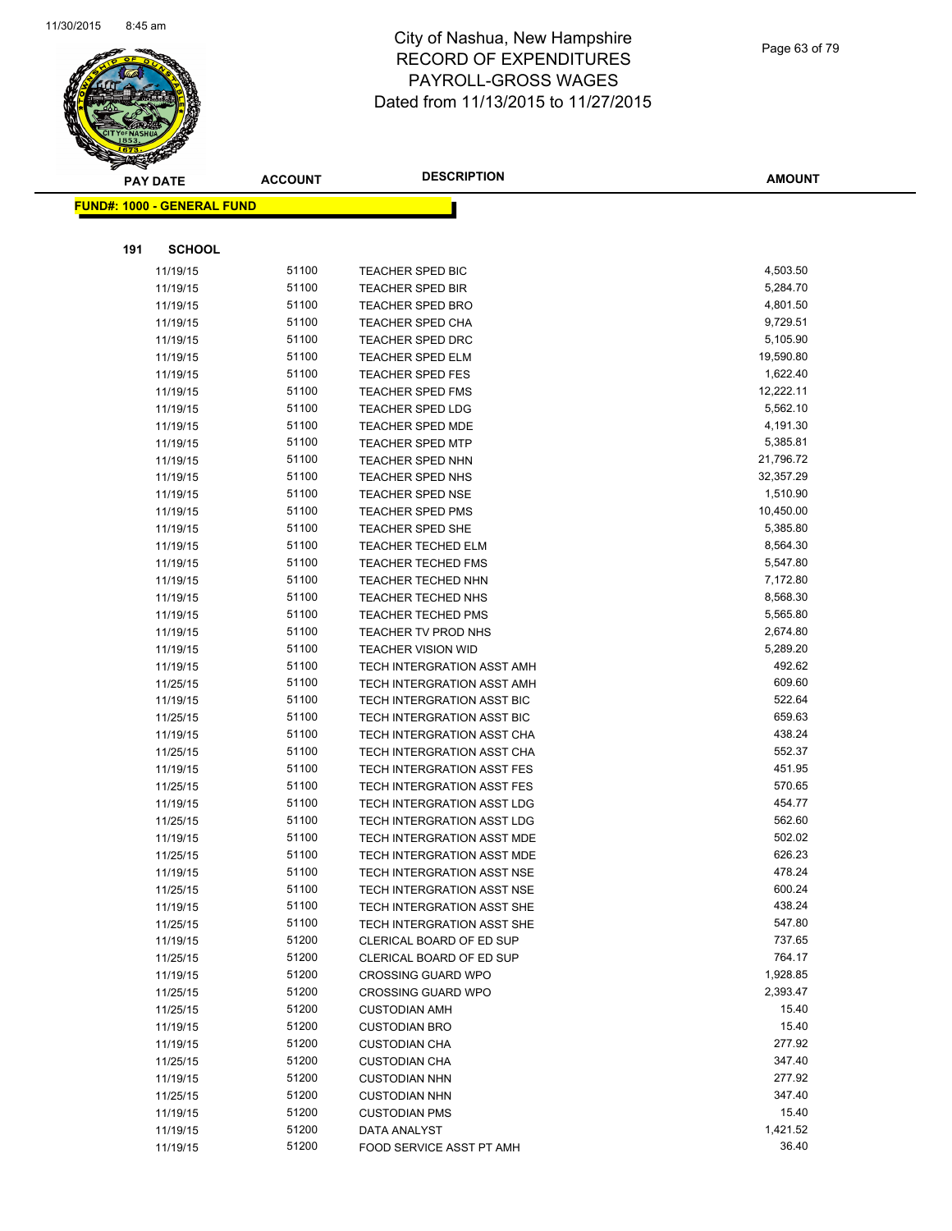

|     | <b>PAY DATE</b>                   | <b>ACCOUNT</b> | <b>DESCRIPTION</b>                          | <b>AMOUNT</b>        |
|-----|-----------------------------------|----------------|---------------------------------------------|----------------------|
|     | <b>FUND#: 1000 - GENERAL FUND</b> |                |                                             |                      |
|     |                                   |                |                                             |                      |
| 191 | <b>SCHOOL</b>                     |                |                                             |                      |
|     |                                   |                |                                             |                      |
|     | 11/19/15                          | 51100<br>51100 | TEACHER SPED BIC                            | 4,503.50             |
|     | 11/19/15                          | 51100          | <b>TEACHER SPED BIR</b>                     | 5,284.70<br>4,801.50 |
|     | 11/19/15                          | 51100          | <b>TEACHER SPED BRO</b><br>TEACHER SPED CHA | 9,729.51             |
|     | 11/19/15                          | 51100          | <b>TEACHER SPED DRC</b>                     | 5,105.90             |
|     | 11/19/15<br>11/19/15              | 51100          | <b>TEACHER SPED ELM</b>                     | 19,590.80            |
|     | 11/19/15                          | 51100          | <b>TEACHER SPED FES</b>                     | 1,622.40             |
|     | 11/19/15                          | 51100          | <b>TEACHER SPED FMS</b>                     | 12,222.11            |
|     | 11/19/15                          | 51100          | <b>TEACHER SPED LDG</b>                     | 5,562.10             |
|     | 11/19/15                          | 51100          | <b>TEACHER SPED MDE</b>                     | 4,191.30             |
|     | 11/19/15                          | 51100          | <b>TEACHER SPED MTP</b>                     | 5,385.81             |
|     | 11/19/15                          | 51100          | <b>TEACHER SPED NHN</b>                     | 21,796.72            |
|     | 11/19/15                          | 51100          | TEACHER SPED NHS                            | 32,357.29            |
|     | 11/19/15                          | 51100          | <b>TEACHER SPED NSE</b>                     | 1,510.90             |
|     | 11/19/15                          | 51100          | <b>TEACHER SPED PMS</b>                     | 10,450.00            |
|     | 11/19/15                          | 51100          | <b>TEACHER SPED SHE</b>                     | 5,385.80             |
|     | 11/19/15                          | 51100          | <b>TEACHER TECHED ELM</b>                   | 8,564.30             |
|     | 11/19/15                          | 51100          | <b>TEACHER TECHED FMS</b>                   | 5,547.80             |
|     | 11/19/15                          | 51100          | TEACHER TECHED NHN                          | 7,172.80             |
|     | 11/19/15                          | 51100          | <b>TEACHER TECHED NHS</b>                   | 8,568.30             |
|     | 11/19/15                          | 51100          | <b>TEACHER TECHED PMS</b>                   | 5,565.80             |
|     | 11/19/15                          | 51100          | TEACHER TV PROD NHS                         | 2,674.80             |
|     | 11/19/15                          | 51100          | <b>TEACHER VISION WID</b>                   | 5,289.20             |
|     | 11/19/15                          | 51100          | TECH INTERGRATION ASST AMH                  | 492.62               |
|     | 11/25/15                          | 51100          | TECH INTERGRATION ASST AMH                  | 609.60               |
|     | 11/19/15                          | 51100          | TECH INTERGRATION ASST BIC                  | 522.64               |
|     | 11/25/15                          | 51100          | TECH INTERGRATION ASST BIC                  | 659.63               |
|     | 11/19/15                          | 51100          | TECH INTERGRATION ASST CHA                  | 438.24               |
|     | 11/25/15                          | 51100          | TECH INTERGRATION ASST CHA                  | 552.37               |
|     | 11/19/15                          | 51100          | TECH INTERGRATION ASST FES                  | 451.95               |
|     | 11/25/15                          | 51100          | TECH INTERGRATION ASST FES                  | 570.65               |
|     | 11/19/15                          | 51100          | TECH INTERGRATION ASST LDG                  | 454.77               |
|     | 11/25/15                          | 51100          | TECH INTERGRATION ASST LDG                  | 562.60               |
|     | 11/19/15                          | 51100          | TECH INTERGRATION ASST MDE                  | 502.02               |
|     | 11/25/15                          | 51100          | TECH INTERGRATION ASST MDE                  | 626.23               |
|     | 11/19/15                          | 51100          | TECH INTERGRATION ASST NSE                  | 478.24               |
|     | 11/25/15                          | 51100          | TECH INTERGRATION ASST NSE                  | 600.24               |
|     | 11/19/15                          | 51100          | TECH INTERGRATION ASST SHE                  | 438.24               |
|     | 11/25/15                          | 51100          | TECH INTERGRATION ASST SHE                  | 547.80               |
|     | 11/19/15                          | 51200          | CLERICAL BOARD OF ED SUP                    | 737.65               |
|     | 11/25/15                          | 51200          | CLERICAL BOARD OF ED SUP                    | 764.17               |
|     | 11/19/15                          | 51200          | <b>CROSSING GUARD WPO</b>                   | 1,928.85             |
|     | 11/25/15                          | 51200          | <b>CROSSING GUARD WPO</b>                   | 2,393.47             |
|     | 11/25/15                          | 51200          | <b>CUSTODIAN AMH</b>                        | 15.40                |
|     | 11/19/15                          | 51200          | <b>CUSTODIAN BRO</b>                        | 15.40                |
|     | 11/19/15                          | 51200          | <b>CUSTODIAN CHA</b>                        | 277.92               |
|     | 11/25/15                          | 51200          | <b>CUSTODIAN CHA</b>                        | 347.40               |
|     | 11/19/15                          | 51200          | <b>CUSTODIAN NHN</b>                        | 277.92               |
|     | 11/25/15                          | 51200          | <b>CUSTODIAN NHN</b>                        | 347.40               |
|     | 11/19/15                          | 51200          | <b>CUSTODIAN PMS</b>                        | 15.40                |
|     | 11/19/15                          | 51200          | DATA ANALYST                                | 1,421.52             |
|     | 11/19/15                          | 51200          | FOOD SERVICE ASST PT AMH                    | 36.40                |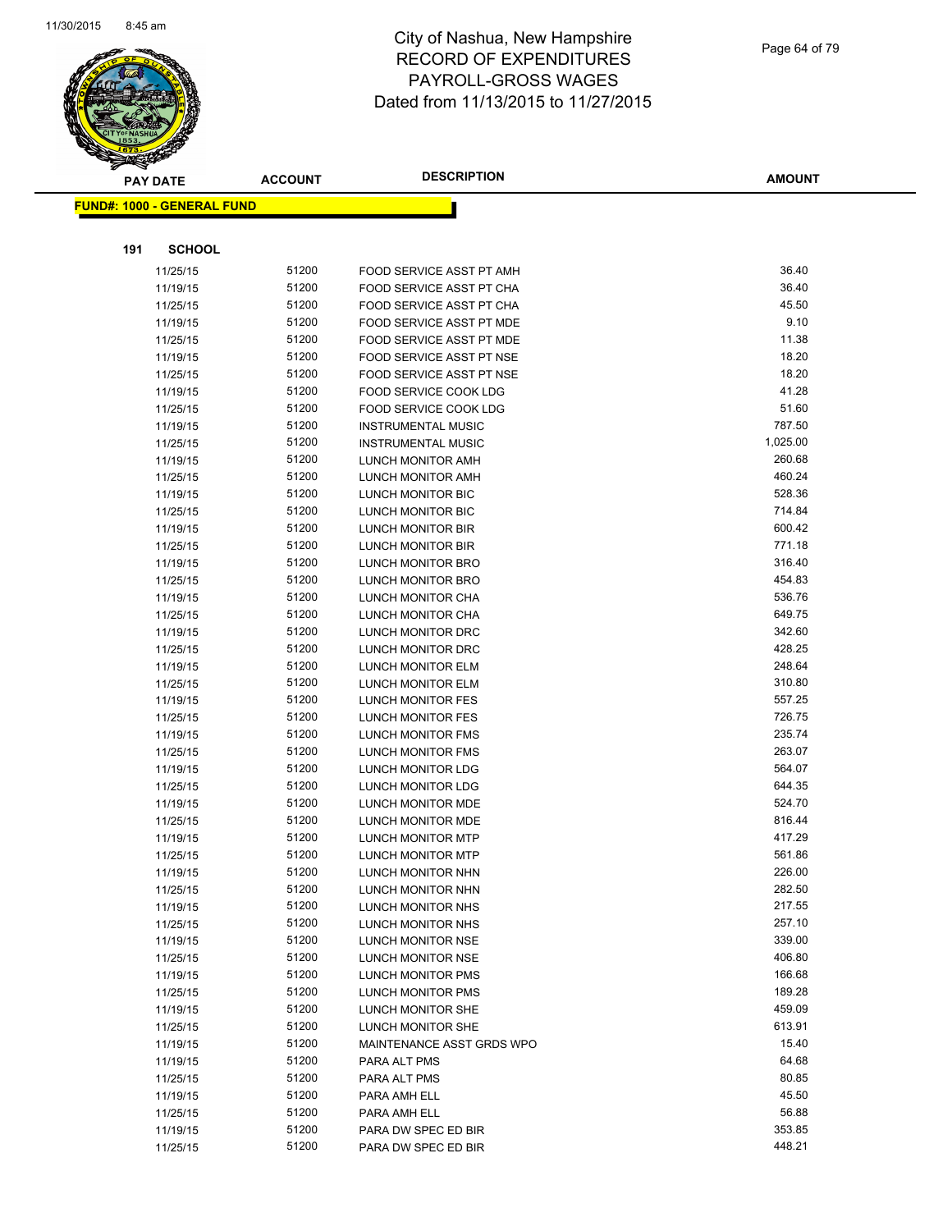

|     | <b>PAY DATE</b>                   | <b>ACCOUNT</b> | <b>DESCRIPTION</b>                                   | <b>AMOUNT</b> |
|-----|-----------------------------------|----------------|------------------------------------------------------|---------------|
|     | <b>FUND#: 1000 - GENERAL FUND</b> |                |                                                      |               |
|     |                                   |                |                                                      |               |
| 191 | <b>SCHOOL</b>                     |                |                                                      |               |
|     |                                   | 51200          |                                                      | 36.40         |
|     | 11/25/15                          | 51200          | FOOD SERVICE ASST PT AMH<br>FOOD SERVICE ASST PT CHA | 36.40         |
|     | 11/19/15                          | 51200          |                                                      | 45.50         |
|     | 11/25/15                          | 51200          | FOOD SERVICE ASST PT CHA<br>FOOD SERVICE ASST PT MDE | 9.10          |
|     | 11/19/15                          | 51200          | <b>FOOD SERVICE ASST PT MDE</b>                      | 11.38         |
|     | 11/25/15<br>11/19/15              | 51200          | <b>FOOD SERVICE ASST PT NSE</b>                      | 18.20         |
|     | 11/25/15                          | 51200          | FOOD SERVICE ASST PT NSE                             | 18.20         |
|     | 11/19/15                          | 51200          | FOOD SERVICE COOK LDG                                | 41.28         |
|     | 11/25/15                          | 51200          | FOOD SERVICE COOK LDG                                | 51.60         |
|     | 11/19/15                          | 51200          | <b>INSTRUMENTAL MUSIC</b>                            | 787.50        |
|     | 11/25/15                          | 51200          | <b>INSTRUMENTAL MUSIC</b>                            | 1,025.00      |
|     | 11/19/15                          | 51200          | LUNCH MONITOR AMH                                    | 260.68        |
|     | 11/25/15                          | 51200          | LUNCH MONITOR AMH                                    | 460.24        |
|     | 11/19/15                          | 51200          | LUNCH MONITOR BIC                                    | 528.36        |
|     | 11/25/15                          | 51200          | LUNCH MONITOR BIC                                    | 714.84        |
|     | 11/19/15                          | 51200          | <b>LUNCH MONITOR BIR</b>                             | 600.42        |
|     | 11/25/15                          | 51200          | LUNCH MONITOR BIR                                    | 771.18        |
|     | 11/19/15                          | 51200          | <b>LUNCH MONITOR BRO</b>                             | 316.40        |
|     | 11/25/15                          | 51200          | LUNCH MONITOR BRO                                    | 454.83        |
|     | 11/19/15                          | 51200          | <b>LUNCH MONITOR CHA</b>                             | 536.76        |
|     | 11/25/15                          | 51200          | LUNCH MONITOR CHA                                    | 649.75        |
|     | 11/19/15                          | 51200          | LUNCH MONITOR DRC                                    | 342.60        |
|     | 11/25/15                          | 51200          | LUNCH MONITOR DRC                                    | 428.25        |
|     | 11/19/15                          | 51200          | LUNCH MONITOR ELM                                    | 248.64        |
|     | 11/25/15                          | 51200          | LUNCH MONITOR ELM                                    | 310.80        |
|     | 11/19/15                          | 51200          | LUNCH MONITOR FES                                    | 557.25        |
|     | 11/25/15                          | 51200          | LUNCH MONITOR FES                                    | 726.75        |
|     | 11/19/15                          | 51200          | LUNCH MONITOR FMS                                    | 235.74        |
|     | 11/25/15                          | 51200          | LUNCH MONITOR FMS                                    | 263.07        |
|     | 11/19/15                          | 51200          | LUNCH MONITOR LDG                                    | 564.07        |
|     | 11/25/15                          | 51200          | <b>LUNCH MONITOR LDG</b>                             | 644.35        |
|     | 11/19/15                          | 51200          | LUNCH MONITOR MDE                                    | 524.70        |
|     | 11/25/15                          | 51200          | LUNCH MONITOR MDE                                    | 816.44        |
|     | 11/19/15                          | 51200          | <b>LUNCH MONITOR MTP</b>                             | 417.29        |
|     | 11/25/15                          | 51200          | <b>LUNCH MONITOR MTP</b>                             | 561.86        |
|     | 11/19/15                          | 51200          | LUNCH MONITOR NHN                                    | 226.00        |
|     | 11/25/15                          | 51200          | LUNCH MONITOR NHN                                    | 282.50        |
|     | 11/19/15                          | 51200          | LUNCH MONITOR NHS                                    | 217.55        |
|     | 11/25/15                          | 51200          | LUNCH MONITOR NHS                                    | 257.10        |
|     | 11/19/15                          | 51200          | LUNCH MONITOR NSE                                    | 339.00        |
|     | 11/25/15                          | 51200          | LUNCH MONITOR NSE                                    | 406.80        |
|     | 11/19/15                          | 51200          | LUNCH MONITOR PMS                                    | 166.68        |
|     | 11/25/15                          | 51200          | LUNCH MONITOR PMS                                    | 189.28        |
|     | 11/19/15                          | 51200          | <b>LUNCH MONITOR SHE</b>                             | 459.09        |
|     | 11/25/15                          | 51200          | LUNCH MONITOR SHE                                    | 613.91        |
|     | 11/19/15                          | 51200          | MAINTENANCE ASST GRDS WPO                            | 15.40         |
|     | 11/19/15                          | 51200          | PARA ALT PMS                                         | 64.68         |
|     | 11/25/15                          | 51200          | PARA ALT PMS                                         | 80.85         |
|     | 11/19/15                          | 51200          | PARA AMH ELL                                         | 45.50         |
|     | 11/25/15                          | 51200          | PARA AMH ELL                                         | 56.88         |
|     | 11/19/15                          | 51200          | PARA DW SPEC ED BIR                                  | 353.85        |
|     | 11/25/15                          | 51200          | PARA DW SPEC ED BIR                                  | 448.21        |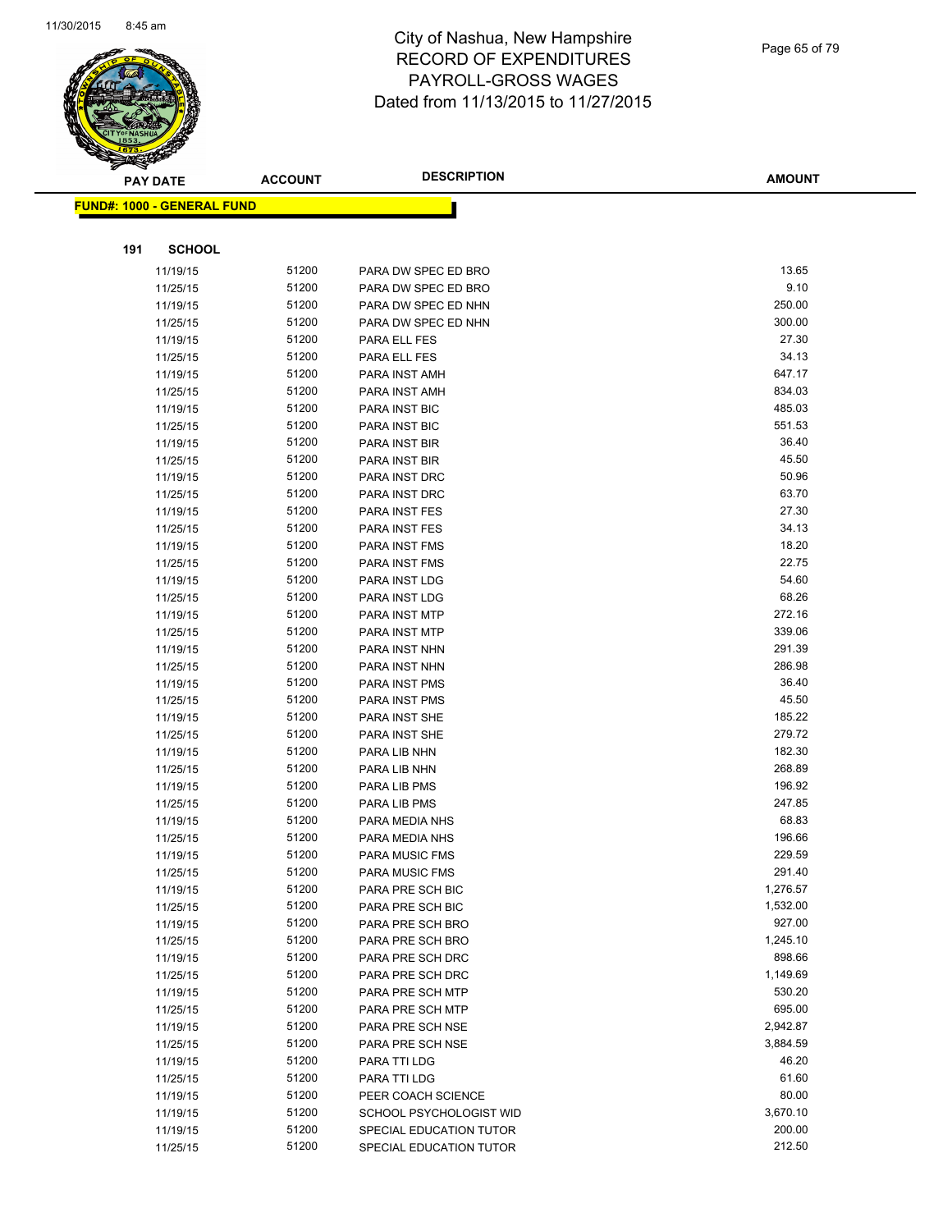

|     | <b>PAY DATE</b>                    | <b>ACCOUNT</b> | <b>DESCRIPTION</b>                         | <b>AMOUNT</b> |
|-----|------------------------------------|----------------|--------------------------------------------|---------------|
|     | <u> FUND#: 1000 - GENERAL FUND</u> |                |                                            |               |
|     |                                    |                |                                            |               |
| 191 | <b>SCHOOL</b>                      |                |                                            |               |
|     |                                    | 51200          |                                            | 13.65         |
|     | 11/19/15<br>11/25/15               | 51200          | PARA DW SPEC ED BRO<br>PARA DW SPEC ED BRO | 9.10          |
|     | 11/19/15                           | 51200          | PARA DW SPEC ED NHN                        | 250.00        |
|     | 11/25/15                           | 51200          | PARA DW SPEC ED NHN                        | 300.00        |
|     | 11/19/15                           | 51200          | PARA ELL FES                               | 27.30         |
|     | 11/25/15                           | 51200          | PARA ELL FES                               | 34.13         |
|     | 11/19/15                           | 51200          | PARA INST AMH                              | 647.17        |
|     | 11/25/15                           | 51200          | PARA INST AMH                              | 834.03        |
|     | 11/19/15                           | 51200          | PARA INST BIC                              | 485.03        |
|     | 11/25/15                           | 51200          | PARA INST BIC                              | 551.53        |
|     | 11/19/15                           | 51200          | PARA INST BIR                              | 36.40         |
|     | 11/25/15                           | 51200          | PARA INST BIR                              | 45.50         |
|     | 11/19/15                           | 51200          | PARA INST DRC                              | 50.96         |
|     | 11/25/15                           | 51200          | PARA INST DRC                              | 63.70         |
|     | 11/19/15                           | 51200          | PARA INST FES                              | 27.30         |
|     | 11/25/15                           | 51200          | PARA INST FES                              | 34.13         |
|     | 11/19/15                           | 51200          | PARA INST FMS                              | 18.20         |
|     | 11/25/15                           | 51200          | PARA INST FMS                              | 22.75         |
|     | 11/19/15                           | 51200          | PARA INST LDG                              | 54.60         |
|     | 11/25/15                           | 51200          | PARA INST LDG                              | 68.26         |
|     | 11/19/15                           | 51200          | PARA INST MTP                              | 272.16        |
|     | 11/25/15                           | 51200          | PARA INST MTP                              | 339.06        |
|     | 11/19/15                           | 51200          | PARA INST NHN                              | 291.39        |
|     | 11/25/15                           | 51200          | PARA INST NHN                              | 286.98        |
|     | 11/19/15                           | 51200          | PARA INST PMS                              | 36.40         |
|     | 11/25/15                           | 51200          | PARA INST PMS                              | 45.50         |
|     | 11/19/15                           | 51200          | PARA INST SHE                              | 185.22        |
|     | 11/25/15                           | 51200          | PARA INST SHE                              | 279.72        |
|     | 11/19/15                           | 51200          | PARA LIB NHN                               | 182.30        |
|     | 11/25/15                           | 51200          | PARA LIB NHN                               | 268.89        |
|     | 11/19/15                           | 51200          | PARA LIB PMS                               | 196.92        |
|     | 11/25/15                           | 51200          | PARA LIB PMS                               | 247.85        |
|     | 11/19/15                           | 51200          | PARA MEDIA NHS                             | 68.83         |
|     | 11/25/15                           | 51200          | PARA MEDIA NHS                             | 196.66        |
|     | 11/19/15                           | 51200          | <b>PARA MUSIC FMS</b>                      | 229.59        |
|     | 11/25/15                           | 51200          | <b>PARA MUSIC FMS</b>                      | 291.40        |
|     | 11/19/15                           | 51200          | PARA PRE SCH BIC                           | 1,276.57      |
|     | 11/25/15                           | 51200          | PARA PRE SCH BIC                           | 1,532.00      |
|     | 11/19/15                           | 51200          | PARA PRE SCH BRO                           | 927.00        |
|     | 11/25/15                           | 51200          | PARA PRE SCH BRO                           | 1,245.10      |
|     | 11/19/15                           | 51200          | PARA PRE SCH DRC                           | 898.66        |
|     | 11/25/15                           | 51200          | PARA PRE SCH DRC                           | 1,149.69      |
|     | 11/19/15                           | 51200          | PARA PRE SCH MTP                           | 530.20        |
|     | 11/25/15                           | 51200          | PARA PRE SCH MTP                           | 695.00        |
|     | 11/19/15                           | 51200          | PARA PRE SCH NSE                           | 2,942.87      |
|     | 11/25/15                           | 51200          | PARA PRE SCH NSE                           | 3,884.59      |
|     | 11/19/15                           | 51200          | PARA TTI LDG                               | 46.20         |
|     | 11/25/15                           | 51200          | PARA TTI LDG                               | 61.60         |
|     | 11/19/15                           | 51200          | PEER COACH SCIENCE                         | 80.00         |
|     | 11/19/15                           | 51200          | SCHOOL PSYCHOLOGIST WID                    | 3,670.10      |
|     | 11/19/15                           | 51200          | SPECIAL EDUCATION TUTOR                    | 200.00        |
|     | 11/25/15                           | 51200          | SPECIAL EDUCATION TUTOR                    | 212.50        |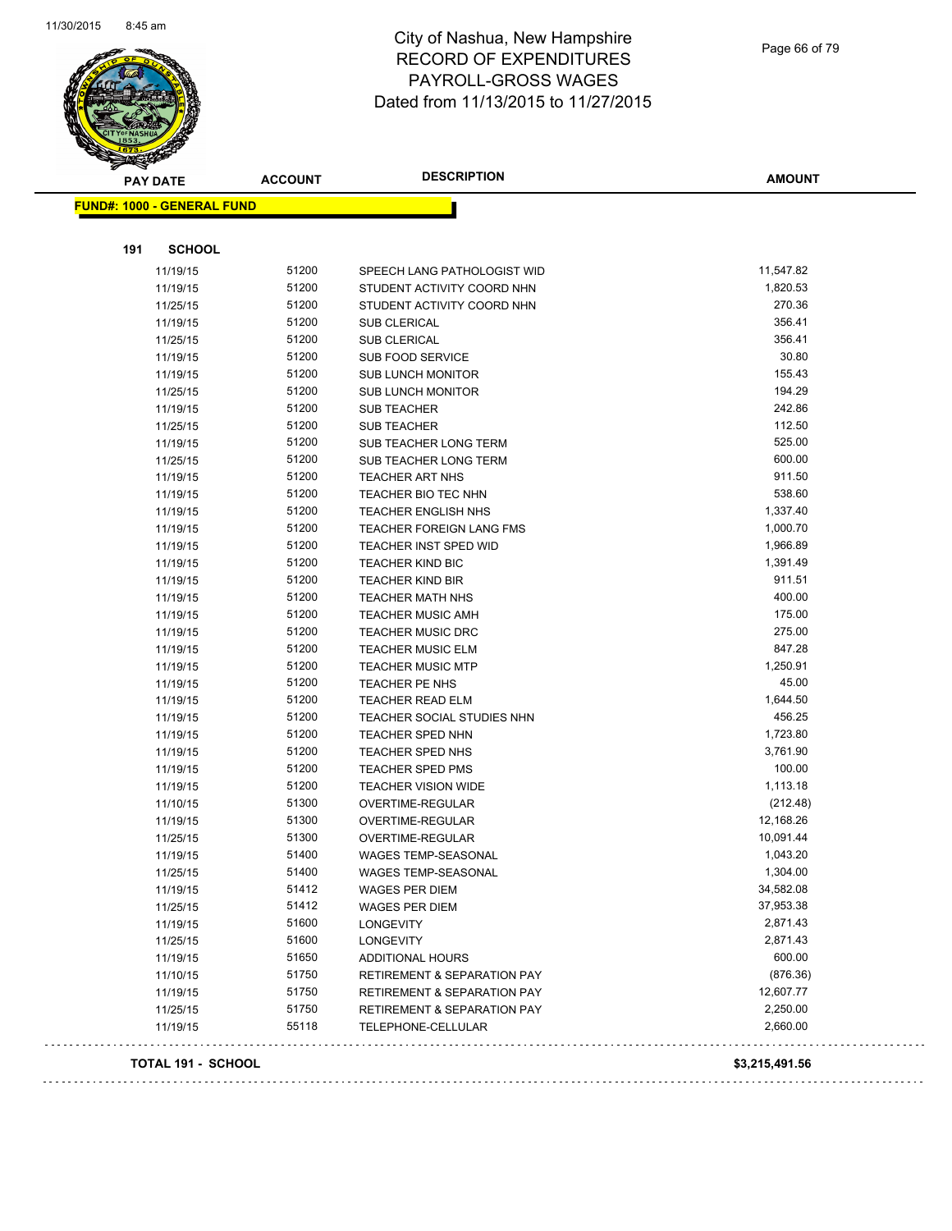

Page 66 of 79

| <b>PAY DATE</b>                   | <b>ACCOUNT</b> | <b>DESCRIPTION</b>                     | <b>AMOUNT</b>  |
|-----------------------------------|----------------|----------------------------------------|----------------|
| <b>FUND#: 1000 - GENERAL FUND</b> |                |                                        |                |
|                                   |                |                                        |                |
| 191<br><b>SCHOOL</b>              |                |                                        |                |
| 11/19/15                          | 51200          | SPEECH LANG PATHOLOGIST WID            | 11,547.82      |
| 11/19/15                          | 51200          | STUDENT ACTIVITY COORD NHN             | 1,820.53       |
| 11/25/15                          | 51200          | STUDENT ACTIVITY COORD NHN             | 270.36         |
| 11/19/15                          | 51200          | <b>SUB CLERICAL</b>                    | 356.41         |
| 11/25/15                          | 51200          | <b>SUB CLERICAL</b>                    | 356.41         |
| 11/19/15                          | 51200          | SUB FOOD SERVICE                       | 30.80          |
| 11/19/15                          | 51200          | <b>SUB LUNCH MONITOR</b>               | 155.43         |
| 11/25/15                          | 51200          | <b>SUB LUNCH MONITOR</b>               | 194.29         |
| 11/19/15                          | 51200          | <b>SUB TEACHER</b>                     | 242.86         |
| 11/25/15                          | 51200          | <b>SUB TEACHER</b>                     | 112.50         |
| 11/19/15                          | 51200          | SUB TEACHER LONG TERM                  | 525.00         |
| 11/25/15                          | 51200          | SUB TEACHER LONG TERM                  | 600.00         |
| 11/19/15                          | 51200          | TEACHER ART NHS                        | 911.50         |
| 11/19/15                          | 51200          | TEACHER BIO TEC NHN                    | 538.60         |
| 11/19/15                          | 51200          | <b>TEACHER ENGLISH NHS</b>             | 1,337.40       |
| 11/19/15                          | 51200          | TEACHER FOREIGN LANG FMS               | 1,000.70       |
| 11/19/15                          | 51200          | TEACHER INST SPED WID                  | 1,966.89       |
| 11/19/15                          | 51200          | <b>TEACHER KIND BIC</b>                | 1,391.49       |
| 11/19/15                          | 51200          | <b>TEACHER KIND BIR</b>                | 911.51         |
| 11/19/15                          | 51200          | <b>TEACHER MATH NHS</b>                | 400.00         |
| 11/19/15                          | 51200          | <b>TEACHER MUSIC AMH</b>               | 175.00         |
| 11/19/15                          | 51200          | <b>TEACHER MUSIC DRC</b>               | 275.00         |
| 11/19/15                          | 51200          | <b>TEACHER MUSIC ELM</b>               | 847.28         |
| 11/19/15                          | 51200          | <b>TEACHER MUSIC MTP</b>               | 1,250.91       |
| 11/19/15                          | 51200          | <b>TEACHER PE NHS</b>                  | 45.00          |
| 11/19/15                          | 51200          | <b>TEACHER READ ELM</b>                | 1,644.50       |
| 11/19/15                          | 51200          | TEACHER SOCIAL STUDIES NHN             | 456.25         |
| 11/19/15                          | 51200          | <b>TEACHER SPED NHN</b>                | 1,723.80       |
| 11/19/15                          | 51200          | TEACHER SPED NHS                       | 3,761.90       |
| 11/19/15                          | 51200          | <b>TEACHER SPED PMS</b>                | 100.00         |
| 11/19/15                          | 51200          | <b>TEACHER VISION WIDE</b>             | 1,113.18       |
| 11/10/15                          | 51300          | OVERTIME-REGULAR                       | (212.48)       |
| 11/19/15                          | 51300          | OVERTIME-REGULAR                       | 12,168.26      |
| 11/25/15                          | 51300          | OVERTIME-REGULAR                       | 10,091.44      |
| 11/19/15                          | 51400          | <b>WAGES TEMP-SEASONAL</b>             | 1,043.20       |
| 11/25/15                          | 51400          | WAGES TEMP-SEASONAL                    | 1,304.00       |
| 11/19/15                          | 51412          | WAGES PER DIEM                         | 34,582.08      |
| 11/25/15                          | 51412          | <b>WAGES PER DIEM</b>                  | 37,953.38      |
| 11/19/15                          | 51600          | <b>LONGEVITY</b>                       | 2,871.43       |
| 11/25/15                          | 51600          | <b>LONGEVITY</b>                       | 2,871.43       |
| 11/19/15                          | 51650          | <b>ADDITIONAL HOURS</b>                | 600.00         |
| 11/10/15                          | 51750          | <b>RETIREMENT &amp; SEPARATION PAY</b> | (876.36)       |
| 11/19/15                          | 51750          | <b>RETIREMENT &amp; SEPARATION PAY</b> | 12,607.77      |
| 11/25/15                          | 51750          | <b>RETIREMENT &amp; SEPARATION PAY</b> | 2,250.00       |
| 11/19/15                          | 55118          | TELEPHONE-CELLULAR                     | 2,660.00       |
| TOTAL 191 - SCHOOL                |                |                                        | \$3,215,491.56 |
|                                   |                |                                        |                |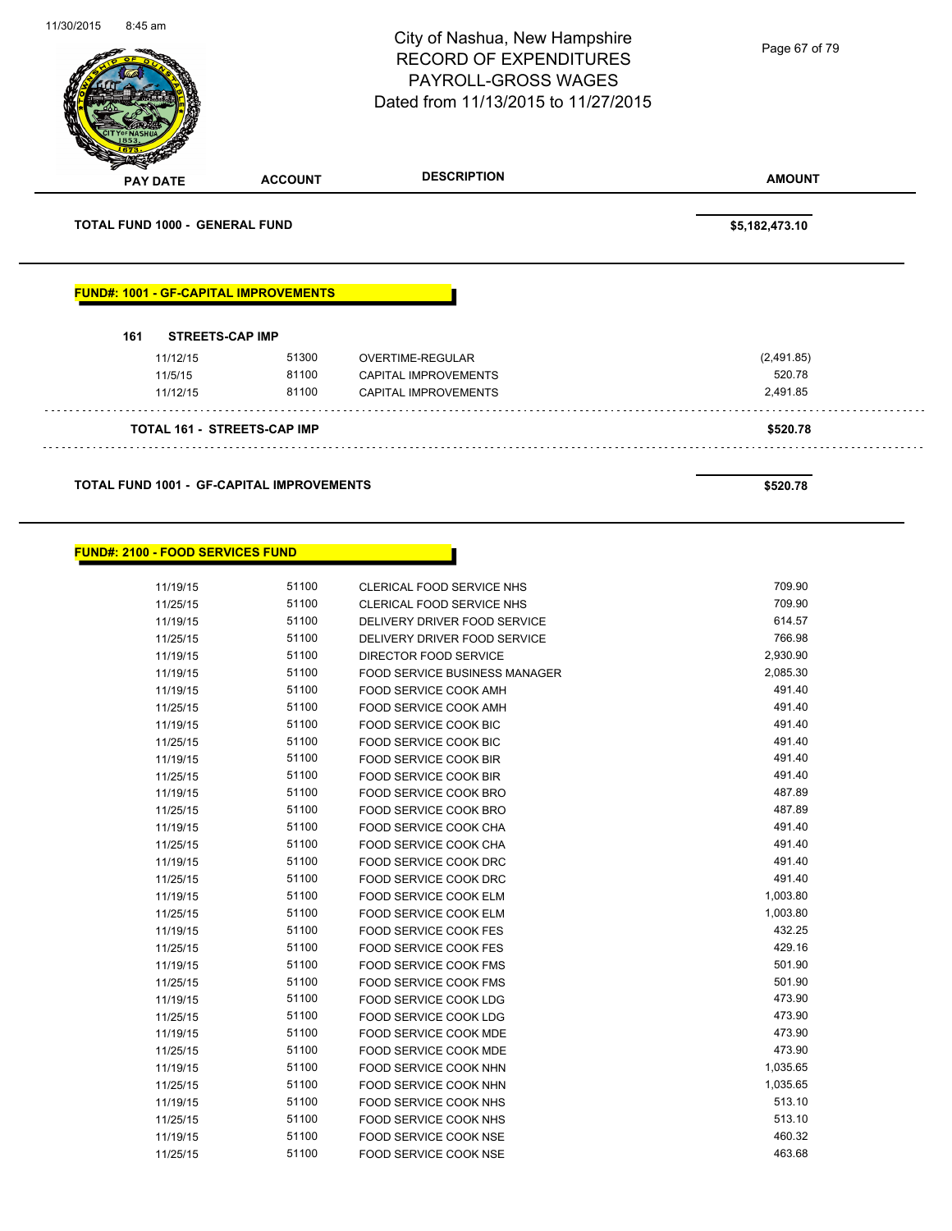|     |                                       |                                              | City of Nashua, New Hampshire<br><b>RECORD OF EXPENDITURES</b><br>PAYROLL-GROSS WAGES<br>Dated from 11/13/2015 to 11/27/2015 | Page 67 of 79  |
|-----|---------------------------------------|----------------------------------------------|------------------------------------------------------------------------------------------------------------------------------|----------------|
|     | <b>PAY DATE</b>                       | <b>ACCOUNT</b>                               | <b>DESCRIPTION</b>                                                                                                           | <b>AMOUNT</b>  |
|     | <b>TOTAL FUND 1000 - GENERAL FUND</b> |                                              |                                                                                                                              | \$5,182,473.10 |
|     |                                       |                                              |                                                                                                                              |                |
| 161 | <b>STREETS-CAP IMP</b>                | <b>FUND#: 1001 - GF-CAPITAL IMPROVEMENTS</b> |                                                                                                                              |                |
|     | 11/12/15                              | 51300                                        | OVERTIME-REGULAR                                                                                                             | (2,491.85)     |
|     | 11/5/15                               | 81100                                        | <b>CAPITAL IMPROVEMENTS</b>                                                                                                  | 520.78         |
|     | 11/12/15                              | 81100                                        | <b>CAPITAL IMPROVEMENTS</b>                                                                                                  | 2,491.85       |
|     |                                       | <b>TOTAL 161 - STREETS-CAP IMP</b>           |                                                                                                                              | \$520.78       |

| 11/19/15 | 51100 | <b>CLERICAL FOOD SERVICE NHS</b>     | 709.90   |
|----------|-------|--------------------------------------|----------|
| 11/25/15 | 51100 | <b>CLERICAL FOOD SERVICE NHS</b>     | 709.90   |
| 11/19/15 | 51100 | DELIVERY DRIVER FOOD SERVICE         | 614.57   |
| 11/25/15 | 51100 | DELIVERY DRIVER FOOD SERVICE         | 766.98   |
| 11/19/15 | 51100 | <b>DIRECTOR FOOD SERVICE</b>         | 2,930.90 |
| 11/19/15 | 51100 | <b>FOOD SERVICE BUSINESS MANAGER</b> | 2,085.30 |
| 11/19/15 | 51100 | FOOD SERVICE COOK AMH                | 491.40   |
| 11/25/15 | 51100 | FOOD SERVICE COOK AMH                | 491.40   |
| 11/19/15 | 51100 | <b>FOOD SERVICE COOK BIC</b>         | 491.40   |
| 11/25/15 | 51100 | FOOD SERVICE COOK BIC                | 491.40   |
| 11/19/15 | 51100 | <b>FOOD SERVICE COOK BIR</b>         | 491.40   |
| 11/25/15 | 51100 | <b>FOOD SERVICE COOK BIR</b>         | 491.40   |
| 11/19/15 | 51100 | <b>FOOD SERVICE COOK BRO</b>         | 487.89   |
| 11/25/15 | 51100 | <b>FOOD SERVICE COOK BRO</b>         | 487.89   |
| 11/19/15 | 51100 | FOOD SERVICE COOK CHA                | 491.40   |
| 11/25/15 | 51100 | <b>FOOD SERVICE COOK CHA</b>         | 491.40   |
| 11/19/15 | 51100 | FOOD SERVICE COOK DRC                | 491.40   |
| 11/25/15 | 51100 | <b>FOOD SERVICE COOK DRC</b>         | 491.40   |
| 11/19/15 | 51100 | <b>FOOD SERVICE COOK ELM</b>         | 1,003.80 |
| 11/25/15 | 51100 | <b>FOOD SERVICE COOK ELM</b>         | 1,003.80 |
| 11/19/15 | 51100 | <b>FOOD SERVICE COOK FES</b>         | 432.25   |
| 11/25/15 | 51100 | <b>FOOD SERVICE COOK FES</b>         | 429.16   |
| 11/19/15 | 51100 | FOOD SERVICE COOK FMS                | 501.90   |
| 11/25/15 | 51100 | <b>FOOD SERVICE COOK FMS</b>         | 501.90   |
| 11/19/15 | 51100 | <b>FOOD SERVICE COOK LDG</b>         | 473.90   |
| 11/25/15 | 51100 | <b>FOOD SERVICE COOK LDG</b>         | 473.90   |
| 11/19/15 | 51100 | <b>FOOD SERVICE COOK MDE</b>         | 473.90   |
| 11/25/15 | 51100 | <b>FOOD SERVICE COOK MDE</b>         | 473.90   |
| 11/19/15 | 51100 | <b>FOOD SERVICE COOK NHN</b>         | 1,035.65 |
| 11/25/15 | 51100 | FOOD SERVICE COOK NHN                | 1,035.65 |
| 11/19/15 | 51100 | <b>FOOD SERVICE COOK NHS</b>         | 513.10   |
| 11/25/15 | 51100 | <b>FOOD SERVICE COOK NHS</b>         | 513.10   |
| 11/19/15 | 51100 | <b>FOOD SERVICE COOK NSE</b>         | 460.32   |
| 11/25/15 | 51100 | <b>FOOD SERVICE COOK NSE</b>         | 463.68   |
|          |       |                                      |          |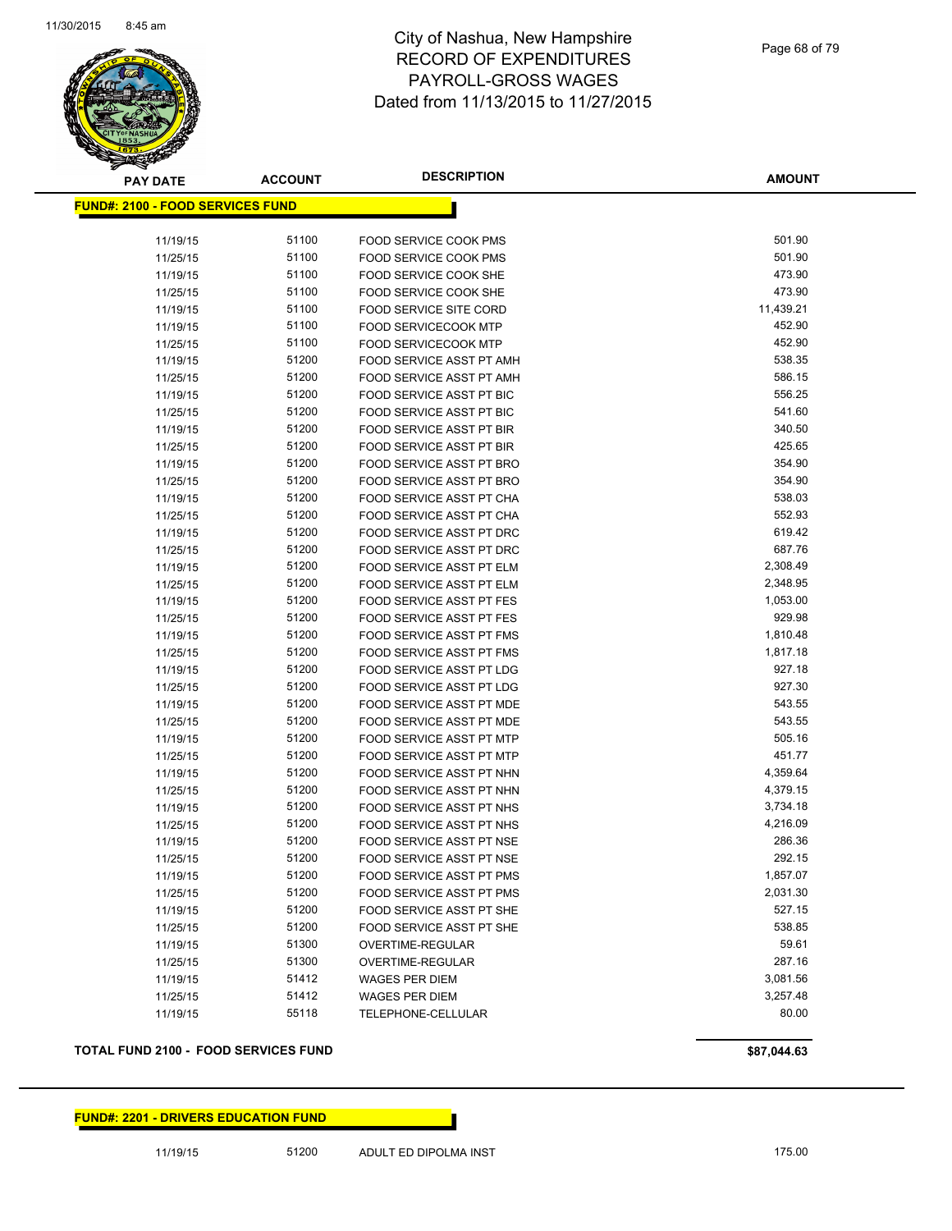

**AMOUNT**

| <u> FUND#: 2100 - FOOD SERVICES FUND</u> |       |                                 |           |
|------------------------------------------|-------|---------------------------------|-----------|
| 11/19/15                                 | 51100 | FOOD SERVICE COOK PMS           | 501.90    |
| 11/25/15                                 | 51100 | <b>FOOD SERVICE COOK PMS</b>    | 501.90    |
| 11/19/15                                 | 51100 | <b>FOOD SERVICE COOK SHE</b>    | 473.90    |
| 11/25/15                                 | 51100 | <b>FOOD SERVICE COOK SHE</b>    | 473.90    |
| 11/19/15                                 | 51100 | <b>FOOD SERVICE SITE CORD</b>   | 11,439.21 |
| 11/19/15                                 | 51100 | <b>FOOD SERVICECOOK MTP</b>     | 452.90    |
| 11/25/15                                 | 51100 | <b>FOOD SERVICECOOK MTP</b>     | 452.90    |
| 11/19/15                                 | 51200 | FOOD SERVICE ASST PT AMH        | 538.35    |
| 11/25/15                                 | 51200 | FOOD SERVICE ASST PT AMH        | 586.15    |
| 11/19/15                                 | 51200 | FOOD SERVICE ASST PT BIC        | 556.25    |
| 11/25/15                                 | 51200 | FOOD SERVICE ASST PT BIC        | 541.60    |
| 11/19/15                                 | 51200 | FOOD SERVICE ASST PT BIR        | 340.50    |
| 11/25/15                                 | 51200 | FOOD SERVICE ASST PT BIR        | 425.65    |
| 11/19/15                                 | 51200 | FOOD SERVICE ASST PT BRO        | 354.90    |
| 11/25/15                                 | 51200 | FOOD SERVICE ASST PT BRO        | 354.90    |
| 11/19/15                                 | 51200 | FOOD SERVICE ASST PT CHA        | 538.03    |
| 11/25/15                                 | 51200 | FOOD SERVICE ASST PT CHA        | 552.93    |
| 11/19/15                                 | 51200 | FOOD SERVICE ASST PT DRC        | 619.42    |
| 11/25/15                                 | 51200 | FOOD SERVICE ASST PT DRC        | 687.76    |
| 11/19/15                                 | 51200 | FOOD SERVICE ASST PT ELM        | 2,308.49  |
| 11/25/15                                 | 51200 | FOOD SERVICE ASST PT ELM        | 2,348.95  |
| 11/19/15                                 | 51200 | <b>FOOD SERVICE ASST PT FES</b> | 1,053.00  |
| 11/25/15                                 | 51200 | <b>FOOD SERVICE ASST PT FES</b> | 929.98    |
| 11/19/15                                 | 51200 | FOOD SERVICE ASST PT FMS        | 1,810.48  |
| 11/25/15                                 | 51200 | FOOD SERVICE ASST PT FMS        | 1,817.18  |
| 11/19/15                                 | 51200 | FOOD SERVICE ASST PT LDG        | 927.18    |
| 11/25/15                                 | 51200 | FOOD SERVICE ASST PT LDG        | 927.30    |
| 11/19/15                                 | 51200 | FOOD SERVICE ASST PT MDE        | 543.55    |
| 11/25/15                                 | 51200 | FOOD SERVICE ASST PT MDE        | 543.55    |
| 11/19/15                                 | 51200 | FOOD SERVICE ASST PT MTP        | 505.16    |
| 11/25/15                                 | 51200 | FOOD SERVICE ASST PT MTP        | 451.77    |
| 11/19/15                                 | 51200 | FOOD SERVICE ASST PT NHN        | 4,359.64  |
| 11/25/15                                 | 51200 | FOOD SERVICE ASST PT NHN        | 4,379.15  |
| 11/19/15                                 | 51200 | FOOD SERVICE ASST PT NHS        | 3,734.18  |
| 11/25/15                                 | 51200 | FOOD SERVICE ASST PT NHS        | 4,216.09  |
| 11/19/15                                 | 51200 | FOOD SERVICE ASST PT NSE        | 286.36    |
| 11/25/15                                 | 51200 | FOOD SERVICE ASST PT NSE        | 292.15    |
| 11/19/15                                 | 51200 | <b>FOOD SERVICE ASST PT PMS</b> | 1,857.07  |
| 11/25/15                                 | 51200 | FOOD SERVICE ASST PT PMS        | 2,031.30  |
| 11/19/15                                 | 51200 | FOOD SERVICE ASST PT SHE        | 527.15    |
| 11/25/15                                 | 51200 | FOOD SERVICE ASST PT SHE        | 538.85    |
| 11/19/15                                 | 51300 | OVERTIME-REGULAR                | 59.61     |
| 11/25/15                                 | 51300 | <b>OVERTIME-REGULAR</b>         | 287.16    |
| 11/19/15                                 | 51412 | <b>WAGES PER DIEM</b>           | 3,081.56  |
| 11/25/15                                 | 51412 | <b>WAGES PER DIEM</b>           | 3,257.48  |
| 11/19/15                                 | 55118 | TELEPHONE-CELLULAR              | 80.00     |
|                                          |       |                                 |           |

#### **TOTAL FUND 2100 - FOOD SERVICES FUND \$87,044.63**

#### **FUND#: 2201 - DRIVERS EDUCATION FUND**

11/19/15 51200 ADULT ED DIPOLMA INST 175.00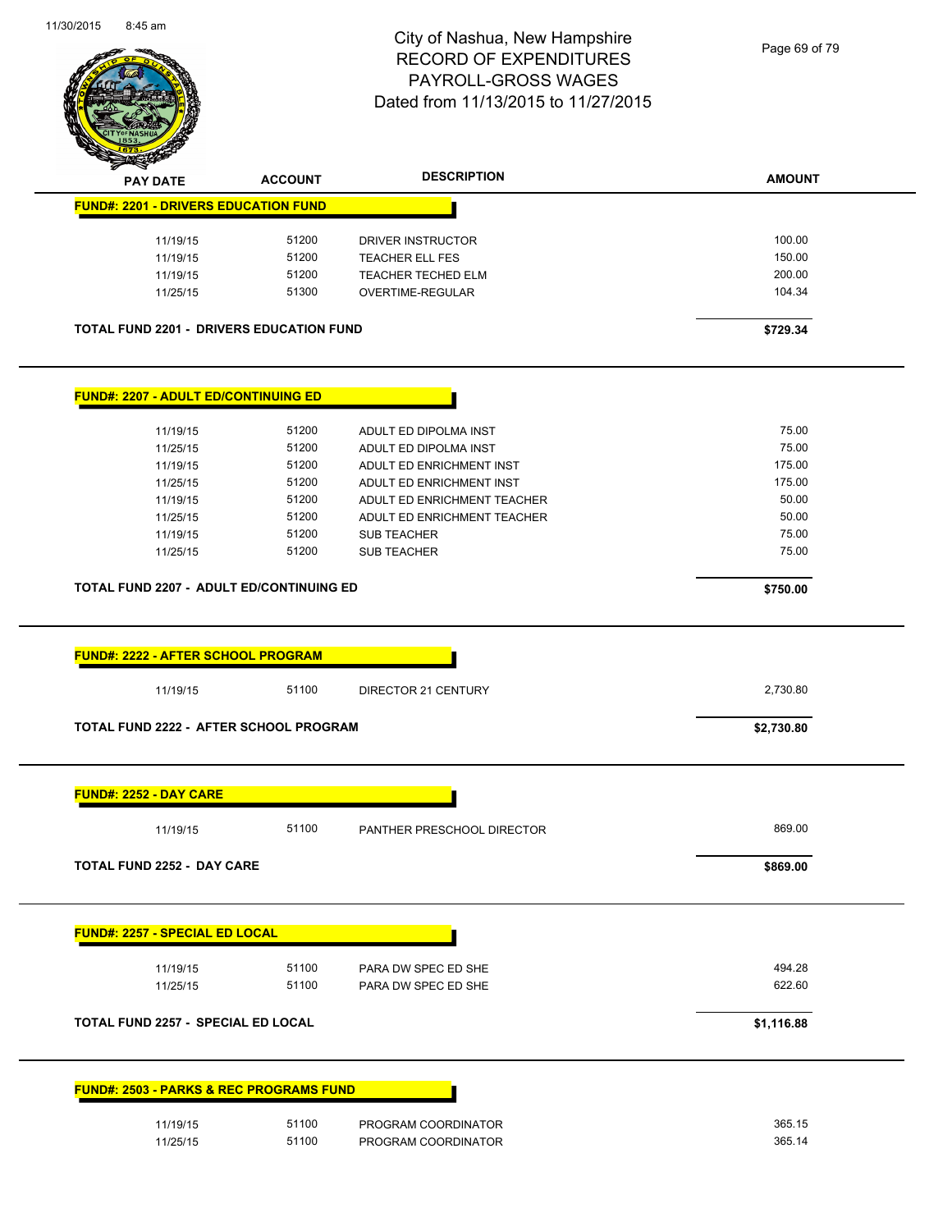

| <b>PAY DATE</b>                                                                                                                                                                                                                                                                                                          | <b>ACCOUNT</b> | <b>DESCRIPTION</b>          | <b>AMOUNT</b> |
|--------------------------------------------------------------------------------------------------------------------------------------------------------------------------------------------------------------------------------------------------------------------------------------------------------------------------|----------------|-----------------------------|---------------|
| <b>FUND#: 2201 - DRIVERS EDUCATION FUND</b>                                                                                                                                                                                                                                                                              |                |                             |               |
| 11/19/15                                                                                                                                                                                                                                                                                                                 | 51200          | DRIVER INSTRUCTOR           | 100.00        |
| 11/19/15                                                                                                                                                                                                                                                                                                                 | 51200          | <b>TEACHER ELL FES</b>      | 150.00        |
| 11/19/15                                                                                                                                                                                                                                                                                                                 | 51200          | TEACHER TECHED ELM          | 200.00        |
| 11/25/15                                                                                                                                                                                                                                                                                                                 | 51300          | OVERTIME-REGULAR            | 104.34        |
| <b>TOTAL FUND 2201 - DRIVERS EDUCATION FUND</b>                                                                                                                                                                                                                                                                          |                |                             | \$729.34      |
| <b>FUND#: 2207 - ADULT ED/CONTINUING ED</b>                                                                                                                                                                                                                                                                              |                |                             |               |
| 11/19/15                                                                                                                                                                                                                                                                                                                 | 51200          | ADULT ED DIPOLMA INST       | 75.00         |
| 11/25/15                                                                                                                                                                                                                                                                                                                 | 51200          | ADULT ED DIPOLMA INST       | 75.00         |
| 11/19/15                                                                                                                                                                                                                                                                                                                 | 51200          | ADULT ED ENRICHMENT INST    | 175.00        |
| 11/25/15                                                                                                                                                                                                                                                                                                                 | 51200          | ADULT ED ENRICHMENT INST    | 175.00        |
| 11/19/15                                                                                                                                                                                                                                                                                                                 | 51200          | ADULT ED ENRICHMENT TEACHER | 50.00         |
| 11/25/15                                                                                                                                                                                                                                                                                                                 | 51200          | ADULT ED ENRICHMENT TEACHER | 50.00         |
| 11/19/15                                                                                                                                                                                                                                                                                                                 | 51200          | <b>SUB TEACHER</b>          | 75.00         |
| 11/25/15                                                                                                                                                                                                                                                                                                                 | 51200          | <b>SUB TEACHER</b>          | 75.00         |
| <b>TOTAL FUND 2207 - ADULT ED/CONTINUING ED</b>                                                                                                                                                                                                                                                                          |                |                             | \$750.00      |
|                                                                                                                                                                                                                                                                                                                          |                |                             |               |
|                                                                                                                                                                                                                                                                                                                          |                |                             |               |
| 11/19/15                                                                                                                                                                                                                                                                                                                 | 51100          | DIRECTOR 21 CENTURY         | 2,730.80      |
|                                                                                                                                                                                                                                                                                                                          |                |                             | \$2,730.80    |
|                                                                                                                                                                                                                                                                                                                          |                |                             |               |
| 11/19/15                                                                                                                                                                                                                                                                                                                 | 51100          | PANTHER PRESCHOOL DIRECTOR  | 869.00        |
|                                                                                                                                                                                                                                                                                                                          |                |                             | \$869.00      |
|                                                                                                                                                                                                                                                                                                                          |                |                             |               |
| 11/19/15                                                                                                                                                                                                                                                                                                                 | 51100          | PARA DW SPEC ED SHE         | 494.28        |
| 11/25/15                                                                                                                                                                                                                                                                                                                 | 51100          | PARA DW SPEC ED SHE         | 622.60        |
|                                                                                                                                                                                                                                                                                                                          |                |                             | \$1,116.88    |
|                                                                                                                                                                                                                                                                                                                          |                |                             |               |
| <b>FUND#: 2222 - AFTER SCHOOL PROGRAM</b><br><b>TOTAL FUND 2222 - AFTER SCHOOL PROGRAM</b><br><b>FUND#: 2252 - DAY CARE</b><br><b>TOTAL FUND 2252 - DAY CARE</b><br><b>FUND#: 2257 - SPECIAL ED LOCAL</b><br><b>TOTAL FUND 2257 - SPECIAL ED LOCAL</b><br><b>FUND#: 2503 - PARKS &amp; REC PROGRAMS FUND</b><br>11/19/15 | 51100          | PROGRAM COORDINATOR         | 365.15        |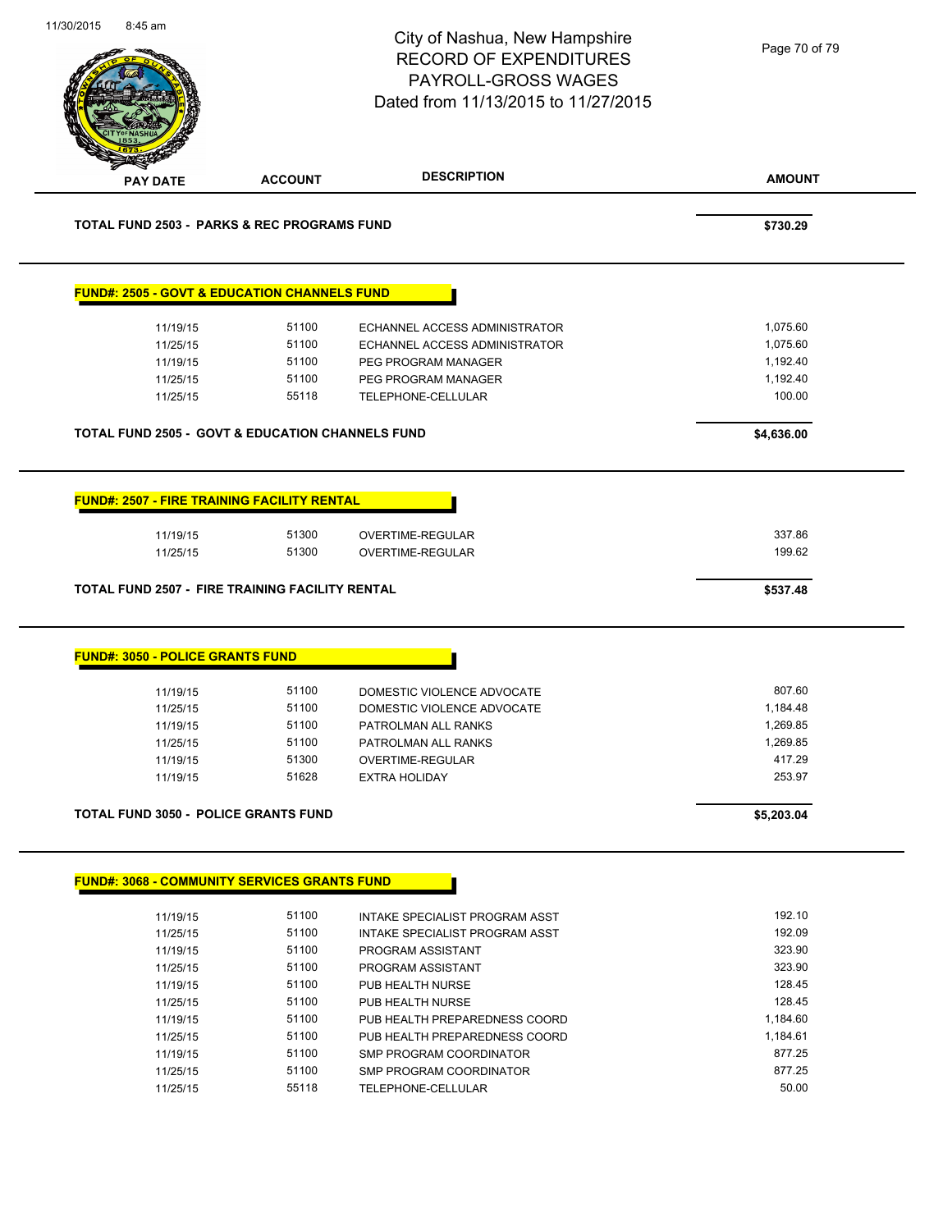|                                         |                                                                          | City of Nashua, New Hampshire<br><b>RECORD OF EXPENDITURES</b><br>PAYROLL-GROSS WAGES<br>Dated from 11/13/2015 to 11/27/2015 | Page 70 of 79                |
|-----------------------------------------|--------------------------------------------------------------------------|------------------------------------------------------------------------------------------------------------------------------|------------------------------|
| <b>PAY DATE</b>                         | <b>ACCOUNT</b>                                                           | <b>DESCRIPTION</b>                                                                                                           | <b>AMOUNT</b>                |
|                                         | <b>TOTAL FUND 2503 - PARKS &amp; REC PROGRAMS FUND</b>                   |                                                                                                                              | \$730.29                     |
|                                         | <b>FUND#: 2505 - GOVT &amp; EDUCATION CHANNELS FUND</b>                  |                                                                                                                              |                              |
| 11/19/15                                | 51100                                                                    | ECHANNEL ACCESS ADMINISTRATOR                                                                                                | 1,075.60                     |
| 11/25/15                                | 51100                                                                    | ECHANNEL ACCESS ADMINISTRATOR                                                                                                | 1,075.60                     |
| 11/19/15                                | 51100                                                                    | PEG PROGRAM MANAGER                                                                                                          | 1,192.40                     |
| 11/25/15                                | 51100                                                                    | PEG PROGRAM MANAGER                                                                                                          | 1,192.40                     |
| 11/25/15                                | 55118                                                                    | TELEPHONE-CELLULAR                                                                                                           | 100.00                       |
|                                         | <b>TOTAL FUND 2505 - GOVT &amp; EDUCATION CHANNELS FUND</b>              |                                                                                                                              | \$4,636.00                   |
|                                         |                                                                          |                                                                                                                              |                              |
| 11/19/15<br>11/25/15                    | 51300<br>51300<br><b>TOTAL FUND 2507 - FIRE TRAINING FACILITY RENTAL</b> | OVERTIME-REGULAR<br>OVERTIME-REGULAR                                                                                         | 337.86<br>199.62<br>\$537.48 |
| <b>FUND#: 3050 - POLICE GRANTS FUND</b> |                                                                          |                                                                                                                              |                              |
| 11/19/15                                | 51100                                                                    | DOMESTIC VIOLENCE ADVOCATE                                                                                                   | 807.60                       |
| 11/25/15                                | 51100                                                                    | DOMESTIC VIOLENCE ADVOCATE                                                                                                   | 1,184.48                     |
| 11/19/15                                | 51100                                                                    | PATROLMAN ALL RANKS                                                                                                          | 1,269.85                     |
| 11/25/15                                | 51100                                                                    | PATROLMAN ALL RANKS                                                                                                          | 1,269.85                     |
| 11/19/15                                | 51300                                                                    | <b>OVERTIME-REGULAR</b>                                                                                                      | 417.29                       |
| 11/19/15                                | 51628                                                                    | <b>EXTRA HOLIDAY</b>                                                                                                         | 253.97                       |
|                                         | <b>TOTAL FUND 3050 - POLICE GRANTS FUND</b>                              |                                                                                                                              | \$5,203.04                   |
|                                         | <b>FUND#: 3068 - COMMUNITY SERVICES GRANTS FUND</b>                      |                                                                                                                              |                              |
|                                         |                                                                          |                                                                                                                              |                              |
| 11/19/15                                | 51100                                                                    | INTAKE SPECIALIST PROGRAM ASST                                                                                               | 192.10                       |
| 11/25/15                                | 51100                                                                    | INTAKE SPECIALIST PROGRAM ASST                                                                                               | 192.09                       |
| 11/19/15                                | 51100                                                                    | PROGRAM ASSISTANT                                                                                                            | 323.90                       |
| 11/25/15                                | 51100                                                                    | PROGRAM ASSISTANT                                                                                                            | 323.90                       |
| 11/19/15                                | 51100                                                                    | PUB HEALTH NURSE                                                                                                             | 128.45                       |
| 11/25/15                                | 51100                                                                    | PUB HEALTH NURSE                                                                                                             | 128.45                       |
| 11/19/15                                | 51100                                                                    | PUB HEALTH PREPAREDNESS COORD                                                                                                | 1,184.60                     |
| 11/25/15                                | 51100                                                                    | PUB HEALTH PREPAREDNESS COORD                                                                                                | 1,184.61                     |
| 11/19/15<br>11/25/15                    | 51100<br>51100                                                           | SMP PROGRAM COORDINATOR<br>SMP PROGRAM COORDINATOR                                                                           | 877.25<br>877.25             |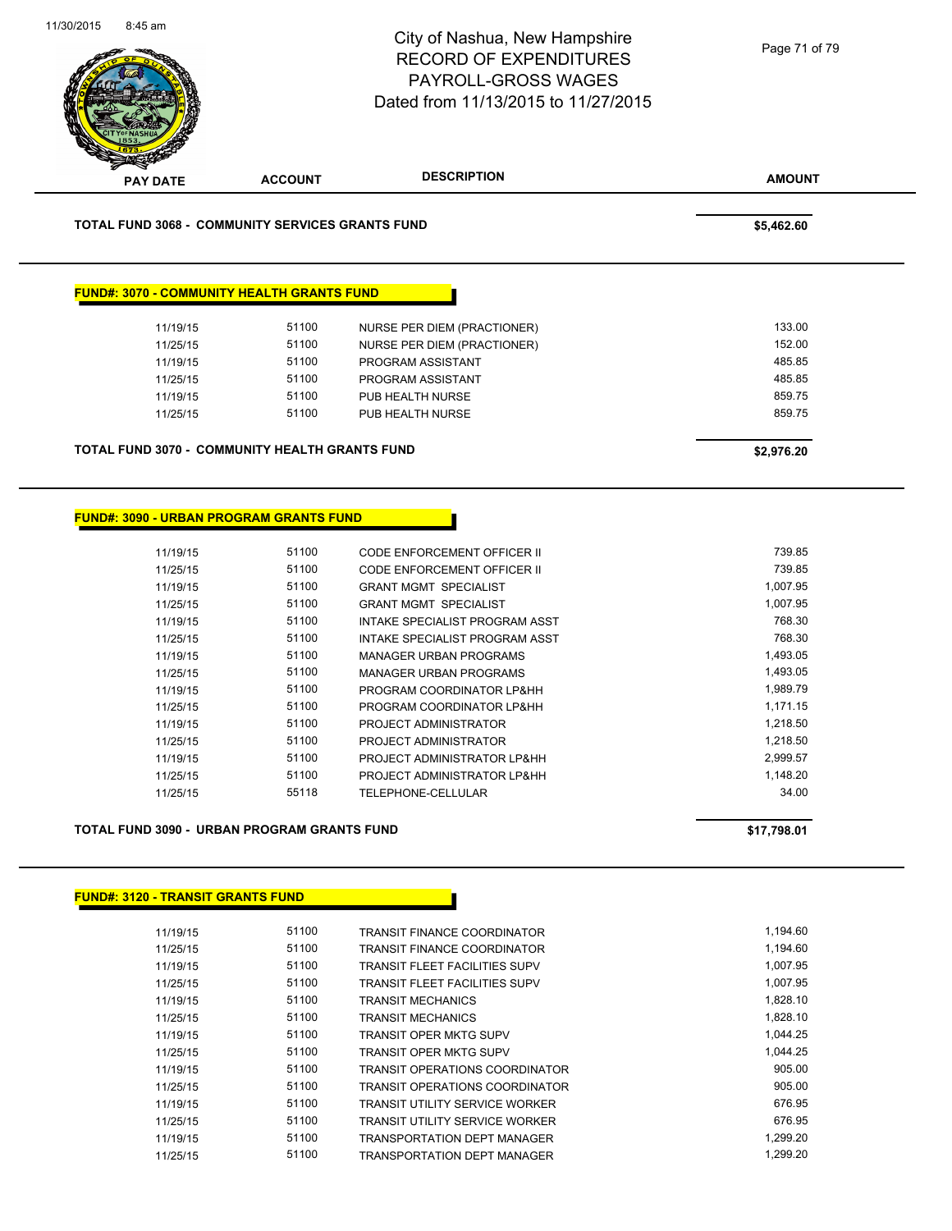

| 11/19/15 | 51100 | <b>TRANSIT FINANCE COORDINATOR</b>    | 1,194.60 |
|----------|-------|---------------------------------------|----------|
| 11/25/15 | 51100 | <b>TRANSIT FINANCE COORDINATOR</b>    | 1,194.60 |
| 11/19/15 | 51100 | <b>TRANSIT FLEET FACILITIES SUPV</b>  | 1,007.95 |
| 11/25/15 | 51100 | <b>TRANSIT FLEET FACILITIES SUPV</b>  | 1.007.95 |
| 11/19/15 | 51100 | <b>TRANSIT MECHANICS</b>              | 1.828.10 |
| 11/25/15 | 51100 | <b>TRANSIT MECHANICS</b>              | 1,828.10 |
| 11/19/15 | 51100 | <b>TRANSIT OPER MKTG SUPV</b>         | 1.044.25 |
| 11/25/15 | 51100 | <b>TRANSIT OPER MKTG SUPV</b>         | 1.044.25 |
| 11/19/15 | 51100 | <b>TRANSIT OPERATIONS COORDINATOR</b> | 905.00   |
| 11/25/15 | 51100 | <b>TRANSIT OPERATIONS COORDINATOR</b> | 905.00   |
| 11/19/15 | 51100 | <b>TRANSIT UTILITY SERVICE WORKER</b> | 676.95   |
| 11/25/15 | 51100 | TRANSIT UTILITY SERVICE WORKER        | 676.95   |
| 11/19/15 | 51100 | <b>TRANSPORTATION DEPT MANAGER</b>    | 1,299.20 |
| 11/25/15 | 51100 | <b>TRANSPORTATION DEPT MANAGER</b>    | 1.299.20 |
|          |       |                                       |          |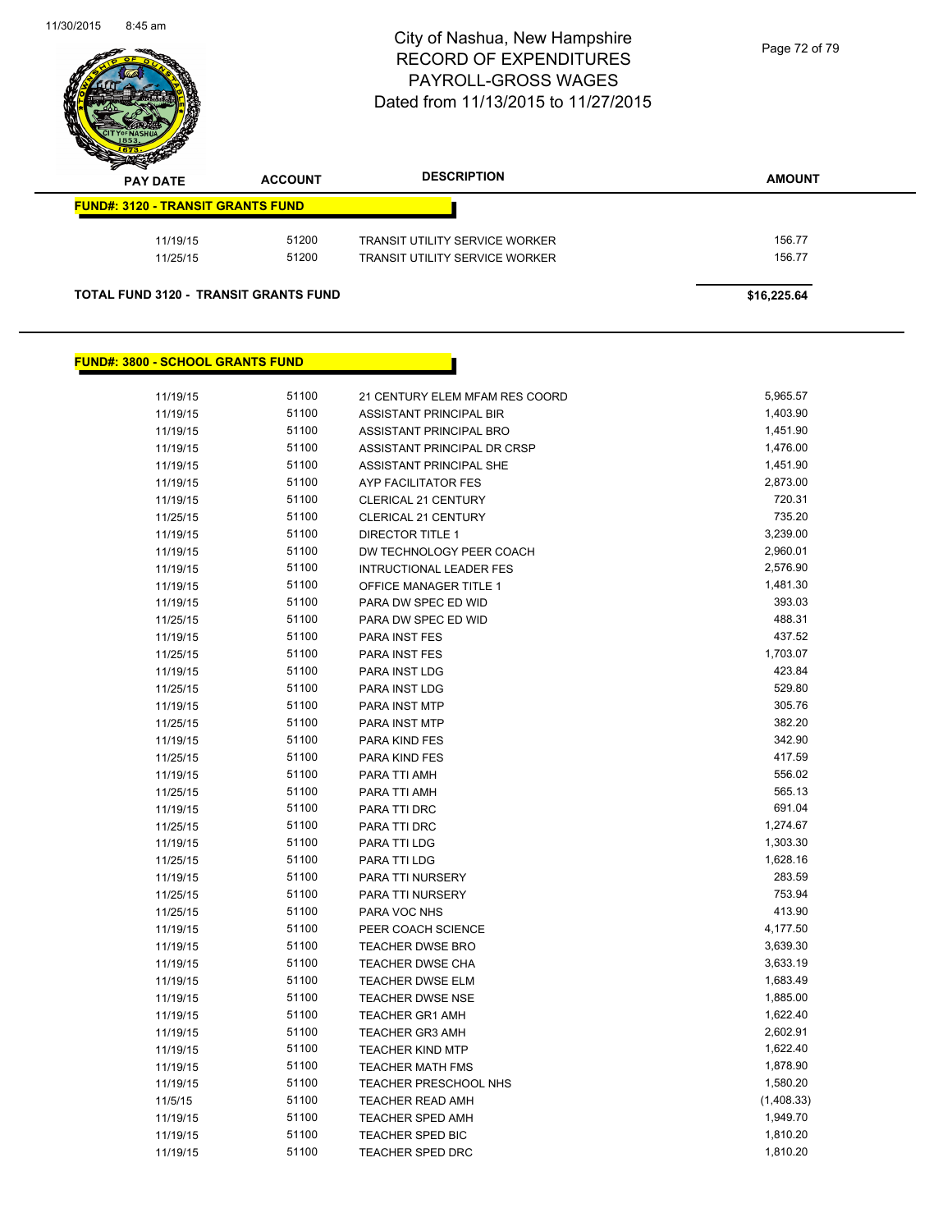

| <b>PERSONAL PROPERTY</b><br><b>PAY DATE</b> | <b>ACCOUNT</b> | <b>DESCRIPTION</b>                    | <b>AMOUNT</b> |
|---------------------------------------------|----------------|---------------------------------------|---------------|
| <b>FUND#: 3120 - TRANSIT GRANTS FUND</b>    |                |                                       |               |
| 11/19/15                                    | 51200          | <b>TRANSIT UTILITY SERVICE WORKER</b> | 156.77        |
| 11/25/15                                    | 51200          | TRANSIT UTILITY SERVICE WORKER        | 156.77        |

#### **FUND#: 3800 - SCHOOL GRANTS FUND**

| 11/19/15 | 51100 | 21 CENTURY ELEM MFAM RES COORD | 5,965.57   |
|----------|-------|--------------------------------|------------|
| 11/19/15 | 51100 | <b>ASSISTANT PRINCIPAL BIR</b> | 1,403.90   |
| 11/19/15 | 51100 | ASSISTANT PRINCIPAL BRO        | 1,451.90   |
| 11/19/15 | 51100 | ASSISTANT PRINCIPAL DR CRSP    | 1,476.00   |
| 11/19/15 | 51100 | ASSISTANT PRINCIPAL SHE        | 1,451.90   |
| 11/19/15 | 51100 | AYP FACILITATOR FES            | 2,873.00   |
| 11/19/15 | 51100 | CLERICAL 21 CENTURY            | 720.31     |
| 11/25/15 | 51100 | CLERICAL 21 CENTURY            | 735.20     |
| 11/19/15 | 51100 | <b>DIRECTOR TITLE 1</b>        | 3,239.00   |
| 11/19/15 | 51100 | DW TECHNOLOGY PEER COACH       | 2,960.01   |
| 11/19/15 | 51100 | <b>INTRUCTIONAL LEADER FES</b> | 2,576.90   |
| 11/19/15 | 51100 | OFFICE MANAGER TITLE 1         | 1,481.30   |
| 11/19/15 | 51100 | PARA DW SPEC ED WID            | 393.03     |
| 11/25/15 | 51100 | PARA DW SPEC ED WID            | 488.31     |
| 11/19/15 | 51100 | PARA INST FES                  | 437.52     |
| 11/25/15 | 51100 | PARA INST FES                  | 1,703.07   |
| 11/19/15 | 51100 | PARA INST LDG                  | 423.84     |
| 11/25/15 | 51100 | PARA INST LDG                  | 529.80     |
| 11/19/15 | 51100 | PARA INST MTP                  | 305.76     |
| 11/25/15 | 51100 | PARA INST MTP                  | 382.20     |
| 11/19/15 | 51100 | PARA KIND FES                  | 342.90     |
| 11/25/15 | 51100 | PARA KIND FES                  | 417.59     |
| 11/19/15 | 51100 | PARA TTI AMH                   | 556.02     |
| 11/25/15 | 51100 | PARA TTI AMH                   | 565.13     |
| 11/19/15 | 51100 | PARA TTI DRC                   | 691.04     |
| 11/25/15 | 51100 | PARA TTI DRC                   | 1,274.67   |
| 11/19/15 | 51100 | PARA TTI LDG                   | 1,303.30   |
| 11/25/15 | 51100 | PARA TTI LDG                   | 1,628.16   |
| 11/19/15 | 51100 | PARA TTI NURSERY               | 283.59     |
| 11/25/15 | 51100 | PARA TTI NURSERY               | 753.94     |
| 11/25/15 | 51100 | PARA VOC NHS                   | 413.90     |
| 11/19/15 | 51100 | PEER COACH SCIENCE             | 4,177.50   |
| 11/19/15 | 51100 | <b>TEACHER DWSE BRO</b>        | 3,639.30   |
| 11/19/15 | 51100 | <b>TEACHER DWSE CHA</b>        | 3,633.19   |
| 11/19/15 | 51100 | <b>TEACHER DWSE ELM</b>        | 1,683.49   |
| 11/19/15 | 51100 | <b>TEACHER DWSE NSE</b>        | 1,885.00   |
| 11/19/15 | 51100 | <b>TEACHER GR1 AMH</b>         | 1,622.40   |
| 11/19/15 | 51100 | <b>TEACHER GR3 AMH</b>         | 2,602.91   |
| 11/19/15 | 51100 | <b>TEACHER KIND MTP</b>        | 1,622.40   |
| 11/19/15 | 51100 | <b>TEACHER MATH FMS</b>        | 1,878.90   |
| 11/19/15 | 51100 | TEACHER PRESCHOOL NHS          | 1,580.20   |
| 11/5/15  | 51100 | <b>TEACHER READ AMH</b>        | (1,408.33) |
| 11/19/15 | 51100 | <b>TEACHER SPED AMH</b>        | 1,949.70   |
| 11/19/15 | 51100 | <b>TEACHER SPED BIC</b>        | 1,810.20   |
| 11/19/15 | 51100 | <b>TEACHER SPED DRC</b>        | 1,810.20   |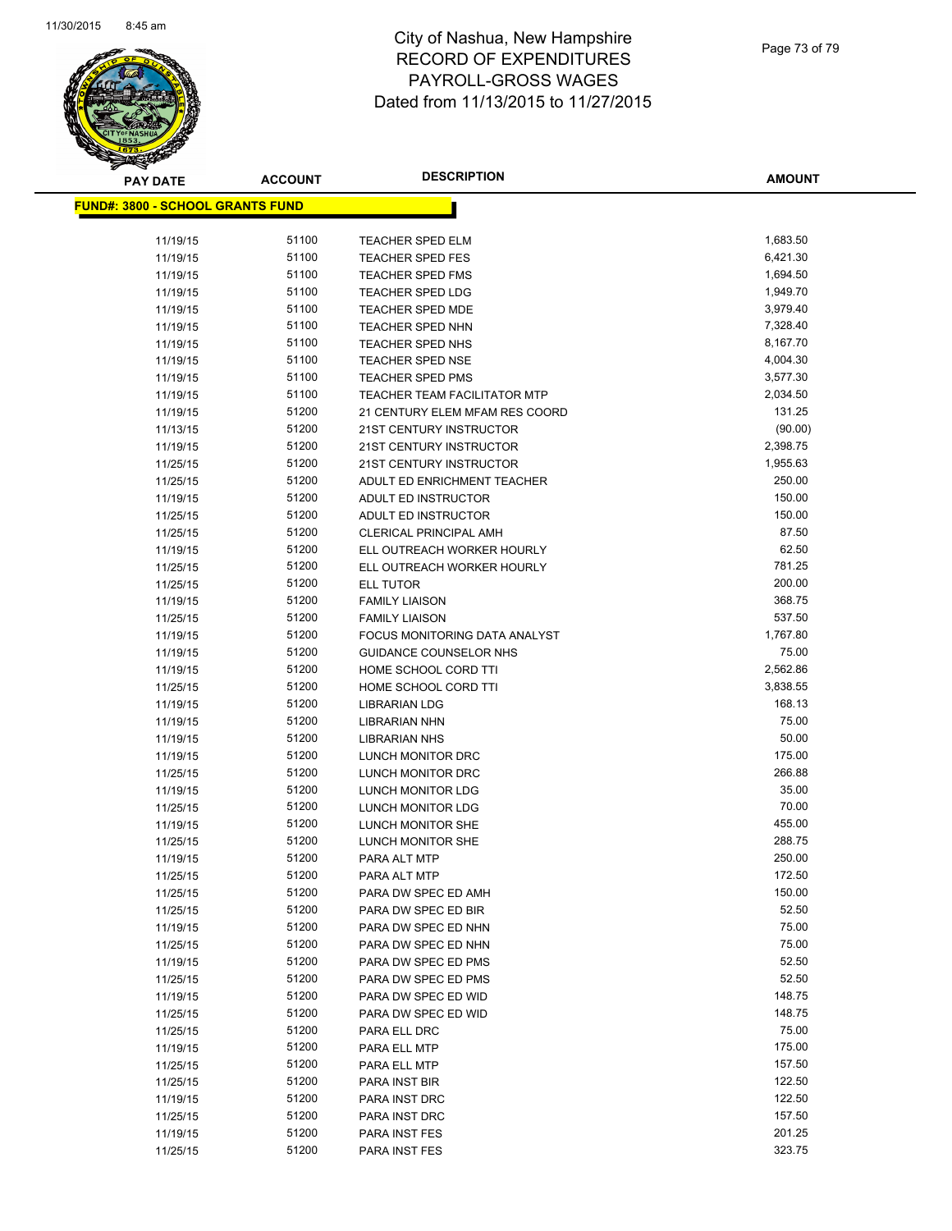

| <b>PAY DATE</b>                          | <b>ACCOUNT</b> | <b>DESCRIPTION</b>                         | <b>AMOUNT</b>   |
|------------------------------------------|----------------|--------------------------------------------|-----------------|
| <u> FUND#: 3800 - SCHOOL GRANTS FUND</u> |                |                                            |                 |
|                                          |                |                                            |                 |
| 11/19/15                                 | 51100          | TEACHER SPED ELM                           | 1,683.50        |
| 11/19/15                                 | 51100          | TEACHER SPED FES                           | 6,421.30        |
| 11/19/15                                 | 51100          | <b>TEACHER SPED FMS</b>                    | 1,694.50        |
| 11/19/15                                 | 51100          | <b>TEACHER SPED LDG</b>                    | 1,949.70        |
| 11/19/15                                 | 51100          | <b>TEACHER SPED MDE</b>                    | 3,979.40        |
| 11/19/15                                 | 51100          | <b>TEACHER SPED NHN</b>                    | 7,328.40        |
| 11/19/15                                 | 51100          | TEACHER SPED NHS                           | 8,167.70        |
| 11/19/15                                 | 51100          | <b>TEACHER SPED NSE</b>                    | 4,004.30        |
| 11/19/15                                 | 51100          | <b>TEACHER SPED PMS</b>                    | 3,577.30        |
| 11/19/15                                 | 51100          | TEACHER TEAM FACILITATOR MTP               | 2,034.50        |
| 11/19/15                                 | 51200          | 21 CENTURY ELEM MFAM RES COORD             | 131.25          |
| 11/13/15                                 | 51200          | 21ST CENTURY INSTRUCTOR                    | (90.00)         |
| 11/19/15                                 | 51200          | 21ST CENTURY INSTRUCTOR                    | 2,398.75        |
| 11/25/15                                 | 51200          | 21ST CENTURY INSTRUCTOR                    | 1,955.63        |
| 11/25/15                                 | 51200          | ADULT ED ENRICHMENT TEACHER                | 250.00          |
| 11/19/15                                 | 51200          | ADULT ED INSTRUCTOR                        | 150.00          |
| 11/25/15                                 | 51200          | <b>ADULT ED INSTRUCTOR</b>                 | 150.00          |
| 11/25/15                                 | 51200          | <b>CLERICAL PRINCIPAL AMH</b>              | 87.50           |
| 11/19/15                                 | 51200          | ELL OUTREACH WORKER HOURLY                 | 62.50           |
| 11/25/15                                 | 51200          | ELL OUTREACH WORKER HOURLY                 | 781.25          |
| 11/25/15                                 | 51200          | <b>ELL TUTOR</b>                           | 200.00          |
| 11/19/15                                 | 51200          | <b>FAMILY LIAISON</b>                      | 368.75          |
| 11/25/15                                 | 51200          | <b>FAMILY LIAISON</b>                      | 537.50          |
| 11/19/15                                 | 51200          | FOCUS MONITORING DATA ANALYST              | 1,767.80        |
| 11/19/15                                 | 51200          | GUIDANCE COUNSELOR NHS                     | 75.00           |
| 11/19/15                                 | 51200          | HOME SCHOOL CORD TTI                       | 2,562.86        |
| 11/25/15                                 | 51200          | HOME SCHOOL CORD TTI                       | 3,838.55        |
| 11/19/15                                 | 51200          | <b>LIBRARIAN LDG</b>                       | 168.13          |
| 11/19/15                                 | 51200          | LIBRARIAN NHN                              | 75.00           |
| 11/19/15                                 | 51200          | <b>LIBRARIAN NHS</b>                       | 50.00           |
| 11/19/15                                 | 51200          | LUNCH MONITOR DRC                          | 175.00          |
| 11/25/15                                 | 51200          | LUNCH MONITOR DRC                          | 266.88          |
| 11/19/15                                 | 51200          | LUNCH MONITOR LDG                          | 35.00           |
| 11/25/15                                 | 51200          | LUNCH MONITOR LDG                          | 70.00           |
| 11/19/15                                 | 51200          | LUNCH MONITOR SHE                          | 455.00          |
| 11/25/15                                 | 51200          | LUNCH MONITOR SHE                          | 288.75          |
| 11/19/15                                 | 51200          | PARA ALT MTP                               | 250.00          |
| 11/25/15                                 | 51200          | PARA ALT MTP                               | 172.50          |
| 11/25/15                                 | 51200          | PARA DW SPEC ED AMH                        | 150.00<br>52.50 |
| 11/25/15                                 | 51200          | PARA DW SPEC ED BIR                        | 75.00           |
| 11/19/15                                 | 51200<br>51200 | PARA DW SPEC ED NHN<br>PARA DW SPEC ED NHN | 75.00           |
| 11/25/15                                 | 51200          |                                            | 52.50           |
| 11/19/15                                 | 51200          | PARA DW SPEC ED PMS                        | 52.50           |
| 11/25/15                                 | 51200          | PARA DW SPEC ED PMS                        | 148.75          |
| 11/19/15<br>11/25/15                     | 51200          | PARA DW SPEC ED WID<br>PARA DW SPEC ED WID | 148.75          |
| 11/25/15                                 | 51200          | PARA ELL DRC                               | 75.00           |
| 11/19/15                                 | 51200          | PARA ELL MTP                               | 175.00          |
| 11/25/15                                 | 51200          | PARA ELL MTP                               | 157.50          |
| 11/25/15                                 | 51200          | PARA INST BIR                              | 122.50          |
| 11/19/15                                 | 51200          | PARA INST DRC                              | 122.50          |
| 11/25/15                                 | 51200          | PARA INST DRC                              | 157.50          |
| 11/19/15                                 | 51200          | PARA INST FES                              | 201.25          |
| 11/25/15                                 | 51200          | PARA INST FES                              | 323.75          |
|                                          |                |                                            |                 |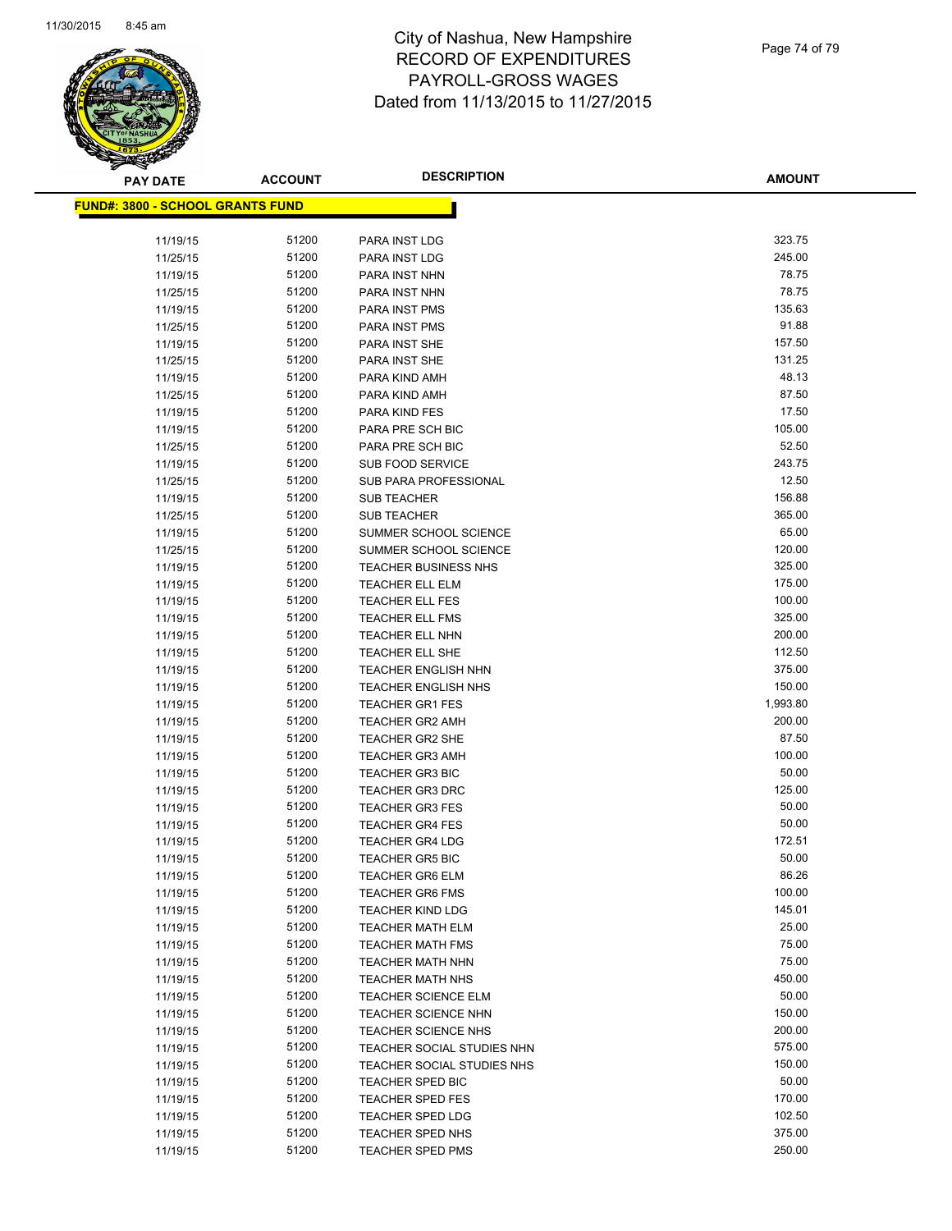

| <b>PAY DATE</b>                          | <b>ACCOUNT</b> | <b>DESCRIPTION</b>           | AMOUNT   |
|------------------------------------------|----------------|------------------------------|----------|
| <u> FUND#: 3800 - SCHOOL GRANTS FUND</u> |                |                              |          |
|                                          |                |                              |          |
| 11/19/15                                 | 51200          | PARA INST LDG                | 323.75   |
| 11/25/15                                 | 51200          | <b>PARA INST LDG</b>         | 245.00   |
| 11/19/15                                 | 51200          | PARA INST NHN                | 78.75    |
| 11/25/15                                 | 51200          | PARA INST NHN                | 78.75    |
| 11/19/15                                 | 51200          | PARA INST PMS                | 135.63   |
| 11/25/15                                 | 51200          | PARA INST PMS                | 91.88    |
| 11/19/15                                 | 51200          | PARA INST SHE                | 157.50   |
| 11/25/15                                 | 51200          | PARA INST SHE                | 131.25   |
| 11/19/15                                 | 51200          | PARA KIND AMH                | 48.13    |
| 11/25/15                                 | 51200          | PARA KIND AMH                | 87.50    |
| 11/19/15                                 | 51200          | PARA KIND FES                | 17.50    |
| 11/19/15                                 | 51200          | PARA PRE SCH BIC             | 105.00   |
| 11/25/15                                 | 51200          | PARA PRE SCH BIC             | 52.50    |
| 11/19/15                                 | 51200          | <b>SUB FOOD SERVICE</b>      | 243.75   |
| 11/25/15                                 | 51200          | <b>SUB PARA PROFESSIONAL</b> | 12.50    |
| 11/19/15                                 | 51200          | <b>SUB TEACHER</b>           | 156.88   |
| 11/25/15                                 | 51200          | <b>SUB TEACHER</b>           | 365.00   |
| 11/19/15                                 | 51200          | SUMMER SCHOOL SCIENCE        | 65.00    |
| 11/25/15                                 | 51200          | SUMMER SCHOOL SCIENCE        | 120.00   |
| 11/19/15                                 | 51200          | <b>TEACHER BUSINESS NHS</b>  | 325.00   |
| 11/19/15                                 | 51200          | <b>TEACHER ELL ELM</b>       | 175.00   |
| 11/19/15                                 | 51200          | <b>TEACHER ELL FES</b>       | 100.00   |
| 11/19/15                                 | 51200          | <b>TEACHER ELL FMS</b>       | 325.00   |
| 11/19/15                                 | 51200          | <b>TEACHER ELL NHN</b>       | 200.00   |
| 11/19/15                                 | 51200          | TEACHER ELL SHE              | 112.50   |
| 11/19/15                                 | 51200          | <b>TEACHER ENGLISH NHN</b>   | 375.00   |
| 11/19/15                                 | 51200          | <b>TEACHER ENGLISH NHS</b>   | 150.00   |
| 11/19/15                                 | 51200          | <b>TEACHER GR1 FES</b>       | 1,993.80 |
| 11/19/15                                 | 51200          | <b>TEACHER GR2 AMH</b>       | 200.00   |
| 11/19/15                                 | 51200          | <b>TEACHER GR2 SHE</b>       | 87.50    |
| 11/19/15                                 | 51200          | <b>TEACHER GR3 AMH</b>       | 100.00   |
| 11/19/15                                 | 51200          | <b>TEACHER GR3 BIC</b>       | 50.00    |
| 11/19/15                                 | 51200          | <b>TEACHER GR3 DRC</b>       | 125.00   |
| 11/19/15                                 | 51200          | <b>TEACHER GR3 FES</b>       | 50.00    |
| 11/19/15                                 | 51200          | <b>TEACHER GR4 FES</b>       | 50.00    |
| 11/19/15                                 | 51200          | <b>TEACHER GR4 LDG</b>       | 172.51   |
| 11/19/15                                 | 51200          | <b>TEACHER GR5 BIC</b>       | 50.00    |
| 11/19/15                                 | 51200          | <b>TEACHER GR6 ELM</b>       | 86.26    |
| 11/19/15                                 | 51200          | <b>TEACHER GR6 FMS</b>       | 100.00   |
| 11/19/15                                 | 51200          | <b>TEACHER KIND LDG</b>      | 145.01   |
| 11/19/15                                 | 51200          | <b>TEACHER MATH ELM</b>      | 25.00    |
| 11/19/15                                 | 51200          | <b>TEACHER MATH FMS</b>      | 75.00    |
| 11/19/15                                 | 51200          | <b>TEACHER MATH NHN</b>      | 75.00    |
| 11/19/15                                 | 51200          | <b>TEACHER MATH NHS</b>      | 450.00   |
| 11/19/15                                 | 51200          | <b>TEACHER SCIENCE ELM</b>   | 50.00    |
| 11/19/15                                 | 51200          | <b>TEACHER SCIENCE NHN</b>   | 150.00   |
| 11/19/15                                 | 51200          | <b>TEACHER SCIENCE NHS</b>   | 200.00   |
| 11/19/15                                 | 51200          | TEACHER SOCIAL STUDIES NHN   | 575.00   |
| 11/19/15                                 | 51200          | TEACHER SOCIAL STUDIES NHS   | 150.00   |
| 11/19/15                                 | 51200          | <b>TEACHER SPED BIC</b>      | 50.00    |
| 11/19/15                                 | 51200          | <b>TEACHER SPED FES</b>      | 170.00   |
| 11/19/15                                 | 51200          | <b>TEACHER SPED LDG</b>      | 102.50   |
| 11/19/15                                 | 51200          | TEACHER SPED NHS             | 375.00   |
| 11/19/15                                 | 51200          | <b>TEACHER SPED PMS</b>      | 250.00   |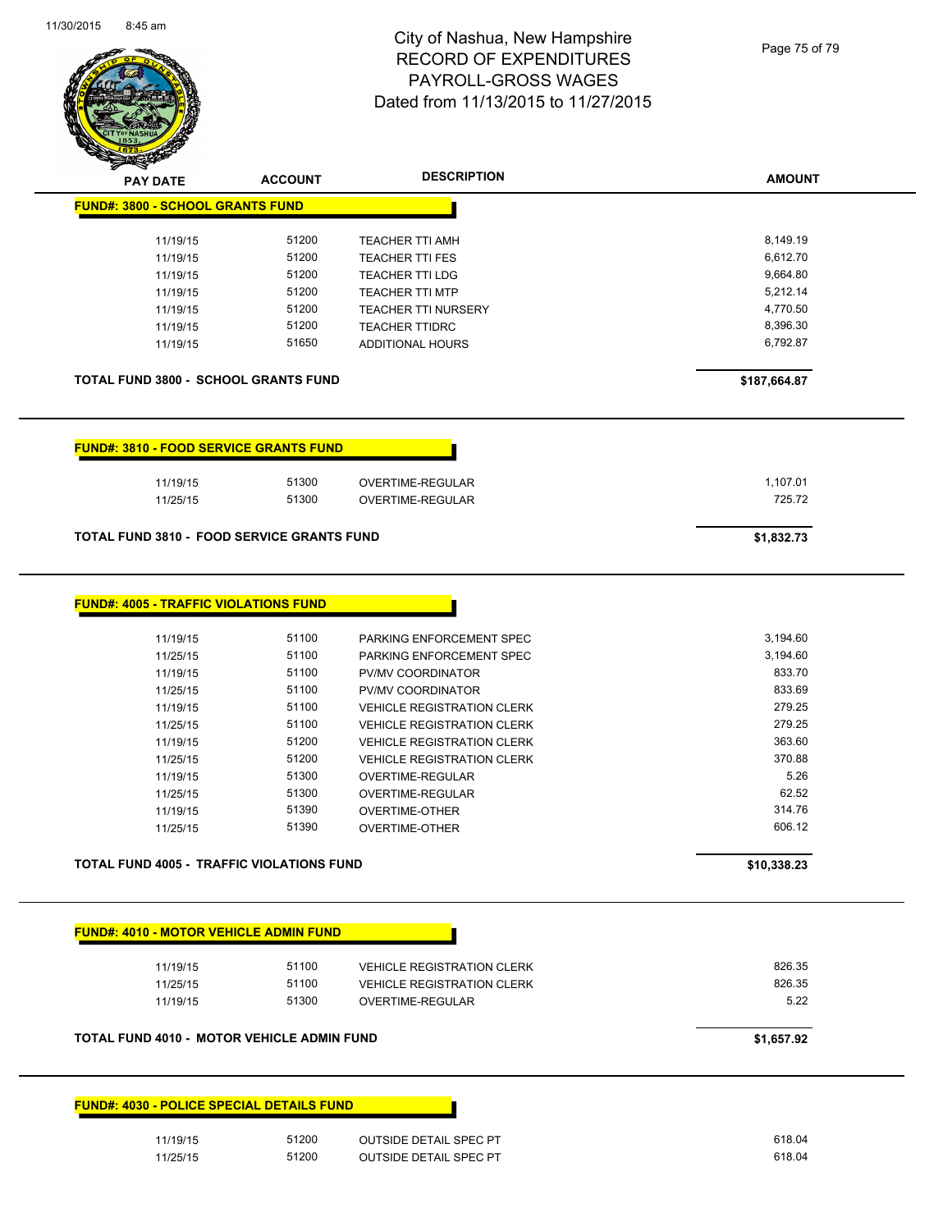

| <b>PAY DATE</b>                                   | <b>ACCOUNT</b> | <b>DESCRIPTION</b>                | <b>AMOUNT</b> |
|---------------------------------------------------|----------------|-----------------------------------|---------------|
| <b>FUND#: 3800 - SCHOOL GRANTS FUND</b>           |                |                                   |               |
|                                                   |                |                                   |               |
| 11/19/15                                          | 51200          | <b>TEACHER TTI AMH</b>            | 8,149.19      |
| 11/19/15                                          | 51200          | <b>TEACHER TTI FES</b>            | 6,612.70      |
| 11/19/15                                          | 51200          | <b>TEACHER TTI LDG</b>            | 9,664.80      |
| 11/19/15                                          | 51200          | <b>TEACHER TTI MTP</b>            | 5,212.14      |
| 11/19/15                                          | 51200          | <b>TEACHER TTI NURSERY</b>        | 4,770.50      |
| 11/19/15                                          | 51200          | <b>TEACHER TTIDRC</b>             | 8,396.30      |
| 11/19/15                                          | 51650          | <b>ADDITIONAL HOURS</b>           | 6,792.87      |
| <b>TOTAL FUND 3800 - SCHOOL GRANTS FUND</b>       |                |                                   | \$187,664.87  |
| <b>FUND#: 3810 - FOOD SERVICE GRANTS FUND</b>     |                |                                   |               |
| 11/19/15                                          | 51300          | OVERTIME-REGULAR                  | 1,107.01      |
| 11/25/15                                          | 51300          | OVERTIME-REGULAR                  | 725.72        |
| <b>TOTAL FUND 3810 - FOOD SERVICE GRANTS FUND</b> |                |                                   | \$1,832.73    |
|                                                   |                |                                   |               |
| <b>FUND#: 4005 - TRAFFIC VIOLATIONS FUND</b>      |                |                                   |               |
|                                                   |                |                                   |               |
| 11/19/15                                          | 51100          | PARKING ENFORCEMENT SPEC          | 3,194.60      |
| 11/25/15                                          | 51100          | PARKING ENFORCEMENT SPEC          | 3,194.60      |
| 11/19/15                                          | 51100          | PV/MV COORDINATOR                 | 833.70        |
| 11/25/15                                          | 51100          | PV/MV COORDINATOR                 | 833.69        |
| 11/19/15                                          | 51100          | <b>VEHICLE REGISTRATION CLERK</b> | 279.25        |
| 11/25/15                                          | 51100          | <b>VEHICLE REGISTRATION CLERK</b> | 279.25        |
| 11/19/15                                          | 51200          | <b>VEHICLE REGISTRATION CLERK</b> | 363.60        |
| 11/25/15                                          | 51200          | <b>VEHICLE REGISTRATION CLERK</b> | 370.88        |
|                                                   | 51300          |                                   | 5.26          |
| 11/19/15                                          |                | OVERTIME-REGULAR                  |               |
| 11/25/15                                          | 51300          | OVERTIME-REGULAR                  | 62.52         |
| 11/19/15                                          | 51390          | OVERTIME-OTHER                    | 314.76        |
| 11/25/15                                          | 51390          | <b>OVERTIME-OTHER</b>             | 606.12        |
| TOTAL FUND 4005 - TRAFFIC VIOLATIONS FUND         |                |                                   | \$10,338.23   |
|                                                   |                |                                   |               |
| <b>FUND#: 4010 - MOTOR VEHICLE ADMIN FUND</b>     |                |                                   |               |
| 11/19/15                                          | 51100          | <b>VEHICLE REGISTRATION CLERK</b> | 826.35        |
| 11/25/15                                          | 51100          | <b>VEHICLE REGISTRATION CLERK</b> | 826.35        |
| 11/19/15                                          | 51300          | OVERTIME-REGULAR                  | 5.22          |
| TOTAL FUND 4010 - MOTOR VEHICLE ADMIN FUND        |                |                                   | \$1,657.92    |
|                                                   |                |                                   |               |
| <b>FUND#: 4030 - POLICE SPECIAL DETAILS FUND</b>  |                |                                   |               |
| 11/19/15                                          | 51200          | <b>OUTSIDE DETAIL SPEC PT</b>     | 618.04        |
| 11/25/15                                          | 51200          | <b>OUTSIDE DETAIL SPEC PT</b>     | 618.04        |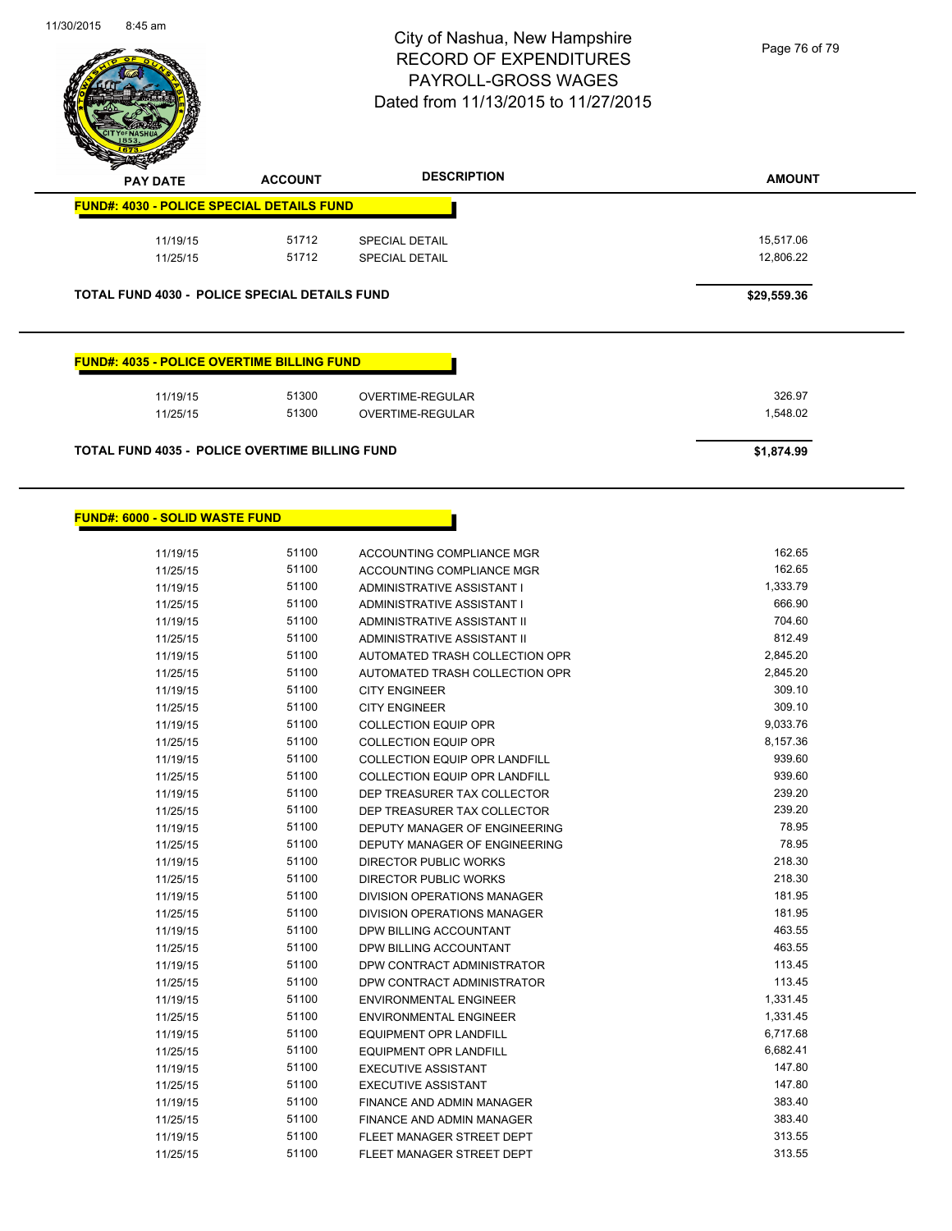

| <b>PAY DATE</b>                                      | <b>ACCOUNT</b> | <b>DESCRIPTION</b>      | <b>AMOUNT</b> |
|------------------------------------------------------|----------------|-------------------------|---------------|
| <b>FUND#: 4030 - POLICE SPECIAL DETAILS FUND</b>     |                |                         |               |
| 11/19/15                                             | 51712          | <b>SPECIAL DETAIL</b>   | 15,517.06     |
| 11/25/15                                             | 51712          | <b>SPECIAL DETAIL</b>   | 12,806.22     |
| <b>TOTAL FUND 4030 - POLICE SPECIAL DETAILS FUND</b> |                |                         | \$29,559.36   |
|                                                      |                |                         |               |
|                                                      |                |                         |               |
| <b>FUND#: 4035 - POLICE OVERTIME BILLING FUND</b>    |                |                         |               |
| 11/19/15                                             | 51300          | <b>OVERTIME-REGULAR</b> | 326.97        |
| 11/25/15                                             | 51300          | <b>OVERTIME-REGULAR</b> | 1,548.02      |
|                                                      |                |                         |               |

Г

### **FUND#: 6000 - SOLID WASTE FUND**

| 11/19/15 | 51100 | ACCOUNTING COMPLIANCE MGR            | 162.65   |
|----------|-------|--------------------------------------|----------|
| 11/25/15 | 51100 | <b>ACCOUNTING COMPLIANCE MGR</b>     | 162.65   |
| 11/19/15 | 51100 | ADMINISTRATIVE ASSISTANT I           | 1,333.79 |
| 11/25/15 | 51100 | <b>ADMINISTRATIVE ASSISTANT I</b>    | 666.90   |
| 11/19/15 | 51100 | <b>ADMINISTRATIVE ASSISTANT II</b>   | 704.60   |
| 11/25/15 | 51100 | <b>ADMINISTRATIVE ASSISTANT II</b>   | 812.49   |
| 11/19/15 | 51100 | AUTOMATED TRASH COLLECTION OPR       | 2,845.20 |
| 11/25/15 | 51100 | AUTOMATED TRASH COLLECTION OPR       | 2,845.20 |
| 11/19/15 | 51100 | <b>CITY ENGINEER</b>                 | 309.10   |
| 11/25/15 | 51100 | <b>CITY ENGINEER</b>                 | 309.10   |
| 11/19/15 | 51100 | <b>COLLECTION EQUIP OPR</b>          | 9,033.76 |
| 11/25/15 | 51100 | <b>COLLECTION EQUIP OPR</b>          | 8,157.36 |
| 11/19/15 | 51100 | <b>COLLECTION EQUIP OPR LANDFILL</b> | 939.60   |
| 11/25/15 | 51100 | <b>COLLECTION EQUIP OPR LANDFILL</b> | 939.60   |
| 11/19/15 | 51100 | DEP TREASURER TAX COLLECTOR          | 239.20   |
| 11/25/15 | 51100 | DEP TREASURER TAX COLLECTOR          | 239.20   |
| 11/19/15 | 51100 | DEPUTY MANAGER OF ENGINEERING        | 78.95    |
| 11/25/15 | 51100 | DEPUTY MANAGER OF ENGINEERING        | 78.95    |
| 11/19/15 | 51100 | <b>DIRECTOR PUBLIC WORKS</b>         | 218.30   |
| 11/25/15 | 51100 | <b>DIRECTOR PUBLIC WORKS</b>         | 218.30   |
| 11/19/15 | 51100 | DIVISION OPERATIONS MANAGER          | 181.95   |
| 11/25/15 | 51100 | DIVISION OPERATIONS MANAGER          | 181.95   |
| 11/19/15 | 51100 | DPW BILLING ACCOUNTANT               | 463.55   |
| 11/25/15 | 51100 | DPW BILLING ACCOUNTANT               | 463.55   |
| 11/19/15 | 51100 | DPW CONTRACT ADMINISTRATOR           | 113.45   |
| 11/25/15 | 51100 | DPW CONTRACT ADMINISTRATOR           | 113.45   |
| 11/19/15 | 51100 | <b>ENVIRONMENTAL ENGINEER</b>        | 1,331.45 |
| 11/25/15 | 51100 | <b>ENVIRONMENTAL ENGINEER</b>        | 1,331.45 |
| 11/19/15 | 51100 | <b>EQUIPMENT OPR LANDFILL</b>        | 6,717.68 |
| 11/25/15 | 51100 | <b>EQUIPMENT OPR LANDFILL</b>        | 6,682.41 |
| 11/19/15 | 51100 | <b>EXECUTIVE ASSISTANT</b>           | 147.80   |
| 11/25/15 | 51100 | <b>EXECUTIVE ASSISTANT</b>           | 147.80   |
| 11/19/15 | 51100 | FINANCE AND ADMIN MANAGER            | 383.40   |
| 11/25/15 | 51100 | <b>FINANCE AND ADMIN MANAGER</b>     | 383.40   |
| 11/19/15 | 51100 | FLEET MANAGER STREET DEPT            | 313.55   |
| 11/25/15 | 51100 | FLEET MANAGER STREET DEPT            | 313.55   |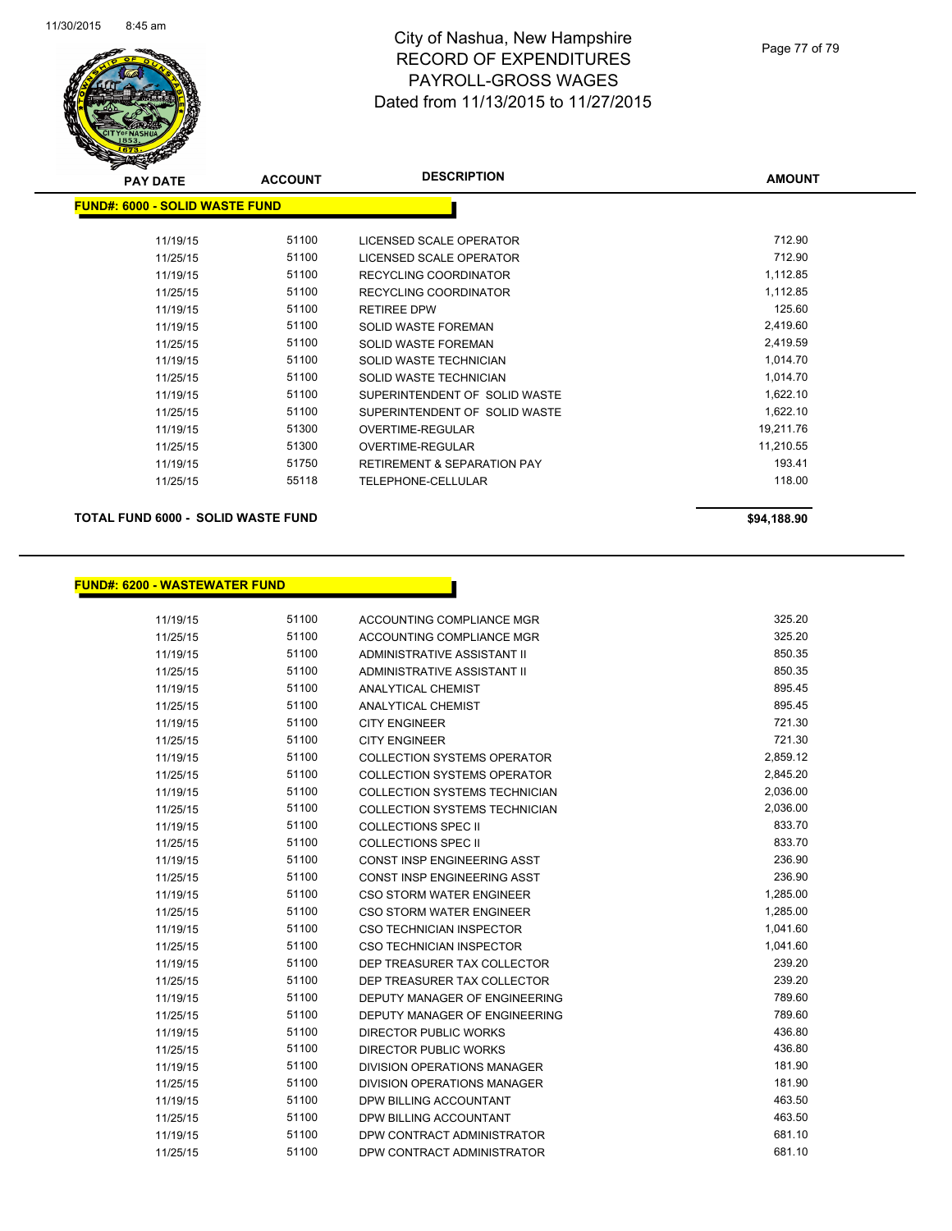

| <b>PAY DATE</b>                       | <b>ACCOUNT</b> | <b>DESCRIPTION</b>                     | <b>AMOUNT</b> |  |
|---------------------------------------|----------------|----------------------------------------|---------------|--|
| <b>FUND#: 6000 - SOLID WASTE FUND</b> |                |                                        |               |  |
|                                       |                |                                        |               |  |
| 11/19/15                              | 51100          | LICENSED SCALE OPERATOR                | 712.90        |  |
| 11/25/15                              | 51100          | LICENSED SCALE OPERATOR                | 712.90        |  |
| 11/19/15                              | 51100          | RECYCLING COORDINATOR                  | 1,112.85      |  |
| 11/25/15                              | 51100          | RECYCLING COORDINATOR                  | 1,112.85      |  |
| 11/19/15                              | 51100          | <b>RETIREE DPW</b>                     | 125.60        |  |
| 11/19/15                              | 51100          | <b>SOLID WASTE FOREMAN</b>             | 2,419.60      |  |
| 11/25/15                              | 51100          | <b>SOLID WASTE FOREMAN</b>             | 2,419.59      |  |
| 11/19/15                              | 51100          | SOLID WASTE TECHNICIAN                 | 1,014.70      |  |
| 11/25/15                              | 51100          | SOLID WASTE TECHNICIAN                 | 1,014.70      |  |
| 11/19/15                              | 51100          | SUPERINTENDENT OF SOLID WASTE          | 1,622.10      |  |
| 11/25/15                              | 51100          | SUPERINTENDENT OF SOLID WASTE          | 1,622.10      |  |
| 11/19/15                              | 51300          | OVERTIME-REGULAR                       | 19,211.76     |  |
| 11/25/15                              | 51300          | <b>OVERTIME-REGULAR</b>                | 11,210.55     |  |
| 11/19/15                              | 51750          | <b>RETIREMENT &amp; SEPARATION PAY</b> | 193.41        |  |
| 11/25/15                              | 55118          | TELEPHONE-CELLULAR                     | 118.00        |  |
|                                       |                |                                        |               |  |

**TOTAL FUND 6000 - SOLID WASTE FUND \$94,188.90** 

### **FUND#: 6200 - WASTEWATER FUND**

11/19/15 51100 ACCOUNTING COMPLIANCE MGR 525.20 11/25/15 51100 ACCOUNTING COMPLIANCE MGR 325.20 11/19/15 51100 ADMINISTRATIVE ASSISTANT II 850.35 11/25/15 51100 ADMINISTRATIVE ASSISTANT II 850.35 11/19/15 51100 ANALYTICAL CHEMIST 895.45 11/25/15 51100 ANALYTICAL CHEMIST 895.45 11/19/15 51100 CITY ENGINEER 721.30 11/25/15 51100 CITY ENGINEER 721.30 11/19/15 51100 COLLECTION SYSTEMS OPERATOR 2,859.12 11/25/15 51100 COLLECTION SYSTEMS OPERATOR 2,845.20 11/19/15 51100 COLLECTION SYSTEMS TECHNICIAN 2,036.00 11/25/15 51100 COLLECTION SYSTEMS TECHNICIAN 2,036.00 11/19/15 51100 COLLECTIONS SPEC II 833.70 11/25/15 51100 COLLECTIONS SPEC II 833.70 11/19/15 51100 CONST INSP ENGINEERING ASST 236.90 11/25/15 51100 CONST INSP ENGINEERING ASST 611/25/15 236.90 11/19/15 51100 CSO STORM WATER ENGINEER 1,285.00 11/25/15 51100 CSO STORM WATER ENGINEER 1,285.00 11/19/15 51100 CSO TECHNICIAN INSPECTOR 6 1,041.60 11/25/15 51100 CSO TECHNICIAN INSPECTOR 61 CONTROLLER 1,041.60 11/19/15 51100 DEP TREASURER TAX COLLECTOR 239.20 11/25/15 51100 DEP TREASURER TAX COLLECTOR 239.20 11/19/15 51100 DEPUTY MANAGER OF ENGINEERING 789.60 11/25/15 51100 DEPUTY MANAGER OF ENGINEERING 789.60 11/19/15 51100 DIRECTOR PUBLIC WORKS 436.80 11/25/15 51100 DIRECTOR PUBLIC WORKS 436.80 11/19/15 51100 DIVISION OPERATIONS MANAGER 181.90 11/25/15 51100 DIVISION OPERATIONS MANAGER 181.90 11/19/15 51100 DPW BILLING ACCOUNTANT 463.50 11/25/15 51100 DPW BILLING ACCOUNTANT 463.50 11/19/15 51100 DPW CONTRACT ADMINISTRATOR 681.10 11/25/15 51100 DPW CONTRACT ADMINISTRATOR 681.10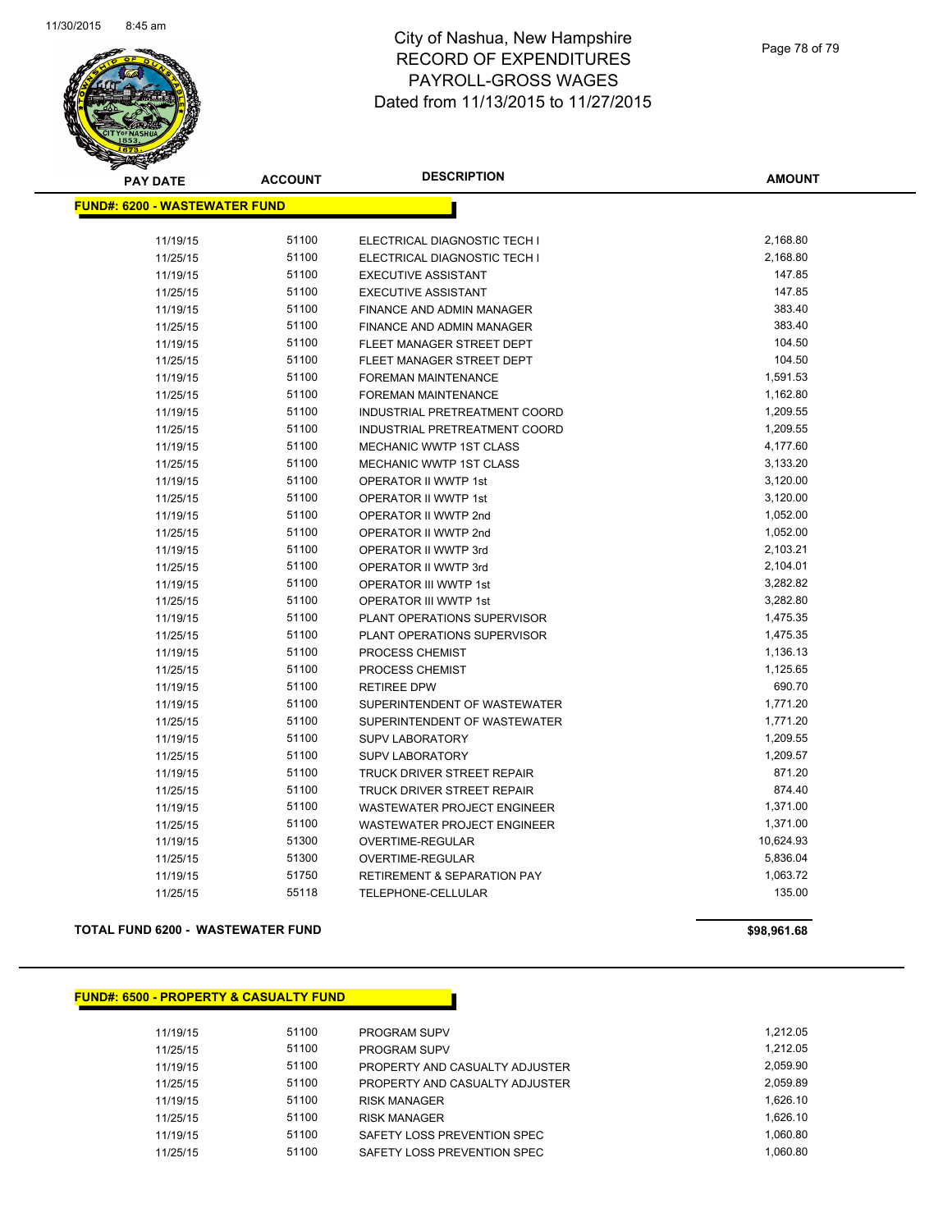

| <b>PAY DATE</b>                       | <b>ACCOUNT</b> | <b>DESCRIPTION</b>                     | <b>AMOUNT</b> |
|---------------------------------------|----------------|----------------------------------------|---------------|
| <u> FUND#: 6200 - WASTEWATER FUND</u> |                |                                        |               |
| 11/19/15                              | 51100          | ELECTRICAL DIAGNOSTIC TECH I           | 2,168.80      |
| 11/25/15                              | 51100          | ELECTRICAL DIAGNOSTIC TECH I           | 2,168.80      |
| 11/19/15                              | 51100          | <b>EXECUTIVE ASSISTANT</b>             | 147.85        |
| 11/25/15                              | 51100          | <b>EXECUTIVE ASSISTANT</b>             | 147.85        |
| 11/19/15                              | 51100          | FINANCE AND ADMIN MANAGER              | 383.40        |
| 11/25/15                              | 51100          | FINANCE AND ADMIN MANAGER              | 383.40        |
| 11/19/15                              | 51100          | FLEET MANAGER STREET DEPT              | 104.50        |
| 11/25/15                              | 51100          | FLEET MANAGER STREET DEPT              | 104.50        |
| 11/19/15                              | 51100          | FOREMAN MAINTENANCE                    | 1,591.53      |
| 11/25/15                              | 51100          | FOREMAN MAINTENANCE                    | 1,162.80      |
| 11/19/15                              | 51100          | INDUSTRIAL PRETREATMENT COORD          | 1,209.55      |
| 11/25/15                              | 51100          | INDUSTRIAL PRETREATMENT COORD          | 1,209.55      |
| 11/19/15                              | 51100          | MECHANIC WWTP 1ST CLASS                | 4,177.60      |
| 11/25/15                              | 51100          | MECHANIC WWTP 1ST CLASS                | 3,133.20      |
| 11/19/15                              | 51100          | OPERATOR II WWTP 1st                   | 3,120.00      |
| 11/25/15                              | 51100          | OPERATOR II WWTP 1st                   | 3,120.00      |
| 11/19/15                              | 51100          | OPERATOR II WWTP 2nd                   | 1,052.00      |
| 11/25/15                              | 51100          | OPERATOR II WWTP 2nd                   | 1,052.00      |
| 11/19/15                              | 51100          | OPERATOR II WWTP 3rd                   | 2,103.21      |
| 11/25/15                              | 51100          | <b>OPERATOR II WWTP 3rd</b>            | 2,104.01      |
| 11/19/15                              | 51100          | OPERATOR III WWTP 1st                  | 3,282.82      |
| 11/25/15                              | 51100          | <b>OPERATOR III WWTP 1st</b>           | 3,282.80      |
| 11/19/15                              | 51100          | PLANT OPERATIONS SUPERVISOR            | 1,475.35      |
| 11/25/15                              | 51100          | PLANT OPERATIONS SUPERVISOR            | 1,475.35      |
| 11/19/15                              | 51100          | PROCESS CHEMIST                        | 1,136.13      |
| 11/25/15                              | 51100          | PROCESS CHEMIST                        | 1,125.65      |
| 11/19/15                              | 51100          | <b>RETIREE DPW</b>                     | 690.70        |
| 11/19/15                              | 51100          | SUPERINTENDENT OF WASTEWATER           | 1,771.20      |
| 11/25/15                              | 51100          | SUPERINTENDENT OF WASTEWATER           | 1,771.20      |
| 11/19/15                              | 51100          | <b>SUPV LABORATORY</b>                 | 1,209.55      |
| 11/25/15                              | 51100          | <b>SUPV LABORATORY</b>                 | 1,209.57      |
| 11/19/15                              | 51100          | <b>TRUCK DRIVER STREET REPAIR</b>      | 871.20        |
| 11/25/15                              | 51100          | <b>TRUCK DRIVER STREET REPAIR</b>      | 874.40        |
| 11/19/15                              | 51100          | WASTEWATER PROJECT ENGINEER            | 1,371.00      |
| 11/25/15                              | 51100          | WASTEWATER PROJECT ENGINEER            | 1,371.00      |
| 11/19/15                              | 51300          | OVERTIME-REGULAR                       | 10,624.93     |
| 11/25/15                              | 51300          | OVERTIME-REGULAR                       | 5,836.04      |
| 11/19/15                              | 51750          | <b>RETIREMENT &amp; SEPARATION PAY</b> | 1,063.72      |
| 11/25/15                              | 55118          | TELEPHONE-CELLULAR                     | 135.00        |
|                                       |                |                                        |               |

#### **TOTAL FUND 6200 - WASTEWATER FUND \$98,961.68**

## **FUND#: 6500 - PROPERTY & CASUALTY FUND**

| 11/19/15 | 51100 | <b>PROGRAM SUPV</b>            | 1.212.05 |
|----------|-------|--------------------------------|----------|
| 11/25/15 | 51100 | <b>PROGRAM SUPV</b>            | 1.212.05 |
| 11/19/15 | 51100 | PROPERTY AND CASUALTY ADJUSTER | 2.059.90 |
| 11/25/15 | 51100 | PROPERTY AND CASUALTY ADJUSTER | 2.059.89 |
| 11/19/15 | 51100 | <b>RISK MANAGER</b>            | 1.626.10 |
| 11/25/15 | 51100 | <b>RISK MANAGER</b>            | 1.626.10 |
| 11/19/15 | 51100 | SAFETY LOSS PREVENTION SPEC    | 1.060.80 |
| 11/25/15 | 51100 | SAFETY LOSS PREVENTION SPEC    | 1.060.80 |